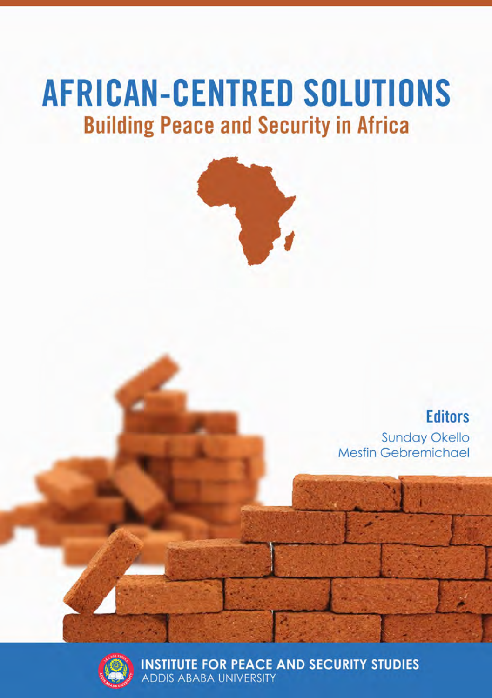# **AFRICAN-CENTRED SOLUTIONS Building Peace and Security in Africa**



**Editors Sunday Okello** 

**Mesfin Gebremichael** 



**INSTITUTE FOR PEACE AND SECURITY STUDIES**<br>ADDIS ABABA UNIVERSITY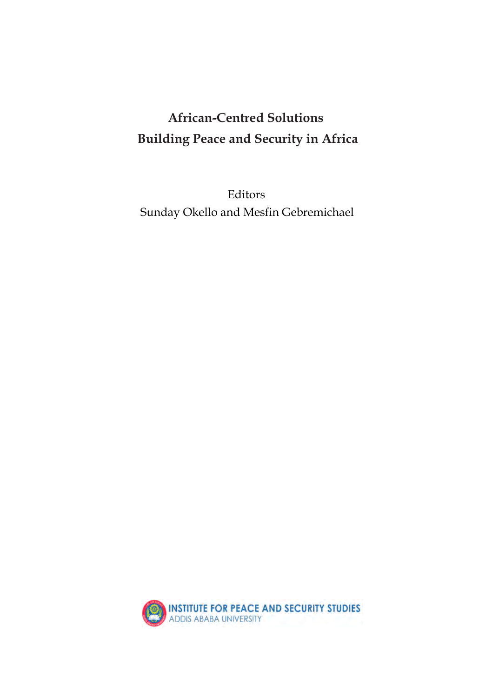# **African-Centred Solutions Building Peace and Security in Africa**

Editors Sunday Okello and Mesfin Gebremichael

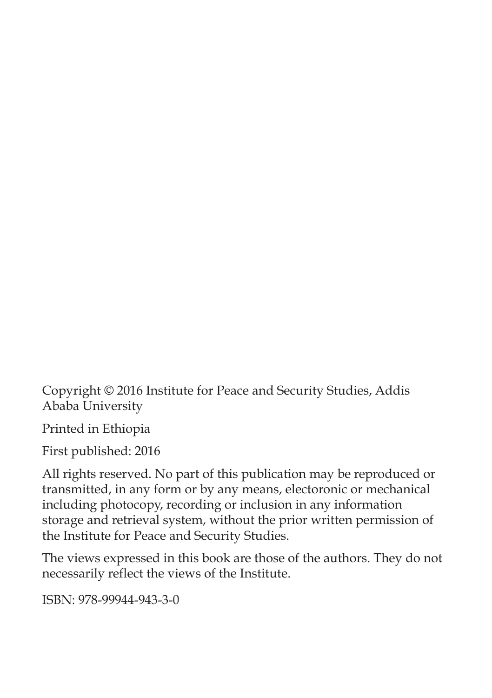Copyright © 2016 Institute for Peace and Security Studies, Addis Ababa University

Printed in Ethiopia

First published: 2016

All rights reserved. No part of this publication may be reproduced or transmitted, in any form or by any means, electoronic or mechanical including photocopy, recording or inclusion in any information storage and retrieval system, without the prior written permission of the Institute for Peace and Security Studies.

The views expressed in this book are those of the authors. They do not necessarily reflect the views of the Institute.

ISBN: 978-99944-943-3-0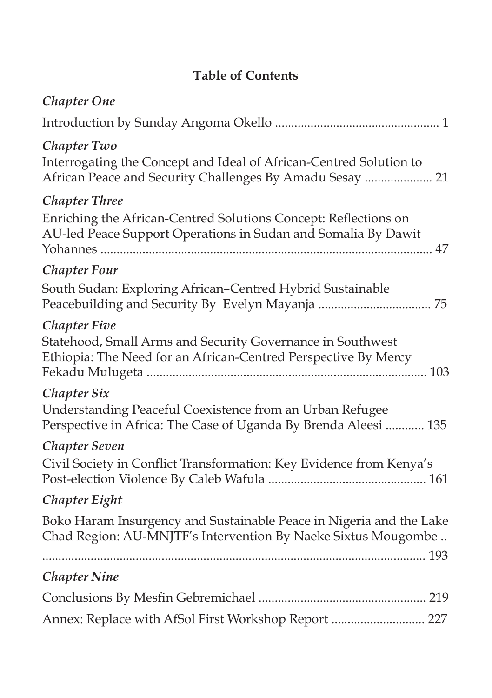# **Table of Contents**

| Chapter One                                                                                                                                              |
|----------------------------------------------------------------------------------------------------------------------------------------------------------|
|                                                                                                                                                          |
| Chapter Two<br>Interrogating the Concept and Ideal of African-Centred Solution to<br>African Peace and Security Challenges By Amadu Sesay  21            |
| <b>Chapter Three</b><br>Enriching the African-Centred Solutions Concept: Reflections on<br>AU-led Peace Support Operations in Sudan and Somalia By Dawit |
| <b>Chapter Four</b>                                                                                                                                      |
| South Sudan: Exploring African-Centred Hybrid Sustainable                                                                                                |
| <b>Chapter Five</b><br>Statehood, Small Arms and Security Governance in Southwest<br>Ethiopia: The Need for an African-Centred Perspective By Mercy      |
| Chapter Six<br>Understanding Peaceful Coexistence from an Urban Refugee<br>Perspective in Africa: The Case of Uganda By Brenda Aleesi  135               |
| Chapter Seven                                                                                                                                            |
| Civil Society in Conflict Transformation: Key Evidence from Kenya's                                                                                      |
| Chapter Eight                                                                                                                                            |
| Boko Haram Insurgency and Sustainable Peace in Nigeria and the Lake<br>Chad Region: AU-MNJTF's Intervention By Naeke Sixtus Mougombe                     |
| <b>Chapter Nine</b>                                                                                                                                      |
|                                                                                                                                                          |
|                                                                                                                                                          |
| Annex: Replace with AfSol First Workshop Report  227                                                                                                     |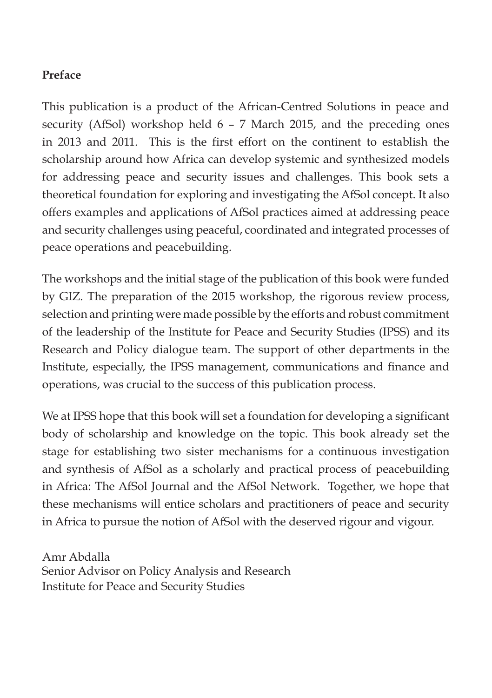#### **Preface**

This publication is a product of the African-Centred Solutions in peace and security (AfSol) workshop held 6 – 7 March 2015, and the preceding ones in 2013 and 2011. This is the first effort on the continent to establish the scholarship around how Africa can develop systemic and synthesized models for addressing peace and security issues and challenges. This book sets a theoretical foundation for exploring and investigating the AfSol concept. It also offers examples and applications of AfSol practices aimed at addressing peace and security challenges using peaceful, coordinated and integrated processes of peace operations and peacebuilding.

The workshops and the initial stage of the publication of this book were funded by GIZ. The preparation of the 2015 workshop, the rigorous review process, selection and printing were made possible by the efforts and robust commitment of the leadership of the Institute for Peace and Security Studies (IPSS) and its Research and Policy dialogue team. The support of other departments in the Institute, especially, the IPSS management, communications and finance and operations, was crucial to the success of this publication process.

We at IPSS hope that this book will set a foundation for developing a significant body of scholarship and knowledge on the topic. This book already set the stage for establishing two sister mechanisms for a continuous investigation and synthesis of AfSol as a scholarly and practical process of peacebuilding in Africa: The AfSol Journal and the AfSol Network. Together, we hope that these mechanisms will entice scholars and practitioners of peace and security in Africa to pursue the notion of AfSol with the deserved rigour and vigour.

Amr Abdalla Senior Advisor on Policy Analysis and Research Institute for Peace and Security Studies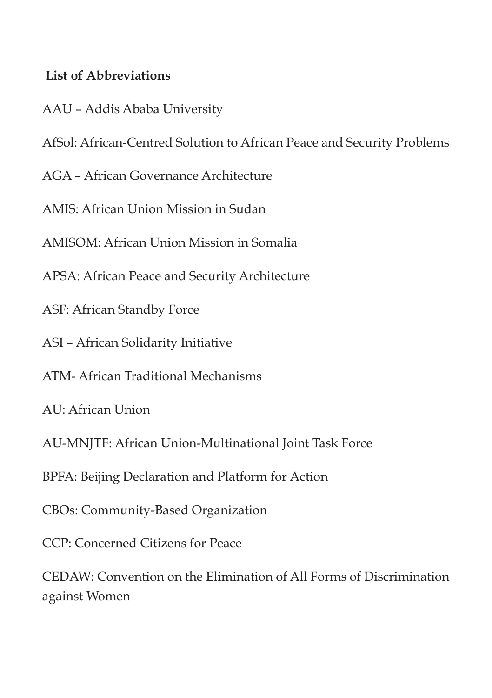## **List of Abbreviations**

- AAU Addis Ababa University
- AfSol: African-Centred Solution to African Peace and Security Problems
- AGA African Governance Architecture
- AMIS: African Union Mission in Sudan
- AMISOM: African Union Mission in Somalia
- APSA: African Peace and Security Architecture
- ASF: African Standby Force
- ASI African Solidarity Initiative
- ATM- African Traditional Mechanisms
- AU: African Union
- AU-MNJTF: African Union-Multinational Joint Task Force
- BPFA: Beijing Declaration and Platform for Action
- CBOs: Community-Based Organization
- CCP: Concerned Citizens for Peace
- CEDAW: Convention on the Elimination of All Forms of Discrimination against Women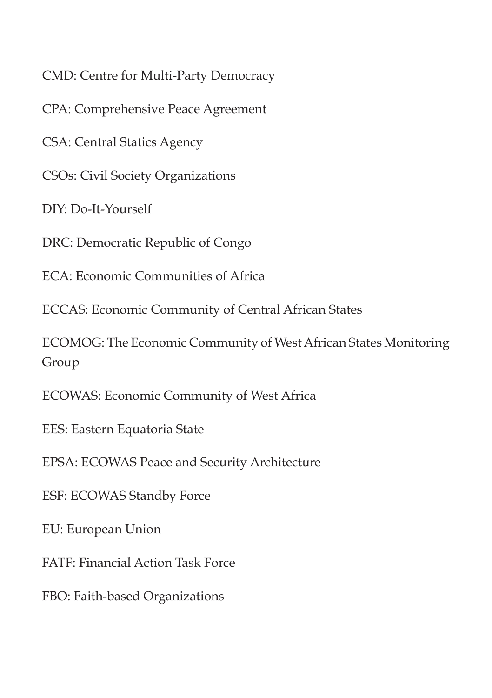CMD: Centre for Multi-Party Democracy

CPA: Comprehensive Peace Agreement

CSA: Central Statics Agency

CSOs: Civil Society Organizations

DIY: Do-It-Yourself

DRC: Democratic Republic of Congo

ECA: Economic Communities of Africa

ECCAS: Economic Community of Central African States

ECOMOG: The Economic Community of West African States Monitoring Group

ECOWAS: Economic Community of West Africa

EES: Eastern Equatoria State

EPSA: ECOWAS Peace and Security Architecture

ESF: ECOWAS Standby Force

EU: European Union

FATF: Financial Action Task Force

FBO: Faith-based Organizations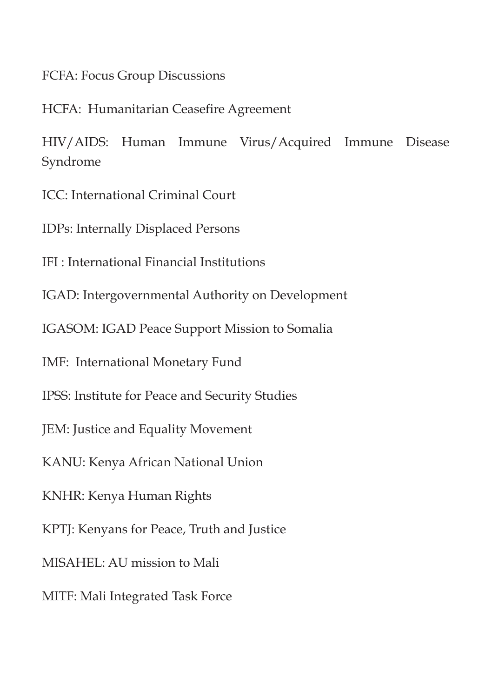#### FCFA: Focus Group Discussions

HCFA: Humanitarian Ceasefire Agreement

HIV/AIDS: Human Immune Virus/Acquired Immune Disease Syndrome

ICC: International Criminal Court

IDPs: Internally Displaced Persons

IFI : International Financial Institutions

IGAD: Intergovernmental Authority on Development

IGASOM: IGAD Peace Support Mission to Somalia

IMF: International Monetary Fund

IPSS: Institute for Peace and Security Studies

JEM: Justice and Equality Movement

KANU: Kenya African National Union

KNHR: Kenya Human Rights

KPTJ: Kenyans for Peace, Truth and Justice

MISAHEL: AU mission to Mali

MITF: Mali Integrated Task Force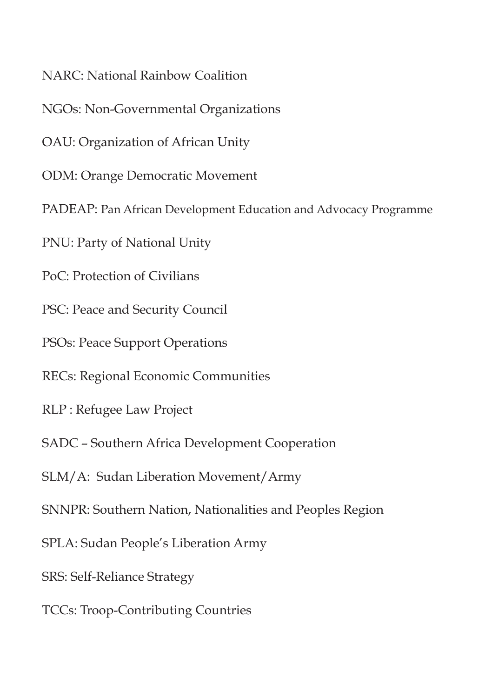NARC: National Rainbow Coalition

NGOs: Non-Governmental Organizations

OAU: Organization of African Unity

ODM: Orange Democratic Movement

PADEAP: Pan African Development Education and Advocacy Programme

PNU: Party of National Unity

PoC: Protection of Civilians

PSC: Peace and Security Council

PSOs: Peace Support Operations

RECs: Regional Economic Communities

RLP : Refugee Law Project

SADC – Southern Africa Development Cooperation

SLM/A: Sudan Liberation Movement/Army

SNNPR: Southern Nation, Nationalities and Peoples Region

SPLA: Sudan People's Liberation Army

SRS: Self-Reliance Strategy

TCCs: Troop-Contributing Countries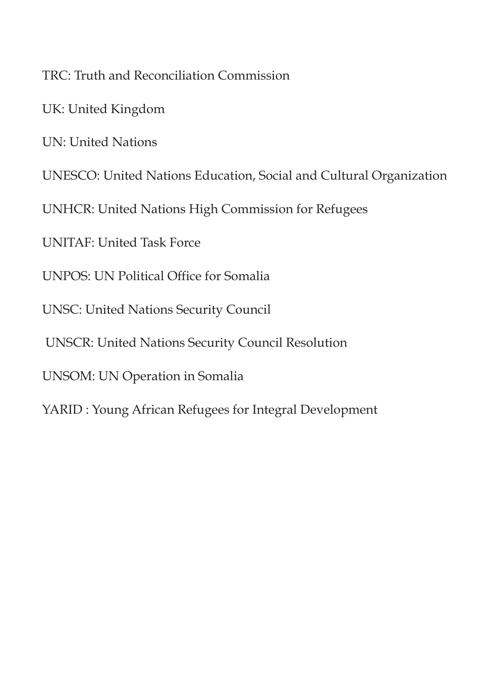TRC: Truth and Reconciliation Commission

UK: United Kingdom

UN: United Nations

UNESCO: United Nations Education, Social and Cultural Organization

UNHCR: United Nations High Commission for Refugees

UNITAF: United Task Force

UNPOS: UN Political Office for Somalia

UNSC: United Nations Security Council

UNSCR: United Nations Security Council Resolution

UNSOM: UN Operation in Somalia

YARID : Young African Refugees for Integral Development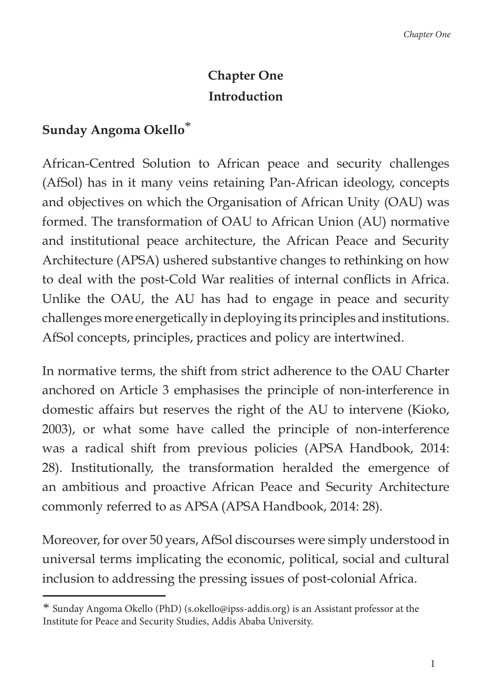# **Chapter One Introduction**

## **Sunday Angoma Okello**\*

African-Centred Solution to African peace and security challenges (AfSol) has in it many veins retaining Pan-African ideology, concepts and objectives on which the Organisation of African Unity (OAU) was formed. The transformation of OAU to African Union (AU) normative and institutional peace architecture, the African Peace and Security Architecture (APSA) ushered substantive changes to rethinking on how to deal with the post-Cold War realities of internal conflicts in Africa. Unlike the OAU, the AU has had to engage in peace and security challenges more energetically in deploying its principles and institutions. AfSol concepts, principles, practices and policy are intertwined.

In normative terms, the shift from strict adherence to the OAU Charter anchored on Article 3 emphasises the principle of non-interference in domestic affairs but reserves the right of the AU to intervene (Kioko, 2003), or what some have called the principle of non-interference was a radical shift from previous policies (APSA Handbook, 2014: 28). Institutionally, the transformation heralded the emergence of an ambitious and proactive African Peace and Security Architecture commonly referred to as APSA (APSA Handbook, 2014: 28).

Moreover, for over 50 years, AfSol discourses were simply understood in universal terms implicating the economic, political, social and cultural inclusion to addressing the pressing issues of post-colonial Africa.

<sup>\*</sup> Sunday Angoma Okello (PhD) (s.okello@ipss-addis.org) is an Assistant professor at the Institute for Peace and Security Studies, Addis Ababa University.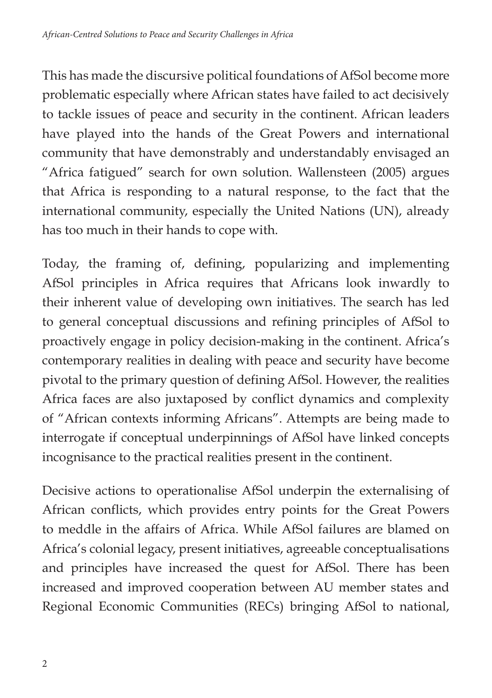This has made the discursive political foundations of AfSol become more problematic especially where African states have failed to act decisively to tackle issues of peace and security in the continent. African leaders have played into the hands of the Great Powers and international community that have demonstrably and understandably envisaged an "Africa fatigued" search for own solution. Wallensteen (2005) argues that Africa is responding to a natural response, to the fact that the international community, especially the United Nations (UN), already has too much in their hands to cope with.

Today, the framing of, defining, popularizing and implementing AfSol principles in Africa requires that Africans look inwardly to their inherent value of developing own initiatives. The search has led to general conceptual discussions and refining principles of AfSol to proactively engage in policy decision-making in the continent. Africa's contemporary realities in dealing with peace and security have become pivotal to the primary question of defining AfSol. However, the realities Africa faces are also juxtaposed by conflict dynamics and complexity of "African contexts informing Africans". Attempts are being made to interrogate if conceptual underpinnings of AfSol have linked concepts incognisance to the practical realities present in the continent.

Decisive actions to operationalise AfSol underpin the externalising of African conflicts, which provides entry points for the Great Powers to meddle in the affairs of Africa. While AfSol failures are blamed on Africa's colonial legacy, present initiatives, agreeable conceptualisations and principles have increased the quest for AfSol. There has been increased and improved cooperation between AU member states and Regional Economic Communities (RECs) bringing AfSol to national,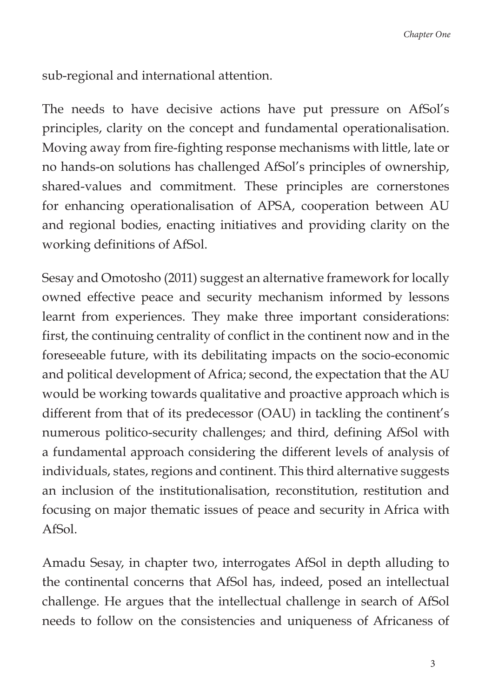sub-regional and international attention.

The needs to have decisive actions have put pressure on AfSol's principles, clarity on the concept and fundamental operationalisation. Moving away from fire-fighting response mechanisms with little, late or no hands-on solutions has challenged AfSol's principles of ownership, shared-values and commitment. These principles are cornerstones for enhancing operationalisation of APSA, cooperation between AU and regional bodies, enacting initiatives and providing clarity on the working definitions of AfSol.

Sesay and Omotosho (2011) suggest an alternative framework for locally owned effective peace and security mechanism informed by lessons learnt from experiences. They make three important considerations: first, the continuing centrality of conflict in the continent now and in the foreseeable future, with its debilitating impacts on the socio-economic and political development of Africa; second, the expectation that the AU would be working towards qualitative and proactive approach which is different from that of its predecessor (OAU) in tackling the continent's numerous politico-security challenges; and third, defining AfSol with a fundamental approach considering the different levels of analysis of individuals, states, regions and continent. This third alternative suggests an inclusion of the institutionalisation, reconstitution, restitution and focusing on major thematic issues of peace and security in Africa with AfSol.

Amadu Sesay, in chapter two, interrogates AfSol in depth alluding to the continental concerns that AfSol has, indeed, posed an intellectual challenge. He argues that the intellectual challenge in search of AfSol needs to follow on the consistencies and uniqueness of Africaness of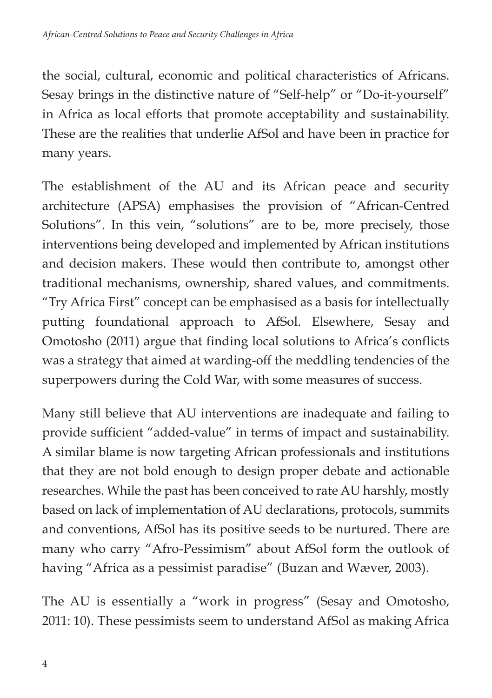the social, cultural, economic and political characteristics of Africans. Sesay brings in the distinctive nature of "Self-help" or "Do-it-yourself" in Africa as local efforts that promote acceptability and sustainability. These are the realities that underlie AfSol and have been in practice for many years.

The establishment of the AU and its African peace and security architecture (APSA) emphasises the provision of "African-Centred Solutions". In this vein, "solutions" are to be, more precisely, those interventions being developed and implemented by African institutions and decision makers. These would then contribute to, amongst other traditional mechanisms, ownership, shared values, and commitments. "Try Africa First" concept can be emphasised as a basis for intellectually putting foundational approach to AfSol. Elsewhere, Sesay and Omotosho (2011) argue that finding local solutions to Africa's conflicts was a strategy that aimed at warding-off the meddling tendencies of the superpowers during the Cold War, with some measures of success.

Many still believe that AU interventions are inadequate and failing to provide sufficient "added-value" in terms of impact and sustainability. A similar blame is now targeting African professionals and institutions that they are not bold enough to design proper debate and actionable researches. While the past has been conceived to rate AU harshly, mostly based on lack of implementation of AU declarations, protocols, summits and conventions, AfSol has its positive seeds to be nurtured. There are many who carry "Afro-Pessimism" about AfSol form the outlook of having "Africa as a pessimist paradise" (Buzan and Wæver, 2003).

The AU is essentially a "work in progress" (Sesay and Omotosho, 2011: 10). These pessimists seem to understand AfSol as making Africa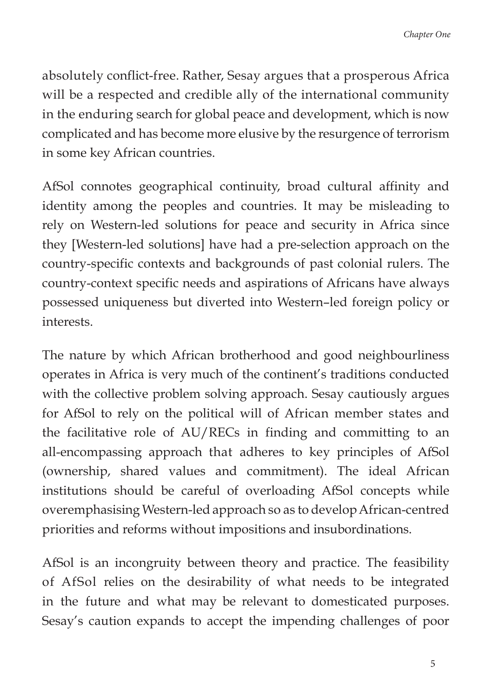absolutely conflict-free. Rather, Sesay argues that a prosperous Africa will be a respected and credible ally of the international community in the enduring search for global peace and development, which is now complicated and has become more elusive by the resurgence of terrorism in some key African countries.

AfSol connotes geographical continuity, broad cultural affinity and identity among the peoples and countries. It may be misleading to rely on Western-led solutions for peace and security in Africa since they [Western-led solutions] have had a pre-selection approach on the country-specific contexts and backgrounds of past colonial rulers. The country-context specific needs and aspirations of Africans have always possessed uniqueness but diverted into Western–led foreign policy or interests.

The nature by which African brotherhood and good neighbourliness operates in Africa is very much of the continent's traditions conducted with the collective problem solving approach. Sesay cautiously argues for AfSol to rely on the political will of African member states and the facilitative role of AU/RECs in finding and committing to an all-encompassing approach that adheres to key principles of AfSol (ownership, shared values and commitment). The ideal African institutions should be careful of overloading AfSol concepts while overemphasising Western-led approach so as to develop African-centred priorities and reforms without impositions and insubordinations.

AfSol is an incongruity between theory and practice. The feasibility of AfSol relies on the desirability of what needs to be integrated in the future and what may be relevant to domesticated purposes. Sesay's caution expands to accept the impending challenges of poor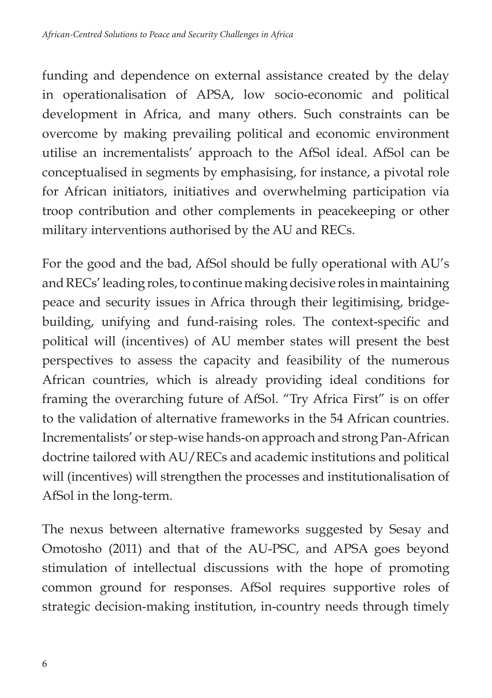funding and dependence on external assistance created by the delay in operationalisation of APSA, low socio-economic and political development in Africa, and many others. Such constraints can be overcome by making prevailing political and economic environment utilise an incrementalists' approach to the AfSol ideal. AfSol can be conceptualised in segments by emphasising, for instance, a pivotal role for African initiators, initiatives and overwhelming participation via troop contribution and other complements in peacekeeping or other military interventions authorised by the AU and RECs.

For the good and the bad, AfSol should be fully operational with AU's and RECs' leading roles, to continue making decisive roles in maintaining peace and security issues in Africa through their legitimising, bridgebuilding, unifying and fund-raising roles. The context-specific and political will (incentives) of AU member states will present the best perspectives to assess the capacity and feasibility of the numerous African countries, which is already providing ideal conditions for framing the overarching future of AfSol. "Try Africa First" is on offer to the validation of alternative frameworks in the 54 African countries. Incrementalists' or step-wise hands-on approach and strong Pan-African doctrine tailored with AU/RECs and academic institutions and political will (incentives) will strengthen the processes and institutionalisation of AfSol in the long-term.

The nexus between alternative frameworks suggested by Sesay and Omotosho (2011) and that of the AU-PSC, and APSA goes beyond stimulation of intellectual discussions with the hope of promoting common ground for responses. AfSol requires supportive roles of strategic decision-making institution, in-country needs through timely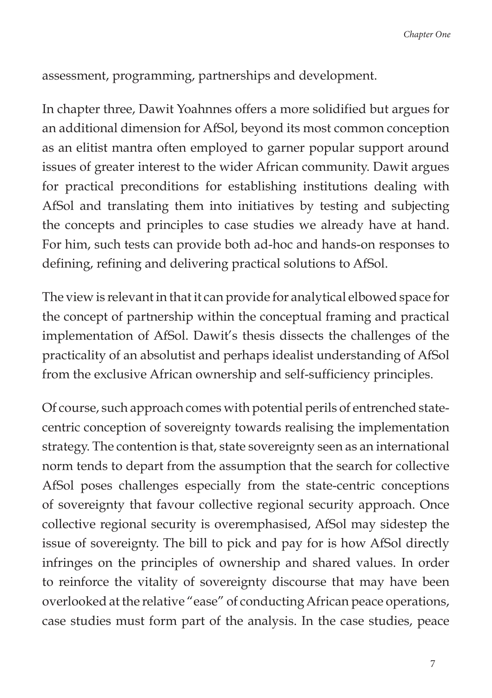assessment, programming, partnerships and development.

In chapter three, Dawit Yoahnnes offers a more solidified but argues for an additional dimension for AfSol, beyond its most common conception as an elitist mantra often employed to garner popular support around issues of greater interest to the wider African community. Dawit argues for practical preconditions for establishing institutions dealing with AfSol and translating them into initiatives by testing and subjecting the concepts and principles to case studies we already have at hand. For him, such tests can provide both ad-hoc and hands-on responses to defining, refining and delivering practical solutions to AfSol.

The view is relevant in that it can provide for analytical elbowed space for the concept of partnership within the conceptual framing and practical implementation of AfSol. Dawit's thesis dissects the challenges of the practicality of an absolutist and perhaps idealist understanding of AfSol from the exclusive African ownership and self-sufficiency principles.

Of course, such approach comes with potential perils of entrenched statecentric conception of sovereignty towards realising the implementation strategy. The contention is that, state sovereignty seen as an international norm tends to depart from the assumption that the search for collective AfSol poses challenges especially from the state-centric conceptions of sovereignty that favour collective regional security approach. Once collective regional security is overemphasised, AfSol may sidestep the issue of sovereignty. The bill to pick and pay for is how AfSol directly infringes on the principles of ownership and shared values. In order to reinforce the vitality of sovereignty discourse that may have been overlooked at the relative "ease" of conducting African peace operations, case studies must form part of the analysis. In the case studies, peace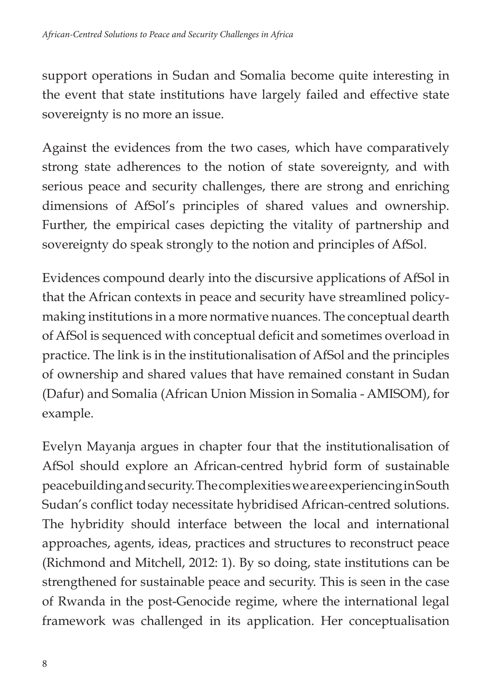support operations in Sudan and Somalia become quite interesting in the event that state institutions have largely failed and effective state sovereignty is no more an issue.

Against the evidences from the two cases, which have comparatively strong state adherences to the notion of state sovereignty, and with serious peace and security challenges, there are strong and enriching dimensions of AfSol's principles of shared values and ownership. Further, the empirical cases depicting the vitality of partnership and sovereignty do speak strongly to the notion and principles of AfSol.

Evidences compound dearly into the discursive applications of AfSol in that the African contexts in peace and security have streamlined policymaking institutions in a more normative nuances. The conceptual dearth of AfSol is sequenced with conceptual deficit and sometimes overload in practice. The link is in the institutionalisation of AfSol and the principles of ownership and shared values that have remained constant in Sudan (Dafur) and Somalia (African Union Mission in Somalia - AMISOM), for example.

Evelyn Mayanja argues in chapter four that the institutionalisation of AfSol should explore an African-centred hybrid form of sustainable peacebuilding and security. The complexities we are experiencing in South Sudan's conflict today necessitate hybridised African-centred solutions. The hybridity should interface between the local and international approaches, agents, ideas, practices and structures to reconstruct peace (Richmond and Mitchell, 2012: 1). By so doing, state institutions can be strengthened for sustainable peace and security. This is seen in the case of Rwanda in the post-Genocide regime, where the international legal framework was challenged in its application. Her conceptualisation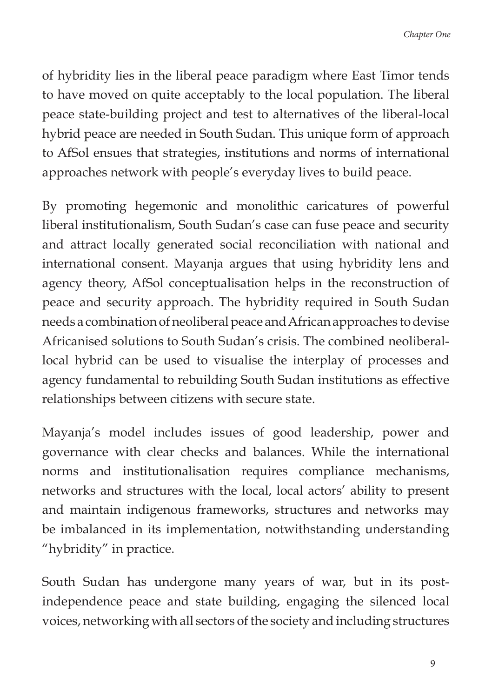of hybridity lies in the liberal peace paradigm where East Timor tends to have moved on quite acceptably to the local population. The liberal peace state-building project and test to alternatives of the liberal-local hybrid peace are needed in South Sudan. This unique form of approach to AfSol ensues that strategies, institutions and norms of international approaches network with people's everyday lives to build peace.

By promoting hegemonic and monolithic caricatures of powerful liberal institutionalism, South Sudan's case can fuse peace and security and attract locally generated social reconciliation with national and international consent. Mayanja argues that using hybridity lens and agency theory, AfSol conceptualisation helps in the reconstruction of peace and security approach. The hybridity required in South Sudan needs a combination of neoliberal peace and African approaches to devise Africanised solutions to South Sudan's crisis. The combined neoliberallocal hybrid can be used to visualise the interplay of processes and agency fundamental to rebuilding South Sudan institutions as effective relationships between citizens with secure state.

Mayanja's model includes issues of good leadership, power and governance with clear checks and balances. While the international norms and institutionalisation requires compliance mechanisms, networks and structures with the local, local actors' ability to present and maintain indigenous frameworks, structures and networks may be imbalanced in its implementation, notwithstanding understanding "hybridity" in practice.

South Sudan has undergone many years of war, but in its postindependence peace and state building, engaging the silenced local voices, networking with all sectors of the society and including structures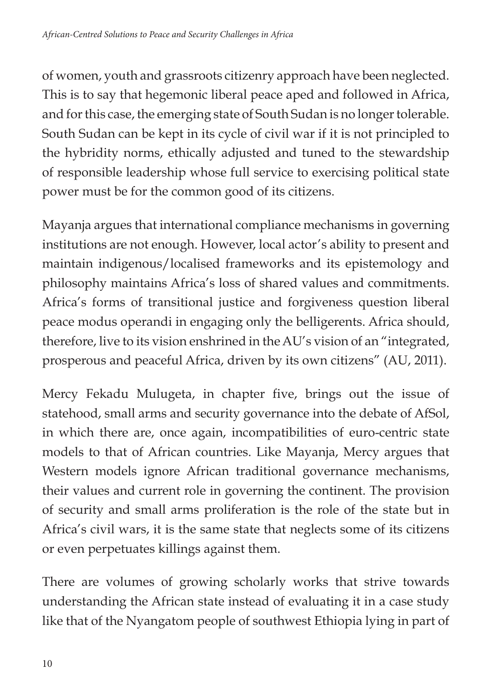of women, youth and grassroots citizenry approach have been neglected. This is to say that hegemonic liberal peace aped and followed in Africa, and for this case, the emerging state of South Sudan is no longer tolerable. South Sudan can be kept in its cycle of civil war if it is not principled to the hybridity norms, ethically adjusted and tuned to the stewardship of responsible leadership whose full service to exercising political state power must be for the common good of its citizens.

Mayanja argues that international compliance mechanisms in governing institutions are not enough. However, local actor's ability to present and maintain indigenous/localised frameworks and its epistemology and philosophy maintains Africa's loss of shared values and commitments. Africa's forms of transitional justice and forgiveness question liberal peace modus operandi in engaging only the belligerents. Africa should, therefore, live to its vision enshrined in the AU's vision of an "integrated, prosperous and peaceful Africa, driven by its own citizens" (AU, 2011).

Mercy Fekadu Mulugeta, in chapter five, brings out the issue of statehood, small arms and security governance into the debate of AfSol, in which there are, once again, incompatibilities of euro-centric state models to that of African countries. Like Mayanja, Mercy argues that Western models ignore African traditional governance mechanisms, their values and current role in governing the continent. The provision of security and small arms proliferation is the role of the state but in Africa's civil wars, it is the same state that neglects some of its citizens or even perpetuates killings against them.

There are volumes of growing scholarly works that strive towards understanding the African state instead of evaluating it in a case study like that of the Nyangatom people of southwest Ethiopia lying in part of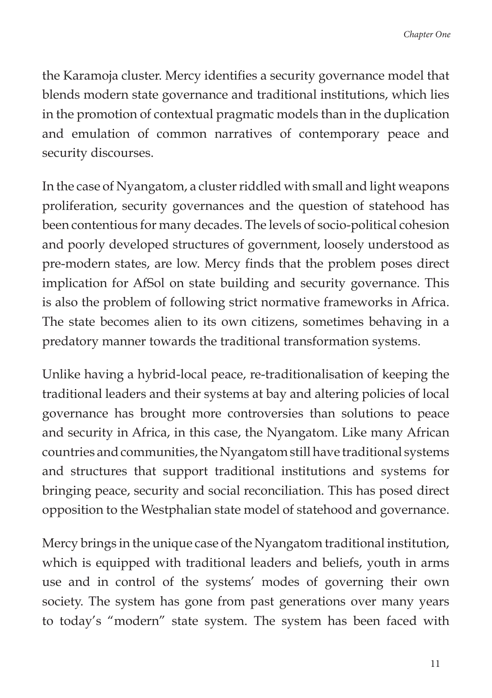the Karamoja cluster. Mercy identifies a security governance model that blends modern state governance and traditional institutions, which lies in the promotion of contextual pragmatic models than in the duplication and emulation of common narratives of contemporary peace and security discourses.

In the case of Nyangatom, a cluster riddled with small and light weapons proliferation, security governances and the question of statehood has been contentious for many decades. The levels of socio-political cohesion and poorly developed structures of government, loosely understood as pre-modern states, are low. Mercy finds that the problem poses direct implication for AfSol on state building and security governance. This is also the problem of following strict normative frameworks in Africa. The state becomes alien to its own citizens, sometimes behaving in a predatory manner towards the traditional transformation systems.

Unlike having a hybrid-local peace, re-traditionalisation of keeping the traditional leaders and their systems at bay and altering policies of local governance has brought more controversies than solutions to peace and security in Africa, in this case, the Nyangatom. Like many African countries and communities, the Nyangatom still have traditional systems and structures that support traditional institutions and systems for bringing peace, security and social reconciliation. This has posed direct opposition to the Westphalian state model of statehood and governance.

Mercy brings in the unique case of the Nyangatom traditional institution, which is equipped with traditional leaders and beliefs, youth in arms use and in control of the systems' modes of governing their own society. The system has gone from past generations over many years to today's "modern" state system. The system has been faced with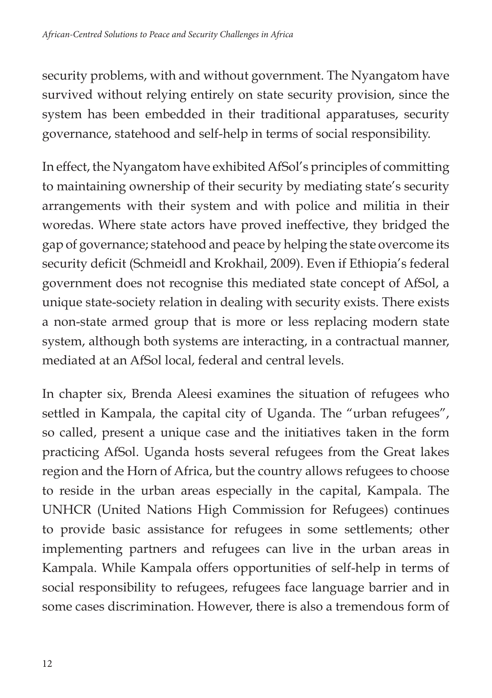security problems, with and without government. The Nyangatom have survived without relying entirely on state security provision, since the system has been embedded in their traditional apparatuses, security governance, statehood and self-help in terms of social responsibility.

In effect, the Nyangatom have exhibited AfSol's principles of committing to maintaining ownership of their security by mediating state's security arrangements with their system and with police and militia in their woredas. Where state actors have proved ineffective, they bridged the gap of governance; statehood and peace by helping the state overcome its security deficit (Schmeidl and Krokhail, 2009). Even if Ethiopia's federal government does not recognise this mediated state concept of AfSol, a unique state-society relation in dealing with security exists. There exists a non-state armed group that is more or less replacing modern state system, although both systems are interacting, in a contractual manner, mediated at an AfSol local, federal and central levels.

In chapter six, Brenda Aleesi examines the situation of refugees who settled in Kampala, the capital city of Uganda. The "urban refugees", so called, present a unique case and the initiatives taken in the form practicing AfSol. Uganda hosts several refugees from the Great lakes region and the Horn of Africa, but the country allows refugees to choose to reside in the urban areas especially in the capital, Kampala. The UNHCR (United Nations High Commission for Refugees) continues to provide basic assistance for refugees in some settlements; other implementing partners and refugees can live in the urban areas in Kampala. While Kampala offers opportunities of self-help in terms of social responsibility to refugees, refugees face language barrier and in some cases discrimination. However, there is also a tremendous form of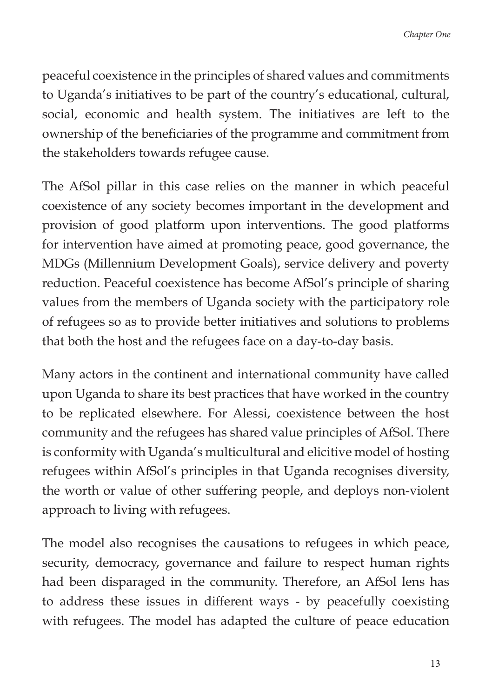peaceful coexistence in the principles of shared values and commitments to Uganda's initiatives to be part of the country's educational, cultural, social, economic and health system. The initiatives are left to the ownership of the beneficiaries of the programme and commitment from the stakeholders towards refugee cause.

The AfSol pillar in this case relies on the manner in which peaceful coexistence of any society becomes important in the development and provision of good platform upon interventions. The good platforms for intervention have aimed at promoting peace, good governance, the MDGs (Millennium Development Goals), service delivery and poverty reduction. Peaceful coexistence has become AfSol's principle of sharing values from the members of Uganda society with the participatory role of refugees so as to provide better initiatives and solutions to problems that both the host and the refugees face on a day-to-day basis.

Many actors in the continent and international community have called upon Uganda to share its best practices that have worked in the country to be replicated elsewhere. For Alessi, coexistence between the host community and the refugees has shared value principles of AfSol. There is conformity with Uganda's multicultural and elicitive model of hosting refugees within AfSol's principles in that Uganda recognises diversity, the worth or value of other suffering people, and deploys non-violent approach to living with refugees.

The model also recognises the causations to refugees in which peace, security, democracy, governance and failure to respect human rights had been disparaged in the community. Therefore, an AfSol lens has to address these issues in different ways - by peacefully coexisting with refugees. The model has adapted the culture of peace education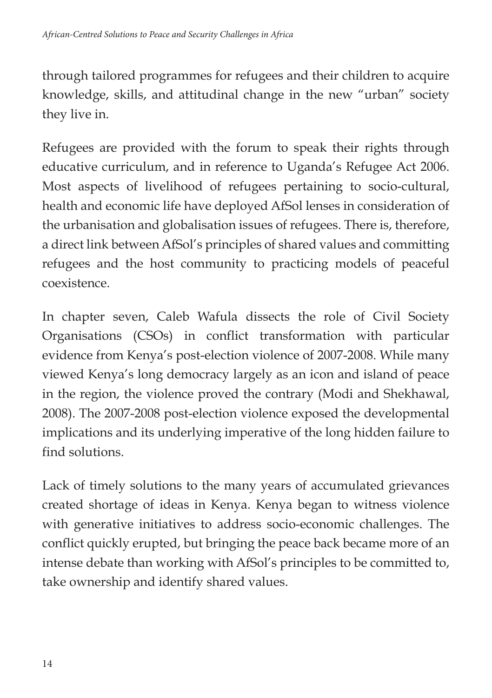through tailored programmes for refugees and their children to acquire knowledge, skills, and attitudinal change in the new "urban" society they live in.

Refugees are provided with the forum to speak their rights through educative curriculum, and in reference to Uganda's Refugee Act 2006. Most aspects of livelihood of refugees pertaining to socio-cultural, health and economic life have deployed AfSol lenses in consideration of the urbanisation and globalisation issues of refugees. There is, therefore, a direct link between AfSol's principles of shared values and committing refugees and the host community to practicing models of peaceful coexistence.

In chapter seven, Caleb Wafula dissects the role of Civil Society Organisations (CSOs) in conflict transformation with particular evidence from Kenya's post-election violence of 2007-2008. While many viewed Kenya's long democracy largely as an icon and island of peace in the region, the violence proved the contrary (Modi and Shekhawal, 2008). The 2007-2008 post-election violence exposed the developmental implications and its underlying imperative of the long hidden failure to find solutions.

Lack of timely solutions to the many years of accumulated grievances created shortage of ideas in Kenya. Kenya began to witness violence with generative initiatives to address socio-economic challenges. The conflict quickly erupted, but bringing the peace back became more of an intense debate than working with AfSol's principles to be committed to, take ownership and identify shared values.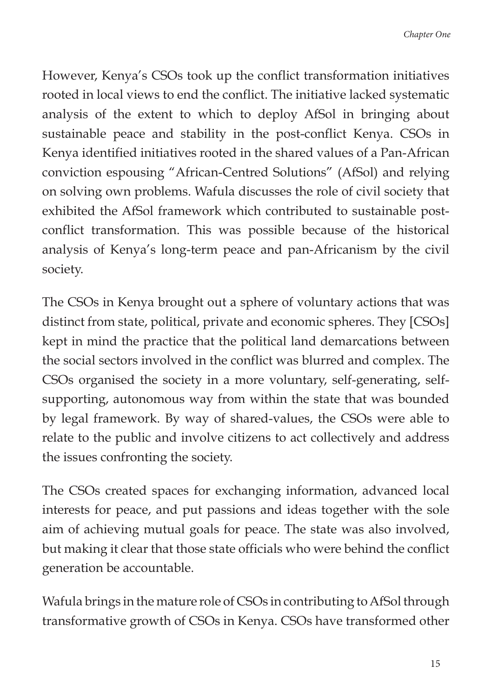However, Kenya's CSOs took up the conflict transformation initiatives rooted in local views to end the conflict. The initiative lacked systematic analysis of the extent to which to deploy AfSol in bringing about sustainable peace and stability in the post-conflict Kenya. CSOs in Kenya identified initiatives rooted in the shared values of a Pan-African conviction espousing "African-Centred Solutions" (AfSol) and relying on solving own problems. Wafula discusses the role of civil society that exhibited the AfSol framework which contributed to sustainable postconflict transformation. This was possible because of the historical analysis of Kenya's long-term peace and pan-Africanism by the civil society.

The CSOs in Kenya brought out a sphere of voluntary actions that was distinct from state, political, private and economic spheres. They [CSOs] kept in mind the practice that the political land demarcations between the social sectors involved in the conflict was blurred and complex. The CSOs organised the society in a more voluntary, self-generating, selfsupporting, autonomous way from within the state that was bounded by legal framework. By way of shared-values, the CSOs were able to relate to the public and involve citizens to act collectively and address the issues confronting the society.

The CSOs created spaces for exchanging information, advanced local interests for peace, and put passions and ideas together with the sole aim of achieving mutual goals for peace. The state was also involved, but making it clear that those state officials who were behind the conflict generation be accountable.

Wafula brings in the mature role of CSOs in contributing to AfSol through transformative growth of CSOs in Kenya. CSOs have transformed other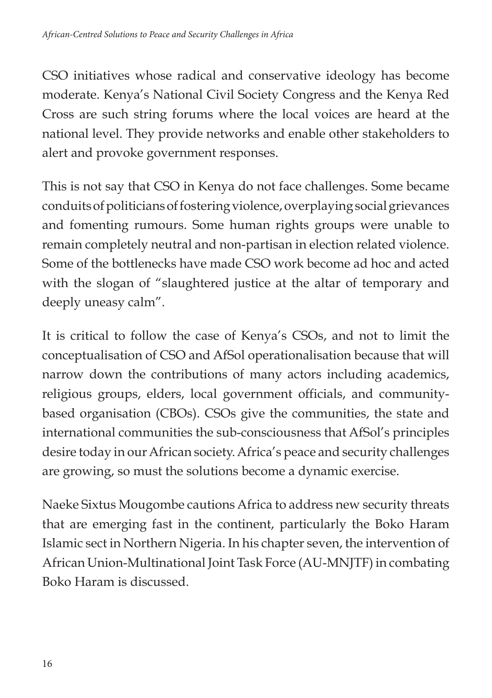CSO initiatives whose radical and conservative ideology has become moderate. Kenya's National Civil Society Congress and the Kenya Red Cross are such string forums where the local voices are heard at the national level. They provide networks and enable other stakeholders to alert and provoke government responses.

This is not say that CSO in Kenya do not face challenges. Some became conduits of politicians of fostering violence, overplaying social grievances and fomenting rumours. Some human rights groups were unable to remain completely neutral and non-partisan in election related violence. Some of the bottlenecks have made CSO work become ad hoc and acted with the slogan of "slaughtered justice at the altar of temporary and deeply uneasy calm".

It is critical to follow the case of Kenya's CSOs, and not to limit the conceptualisation of CSO and AfSol operationalisation because that will narrow down the contributions of many actors including academics, religious groups, elders, local government officials, and communitybased organisation (CBOs). CSOs give the communities, the state and international communities the sub-consciousness that AfSol's principles desire today in our African society. Africa's peace and security challenges are growing, so must the solutions become a dynamic exercise.

Naeke Sixtus Mougombe cautions Africa to address new security threats that are emerging fast in the continent, particularly the Boko Haram Islamic sect in Northern Nigeria. In his chapter seven, the intervention of African Union-Multinational Joint Task Force (AU-MNJTF) in combating Boko Haram is discussed.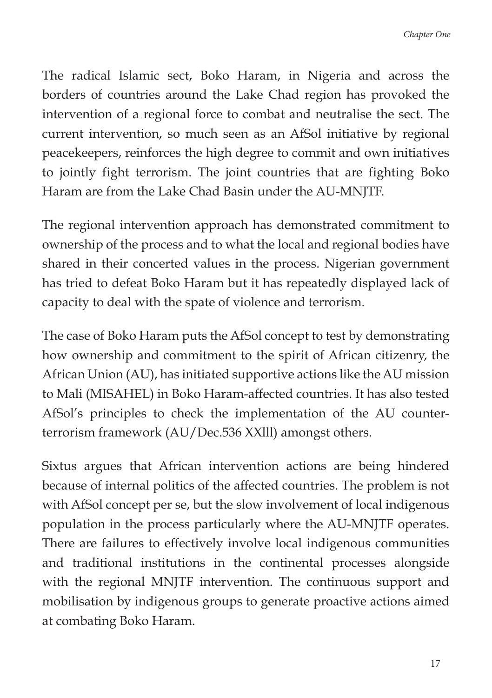*Chapter One*

The radical Islamic sect, Boko Haram, in Nigeria and across the borders of countries around the Lake Chad region has provoked the intervention of a regional force to combat and neutralise the sect. The current intervention, so much seen as an AfSol initiative by regional peacekeepers, reinforces the high degree to commit and own initiatives to jointly fight terrorism. The joint countries that are fighting Boko Haram are from the Lake Chad Basin under the AU-MNJTF.

The regional intervention approach has demonstrated commitment to ownership of the process and to what the local and regional bodies have shared in their concerted values in the process. Nigerian government has tried to defeat Boko Haram but it has repeatedly displayed lack of capacity to deal with the spate of violence and terrorism.

The case of Boko Haram puts the AfSol concept to test by demonstrating how ownership and commitment to the spirit of African citizenry, the African Union (AU), has initiated supportive actions like the AU mission to Mali (MISAHEL) in Boko Haram-affected countries. It has also tested AfSol's principles to check the implementation of the AU counterterrorism framework (AU/Dec.536 XXlll) amongst others.

Sixtus argues that African intervention actions are being hindered because of internal politics of the affected countries. The problem is not with AfSol concept per se, but the slow involvement of local indigenous population in the process particularly where the AU-MNJTF operates. There are failures to effectively involve local indigenous communities and traditional institutions in the continental processes alongside with the regional MNJTF intervention. The continuous support and mobilisation by indigenous groups to generate proactive actions aimed at combating Boko Haram.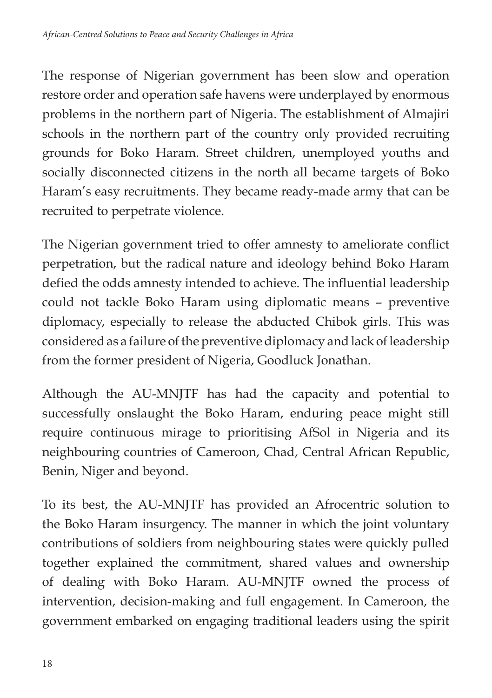The response of Nigerian government has been slow and operation restore order and operation safe havens were underplayed by enormous problems in the northern part of Nigeria. The establishment of Almajiri schools in the northern part of the country only provided recruiting grounds for Boko Haram. Street children, unemployed youths and socially disconnected citizens in the north all became targets of Boko Haram's easy recruitments. They became ready-made army that can be recruited to perpetrate violence.

The Nigerian government tried to offer amnesty to ameliorate conflict perpetration, but the radical nature and ideology behind Boko Haram defied the odds amnesty intended to achieve. The influential leadership could not tackle Boko Haram using diplomatic means – preventive diplomacy, especially to release the abducted Chibok girls. This was considered as a failure of the preventive diplomacy and lack of leadership from the former president of Nigeria, Goodluck Jonathan.

Although the AU-MNJTF has had the capacity and potential to successfully onslaught the Boko Haram, enduring peace might still require continuous mirage to prioritising AfSol in Nigeria and its neighbouring countries of Cameroon, Chad, Central African Republic, Benin, Niger and beyond.

To its best, the AU-MNJTF has provided an Afrocentric solution to the Boko Haram insurgency. The manner in which the joint voluntary contributions of soldiers from neighbouring states were quickly pulled together explained the commitment, shared values and ownership of dealing with Boko Haram. AU-MNJTF owned the process of intervention, decision-making and full engagement. In Cameroon, the government embarked on engaging traditional leaders using the spirit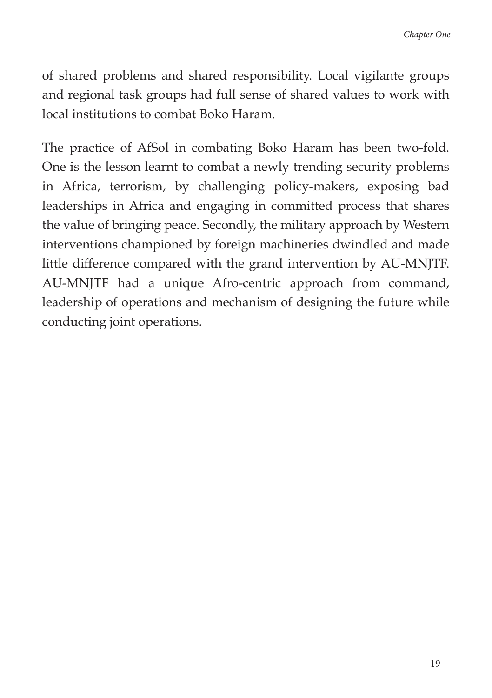of shared problems and shared responsibility. Local vigilante groups and regional task groups had full sense of shared values to work with local institutions to combat Boko Haram.

The practice of AfSol in combating Boko Haram has been two-fold. One is the lesson learnt to combat a newly trending security problems in Africa, terrorism, by challenging policy-makers, exposing bad leaderships in Africa and engaging in committed process that shares the value of bringing peace. Secondly, the military approach by Western interventions championed by foreign machineries dwindled and made little difference compared with the grand intervention by AU-MNJTF. AU-MNJTF had a unique Afro-centric approach from command, leadership of operations and mechanism of designing the future while conducting joint operations.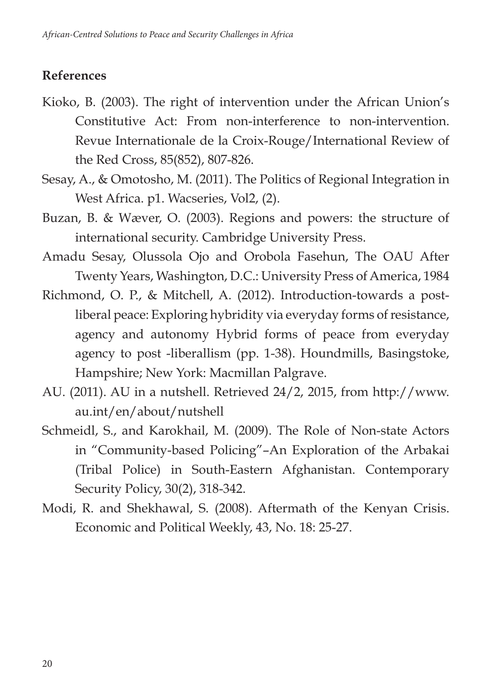### **References**

- Kioko, B. (2003). The right of intervention under the African Union's Constitutive Act: From non-interference to non-intervention. Revue Internationale de la Croix-Rouge/International Review of the Red Cross, 85(852), 807-826.
- Sesay, A., & Omotosho, M. (2011). The Politics of Regional Integration in West Africa. p1. Wacseries, Vol2, (2).
- Buzan, B. & Wæver, O. (2003). Regions and powers: the structure of international security. Cambridge University Press.
- Amadu Sesay, Olussola Ojo and Orobola Fasehun, The OAU After Twenty Years, Washington, D.C.: University Press of America, 1984
- Richmond, O. P., & Mitchell, A. (2012). Introduction-towards a postliberal peace: Exploring hybridity via everyday forms of resistance, agency and autonomy Hybrid forms of peace from everyday agency to post -liberallism (pp. 1-38). Houndmills, Basingstoke, Hampshire; New York: Macmillan Palgrave.
- AU. (2011). AU in a nutshell. Retrieved 24/2, 2015, from http://www. au.int/en/about/nutshell
- Schmeidl, S., and Karokhail, M. (2009). The Role of Non-state Actors in "Community-based Policing"–An Exploration of the Arbakai (Tribal Police) in South-Eastern Afghanistan. Contemporary Security Policy, 30(2), 318-342.
- Modi, R. and Shekhawal, S. (2008). Aftermath of the Kenyan Crisis. Economic and Political Weekly, 43, No. 18: 25-27.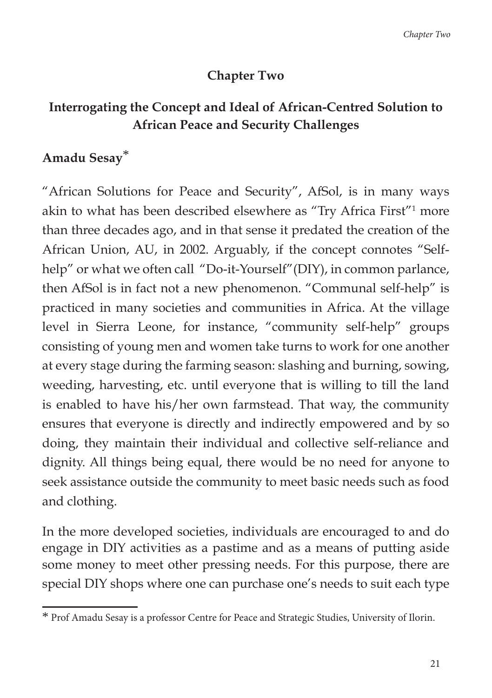## **Chapter Two**

# **Interrogating the Concept and Ideal of African-Centred Solution to African Peace and Security Challenges**

## **Amadu Sesay**\*

"African Solutions for Peace and Security", AfSol, is in many ways akin to what has been described elsewhere as "Try Africa First"1 more than three decades ago, and in that sense it predated the creation of the African Union, AU, in 2002. Arguably, if the concept connotes "Selfhelp" or what we often call "Do-it-Yourself"(DIY), in common parlance, then AfSol is in fact not a new phenomenon. "Communal self-help" is practiced in many societies and communities in Africa. At the village level in Sierra Leone, for instance, "community self-help" groups consisting of young men and women take turns to work for one another at every stage during the farming season: slashing and burning, sowing, weeding, harvesting, etc. until everyone that is willing to till the land is enabled to have his/her own farmstead. That way, the community ensures that everyone is directly and indirectly empowered and by so doing, they maintain their individual and collective self-reliance and dignity. All things being equal, there would be no need for anyone to seek assistance outside the community to meet basic needs such as food and clothing.

In the more developed societies, individuals are encouraged to and do engage in DIY activities as a pastime and as a means of putting aside some money to meet other pressing needs. For this purpose, there are special DIY shops where one can purchase one's needs to suit each type

<sup>\*</sup> Prof Amadu Sesay is a professor Centre for Peace and Strategic Studies, University of Ilorin.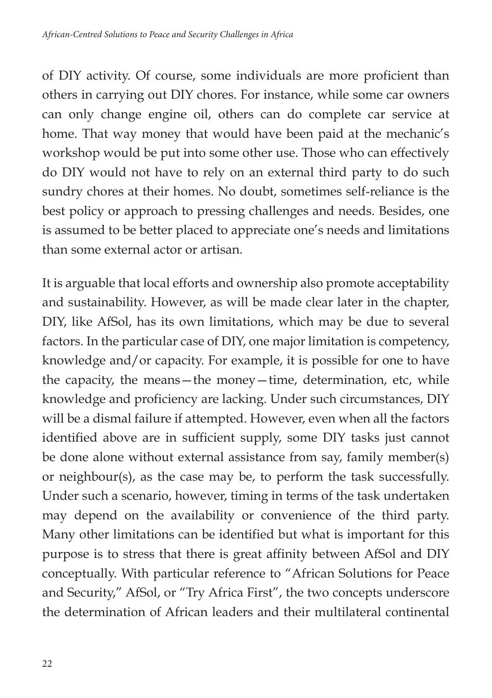of DIY activity. Of course, some individuals are more proficient than others in carrying out DIY chores. For instance, while some car owners can only change engine oil, others can do complete car service at home. That way money that would have been paid at the mechanic's workshop would be put into some other use. Those who can effectively do DIY would not have to rely on an external third party to do such sundry chores at their homes. No doubt, sometimes self-reliance is the best policy or approach to pressing challenges and needs. Besides, one is assumed to be better placed to appreciate one's needs and limitations than some external actor or artisan.

It is arguable that local efforts and ownership also promote acceptability and sustainability. However, as will be made clear later in the chapter, DIY, like AfSol, has its own limitations, which may be due to several factors. In the particular case of DIY, one major limitation is competency, knowledge and/or capacity. For example, it is possible for one to have the capacity, the means—the money—time, determination, etc, while knowledge and proficiency are lacking. Under such circumstances, DIY will be a dismal failure if attempted. However, even when all the factors identified above are in sufficient supply, some DIY tasks just cannot be done alone without external assistance from say, family member(s) or neighbour(s), as the case may be, to perform the task successfully. Under such a scenario, however, timing in terms of the task undertaken may depend on the availability or convenience of the third party. Many other limitations can be identified but what is important for this purpose is to stress that there is great affinity between AfSol and DIY conceptually. With particular reference to "African Solutions for Peace and Security," AfSol, or "Try Africa First", the two concepts underscore the determination of African leaders and their multilateral continental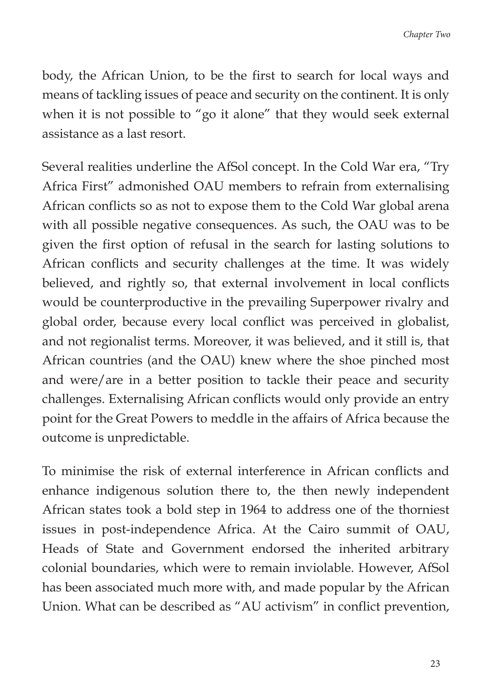body, the African Union, to be the first to search for local ways and means of tackling issues of peace and security on the continent. It is only when it is not possible to "go it alone" that they would seek external assistance as a last resort.

Several realities underline the AfSol concept. In the Cold War era, "Try Africa First" admonished OAU members to refrain from externalising African conflicts so as not to expose them to the Cold War global arena with all possible negative consequences. As such, the OAU was to be given the first option of refusal in the search for lasting solutions to African conflicts and security challenges at the time. It was widely believed, and rightly so, that external involvement in local conflicts would be counterproductive in the prevailing Superpower rivalry and global order, because every local conflict was perceived in globalist, and not regionalist terms. Moreover, it was believed, and it still is, that African countries (and the OAU) knew where the shoe pinched most and were/are in a better position to tackle their peace and security challenges. Externalising African conflicts would only provide an entry point for the Great Powers to meddle in the affairs of Africa because the outcome is unpredictable.

To minimise the risk of external interference in African conflicts and enhance indigenous solution there to, the then newly independent African states took a bold step in 1964 to address one of the thorniest issues in post-independence Africa. At the Cairo summit of OAU, Heads of State and Government endorsed the inherited arbitrary colonial boundaries, which were to remain inviolable. However, AfSol has been associated much more with, and made popular by the African Union. What can be described as "AU activism" in conflict prevention,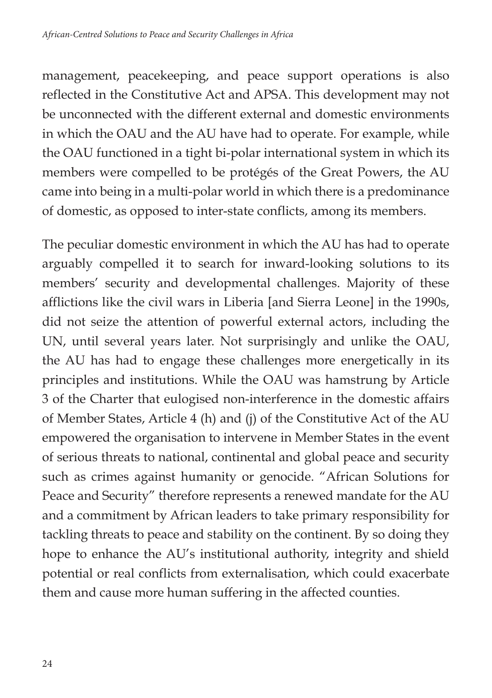management, peacekeeping, and peace support operations is also reflected in the Constitutive Act and APSA. This development may not be unconnected with the different external and domestic environments in which the OAU and the AU have had to operate. For example, while the OAU functioned in a tight bi-polar international system in which its members were compelled to be protégés of the Great Powers, the AU came into being in a multi-polar world in which there is a predominance of domestic, as opposed to inter-state conflicts, among its members.

The peculiar domestic environment in which the AU has had to operate arguably compelled it to search for inward-looking solutions to its members' security and developmental challenges. Majority of these afflictions like the civil wars in Liberia [and Sierra Leone] in the 1990s, did not seize the attention of powerful external actors, including the UN, until several years later. Not surprisingly and unlike the OAU, the AU has had to engage these challenges more energetically in its principles and institutions. While the OAU was hamstrung by Article 3 of the Charter that eulogised non-interference in the domestic affairs of Member States, Article 4 (h) and (j) of the Constitutive Act of the AU empowered the organisation to intervene in Member States in the event of serious threats to national, continental and global peace and security such as crimes against humanity or genocide. "African Solutions for Peace and Security" therefore represents a renewed mandate for the AU and a commitment by African leaders to take primary responsibility for tackling threats to peace and stability on the continent. By so doing they hope to enhance the AU's institutional authority, integrity and shield potential or real conflicts from externalisation, which could exacerbate them and cause more human suffering in the affected counties.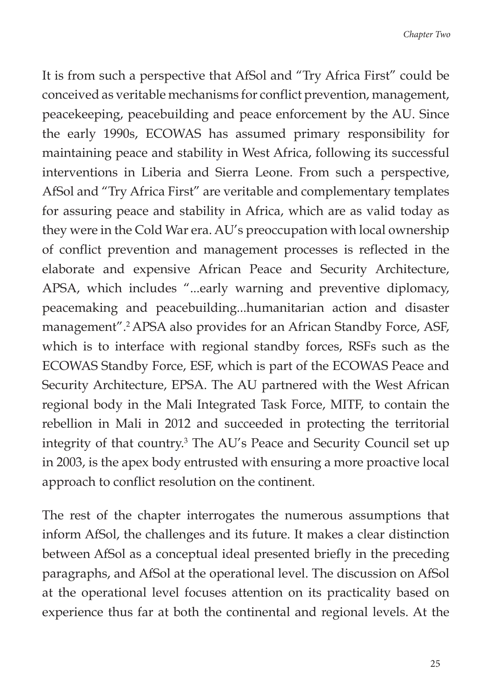It is from such a perspective that AfSol and "Try Africa First" could be conceived as veritable mechanisms for conflict prevention, management, peacekeeping, peacebuilding and peace enforcement by the AU. Since the early 1990s, ECOWAS has assumed primary responsibility for maintaining peace and stability in West Africa, following its successful interventions in Liberia and Sierra Leone. From such a perspective, AfSol and "Try Africa First" are veritable and complementary templates for assuring peace and stability in Africa, which are as valid today as they were in the Cold War era. AU's preoccupation with local ownership of conflict prevention and management processes is reflected in the elaborate and expensive African Peace and Security Architecture, APSA, which includes "...early warning and preventive diplomacy, peacemaking and peacebuilding...humanitarian action and disaster management".2 APSA also provides for an African Standby Force, ASF, which is to interface with regional standby forces, RSFs such as the ECOWAS Standby Force, ESF, which is part of the ECOWAS Peace and Security Architecture, EPSA. The AU partnered with the West African regional body in the Mali Integrated Task Force, MITF, to contain the rebellion in Mali in 2012 and succeeded in protecting the territorial integrity of that country.3 The AU's Peace and Security Council set up in 2003, is the apex body entrusted with ensuring a more proactive local approach to conflict resolution on the continent.

The rest of the chapter interrogates the numerous assumptions that inform AfSol, the challenges and its future. It makes a clear distinction between AfSol as a conceptual ideal presented briefly in the preceding paragraphs, and AfSol at the operational level. The discussion on AfSol at the operational level focuses attention on its practicality based on experience thus far at both the continental and regional levels. At the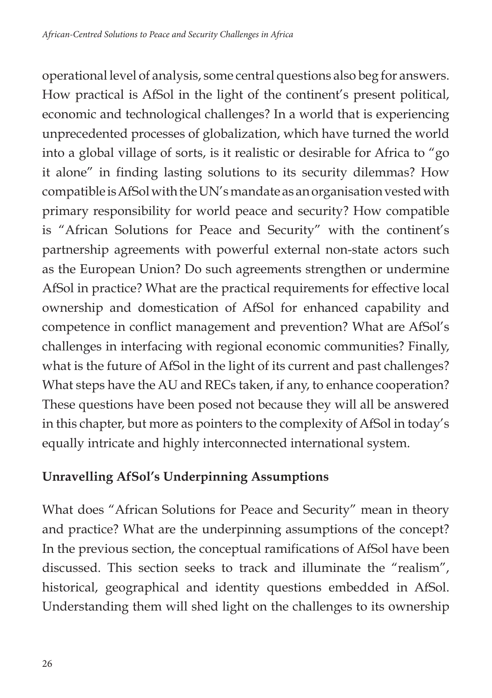operational level of analysis, some central questions also beg for answers. How practical is AfSol in the light of the continent's present political, economic and technological challenges? In a world that is experiencing unprecedented processes of globalization, which have turned the world into a global village of sorts, is it realistic or desirable for Africa to "go it alone" in finding lasting solutions to its security dilemmas? How compatible is AfSol with the UN's mandate as an organisation vested with primary responsibility for world peace and security? How compatible is "African Solutions for Peace and Security" with the continent's partnership agreements with powerful external non-state actors such as the European Union? Do such agreements strengthen or undermine AfSol in practice? What are the practical requirements for effective local ownership and domestication of AfSol for enhanced capability and competence in conflict management and prevention? What are AfSol's challenges in interfacing with regional economic communities? Finally, what is the future of AfSol in the light of its current and past challenges? What steps have the AU and RECs taken, if any, to enhance cooperation? These questions have been posed not because they will all be answered in this chapter, but more as pointers to the complexity of AfSol in today's equally intricate and highly interconnected international system.

## **Unravelling AfSol's Underpinning Assumptions**

What does "African Solutions for Peace and Security" mean in theory and practice? What are the underpinning assumptions of the concept? In the previous section, the conceptual ramifications of AfSol have been discussed. This section seeks to track and illuminate the "realism", historical, geographical and identity questions embedded in AfSol. Understanding them will shed light on the challenges to its ownership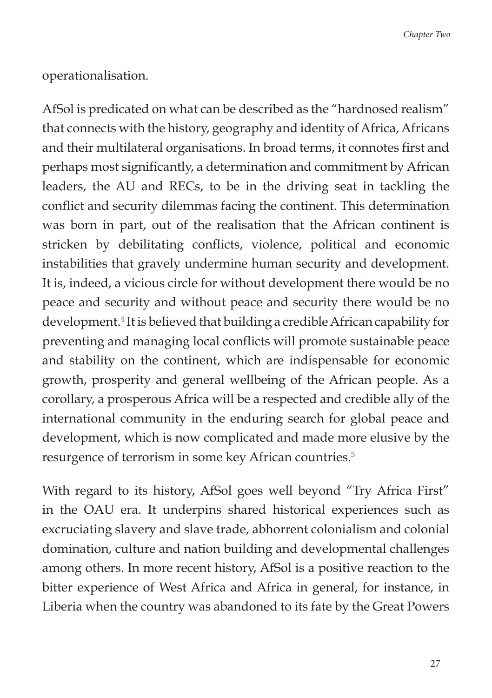operationalisation.

AfSol is predicated on what can be described as the "hardnosed realism" that connects with the history, geography and identity of Africa, Africans and their multilateral organisations. In broad terms, it connotes first and perhaps most significantly, a determination and commitment by African leaders, the AU and RECs, to be in the driving seat in tackling the conflict and security dilemmas facing the continent. This determination was born in part, out of the realisation that the African continent is stricken by debilitating conflicts, violence, political and economic instabilities that gravely undermine human security and development. It is, indeed, a vicious circle for without development there would be no peace and security and without peace and security there would be no development.<sup>4</sup> It is believed that building a credible African capability for preventing and managing local conflicts will promote sustainable peace and stability on the continent, which are indispensable for economic growth, prosperity and general wellbeing of the African people. As a corollary, a prosperous Africa will be a respected and credible ally of the international community in the enduring search for global peace and development, which is now complicated and made more elusive by the resurgence of terrorism in some key African countries.<sup>5</sup>

With regard to its history, AfSol goes well beyond "Try Africa First" in the OAU era. It underpins shared historical experiences such as excruciating slavery and slave trade, abhorrent colonialism and colonial domination, culture and nation building and developmental challenges among others. In more recent history, AfSol is a positive reaction to the bitter experience of West Africa and Africa in general, for instance, in Liberia when the country was abandoned to its fate by the Great Powers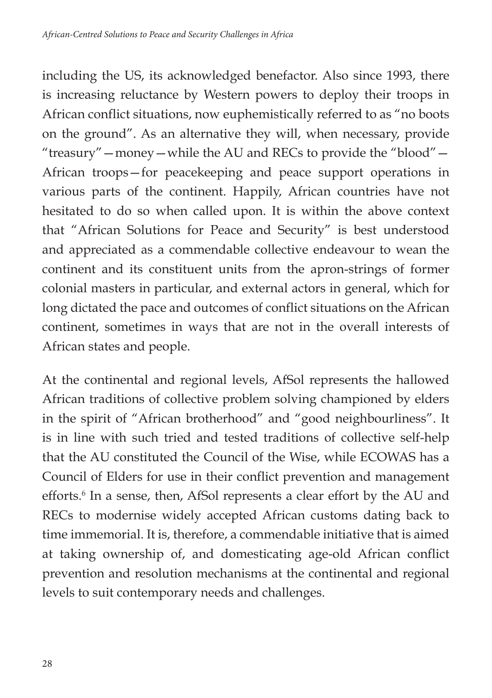including the US, its acknowledged benefactor. Also since 1993, there is increasing reluctance by Western powers to deploy their troops in African conflict situations, now euphemistically referred to as "no boots on the ground". As an alternative they will, when necessary, provide "treasury"—money—while the AU and RECs to provide the "blood"— African troops—for peacekeeping and peace support operations in various parts of the continent. Happily, African countries have not hesitated to do so when called upon. It is within the above context that "African Solutions for Peace and Security" is best understood and appreciated as a commendable collective endeavour to wean the continent and its constituent units from the apron-strings of former colonial masters in particular, and external actors in general, which for long dictated the pace and outcomes of conflict situations on the African continent, sometimes in ways that are not in the overall interests of African states and people.

At the continental and regional levels, AfSol represents the hallowed African traditions of collective problem solving championed by elders in the spirit of "African brotherhood" and "good neighbourliness". It is in line with such tried and tested traditions of collective self-help that the AU constituted the Council of the Wise, while ECOWAS has a Council of Elders for use in their conflict prevention and management efforts.<sup>6</sup> In a sense, then, AfSol represents a clear effort by the AU and RECs to modernise widely accepted African customs dating back to time immemorial. It is, therefore, a commendable initiative that is aimed at taking ownership of, and domesticating age-old African conflict prevention and resolution mechanisms at the continental and regional levels to suit contemporary needs and challenges.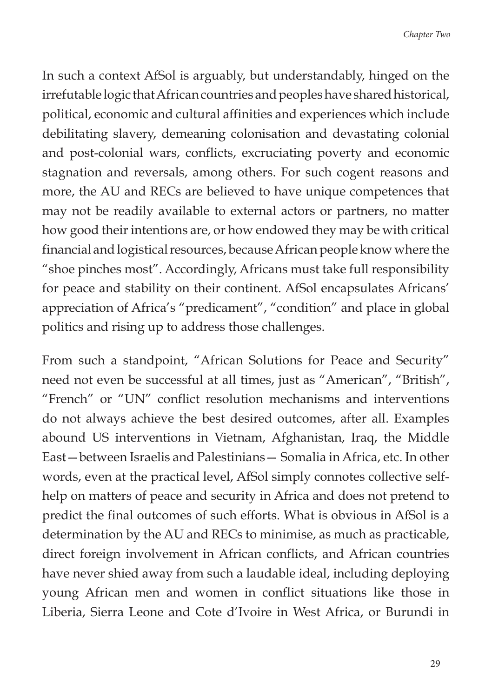In such a context AfSol is arguably, but understandably, hinged on the irrefutable logic that African countries and peoples have shared historical, political, economic and cultural affinities and experiences which include debilitating slavery, demeaning colonisation and devastating colonial and post-colonial wars, conflicts, excruciating poverty and economic stagnation and reversals, among others. For such cogent reasons and more, the AU and RECs are believed to have unique competences that may not be readily available to external actors or partners, no matter how good their intentions are, or how endowed they may be with critical financial and logistical resources, because African people know where the "shoe pinches most". Accordingly, Africans must take full responsibility for peace and stability on their continent. AfSol encapsulates Africans' appreciation of Africa's "predicament", "condition" and place in global politics and rising up to address those challenges.

From such a standpoint, "African Solutions for Peace and Security" need not even be successful at all times, just as "American", "British", "French" or "UN" conflict resolution mechanisms and interventions do not always achieve the best desired outcomes, after all. Examples abound US interventions in Vietnam, Afghanistan, Iraq, the Middle East—between Israelis and Palestinians— Somalia in Africa, etc. In other words, even at the practical level, AfSol simply connotes collective selfhelp on matters of peace and security in Africa and does not pretend to predict the final outcomes of such efforts. What is obvious in AfSol is a determination by the AU and RECs to minimise, as much as practicable, direct foreign involvement in African conflicts, and African countries have never shied away from such a laudable ideal, including deploying young African men and women in conflict situations like those in Liberia, Sierra Leone and Cote d'Ivoire in West Africa, or Burundi in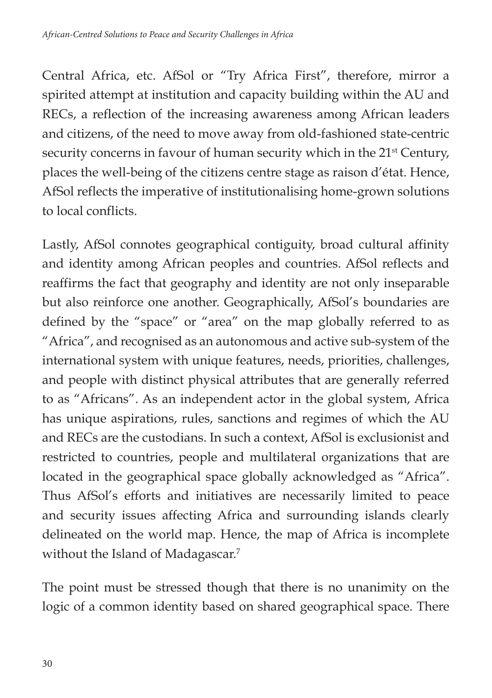Central Africa, etc. AfSol or "Try Africa First", therefore, mirror a spirited attempt at institution and capacity building within the AU and RECs, a reflection of the increasing awareness among African leaders and citizens, of the need to move away from old-fashioned state-centric security concerns in favour of human security which in the 21<sup>st</sup> Century, places the well-being of the citizens centre stage as raison d'état. Hence, AfSol reflects the imperative of institutionalising home-grown solutions to local conflicts.

Lastly, AfSol connotes geographical contiguity, broad cultural affinity and identity among African peoples and countries. AfSol reflects and reaffirms the fact that geography and identity are not only inseparable but also reinforce one another. Geographically, AfSol's boundaries are defined by the "space" or "area" on the map globally referred to as "Africa", and recognised as an autonomous and active sub-system of the international system with unique features, needs, priorities, challenges, and people with distinct physical attributes that are generally referred to as "Africans". As an independent actor in the global system, Africa has unique aspirations, rules, sanctions and regimes of which the AU and RECs are the custodians. In such a context, AfSol is exclusionist and restricted to countries, people and multilateral organizations that are located in the geographical space globally acknowledged as "Africa". Thus AfSol's efforts and initiatives are necessarily limited to peace and security issues affecting Africa and surrounding islands clearly delineated on the world map. Hence, the map of Africa is incomplete without the Island of Madagascar.<sup>7</sup>

The point must be stressed though that there is no unanimity on the logic of a common identity based on shared geographical space. There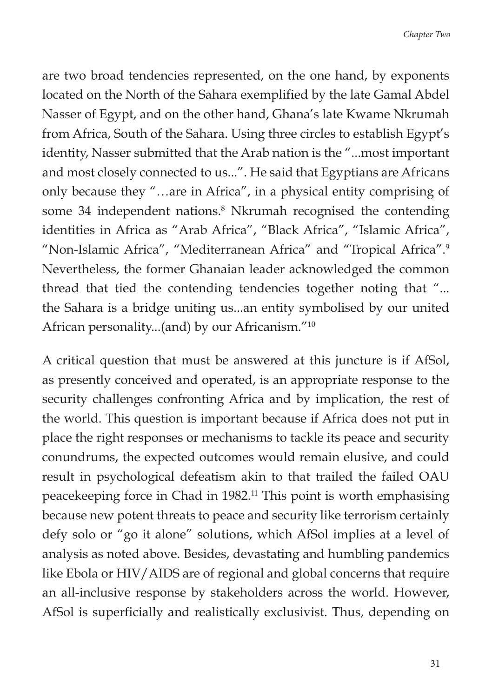are two broad tendencies represented, on the one hand, by exponents located on the North of the Sahara exemplified by the late Gamal Abdel Nasser of Egypt, and on the other hand, Ghana's late Kwame Nkrumah from Africa, South of the Sahara. Using three circles to establish Egypt's identity, Nasser submitted that the Arab nation is the "...most important and most closely connected to us...". He said that Egyptians are Africans only because they "…are in Africa", in a physical entity comprising of some 34 independent nations.<sup>8</sup> Nkrumah recognised the contending identities in Africa as "Arab Africa", "Black Africa", "Islamic Africa", "Non-Islamic Africa", "Mediterranean Africa" and "Tropical Africa".9 Nevertheless, the former Ghanaian leader acknowledged the common thread that tied the contending tendencies together noting that "... the Sahara is a bridge uniting us...an entity symbolised by our united African personality...(and) by our Africanism."10

A critical question that must be answered at this juncture is if AfSol, as presently conceived and operated, is an appropriate response to the security challenges confronting Africa and by implication, the rest of the world. This question is important because if Africa does not put in place the right responses or mechanisms to tackle its peace and security conundrums, the expected outcomes would remain elusive, and could result in psychological defeatism akin to that trailed the failed OAU peacekeeping force in Chad in 1982.11 This point is worth emphasising because new potent threats to peace and security like terrorism certainly defy solo or "go it alone" solutions, which AfSol implies at a level of analysis as noted above. Besides, devastating and humbling pandemics like Ebola or HIV/AIDS are of regional and global concerns that require an all-inclusive response by stakeholders across the world. However, AfSol is superficially and realistically exclusivist. Thus, depending on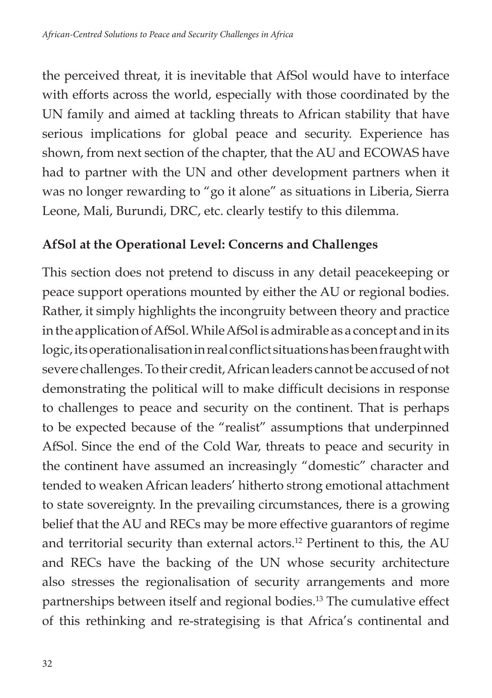the perceived threat, it is inevitable that AfSol would have to interface with efforts across the world, especially with those coordinated by the UN family and aimed at tackling threats to African stability that have serious implications for global peace and security. Experience has shown, from next section of the chapter, that the AU and ECOWAS have had to partner with the UN and other development partners when it was no longer rewarding to "go it alone" as situations in Liberia, Sierra Leone, Mali, Burundi, DRC, etc. clearly testify to this dilemma.

#### **AfSol at the Operational Level: Concerns and Challenges**

This section does not pretend to discuss in any detail peacekeeping or peace support operations mounted by either the AU or regional bodies. Rather, it simply highlights the incongruity between theory and practice in the application of AfSol. While AfSol is admirable as a concept and in its logic, its operationalisation in real conflict situations has been fraught with severe challenges. To their credit, African leaders cannot be accused of not demonstrating the political will to make difficult decisions in response to challenges to peace and security on the continent. That is perhaps to be expected because of the "realist" assumptions that underpinned AfSol. Since the end of the Cold War, threats to peace and security in the continent have assumed an increasingly "domestic" character and tended to weaken African leaders' hitherto strong emotional attachment to state sovereignty. In the prevailing circumstances, there is a growing belief that the AU and RECs may be more effective guarantors of regime and territorial security than external actors.12 Pertinent to this, the AU and RECs have the backing of the UN whose security architecture also stresses the regionalisation of security arrangements and more partnerships between itself and regional bodies.13 The cumulative effect of this rethinking and re-strategising is that Africa's continental and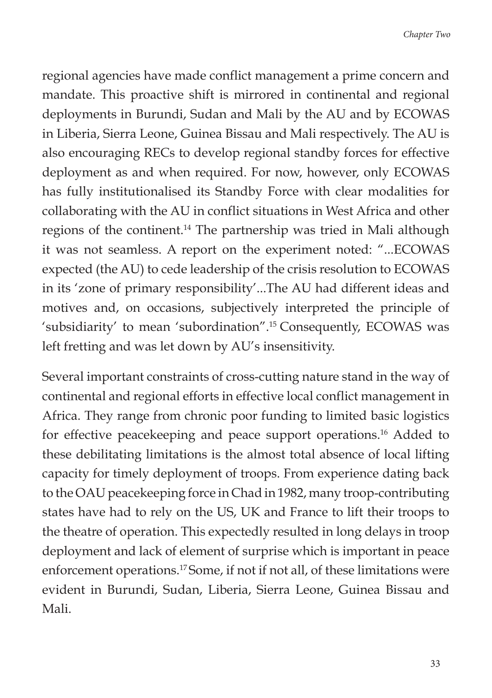regional agencies have made conflict management a prime concern and mandate. This proactive shift is mirrored in continental and regional deployments in Burundi, Sudan and Mali by the AU and by ECOWAS in Liberia, Sierra Leone, Guinea Bissau and Mali respectively. The AU is also encouraging RECs to develop regional standby forces for effective deployment as and when required. For now, however, only ECOWAS has fully institutionalised its Standby Force with clear modalities for collaborating with the AU in conflict situations in West Africa and other regions of the continent.14 The partnership was tried in Mali although it was not seamless. A report on the experiment noted: "...ECOWAS expected (the AU) to cede leadership of the crisis resolution to ECOWAS in its 'zone of primary responsibility'...The AU had different ideas and motives and, on occasions, subjectively interpreted the principle of 'subsidiarity' to mean 'subordination".15 Consequently, ECOWAS was left fretting and was let down by AU's insensitivity.

Several important constraints of cross-cutting nature stand in the way of continental and regional efforts in effective local conflict management in Africa. They range from chronic poor funding to limited basic logistics for effective peacekeeping and peace support operations.16 Added to these debilitating limitations is the almost total absence of local lifting capacity for timely deployment of troops. From experience dating back to the OAU peacekeeping force in Chad in 1982, many troop-contributing states have had to rely on the US, UK and France to lift their troops to the theatre of operation. This expectedly resulted in long delays in troop deployment and lack of element of surprise which is important in peace enforcement operations.17 Some, if not if not all, of these limitations were evident in Burundi, Sudan, Liberia, Sierra Leone, Guinea Bissau and Mali.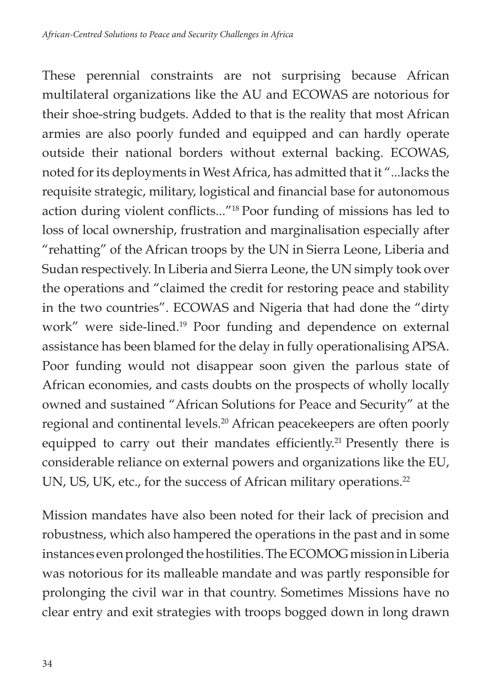These perennial constraints are not surprising because African multilateral organizations like the AU and ECOWAS are notorious for their shoe-string budgets. Added to that is the reality that most African armies are also poorly funded and equipped and can hardly operate outside their national borders without external backing. ECOWAS, noted for its deployments in West Africa, has admitted that it "...lacks the requisite strategic, military, logistical and financial base for autonomous action during violent conflicts..."18 Poor funding of missions has led to loss of local ownership, frustration and marginalisation especially after "rehatting" of the African troops by the UN in Sierra Leone, Liberia and Sudan respectively. In Liberia and Sierra Leone, the UN simply took over the operations and "claimed the credit for restoring peace and stability in the two countries". ECOWAS and Nigeria that had done the "dirty work" were side-lined.19 Poor funding and dependence on external assistance has been blamed for the delay in fully operationalising APSA. Poor funding would not disappear soon given the parlous state of African economies, and casts doubts on the prospects of wholly locally owned and sustained "African Solutions for Peace and Security" at the regional and continental levels.20 African peacekeepers are often poorly equipped to carry out their mandates efficiently.<sup>21</sup> Presently there is considerable reliance on external powers and organizations like the EU, UN, US, UK, etc., for the success of African military operations.<sup>22</sup>

Mission mandates have also been noted for their lack of precision and robustness, which also hampered the operations in the past and in some instances even prolonged the hostilities. The ECOMOG mission in Liberia was notorious for its malleable mandate and was partly responsible for prolonging the civil war in that country. Sometimes Missions have no clear entry and exit strategies with troops bogged down in long drawn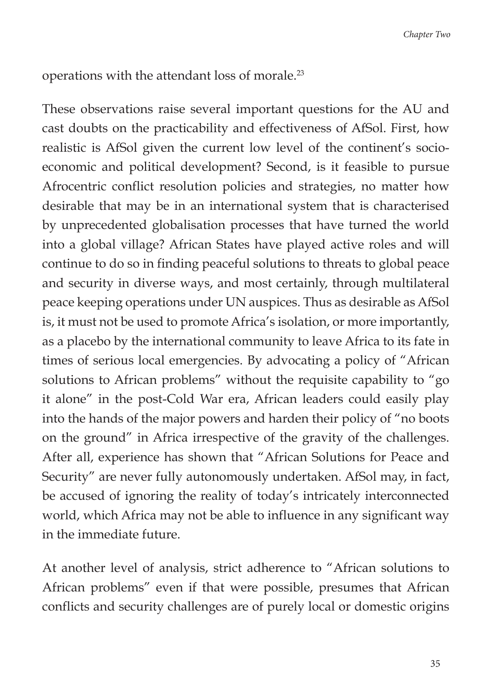operations with the attendant loss of morale.23

These observations raise several important questions for the AU and cast doubts on the practicability and effectiveness of AfSol. First, how realistic is AfSol given the current low level of the continent's socioeconomic and political development? Second, is it feasible to pursue Afrocentric conflict resolution policies and strategies, no matter how desirable that may be in an international system that is characterised by unprecedented globalisation processes that have turned the world into a global village? African States have played active roles and will continue to do so in finding peaceful solutions to threats to global peace and security in diverse ways, and most certainly, through multilateral peace keeping operations under UN auspices. Thus as desirable as AfSol is, it must not be used to promote Africa's isolation, or more importantly, as a placebo by the international community to leave Africa to its fate in times of serious local emergencies. By advocating a policy of "African solutions to African problems" without the requisite capability to "go it alone" in the post-Cold War era, African leaders could easily play into the hands of the major powers and harden their policy of "no boots on the ground" in Africa irrespective of the gravity of the challenges. After all, experience has shown that "African Solutions for Peace and Security" are never fully autonomously undertaken. AfSol may, in fact, be accused of ignoring the reality of today's intricately interconnected world, which Africa may not be able to influence in any significant way in the immediate future.

At another level of analysis, strict adherence to "African solutions to African problems" even if that were possible, presumes that African conflicts and security challenges are of purely local or domestic origins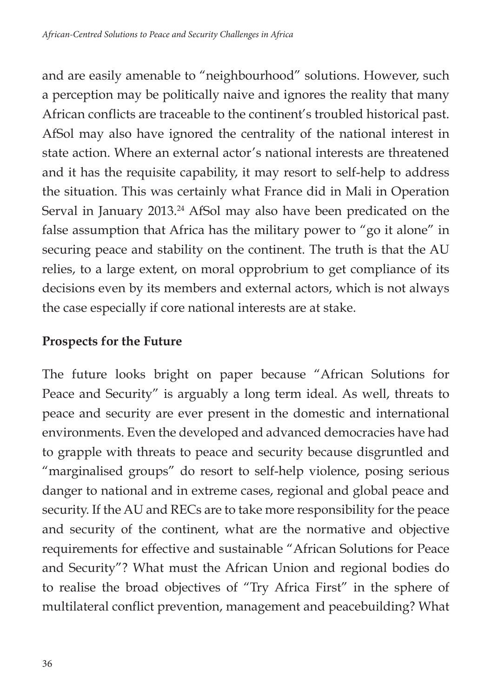and are easily amenable to "neighbourhood" solutions. However, such a perception may be politically naive and ignores the reality that many African conflicts are traceable to the continent's troubled historical past. AfSol may also have ignored the centrality of the national interest in state action. Where an external actor's national interests are threatened and it has the requisite capability, it may resort to self-help to address the situation. This was certainly what France did in Mali in Operation Serval in January 2013.<sup>24</sup> AfSol may also have been predicated on the false assumption that Africa has the military power to "go it alone" in securing peace and stability on the continent. The truth is that the AU relies, to a large extent, on moral opprobrium to get compliance of its decisions even by its members and external actors, which is not always the case especially if core national interests are at stake.

#### **Prospects for the Future**

The future looks bright on paper because "African Solutions for Peace and Security" is arguably a long term ideal. As well, threats to peace and security are ever present in the domestic and international environments. Even the developed and advanced democracies have had to grapple with threats to peace and security because disgruntled and "marginalised groups" do resort to self-help violence, posing serious danger to national and in extreme cases, regional and global peace and security. If the AU and RECs are to take more responsibility for the peace and security of the continent, what are the normative and objective requirements for effective and sustainable "African Solutions for Peace and Security"? What must the African Union and regional bodies do to realise the broad objectives of "Try Africa First" in the sphere of multilateral conflict prevention, management and peacebuilding? What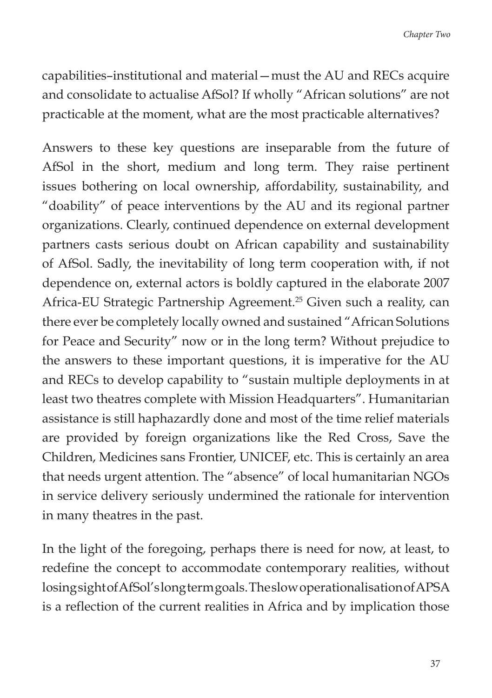capabilities–institutional and material—must the AU and RECs acquire and consolidate to actualise AfSol? If wholly "African solutions" are not practicable at the moment, what are the most practicable alternatives?

Answers to these key questions are inseparable from the future of AfSol in the short, medium and long term. They raise pertinent issues bothering on local ownership, affordability, sustainability, and "doability" of peace interventions by the AU and its regional partner organizations. Clearly, continued dependence on external development partners casts serious doubt on African capability and sustainability of AfSol. Sadly, the inevitability of long term cooperation with, if not dependence on, external actors is boldly captured in the elaborate 2007 Africa-EU Strategic Partnership Agreement.<sup>25</sup> Given such a reality, can there ever be completely locally owned and sustained "African Solutions for Peace and Security" now or in the long term? Without prejudice to the answers to these important questions, it is imperative for the AU and RECs to develop capability to "sustain multiple deployments in at least two theatres complete with Mission Headquarters". Humanitarian assistance is still haphazardly done and most of the time relief materials are provided by foreign organizations like the Red Cross, Save the Children, Medicines sans Frontier, UNICEF, etc. This is certainly an area that needs urgent attention. The "absence" of local humanitarian NGOs in service delivery seriously undermined the rationale for intervention in many theatres in the past.

In the light of the foregoing, perhaps there is need for now, at least, to redefine the concept to accommodate contemporary realities, without losing sight of AfSol's long term goals. The slow operationalisation of APSA is a reflection of the current realities in Africa and by implication those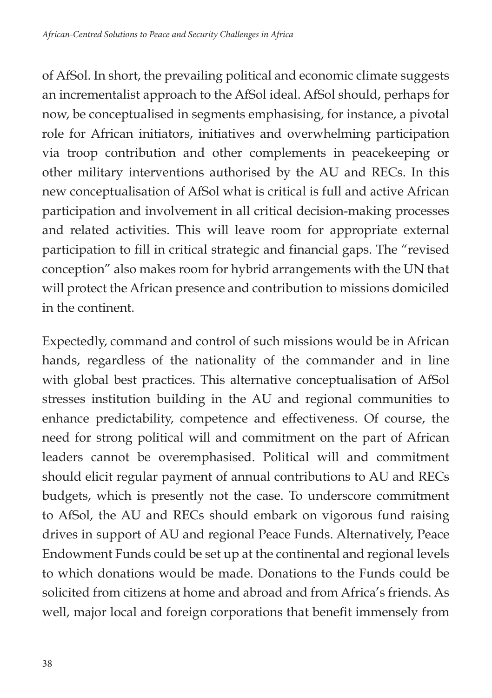of AfSol. In short, the prevailing political and economic climate suggests an incrementalist approach to the AfSol ideal. AfSol should, perhaps for now, be conceptualised in segments emphasising, for instance, a pivotal role for African initiators, initiatives and overwhelming participation via troop contribution and other complements in peacekeeping or other military interventions authorised by the AU and RECs. In this new conceptualisation of AfSol what is critical is full and active African participation and involvement in all critical decision-making processes and related activities. This will leave room for appropriate external participation to fill in critical strategic and financial gaps. The "revised conception" also makes room for hybrid arrangements with the UN that will protect the African presence and contribution to missions domiciled in the continent.

Expectedly, command and control of such missions would be in African hands, regardless of the nationality of the commander and in line with global best practices. This alternative conceptualisation of AfSol stresses institution building in the AU and regional communities to enhance predictability, competence and effectiveness. Of course, the need for strong political will and commitment on the part of African leaders cannot be overemphasised. Political will and commitment should elicit regular payment of annual contributions to AU and RECs budgets, which is presently not the case. To underscore commitment to AfSol, the AU and RECs should embark on vigorous fund raising drives in support of AU and regional Peace Funds. Alternatively, Peace Endowment Funds could be set up at the continental and regional levels to which donations would be made. Donations to the Funds could be solicited from citizens at home and abroad and from Africa's friends. As well, major local and foreign corporations that benefit immensely from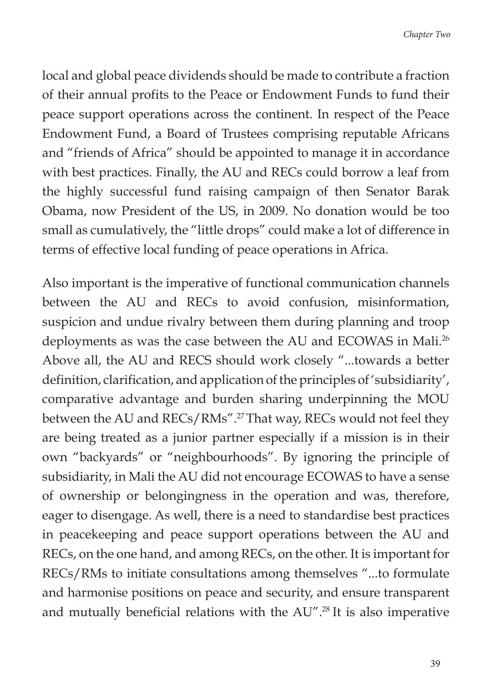local and global peace dividends should be made to contribute a fraction of their annual profits to the Peace or Endowment Funds to fund their peace support operations across the continent. In respect of the Peace Endowment Fund, a Board of Trustees comprising reputable Africans and "friends of Africa" should be appointed to manage it in accordance with best practices. Finally, the AU and RECs could borrow a leaf from the highly successful fund raising campaign of then Senator Barak Obama, now President of the US, in 2009. No donation would be too small as cumulatively, the "little drops" could make a lot of difference in terms of effective local funding of peace operations in Africa.

Also important is the imperative of functional communication channels between the AU and RECs to avoid confusion, misinformation, suspicion and undue rivalry between them during planning and troop deployments as was the case between the AU and ECOWAS in Mali.<sup>26</sup> Above all, the AU and RECS should work closely "...towards a better definition, clarification, and application of the principles of 'subsidiarity', comparative advantage and burden sharing underpinning the MOU between the AU and RECs/RMs".<sup>27</sup> That way, RECs would not feel they are being treated as a junior partner especially if a mission is in their own "backyards" or "neighbourhoods". By ignoring the principle of subsidiarity, in Mali the AU did not encourage ECOWAS to have a sense of ownership or belongingness in the operation and was, therefore, eager to disengage. As well, there is a need to standardise best practices in peacekeeping and peace support operations between the AU and RECs, on the one hand, and among RECs, on the other. It is important for RECs/RMs to initiate consultations among themselves "...to formulate and harmonise positions on peace and security, and ensure transparent and mutually beneficial relations with the AU".28 It is also imperative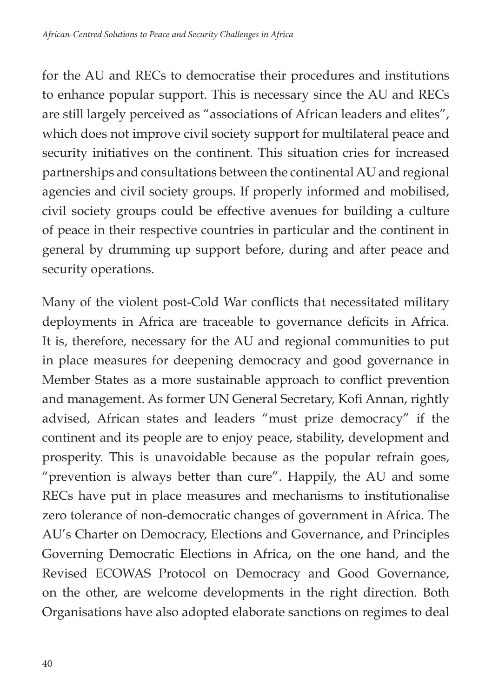for the AU and RECs to democratise their procedures and institutions to enhance popular support. This is necessary since the AU and RECs are still largely perceived as "associations of African leaders and elites", which does not improve civil society support for multilateral peace and security initiatives on the continent. This situation cries for increased partnerships and consultations between the continental AU and regional agencies and civil society groups. If properly informed and mobilised, civil society groups could be effective avenues for building a culture of peace in their respective countries in particular and the continent in general by drumming up support before, during and after peace and security operations.

Many of the violent post-Cold War conflicts that necessitated military deployments in Africa are traceable to governance deficits in Africa. It is, therefore, necessary for the AU and regional communities to put in place measures for deepening democracy and good governance in Member States as a more sustainable approach to conflict prevention and management. As former UN General Secretary, Kofi Annan, rightly advised, African states and leaders "must prize democracy" if the continent and its people are to enjoy peace, stability, development and prosperity. This is unavoidable because as the popular refrain goes, "prevention is always better than cure". Happily, the AU and some RECs have put in place measures and mechanisms to institutionalise zero tolerance of non-democratic changes of government in Africa. The AU's Charter on Democracy, Elections and Governance, and Principles Governing Democratic Elections in Africa, on the one hand, and the Revised ECOWAS Protocol on Democracy and Good Governance, on the other, are welcome developments in the right direction. Both Organisations have also adopted elaborate sanctions on regimes to deal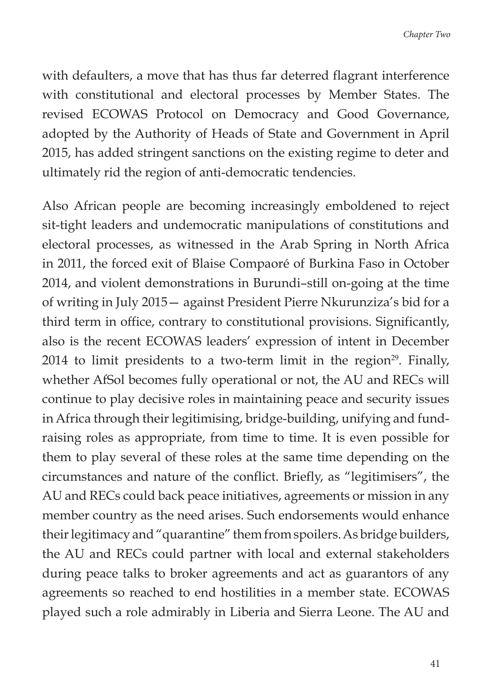with defaulters, a move that has thus far deterred flagrant interference with constitutional and electoral processes by Member States. The revised ECOWAS Protocol on Democracy and Good Governance, adopted by the Authority of Heads of State and Government in April 2015, has added stringent sanctions on the existing regime to deter and ultimately rid the region of anti-democratic tendencies.

Also African people are becoming increasingly emboldened to reject sit-tight leaders and undemocratic manipulations of constitutions and electoral processes, as witnessed in the Arab Spring in North Africa in 2011, the forced exit of Blaise Compaoré of Burkina Faso in October 2014, and violent demonstrations in Burundi–still on-going at the time of writing in July 2015— against President Pierre Nkurunziza's bid for a third term in office, contrary to constitutional provisions. Significantly, also is the recent ECOWAS leaders' expression of intent in December  $2014$  to limit presidents to a two-term limit in the region<sup>29</sup>. Finally, whether AfSol becomes fully operational or not, the AU and RECs will continue to play decisive roles in maintaining peace and security issues in Africa through their legitimising, bridge-building, unifying and fundraising roles as appropriate, from time to time. It is even possible for them to play several of these roles at the same time depending on the circumstances and nature of the conflict. Briefly, as "legitimisers", the AU and RECs could back peace initiatives, agreements or mission in any member country as the need arises. Such endorsements would enhance their legitimacy and "quarantine" them from spoilers. As bridge builders, the AU and RECs could partner with local and external stakeholders during peace talks to broker agreements and act as guarantors of any agreements so reached to end hostilities in a member state. ECOWAS played such a role admirably in Liberia and Sierra Leone. The AU and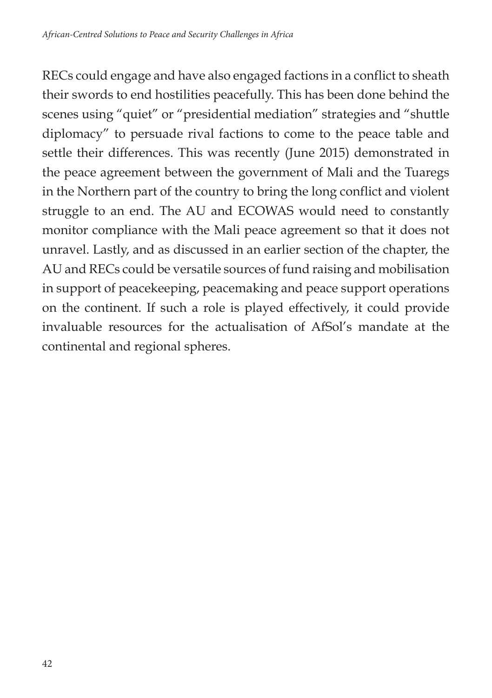RECs could engage and have also engaged factions in a conflict to sheath their swords to end hostilities peacefully. This has been done behind the scenes using "quiet" or "presidential mediation" strategies and "shuttle diplomacy" to persuade rival factions to come to the peace table and settle their differences. This was recently (June 2015) demonstrated in the peace agreement between the government of Mali and the Tuaregs in the Northern part of the country to bring the long conflict and violent struggle to an end. The AU and ECOWAS would need to constantly monitor compliance with the Mali peace agreement so that it does not unravel. Lastly, and as discussed in an earlier section of the chapter, the AU and RECs could be versatile sources of fund raising and mobilisation in support of peacekeeping, peacemaking and peace support operations on the continent. If such a role is played effectively, it could provide invaluable resources for the actualisation of AfSol's mandate at the continental and regional spheres.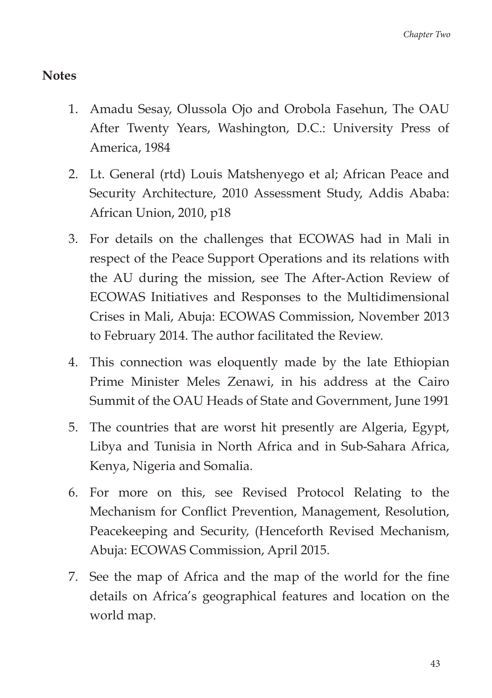#### **Notes**

- 1. Amadu Sesay, Olussola Ojo and Orobola Fasehun, The OAU After Twenty Years, Washington, D.C.: University Press of America, 1984
- 2. Lt. General (rtd) Louis Matshenyego et al; African Peace and Security Architecture, 2010 Assessment Study, Addis Ababa: African Union, 2010, p18
- 3. For details on the challenges that ECOWAS had in Mali in respect of the Peace Support Operations and its relations with the AU during the mission, see The After-Action Review of ECOWAS Initiatives and Responses to the Multidimensional Crises in Mali, Abuja: ECOWAS Commission, November 2013 to February 2014. The author facilitated the Review.
- 4. This connection was eloquently made by the late Ethiopian Prime Minister Meles Zenawi, in his address at the Cairo Summit of the OAU Heads of State and Government, June 1991
- 5. The countries that are worst hit presently are Algeria, Egypt, Libya and Tunisia in North Africa and in Sub-Sahara Africa, Kenya, Nigeria and Somalia.
- 6. For more on this, see Revised Protocol Relating to the Mechanism for Conflict Prevention, Management, Resolution, Peacekeeping and Security, (Henceforth Revised Mechanism, Abuja: ECOWAS Commission, April 2015.
- 7. See the map of Africa and the map of the world for the fine details on Africa's geographical features and location on the world map.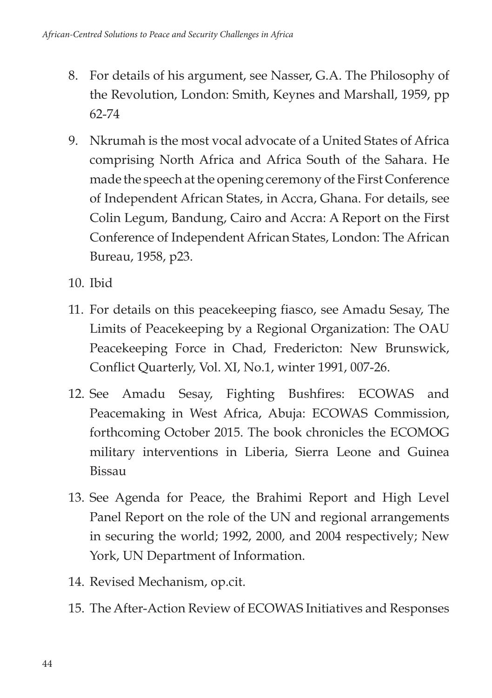- 8. For details of his argument, see Nasser, G.A. The Philosophy of the Revolution, London: Smith, Keynes and Marshall, 1959, pp 62-74
- 9. Nkrumah is the most vocal advocate of a United States of Africa comprising North Africa and Africa South of the Sahara. He made the speech at the opening ceremony of the First Conference of Independent African States, in Accra, Ghana. For details, see Colin Legum, Bandung, Cairo and Accra: A Report on the First Conference of Independent African States, London: The African Bureau, 1958, p23.
- 10. Ibid
- 11. For details on this peacekeeping fiasco, see Amadu Sesay, The Limits of Peacekeeping by a Regional Organization: The OAU Peacekeeping Force in Chad, Fredericton: New Brunswick, Conflict Quarterly, Vol. XI, No.1, winter 1991, 007-26.
- 12. See Amadu Sesay, Fighting Bushfires: ECOWAS and Peacemaking in West Africa, Abuja: ECOWAS Commission, forthcoming October 2015. The book chronicles the ECOMOG military interventions in Liberia, Sierra Leone and Guinea Bissau
- 13. See Agenda for Peace, the Brahimi Report and High Level Panel Report on the role of the UN and regional arrangements in securing the world; 1992, 2000, and 2004 respectively; New York, UN Department of Information.
- 14. Revised Mechanism, op.cit.
- 15. The After-Action Review of ECOWAS Initiatives and Responses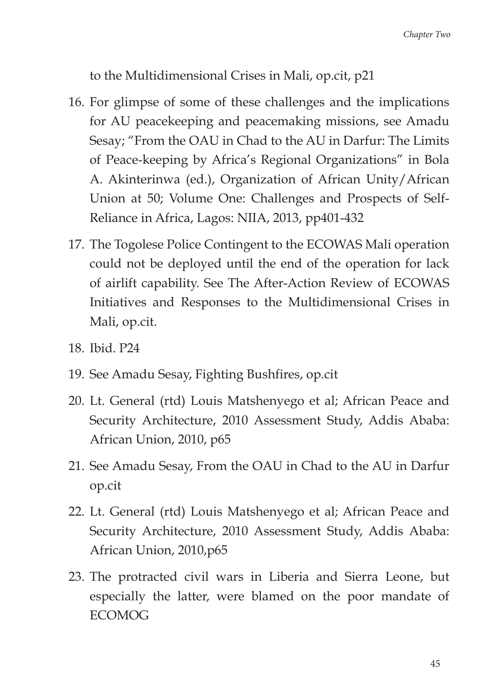to the Multidimensional Crises in Mali, op.cit, p21

- 16. For glimpse of some of these challenges and the implications for AU peacekeeping and peacemaking missions, see Amadu Sesay; "From the OAU in Chad to the AU in Darfur: The Limits of Peace-keeping by Africa's Regional Organizations" in Bola A. Akinterinwa (ed.), Organization of African Unity/African Union at 50; Volume One: Challenges and Prospects of Self-Reliance in Africa, Lagos: NIIA, 2013, pp401-432
- 17. The Togolese Police Contingent to the ECOWAS Mali operation could not be deployed until the end of the operation for lack of airlift capability. See The After-Action Review of ECOWAS Initiatives and Responses to the Multidimensional Crises in Mali, op.cit.
- 18. Ibid. P24
- 19. See Amadu Sesay, Fighting Bushfires, op.cit
- 20. Lt. General (rtd) Louis Matshenyego et al; African Peace and Security Architecture, 2010 Assessment Study, Addis Ababa: African Union, 2010, p65
- 21. See Amadu Sesay, From the OAU in Chad to the AU in Darfur op.cit
- 22. Lt. General (rtd) Louis Matshenyego et al; African Peace and Security Architecture, 2010 Assessment Study, Addis Ababa: African Union, 2010,p65
- 23. The protracted civil wars in Liberia and Sierra Leone, but especially the latter, were blamed on the poor mandate of ECOMOG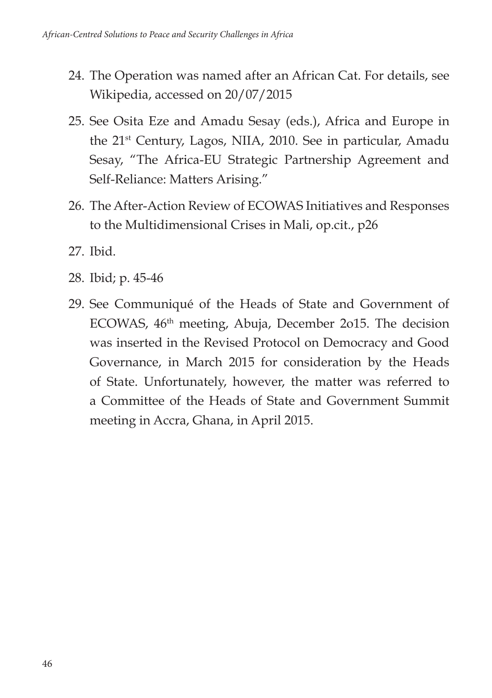- 24. The Operation was named after an African Cat. For details, see Wikipedia, accessed on 20/07/2015
- 25. See Osita Eze and Amadu Sesay (eds.), Africa and Europe in the 21st Century, Lagos, NIIA, 2010. See in particular, Amadu Sesay, "The Africa-EU Strategic Partnership Agreement and Self-Reliance: Matters Arising."
- 26. The After-Action Review of ECOWAS Initiatives and Responses to the Multidimensional Crises in Mali, op.cit., p26
- 27. Ibid.
- 28. Ibid; p. 45-46
- 29. See Communiqué of the Heads of State and Government of ECOWAS, 46th meeting, Abuja, December 2o15. The decision was inserted in the Revised Protocol on Democracy and Good Governance, in March 2015 for consideration by the Heads of State. Unfortunately, however, the matter was referred to a Committee of the Heads of State and Government Summit meeting in Accra, Ghana, in April 2015.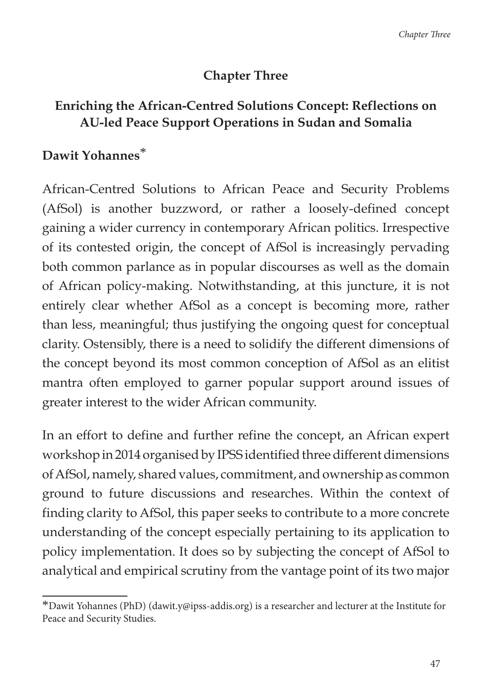## **Chapter Three**

### **Enriching the African-Centred Solutions Concept: Reflections on AU-led Peace Support Operations in Sudan and Somalia**

### **Dawit Yohannes**\*

African-Centred Solutions to African Peace and Security Problems (AfSol) is another buzzword, or rather a loosely-defined concept gaining a wider currency in contemporary African politics. Irrespective of its contested origin, the concept of AfSol is increasingly pervading both common parlance as in popular discourses as well as the domain of African policy-making. Notwithstanding, at this juncture, it is not entirely clear whether AfSol as a concept is becoming more, rather than less, meaningful; thus justifying the ongoing quest for conceptual clarity. Ostensibly, there is a need to solidify the different dimensions of the concept beyond its most common conception of AfSol as an elitist mantra often employed to garner popular support around issues of greater interest to the wider African community.

In an effort to define and further refine the concept, an African expert workshop in 2014 organised by IPSS identified three different dimensions of AfSol, namely, shared values, commitment, and ownership as common ground to future discussions and researches. Within the context of finding clarity to AfSol, this paper seeks to contribute to a more concrete understanding of the concept especially pertaining to its application to policy implementation. It does so by subjecting the concept of AfSol to analytical and empirical scrutiny from the vantage point of its two major

<sup>\*</sup>Dawit Yohannes (PhD) (dawit.y@ipss-addis.org) is a researcher and lecturer at the Institute for Peace and Security Studies.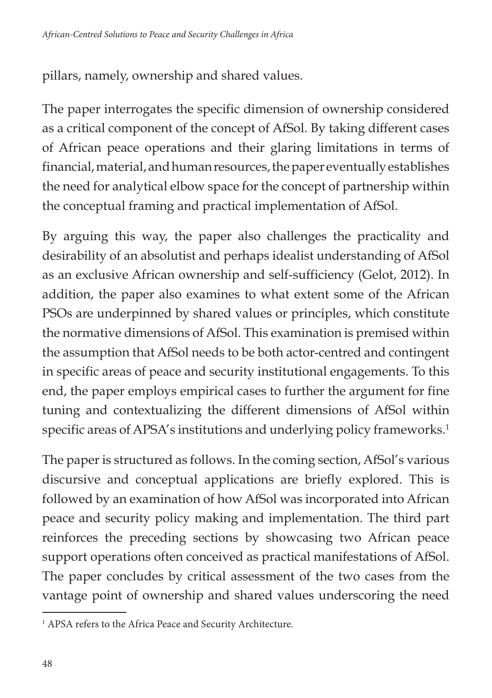pillars, namely, ownership and shared values.

The paper interrogates the specific dimension of ownership considered as a critical component of the concept of AfSol. By taking different cases of African peace operations and their glaring limitations in terms of financial, material, and human resources, the paper eventually establishes the need for analytical elbow space for the concept of partnership within the conceptual framing and practical implementation of AfSol.

By arguing this way, the paper also challenges the practicality and desirability of an absolutist and perhaps idealist understanding of AfSol as an exclusive African ownership and self-sufficiency (Gelot, 2012). In addition, the paper also examines to what extent some of the African PSOs are underpinned by shared values or principles, which constitute the normative dimensions of AfSol. This examination is premised within the assumption that AfSol needs to be both actor-centred and contingent in specific areas of peace and security institutional engagements. To this end, the paper employs empirical cases to further the argument for fine tuning and contextualizing the different dimensions of AfSol within specific areas of APSA's institutions and underlying policy frameworks.<sup>1</sup>

The paper is structured as follows. In the coming section, AfSol's various discursive and conceptual applications are briefly explored. This is followed by an examination of how AfSol was incorporated into African peace and security policy making and implementation. The third part reinforces the preceding sections by showcasing two African peace support operations often conceived as practical manifestations of AfSol. The paper concludes by critical assessment of the two cases from the vantage point of ownership and shared values underscoring the need

<sup>&</sup>lt;sup>1</sup> APSA refers to the Africa Peace and Security Architecture.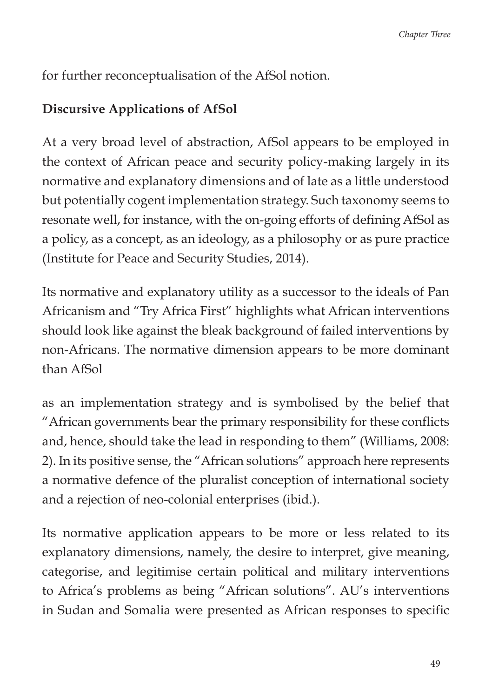for further reconceptualisation of the AfSol notion.

### **Discursive Applications of AfSol**

At a very broad level of abstraction, AfSol appears to be employed in the context of African peace and security policy-making largely in its normative and explanatory dimensions and of late as a little understood but potentially cogent implementation strategy. Such taxonomy seems to resonate well, for instance, with the on-going efforts of defining AfSol as a policy, as a concept, as an ideology, as a philosophy or as pure practice (Institute for Peace and Security Studies, 2014).

Its normative and explanatory utility as a successor to the ideals of Pan Africanism and "Try Africa First" highlights what African interventions should look like against the bleak background of failed interventions by non-Africans. The normative dimension appears to be more dominant than AfSol

as an implementation strategy and is symbolised by the belief that "African governments bear the primary responsibility for these conflicts and, hence, should take the lead in responding to them" (Williams, 2008: 2). In its positive sense, the "African solutions" approach here represents a normative defence of the pluralist conception of international society and a rejection of neo-colonial enterprises (ibid.).

Its normative application appears to be more or less related to its explanatory dimensions, namely, the desire to interpret, give meaning, categorise, and legitimise certain political and military interventions to Africa's problems as being "African solutions". AU's interventions in Sudan and Somalia were presented as African responses to specific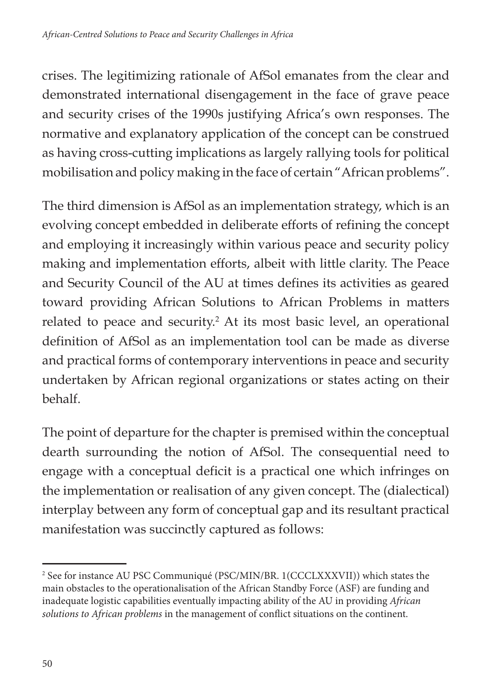crises. The legitimizing rationale of AfSol emanates from the clear and demonstrated international disengagement in the face of grave peace and security crises of the 1990s justifying Africa's own responses. The normative and explanatory application of the concept can be construed as having cross-cutting implications as largely rallying tools for political mobilisation and policy making in the face of certain "African problems".

The third dimension is AfSol as an implementation strategy, which is an evolving concept embedded in deliberate efforts of refining the concept and employing it increasingly within various peace and security policy making and implementation efforts, albeit with little clarity. The Peace and Security Council of the AU at times defines its activities as geared toward providing African Solutions to African Problems in matters related to peace and security.<sup>2</sup> At its most basic level, an operational definition of AfSol as an implementation tool can be made as diverse and practical forms of contemporary interventions in peace and security undertaken by African regional organizations or states acting on their behalf.

The point of departure for the chapter is premised within the conceptual dearth surrounding the notion of AfSol. The consequential need to engage with a conceptual deficit is a practical one which infringes on the implementation or realisation of any given concept. The (dialectical) interplay between any form of conceptual gap and its resultant practical manifestation was succinctly captured as follows:

<sup>2</sup> See for instance AU PSC Communiqué (PSC/MIN/BR. 1(CCCLXXXVII)) which states the main obstacles to the operationalisation of the African Standby Force (ASF) are funding and inadequate logistic capabilities eventually impacting ability of the AU in providing *African solutions to African problems* in the management of conflict situations on the continent.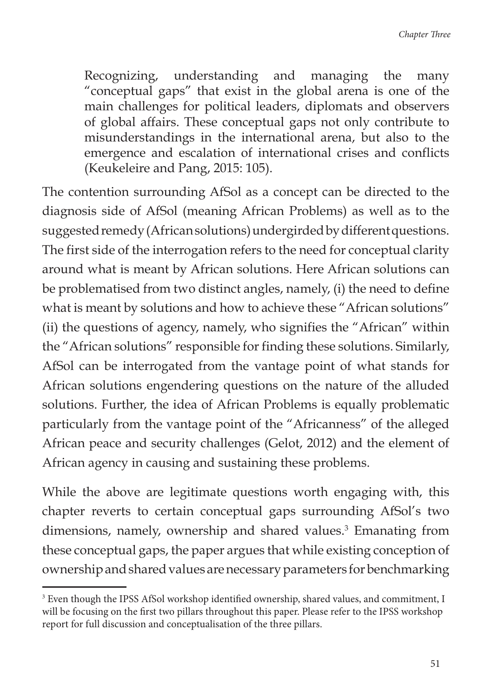Recognizing, understanding and managing the many "conceptual gaps" that exist in the global arena is one of the main challenges for political leaders, diplomats and observers of global affairs. These conceptual gaps not only contribute to misunderstandings in the international arena, but also to the emergence and escalation of international crises and conflicts (Keukeleire and Pang, 2015: 105).

The contention surrounding AfSol as a concept can be directed to the diagnosis side of AfSol (meaning African Problems) as well as to the suggested remedy (African solutions) undergirded by different questions. The first side of the interrogation refers to the need for conceptual clarity around what is meant by African solutions. Here African solutions can be problematised from two distinct angles, namely, (i) the need to define what is meant by solutions and how to achieve these "African solutions" (ii) the questions of agency, namely, who signifies the "African" within the "African solutions" responsible for finding these solutions. Similarly, AfSol can be interrogated from the vantage point of what stands for African solutions engendering questions on the nature of the alluded solutions. Further, the idea of African Problems is equally problematic particularly from the vantage point of the "Africanness" of the alleged African peace and security challenges (Gelot, 2012) and the element of African agency in causing and sustaining these problems.

While the above are legitimate questions worth engaging with, this chapter reverts to certain conceptual gaps surrounding AfSol's two dimensions, namely, ownership and shared values.<sup>3</sup> Emanating from these conceptual gaps, the paper argues that while existing conception of ownership and shared values are necessary parameters for benchmarking

<sup>&</sup>lt;sup>3</sup> Even though the IPSS AfSol workshop identified ownership, shared values, and commitment, I will be focusing on the first two pillars throughout this paper. Please refer to the IPSS workshop report for full discussion and conceptualisation of the three pillars.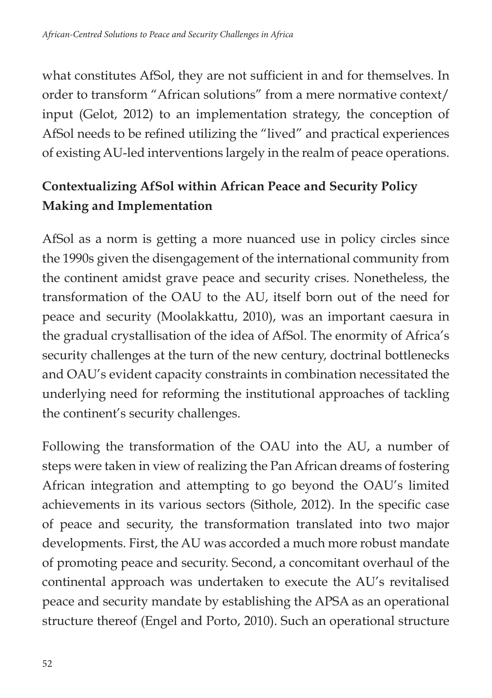what constitutes AfSol, they are not sufficient in and for themselves. In order to transform "African solutions" from a mere normative context/ input (Gelot, 2012) to an implementation strategy, the conception of AfSol needs to be refined utilizing the "lived" and practical experiences of existing AU-led interventions largely in the realm of peace operations.

# **Contextualizing AfSol within African Peace and Security Policy Making and Implementation**

AfSol as a norm is getting a more nuanced use in policy circles since the 1990s given the disengagement of the international community from the continent amidst grave peace and security crises. Nonetheless, the transformation of the OAU to the AU, itself born out of the need for peace and security (Moolakkattu, 2010), was an important caesura in the gradual crystallisation of the idea of AfSol. The enormity of Africa's security challenges at the turn of the new century, doctrinal bottlenecks and OAU's evident capacity constraints in combination necessitated the underlying need for reforming the institutional approaches of tackling the continent's security challenges.

Following the transformation of the OAU into the AU, a number of steps were taken in view of realizing the Pan African dreams of fostering African integration and attempting to go beyond the OAU's limited achievements in its various sectors (Sithole, 2012). In the specific case of peace and security, the transformation translated into two major developments. First, the AU was accorded a much more robust mandate of promoting peace and security. Second, a concomitant overhaul of the continental approach was undertaken to execute the AU's revitalised peace and security mandate by establishing the APSA as an operational structure thereof (Engel and Porto, 2010). Such an operational structure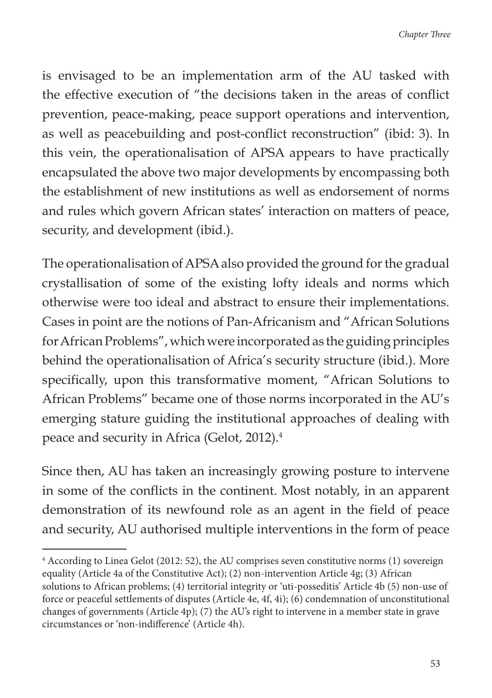is envisaged to be an implementation arm of the AU tasked with the effective execution of "the decisions taken in the areas of conflict prevention, peace-making, peace support operations and intervention, as well as peacebuilding and post-conflict reconstruction" (ibid: 3). In this vein, the operationalisation of APSA appears to have practically encapsulated the above two major developments by encompassing both the establishment of new institutions as well as endorsement of norms and rules which govern African states' interaction on matters of peace, security, and development (ibid.).

The operationalisation of APSA also provided the ground for the gradual crystallisation of some of the existing lofty ideals and norms which otherwise were too ideal and abstract to ensure their implementations. Cases in point are the notions of Pan-Africanism and "African Solutions for African Problems", which were incorporated as the guiding principles behind the operationalisation of Africa's security structure (ibid.). More specifically, upon this transformative moment, "African Solutions to African Problems" became one of those norms incorporated in the AU's emerging stature guiding the institutional approaches of dealing with peace and security in Africa (Gelot, 2012).4

Since then, AU has taken an increasingly growing posture to intervene in some of the conflicts in the continent. Most notably, in an apparent demonstration of its newfound role as an agent in the field of peace and security, AU authorised multiple interventions in the form of peace

<sup>4</sup> According to Linea Gelot (2012: 52), the AU comprises seven constitutive norms (1) sovereign equality (Article 4a of the Constitutive Act); (2) non-intervention Article 4g; (3) African solutions to African problems; (4) territorial integrity or 'uti-posseditis' Article 4b (5) non-use of force or peaceful settlements of disputes (Article 4e, 4f, 4i); (6) condemnation of unconstitutional changes of governments (Article 4p); (7) the AU's right to intervene in a member state in grave circumstances or 'non-indifference' (Article 4h).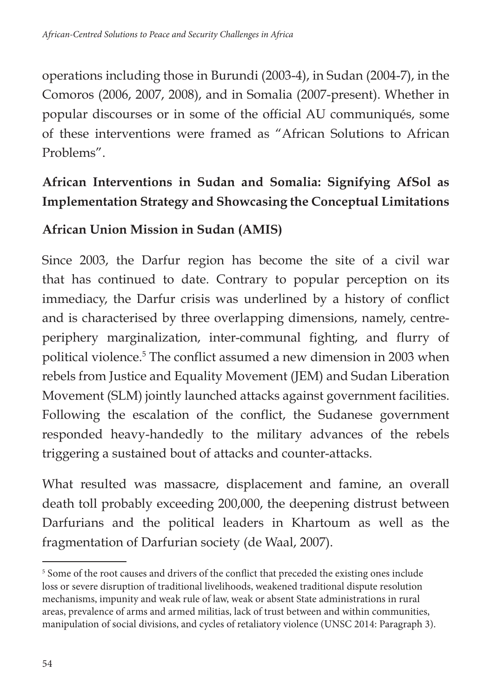operations including those in Burundi (2003-4), in Sudan (2004-7), in the Comoros (2006, 2007, 2008), and in Somalia (2007-present). Whether in popular discourses or in some of the official AU communiqués, some of these interventions were framed as "African Solutions to African Problems".

# **African Interventions in Sudan and Somalia: Signifying AfSol as Implementation Strategy and Showcasing the Conceptual Limitations**

# **African Union Mission in Sudan (AMIS)**

Since 2003, the Darfur region has become the site of a civil war that has continued to date. Contrary to popular perception on its immediacy, the Darfur crisis was underlined by a history of conflict and is characterised by three overlapping dimensions, namely, centreperiphery marginalization, inter-communal fighting, and flurry of political violence.<sup>5</sup> The conflict assumed a new dimension in 2003 when rebels from Justice and Equality Movement (JEM) and Sudan Liberation Movement (SLM) jointly launched attacks against government facilities. Following the escalation of the conflict, the Sudanese government responded heavy-handedly to the military advances of the rebels triggering a sustained bout of attacks and counter-attacks.

What resulted was massacre, displacement and famine, an overall death toll probably exceeding 200,000, the deepening distrust between Darfurians and the political leaders in Khartoum as well as the fragmentation of Darfurian society (de Waal, 2007).

<sup>&</sup>lt;sup>5</sup> Some of the root causes and drivers of the conflict that preceded the existing ones include loss or severe disruption of traditional livelihoods, weakened traditional dispute resolution mechanisms, impunity and weak rule of law, weak or absent State administrations in rural areas, prevalence of arms and armed militias, lack of trust between and within communities, manipulation of social divisions, and cycles of retaliatory violence (UNSC 2014: Paragraph 3).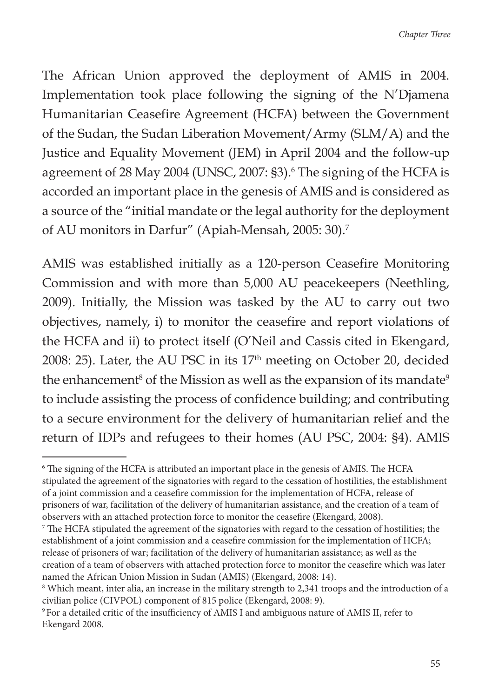The African Union approved the deployment of AMIS in 2004. Implementation took place following the signing of the N'Djamena Humanitarian Ceasefire Agreement (HCFA) between the Government of the Sudan, the Sudan Liberation Movement/Army (SLM/A) and the Justice and Equality Movement (JEM) in April 2004 and the follow-up agreement of 28 May 2004 (UNSC, 2007: §3).<sup>6</sup> The signing of the HCFA is accorded an important place in the genesis of AMIS and is considered as a source of the "initial mandate or the legal authority for the deployment of AU monitors in Darfur" (Apiah-Mensah, 2005: 30).7

AMIS was established initially as a 120-person Ceasefire Monitoring Commission and with more than 5,000 AU peacekeepers (Neethling, 2009). Initially, the Mission was tasked by the AU to carry out two objectives, namely, i) to monitor the ceasefire and report violations of the HCFA and ii) to protect itself (O'Neil and Cassis cited in Ekengard, 2008: 25). Later, the AU PSC in its  $17<sup>th</sup>$  meeting on October 20, decided the enhancement<sup>8</sup> of the Mission as well as the expansion of its mandate<sup>9</sup> to include assisting the process of confidence building; and contributing to a secure environment for the delivery of humanitarian relief and the return of IDPs and refugees to their homes (AU PSC, 2004: §4). AMIS

<sup>6</sup> The signing of the HCFA is attributed an important place in the genesis of AMIS. The HCFA stipulated the agreement of the signatories with regard to the cessation of hostilities, the establishment of a joint commission and a ceasefire commission for the implementation of HCFA, release of prisoners of war, facilitation of the delivery of humanitarian assistance, and the creation of a team of observers with an attached protection force to monitor the ceasefire (Ekengard, 2008). 7

<sup>&</sup>lt;sup>7</sup> The HCFA stipulated the agreement of the signatories with regard to the cessation of hostilities; the establishment of a joint commission and a ceasefire commission for the implementation of HCFA; release of prisoners of war; facilitation of the delivery of humanitarian assistance; as well as the creation of a team of observers with attached protection force to monitor the ceasefire which was later named the African Union Mission in Sudan (AMIS) (Ekengard, 2008: 14).

<sup>8</sup> Which meant, inter alia, an increase in the military strength to 2,341 troops and the introduction of a civilian police (CIVPOL) component of 815 police (Ekengard, 2008: 9).

<sup>9</sup> For a detailed critic of the insufficiency of AMIS I and ambiguous nature of AMIS II, refer to Ekengard 2008.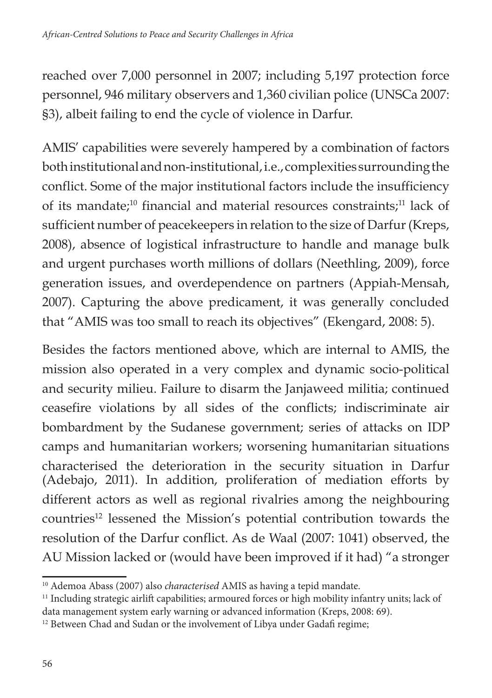reached over 7,000 personnel in 2007; including 5,197 protection force personnel, 946 military observers and 1,360 civilian police (UNSCa 2007: §3), albeit failing to end the cycle of violence in Darfur.

AMIS' capabilities were severely hampered by a combination of factors both institutional and non-institutional, i.e., complexities surrounding the conflict. Some of the major institutional factors include the insufficiency of its mandate;10 financial and material resources constraints;11 lack of sufficient number of peacekeepers in relation to the size of Darfur (Kreps, 2008), absence of logistical infrastructure to handle and manage bulk and urgent purchases worth millions of dollars (Neethling, 2009), force generation issues, and overdependence on partners (Appiah-Mensah, 2007). Capturing the above predicament, it was generally concluded that "AMIS was too small to reach its objectives" (Ekengard, 2008: 5).

Besides the factors mentioned above, which are internal to AMIS, the mission also operated in a very complex and dynamic socio-political and security milieu. Failure to disarm the Janjaweed militia; continued ceasefire violations by all sides of the conflicts; indiscriminate air bombardment by the Sudanese government; series of attacks on IDP camps and humanitarian workers; worsening humanitarian situations characterised the deterioration in the security situation in Darfur (Adebajo, 2011). In addition, proliferation of mediation efforts by different actors as well as regional rivalries among the neighbouring countries<sup>12</sup> lessened the Mission's potential contribution towards the resolution of the Darfur conflict. As de Waal (2007: 1041) observed, the AU Mission lacked or (would have been improved if it had) "a stronger

<sup>10</sup> Ademoa Abass (2007) also *characterised* AMIS as having a tepid mandate.

 $11$  Including strategic airlift capabilities; armoured forces or high mobility infantry units; lack of data management system early warning or advanced information (Kreps, 2008: 69).

<sup>&</sup>lt;sup>12</sup> Between Chad and Sudan or the involvement of Libya under Gadafi regime;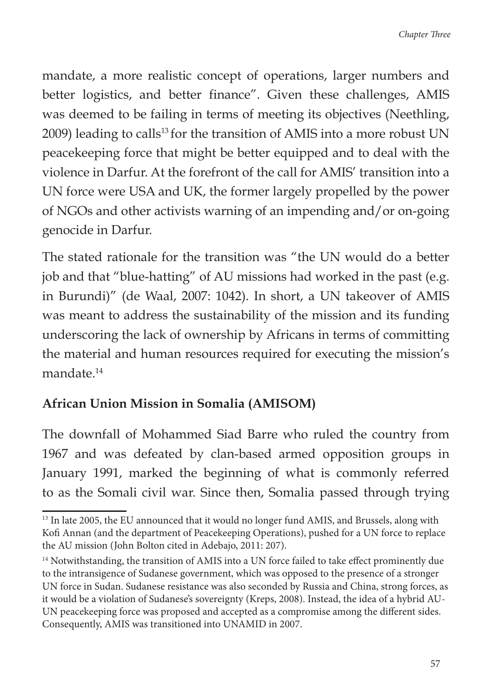mandate, a more realistic concept of operations, larger numbers and better logistics, and better finance". Given these challenges, AMIS was deemed to be failing in terms of meeting its objectives (Neethling,  $2009$ ) leading to calls<sup>13</sup> for the transition of AMIS into a more robust UN peacekeeping force that might be better equipped and to deal with the violence in Darfur. At the forefront of the call for AMIS' transition into a UN force were USA and UK, the former largely propelled by the power of NGOs and other activists warning of an impending and/or on-going genocide in Darfur.

The stated rationale for the transition was "the UN would do a better job and that "blue-hatting" of AU missions had worked in the past (e.g. in Burundi)" (de Waal, 2007: 1042). In short, a UN takeover of AMIS was meant to address the sustainability of the mission and its funding underscoring the lack of ownership by Africans in terms of committing the material and human resources required for executing the mission's mandate<sup>14</sup>

## **African Union Mission in Somalia (AMISOM)**

The downfall of Mohammed Siad Barre who ruled the country from 1967 and was defeated by clan-based armed opposition groups in January 1991, marked the beginning of what is commonly referred to as the Somali civil war. Since then, Somalia passed through trying

<sup>&</sup>lt;sup>13</sup> In late 2005, the EU announced that it would no longer fund AMIS, and Brussels, along with Kofi Annan (and the department of Peacekeeping Operations), pushed for a UN force to replace the AU mission (John Bolton cited in Adebajo, 2011: 207).

<sup>&</sup>lt;sup>14</sup> Notwithstanding, the transition of AMIS into a UN force failed to take effect prominently due to the intransigence of Sudanese government, which was opposed to the presence of a stronger UN force in Sudan. Sudanese resistance was also seconded by Russia and China, strong forces, as it would be a violation of Sudanese's sovereignty (Kreps, 2008). Instead, the idea of a hybrid AU-UN peacekeeping force was proposed and accepted as a compromise among the different sides. Consequently, AMIS was transitioned into UNAMID in 2007.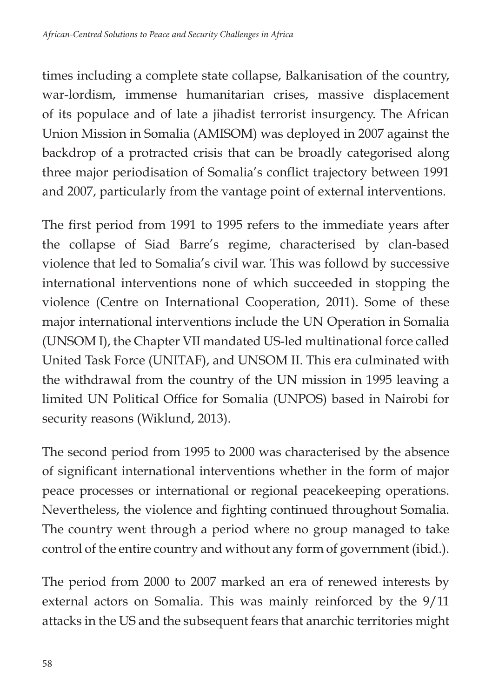times including a complete state collapse, Balkanisation of the country, war-lordism, immense humanitarian crises, massive displacement of its populace and of late a jihadist terrorist insurgency. The African Union Mission in Somalia (AMISOM) was deployed in 2007 against the backdrop of a protracted crisis that can be broadly categorised along three major periodisation of Somalia's conflict trajectory between 1991 and 2007, particularly from the vantage point of external interventions.

The first period from 1991 to 1995 refers to the immediate years after the collapse of Siad Barre's regime, characterised by clan-based violence that led to Somalia's civil war. This was followd by successive international interventions none of which succeeded in stopping the violence (Centre on International Cooperation, 2011). Some of these major international interventions include the UN Operation in Somalia (UNSOM I), the Chapter VII mandated US-led multinational force called United Task Force (UNITAF), and UNSOM II. This era culminated with the withdrawal from the country of the UN mission in 1995 leaving a limited UN Political Office for Somalia (UNPOS) based in Nairobi for security reasons (Wiklund, 2013).

The second period from 1995 to 2000 was characterised by the absence of significant international interventions whether in the form of major peace processes or international or regional peacekeeping operations. Nevertheless, the violence and fighting continued throughout Somalia. The country went through a period where no group managed to take control of the entire country and without any form of government (ibid.).

The period from 2000 to 2007 marked an era of renewed interests by external actors on Somalia. This was mainly reinforced by the 9/11 attacks in the US and the subsequent fears that anarchic territories might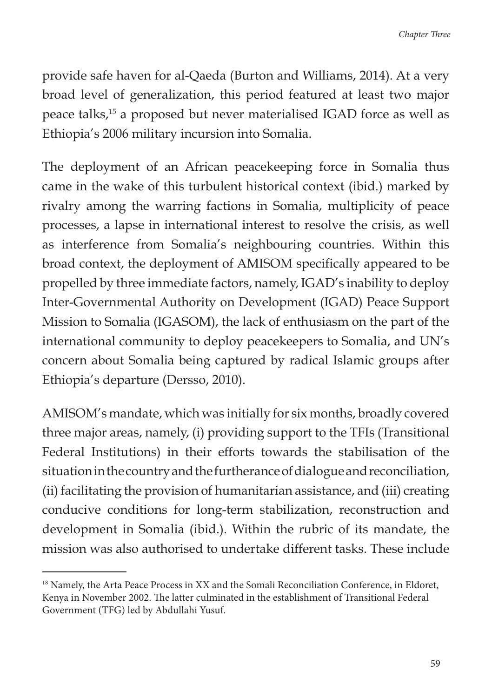provide safe haven for al-Qaeda (Burton and Williams, 2014). At a very broad level of generalization, this period featured at least two major peace talks,15 a proposed but never materialised IGAD force as well as Ethiopia's 2006 military incursion into Somalia.

The deployment of an African peacekeeping force in Somalia thus came in the wake of this turbulent historical context (ibid.) marked by rivalry among the warring factions in Somalia, multiplicity of peace processes, a lapse in international interest to resolve the crisis, as well as interference from Somalia's neighbouring countries. Within this broad context, the deployment of AMISOM specifically appeared to be propelled by three immediate factors, namely, IGAD's inability to deploy Inter-Governmental Authority on Development (IGAD) Peace Support Mission to Somalia (IGASOM), the lack of enthusiasm on the part of the international community to deploy peacekeepers to Somalia, and UN's concern about Somalia being captured by radical Islamic groups after Ethiopia's departure (Dersso, 2010).

AMISOM's mandate, which was initially for six months, broadly covered three major areas, namely, (i) providing support to the TFIs (Transitional Federal Institutions) in their efforts towards the stabilisation of the situation in the country and the furtherance of dialogue and reconciliation, (ii) facilitating the provision of humanitarian assistance, and (iii) creating conducive conditions for long-term stabilization, reconstruction and development in Somalia (ibid.). Within the rubric of its mandate, the mission was also authorised to undertake different tasks. These include

<sup>&</sup>lt;sup>18</sup> Namely, the Arta Peace Process in XX and the Somali Reconciliation Conference, in Eldoret, Kenya in November 2002. The latter culminated in the establishment of Transitional Federal Government (TFG) led by Abdullahi Yusuf.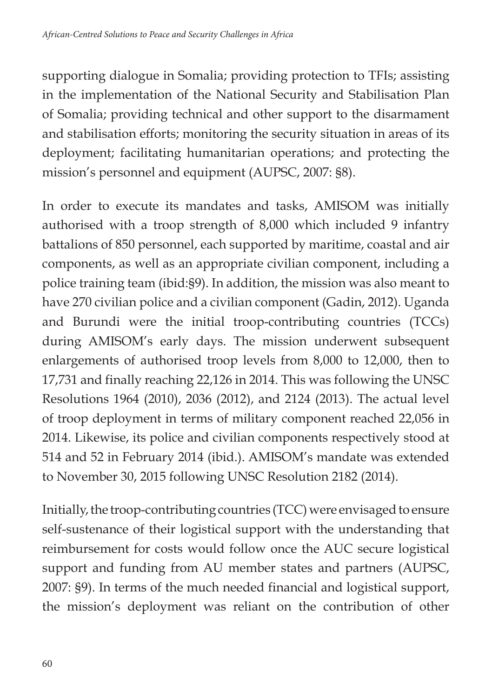supporting dialogue in Somalia; providing protection to TFIs; assisting in the implementation of the National Security and Stabilisation Plan of Somalia; providing technical and other support to the disarmament and stabilisation efforts; monitoring the security situation in areas of its deployment; facilitating humanitarian operations; and protecting the mission's personnel and equipment (AUPSC, 2007: §8).

In order to execute its mandates and tasks, AMISOM was initially authorised with a troop strength of 8,000 which included 9 infantry battalions of 850 personnel, each supported by maritime, coastal and air components, as well as an appropriate civilian component, including a police training team (ibid:§9). In addition, the mission was also meant to have 270 civilian police and a civilian component (Gadin, 2012). Uganda and Burundi were the initial troop-contributing countries (TCCs) during AMISOM's early days. The mission underwent subsequent enlargements of authorised troop levels from 8,000 to 12,000, then to 17,731 and finally reaching 22,126 in 2014. This was following the UNSC Resolutions 1964 (2010), 2036 (2012), and 2124 (2013). The actual level of troop deployment in terms of military component reached 22,056 in 2014. Likewise, its police and civilian components respectively stood at 514 and 52 in February 2014 (ibid.). AMISOM's mandate was extended to November 30, 2015 following UNSC Resolution 2182 (2014).

Initially, the troop-contributing countries (TCC) were envisaged to ensure self-sustenance of their logistical support with the understanding that reimbursement for costs would follow once the AUC secure logistical support and funding from AU member states and partners (AUPSC, 2007: §9). In terms of the much needed financial and logistical support, the mission's deployment was reliant on the contribution of other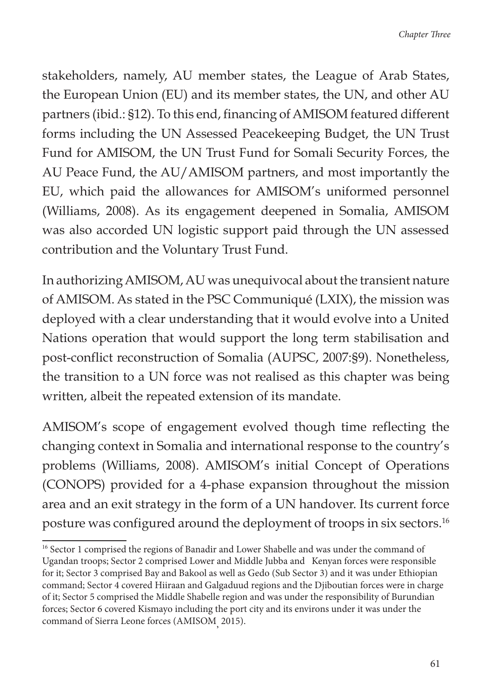stakeholders, namely, AU member states, the League of Arab States, the European Union (EU) and its member states, the UN, and other AU partners (ibid.: §12). To this end, financing of AMISOM featured different forms including the UN Assessed Peacekeeping Budget, the UN Trust Fund for AMISOM, the UN Trust Fund for Somali Security Forces, the AU Peace Fund, the AU/AMISOM partners, and most importantly the EU, which paid the allowances for AMISOM's uniformed personnel (Williams, 2008). As its engagement deepened in Somalia, AMISOM was also accorded UN logistic support paid through the UN assessed contribution and the Voluntary Trust Fund.

In authorizing AMISOM, AU was unequivocal about the transient nature of AMISOM. As stated in the PSC Communiqué (LXIX), the mission was deployed with a clear understanding that it would evolve into a United Nations operation that would support the long term stabilisation and post-conflict reconstruction of Somalia (AUPSC, 2007:§9). Nonetheless, the transition to a UN force was not realised as this chapter was being written, albeit the repeated extension of its mandate.

AMISOM's scope of engagement evolved though time reflecting the changing context in Somalia and international response to the country's problems (Williams, 2008). AMISOM's initial Concept of Operations (CONOPS) provided for a 4-phase expansion throughout the mission area and an exit strategy in the form of a UN handover. Its current force posture was configured around the deployment of troops in six sectors.16

<sup>&</sup>lt;sup>16</sup> Sector 1 comprised the regions of Banadir and Lower Shabelle and was under the command of Ugandan troops; Sector 2 comprised Lower and Middle Jubba and Kenyan forces were responsible for it; Sector 3 comprised Bay and Bakool as well as Gedo (Sub Sector 3) and it was under Ethiopian command; Sector 4 covered Hiiraan and Galgaduud regions and the Djiboutian forces were in charge of it; Sector 5 comprised the Middle Shabelle region and was under the responsibility of Burundian forces; Sector 6 covered Kismayo including the port city and its environs under it was under the command of Sierra Leone forces (AMISOM, 2015).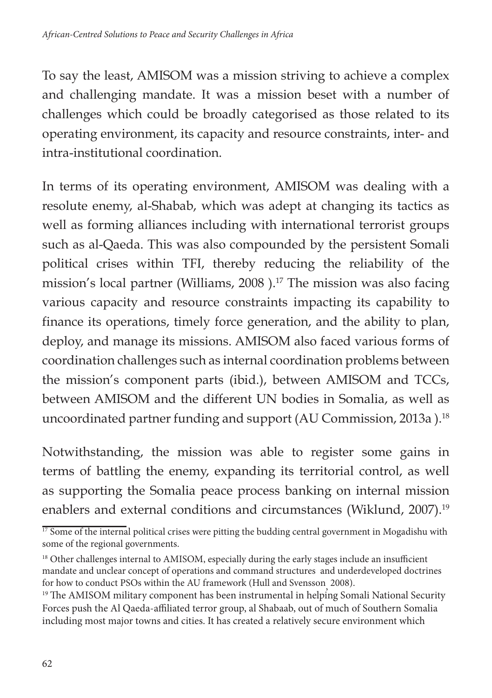To say the least, AMISOM was a mission striving to achieve a complex and challenging mandate. It was a mission beset with a number of challenges which could be broadly categorised as those related to its operating environment, its capacity and resource constraints, inter- and intra-institutional coordination.

In terms of its operating environment, AMISOM was dealing with a resolute enemy, al-Shabab, which was adept at changing its tactics as well as forming alliances including with international terrorist groups such as al-Qaeda. This was also compounded by the persistent Somali political crises within TFI, thereby reducing the reliability of the mission's local partner (Williams, 2008 ).<sup>17</sup> The mission was also facing various capacity and resource constraints impacting its capability to finance its operations, timely force generation, and the ability to plan, deploy, and manage its missions. AMISOM also faced various forms of coordination challenges such as internal coordination problems between the mission's component parts (ibid.), between AMISOM and TCCs, between AMISOM and the different UN bodies in Somalia, as well as uncoordinated partner funding and support (AU Commission, 2013a).<sup>18</sup>

Notwithstanding, the mission was able to register some gains in terms of battling the enemy, expanding its territorial control, as well as supporting the Somalia peace process banking on internal mission enablers and external conditions and circumstances (Wiklund, 2007).<sup>19</sup>

 $17$  Some of the internal political crises were pitting the budding central government in Mogadishu with some of the regional governments.

<sup>&</sup>lt;sup>18</sup> Other challenges internal to AMISOM, especially during the early stages include an insufficient mandate and unclear concept of operations and command structures and underdeveloped doctrines for how to conduct PSOs within the AU framework (Hull and Svensson, 2008).

<sup>&</sup>lt;sup>19</sup> The AMISOM military component has been instrumental in helping Somali National Security Forces push the Al Qaeda-affiliated terror group, al Shabaab, out of much of Southern Somalia including most major towns and cities. It has created a relatively secure environment which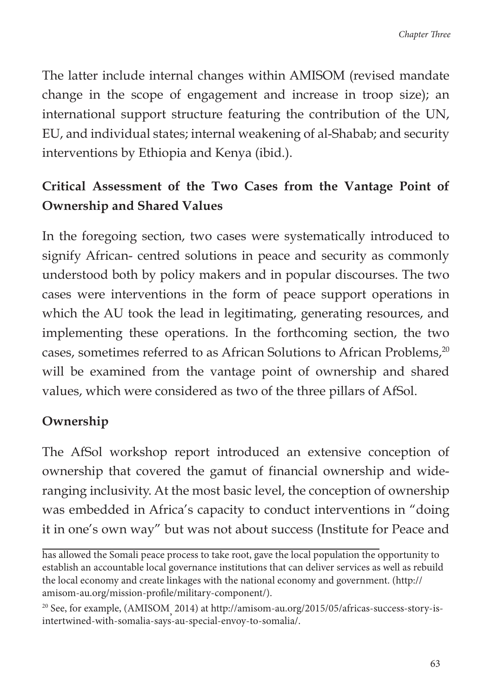The latter include internal changes within AMISOM (revised mandate change in the scope of engagement and increase in troop size); an international support structure featuring the contribution of the UN, EU, and individual states; internal weakening of al-Shabab; and security interventions by Ethiopia and Kenya (ibid.).

# **Critical Assessment of the Two Cases from the Vantage Point of Ownership and Shared Values**

In the foregoing section, two cases were systematically introduced to signify African- centred solutions in peace and security as commonly understood both by policy makers and in popular discourses. The two cases were interventions in the form of peace support operations in which the AU took the lead in legitimating, generating resources, and implementing these operations. In the forthcoming section, the two cases, sometimes referred to as African Solutions to African Problems,20 will be examined from the vantage point of ownership and shared values, which were considered as two of the three pillars of AfSol.

# **Ownership**

The AfSol workshop report introduced an extensive conception of ownership that covered the gamut of financial ownership and wideranging inclusivity. At the most basic level, the conception of ownership was embedded in Africa's capacity to conduct interventions in "doing it in one's own way" but was not about success (Institute for Peace and

has allowed the Somali peace process to take root, gave the local population the opportunity to establish an accountable local governance institutions that can deliver services as well as rebuild the local economy and create linkages with the national economy and government. (http:// amisom-au.org/mission-profile/military-component/).

<sup>20</sup> See, for example, (AMISOM, 2014) at http://amisom-au.org/2015/05/africas-success-story-isintertwined-with-somalia-says-au-special-envoy-to-somalia/.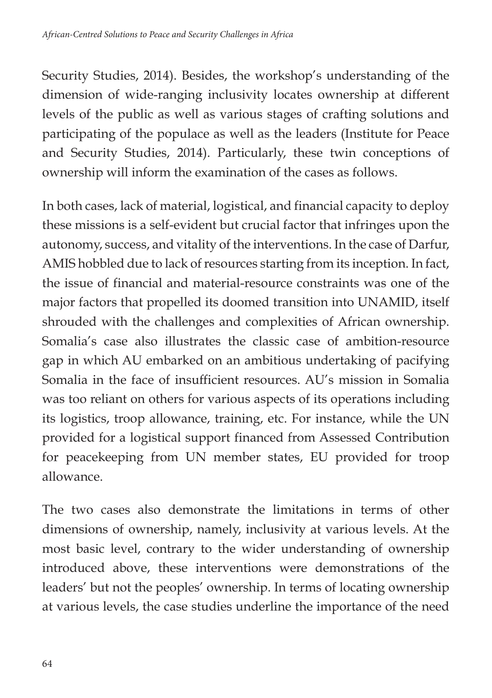Security Studies, 2014). Besides, the workshop's understanding of the dimension of wide-ranging inclusivity locates ownership at different levels of the public as well as various stages of crafting solutions and participating of the populace as well as the leaders (Institute for Peace and Security Studies, 2014). Particularly, these twin conceptions of ownership will inform the examination of the cases as follows.

In both cases, lack of material, logistical, and financial capacity to deploy these missions is a self-evident but crucial factor that infringes upon the autonomy, success, and vitality of the interventions. In the case of Darfur, AMIS hobbled due to lack of resources starting from its inception. In fact, the issue of financial and material-resource constraints was one of the major factors that propelled its doomed transition into UNAMID, itself shrouded with the challenges and complexities of African ownership. Somalia's case also illustrates the classic case of ambition-resource gap in which AU embarked on an ambitious undertaking of pacifying Somalia in the face of insufficient resources. AU's mission in Somalia was too reliant on others for various aspects of its operations including its logistics, troop allowance, training, etc. For instance, while the UN provided for a logistical support financed from Assessed Contribution for peacekeeping from UN member states, EU provided for troop allowance.

The two cases also demonstrate the limitations in terms of other dimensions of ownership, namely, inclusivity at various levels. At the most basic level, contrary to the wider understanding of ownership introduced above, these interventions were demonstrations of the leaders' but not the peoples' ownership. In terms of locating ownership at various levels, the case studies underline the importance of the need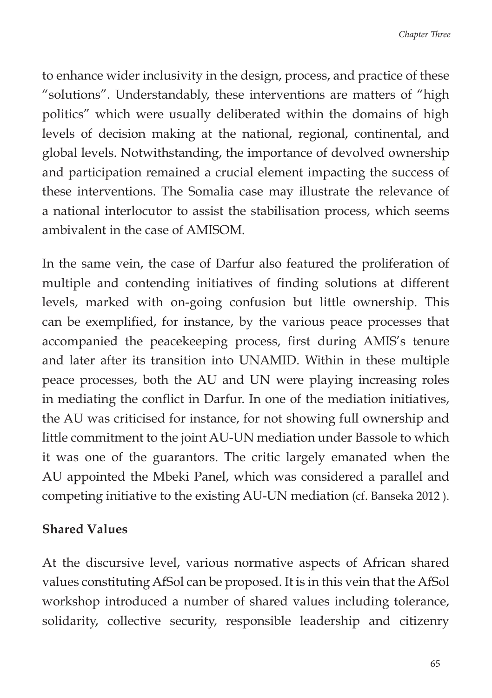to enhance wider inclusivity in the design, process, and practice of these "solutions". Understandably, these interventions are matters of "high politics" which were usually deliberated within the domains of high levels of decision making at the national, regional, continental, and global levels. Notwithstanding, the importance of devolved ownership and participation remained a crucial element impacting the success of these interventions. The Somalia case may illustrate the relevance of a national interlocutor to assist the stabilisation process, which seems ambivalent in the case of AMISOM.

In the same vein, the case of Darfur also featured the proliferation of multiple and contending initiatives of finding solutions at different levels, marked with on-going confusion but little ownership. This can be exemplified, for instance, by the various peace processes that accompanied the peacekeeping process, first during AMIS's tenure and later after its transition into UNAMID. Within in these multiple peace processes, both the AU and UN were playing increasing roles in mediating the conflict in Darfur. In one of the mediation initiatives, the AU was criticised for instance, for not showing full ownership and little commitment to the joint AU-UN mediation under Bassole to which it was one of the guarantors. The critic largely emanated when the AU appointed the Mbeki Panel, which was considered a parallel and competing initiative to the existing AU-UN mediation (cf. Banseka 2012 ).

### **Shared Values**

At the discursive level, various normative aspects of African shared values constituting AfSol can be proposed. It is in this vein that the AfSol workshop introduced a number of shared values including tolerance, solidarity, collective security, responsible leadership and citizenry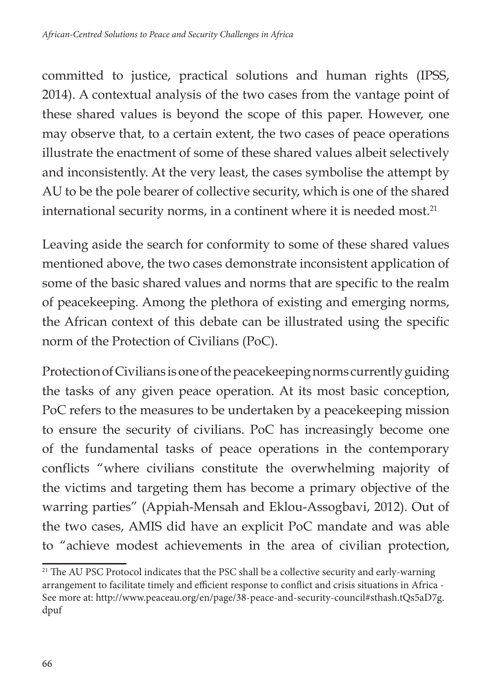committed to justice, practical solutions and human rights (IPSS, 2014). A contextual analysis of the two cases from the vantage point of these shared values is beyond the scope of this paper. However, one may observe that, to a certain extent, the two cases of peace operations illustrate the enactment of some of these shared values albeit selectively and inconsistently. At the very least, the cases symbolise the attempt by AU to be the pole bearer of collective security, which is one of the shared international security norms, in a continent where it is needed most.<sup>21</sup>

Leaving aside the search for conformity to some of these shared values mentioned above, the two cases demonstrate inconsistent application of some of the basic shared values and norms that are specific to the realm of peacekeeping. Among the plethora of existing and emerging norms, the African context of this debate can be illustrated using the specific norm of the Protection of Civilians (PoC).

Protection of Civilians is one of the peacekeeping norms currently guiding the tasks of any given peace operation. At its most basic conception, PoC refers to the measures to be undertaken by a peacekeeping mission to ensure the security of civilians. PoC has increasingly become one of the fundamental tasks of peace operations in the contemporary conflicts "where civilians constitute the overwhelming majority of the victims and targeting them has become a primary objective of the warring parties" (Appiah-Mensah and Eklou-Assogbavi, 2012). Out of the two cases, AMIS did have an explicit PoC mandate and was able to "achieve modest achievements in the area of civilian protection,

<sup>&</sup>lt;sup>21</sup> The AU PSC Protocol indicates that the PSC shall be a collective security and early-warning arrangement to facilitate timely and efficient response to conflict and crisis situations in Africa - See more at: http://www.peaceau.org/en/page/38-peace-and-security-council#sthash.tQs5aD7g. dpuf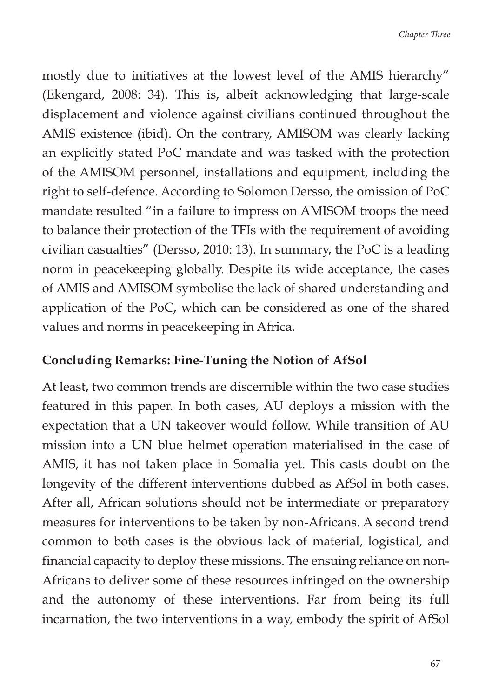mostly due to initiatives at the lowest level of the AMIS hierarchy" (Ekengard, 2008: 34). This is, albeit acknowledging that large-scale displacement and violence against civilians continued throughout the AMIS existence (ibid). On the contrary, AMISOM was clearly lacking an explicitly stated PoC mandate and was tasked with the protection of the AMISOM personnel, installations and equipment, including the right to self-defence. According to Solomon Dersso, the omission of PoC mandate resulted "in a failure to impress on AMISOM troops the need to balance their protection of the TFIs with the requirement of avoiding civilian casualties" (Dersso, 2010: 13). In summary, the PoC is a leading norm in peacekeeping globally. Despite its wide acceptance, the cases of AMIS and AMISOM symbolise the lack of shared understanding and application of the PoC, which can be considered as one of the shared values and norms in peacekeeping in Africa.

# **Concluding Remarks: Fine-Tuning the Notion of AfSol**

At least, two common trends are discernible within the two case studies featured in this paper. In both cases, AU deploys a mission with the expectation that a UN takeover would follow. While transition of AU mission into a UN blue helmet operation materialised in the case of AMIS, it has not taken place in Somalia yet. This casts doubt on the longevity of the different interventions dubbed as AfSol in both cases. After all, African solutions should not be intermediate or preparatory measures for interventions to be taken by non-Africans. A second trend common to both cases is the obvious lack of material, logistical, and financial capacity to deploy these missions. The ensuing reliance on non-Africans to deliver some of these resources infringed on the ownership and the autonomy of these interventions. Far from being its full incarnation, the two interventions in a way, embody the spirit of AfSol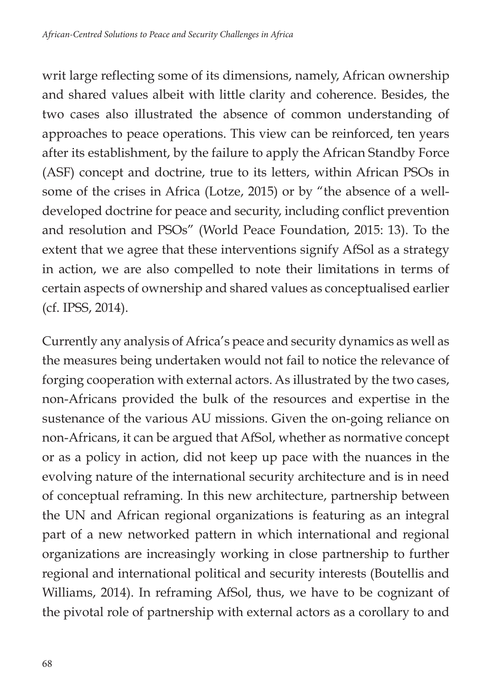writ large reflecting some of its dimensions, namely, African ownership and shared values albeit with little clarity and coherence. Besides, the two cases also illustrated the absence of common understanding of approaches to peace operations. This view can be reinforced, ten years after its establishment, by the failure to apply the African Standby Force (ASF) concept and doctrine, true to its letters, within African PSOs in some of the crises in Africa (Lotze, 2015) or by "the absence of a welldeveloped doctrine for peace and security, including conflict prevention and resolution and PSOs" (World Peace Foundation, 2015: 13). To the extent that we agree that these interventions signify AfSol as a strategy in action, we are also compelled to note their limitations in terms of certain aspects of ownership and shared values as conceptualised earlier (cf. IPSS, 2014).

Currently any analysis of Africa's peace and security dynamics as well as the measures being undertaken would not fail to notice the relevance of forging cooperation with external actors. As illustrated by the two cases, non-Africans provided the bulk of the resources and expertise in the sustenance of the various AU missions. Given the on-going reliance on non-Africans, it can be argued that AfSol, whether as normative concept or as a policy in action, did not keep up pace with the nuances in the evolving nature of the international security architecture and is in need of conceptual reframing. In this new architecture, partnership between the UN and African regional organizations is featuring as an integral part of a new networked pattern in which international and regional organizations are increasingly working in close partnership to further regional and international political and security interests (Boutellis and Williams, 2014). In reframing AfSol, thus, we have to be cognizant of the pivotal role of partnership with external actors as a corollary to and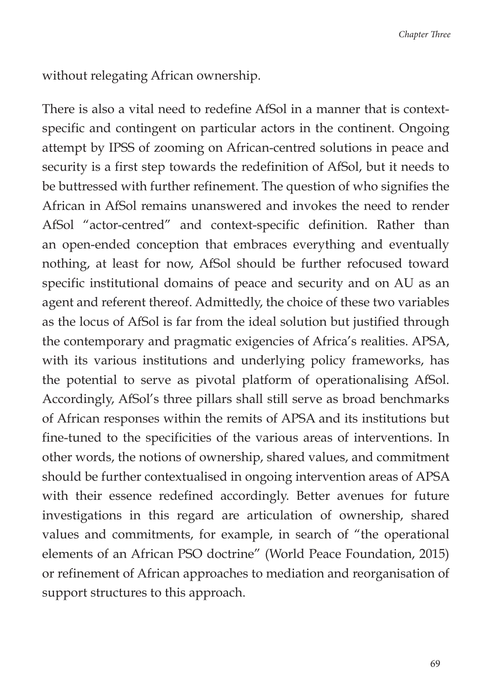without relegating African ownership.

There is also a vital need to redefine AfSol in a manner that is contextspecific and contingent on particular actors in the continent. Ongoing attempt by IPSS of zooming on African-centred solutions in peace and security is a first step towards the redefinition of AfSol, but it needs to be buttressed with further refinement. The question of who signifies the African in AfSol remains unanswered and invokes the need to render AfSol "actor-centred" and context-specific definition. Rather than an open-ended conception that embraces everything and eventually nothing, at least for now, AfSol should be further refocused toward specific institutional domains of peace and security and on AU as an agent and referent thereof. Admittedly, the choice of these two variables as the locus of AfSol is far from the ideal solution but justified through the contemporary and pragmatic exigencies of Africa's realities. APSA, with its various institutions and underlying policy frameworks, has the potential to serve as pivotal platform of operationalising AfSol. Accordingly, AfSol's three pillars shall still serve as broad benchmarks of African responses within the remits of APSA and its institutions but fine-tuned to the specificities of the various areas of interventions. In other words, the notions of ownership, shared values, and commitment should be further contextualised in ongoing intervention areas of APSA with their essence redefined accordingly. Better avenues for future investigations in this regard are articulation of ownership, shared values and commitments, for example, in search of "the operational elements of an African PSO doctrine" (World Peace Foundation, 2015) or refinement of African approaches to mediation and reorganisation of support structures to this approach.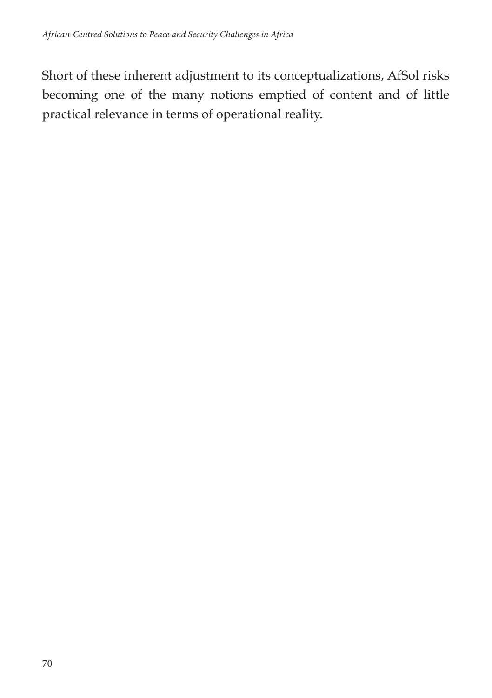Short of these inherent adjustment to its conceptualizations, AfSol risks becoming one of the many notions emptied of content and of little practical relevance in terms of operational reality.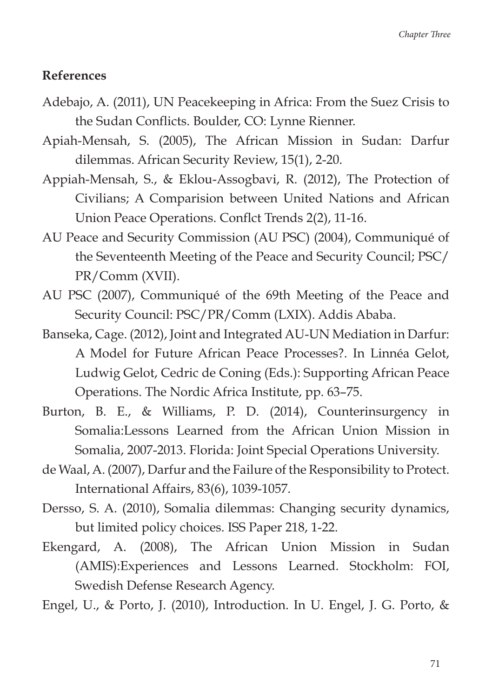#### **References**

- Adebajo, A. (2011), UN Peacekeeping in Africa: From the Suez Crisis to the Sudan Conflicts. Boulder, CO: Lynne Rienner.
- Apiah-Mensah, S. (2005), The African Mission in Sudan: Darfur dilemmas. African Security Review, 15(1), 2-20.
- Appiah-Mensah, S., & Eklou-Assogbavi, R. (2012), The Protection of Civilians; A Comparision between United Nations and African Union Peace Operations. Conflct Trends 2(2), 11-16.
- AU Peace and Security Commission (AU PSC) (2004), Communiqué of the Seventeenth Meeting of the Peace and Security Council; PSC/ PR/Comm (XVII).
- AU PSC (2007), Communiqué of the 69th Meeting of the Peace and Security Council: PSC/PR/Comm (LXIX). Addis Ababa.
- Banseka, Cage. (2012), Joint and Integrated AU-UN Mediation in Darfur: A Model for Future African Peace Processes?. In Linnéa Gelot, Ludwig Gelot, Cedric de Coning (Eds.): Supporting African Peace Operations. The Nordic Africa Institute, pp. 63–75.
- Burton, B. E., & Williams, P. D. (2014), Counterinsurgency in Somalia:Lessons Learned from the African Union Mission in Somalia, 2007-2013. Florida: Joint Special Operations University.
- de Waal, A. (2007), Darfur and the Failure of the Responsibility to Protect. International Affairs, 83(6), 1039-1057.
- Dersso, S. A. (2010), Somalia dilemmas: Changing security dynamics, but limited policy choices. ISS Paper 218, 1-22.
- Ekengard, A. (2008), The African Union Mission in Sudan (AMIS):Experiences and Lessons Learned. Stockholm: FOI, Swedish Defense Research Agency.

Engel, U., & Porto, J. (2010), Introduction. In U. Engel, J. G. Porto, &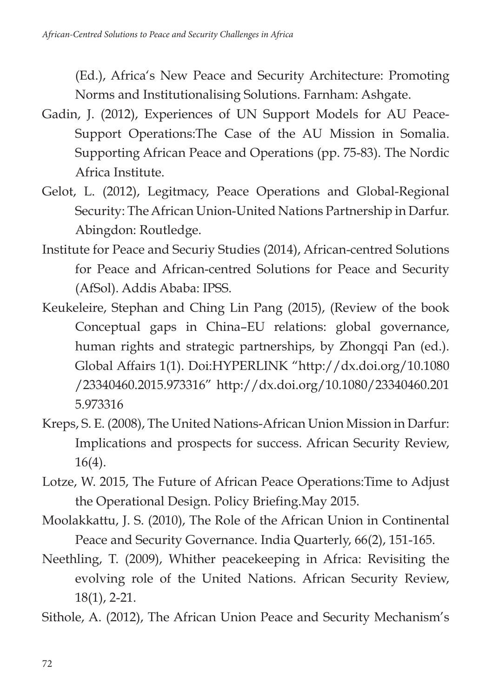(Ed.), Africa's New Peace and Security Architecture: Promoting Norms and Institutionalising Solutions. Farnham: Ashgate.

- Gadin, J. (2012), Experiences of UN Support Models for AU Peace-Support Operations:The Case of the AU Mission in Somalia. Supporting African Peace and Operations (pp. 75-83). The Nordic Africa Institute.
- Gelot, L. (2012), Legitmacy, Peace Operations and Global-Regional Security: The African Union-United Nations Partnership in Darfur. Abingdon: Routledge.
- Institute for Peace and Securiy Studies (2014), African-centred Solutions for Peace and African-centred Solutions for Peace and Security (AfSol). Addis Ababa: IPSS.
- Keukeleire, Stephan and Ching Lin Pang (2015), (Review of the book Conceptual gaps in China–EU relations: global governance, human rights and strategic partnerships, by Zhongqi Pan (ed.). Global Affairs 1(1). Doi:HYPERLINK "http://dx.doi.org/10.1080 /23340460.2015.973316" http://dx.doi.org/10.1080/23340460.201 5.973316
- Kreps, S. E. (2008), The United Nations-African Union Mission in Darfur: Implications and prospects for success. African Security Review, 16(4).
- Lotze, W. 2015, The Future of African Peace Operations:Time to Adjust the Operational Design. Policy Briefing.May 2015.
- Moolakkattu, J. S. (2010), The Role of the African Union in Continental Peace and Security Governance. India Quarterly, 66(2), 151-165.
- Neethling, T. (2009), Whither peacekeeping in Africa: Revisiting the evolving role of the United Nations. African Security Review, 18(1), 2-21.
- Sithole, A. (2012), The African Union Peace and Security Mechanism's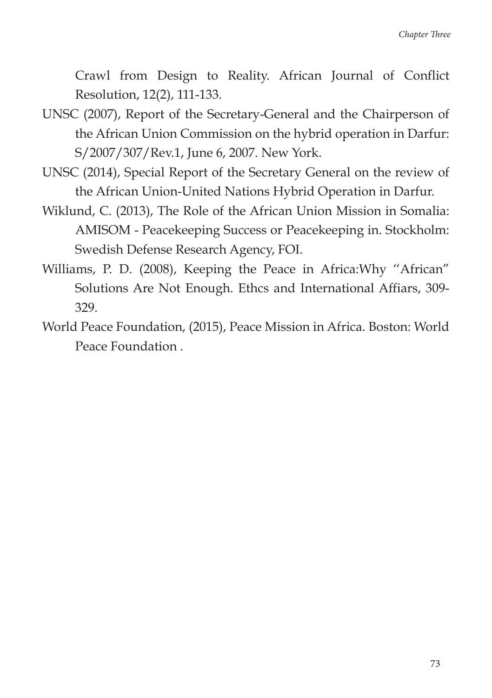Crawl from Design to Reality. African Journal of Conflict Resolution, 12(2), 111-133.

- UNSC (2007), Report of the Secretary-General and the Chairperson of the African Union Commission on the hybrid operation in Darfur: S/2007/307/Rev.1, June 6, 2007. New York.
- UNSC (2014), Special Report of the Secretary General on the review of the African Union-United Nations Hybrid Operation in Darfur.
- Wiklund, C. (2013), The Role of the African Union Mission in Somalia: AMISOM - Peacekeeping Success or Peacekeeping in. Stockholm: Swedish Defense Research Agency, FOI.
- Williams, P. D. (2008), Keeping the Peace in Africa:Why ''African" Solutions Are Not Enough. Ethcs and International Affiars, 309- 329.
- World Peace Foundation, (2015), Peace Mission in Africa. Boston: World Peace Foundation .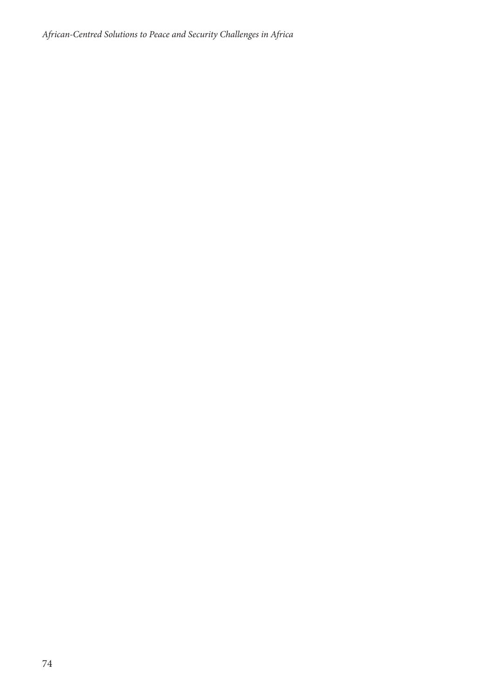*African-Centred Solutions to Peace and Security Challenges in Africa*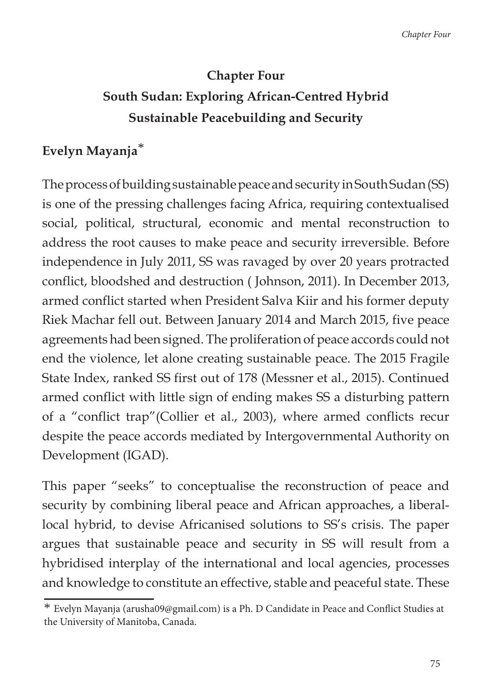# **Chapter Four South Sudan: Exploring African-Centred Hybrid Sustainable Peacebuilding and Security**

# **Evelyn Mayanja**\*

The process of building sustainable peace and security in South Sudan (SS) is one of the pressing challenges facing Africa, requiring contextualised social, political, structural, economic and mental reconstruction to address the root causes to make peace and security irreversible. Before independence in July 2011, SS was ravaged by over 20 years protracted conflict, bloodshed and destruction ( Johnson, 2011). In December 2013, armed conflict started when President Salva Kiir and his former deputy Riek Machar fell out. Between January 2014 and March 2015, five peace agreements had been signed. The proliferation of peace accords could not end the violence, let alone creating sustainable peace. The 2015 Fragile State Index, ranked SS first out of 178 (Messner et al., 2015). Continued armed conflict with little sign of ending makes SS a disturbing pattern of a "conflict trap"(Collier et al., 2003), where armed conflicts recur despite the peace accords mediated by Intergovernmental Authority on Development (IGAD).

This paper "seeks" to conceptualise the reconstruction of peace and security by combining liberal peace and African approaches, a liberallocal hybrid, to devise Africanised solutions to SS's crisis. The paper argues that sustainable peace and security in SS will result from a hybridised interplay of the international and local agencies, processes and knowledge to constitute an effective, stable and peaceful state. These

<sup>\*</sup> Evelyn Mayanja (arusha09@gmail.com) is a Ph. D Candidate in Peace and Conflict Studies at the University of Manitoba, Canada.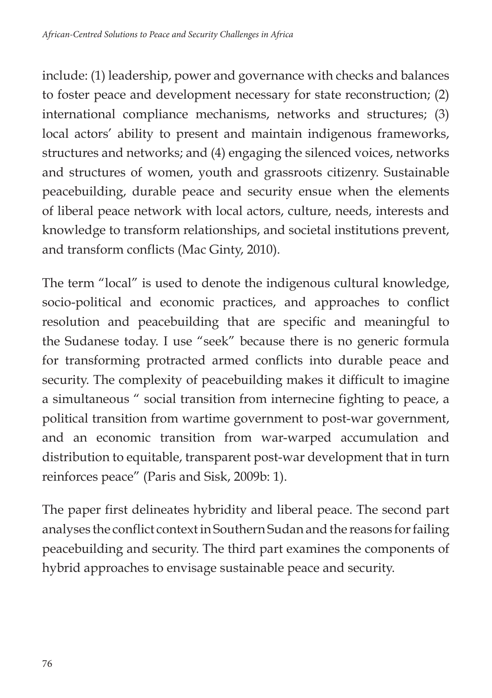include: (1) leadership, power and governance with checks and balances to foster peace and development necessary for state reconstruction; (2) international compliance mechanisms, networks and structures; (3) local actors' ability to present and maintain indigenous frameworks, structures and networks; and (4) engaging the silenced voices, networks and structures of women, youth and grassroots citizenry. Sustainable peacebuilding, durable peace and security ensue when the elements of liberal peace network with local actors, culture, needs, interests and knowledge to transform relationships, and societal institutions prevent, and transform conflicts (Mac Ginty, 2010).

The term "local" is used to denote the indigenous cultural knowledge, socio-political and economic practices, and approaches to conflict resolution and peacebuilding that are specific and meaningful to the Sudanese today. I use "seek" because there is no generic formula for transforming protracted armed conflicts into durable peace and security. The complexity of peacebuilding makes it difficult to imagine a simultaneous " social transition from internecine fighting to peace, a political transition from wartime government to post-war government, and an economic transition from war-warped accumulation and distribution to equitable, transparent post-war development that in turn reinforces peace" (Paris and Sisk, 2009b: 1).

The paper first delineates hybridity and liberal peace. The second part analyses the conflict context in Southern Sudan and the reasons for failing peacebuilding and security. The third part examines the components of hybrid approaches to envisage sustainable peace and security.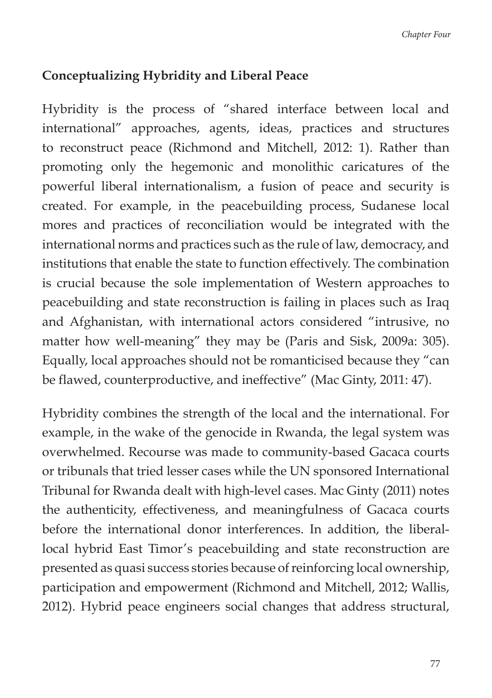## **Conceptualizing Hybridity and Liberal Peace**

Hybridity is the process of "shared interface between local and international" approaches, agents, ideas, practices and structures to reconstruct peace (Richmond and Mitchell, 2012: 1). Rather than promoting only the hegemonic and monolithic caricatures of the powerful liberal internationalism, a fusion of peace and security is created. For example, in the peacebuilding process, Sudanese local mores and practices of reconciliation would be integrated with the international norms and practices such as the rule of law, democracy, and institutions that enable the state to function effectively. The combination is crucial because the sole implementation of Western approaches to peacebuilding and state reconstruction is failing in places such as Iraq and Afghanistan, with international actors considered "intrusive, no matter how well-meaning" they may be (Paris and Sisk, 2009a: 305). Equally, local approaches should not be romanticised because they "can be flawed, counterproductive, and ineffective" (Mac Ginty, 2011: 47).

Hybridity combines the strength of the local and the international. For example, in the wake of the genocide in Rwanda, the legal system was overwhelmed. Recourse was made to community-based Gacaca courts or tribunals that tried lesser cases while the UN sponsored International Tribunal for Rwanda dealt with high-level cases. Mac Ginty (2011) notes the authenticity, effectiveness, and meaningfulness of Gacaca courts before the international donor interferences. In addition, the liberallocal hybrid East Timor's peacebuilding and state reconstruction are presented as quasi success stories because of reinforcing local ownership, participation and empowerment (Richmond and Mitchell, 2012; Wallis, 2012). Hybrid peace engineers social changes that address structural,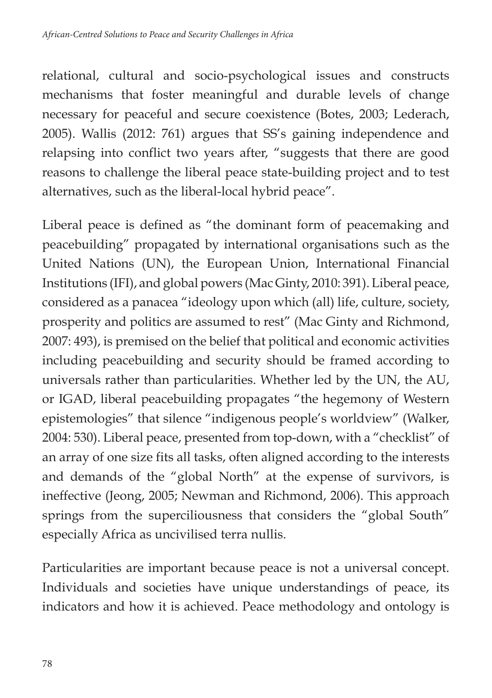relational, cultural and socio-psychological issues and constructs mechanisms that foster meaningful and durable levels of change necessary for peaceful and secure coexistence (Botes, 2003; Lederach, 2005). Wallis (2012: 761) argues that SS's gaining independence and relapsing into conflict two years after, "suggests that there are good reasons to challenge the liberal peace state-building project and to test alternatives, such as the liberal-local hybrid peace".

Liberal peace is defined as "the dominant form of peacemaking and peacebuilding" propagated by international organisations such as the United Nations (UN), the European Union, International Financial Institutions (IFI), and global powers (Mac Ginty, 2010: 391). Liberal peace, considered as a panacea "ideology upon which (all) life, culture, society, prosperity and politics are assumed to rest" (Mac Ginty and Richmond, 2007: 493), is premised on the belief that political and economic activities including peacebuilding and security should be framed according to universals rather than particularities. Whether led by the UN, the AU, or IGAD, liberal peacebuilding propagates "the hegemony of Western epistemologies" that silence "indigenous people's worldview" (Walker, 2004: 530). Liberal peace, presented from top-down, with a "checklist" of an array of one size fits all tasks, often aligned according to the interests and demands of the "global North" at the expense of survivors, is ineffective (Jeong, 2005; Newman and Richmond, 2006). This approach springs from the superciliousness that considers the "global South" especially Africa as uncivilised terra nullis.

Particularities are important because peace is not a universal concept. Individuals and societies have unique understandings of peace, its indicators and how it is achieved. Peace methodology and ontology is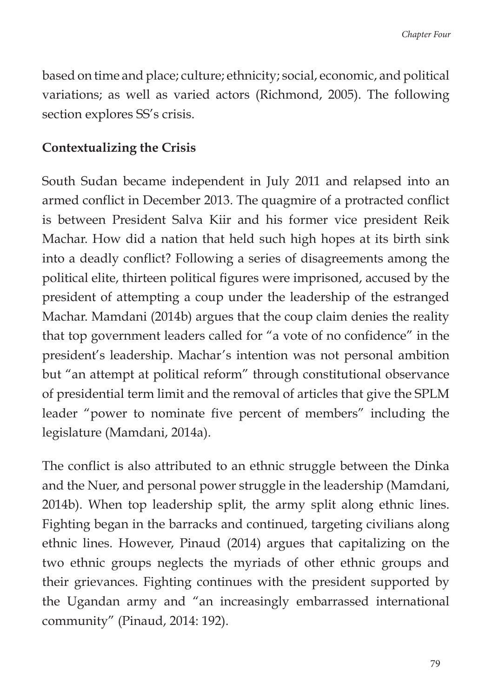based on time and place; culture; ethnicity; social, economic, and political variations; as well as varied actors (Richmond, 2005). The following section explores SS's crisis.

#### **Contextualizing the Crisis**

South Sudan became independent in July 2011 and relapsed into an armed conflict in December 2013. The quagmire of a protracted conflict is between President Salva Kiir and his former vice president Reik Machar. How did a nation that held such high hopes at its birth sink into a deadly conflict? Following a series of disagreements among the political elite, thirteen political figures were imprisoned, accused by the president of attempting a coup under the leadership of the estranged Machar. Mamdani (2014b) argues that the coup claim denies the reality that top government leaders called for "a vote of no confidence" in the president's leadership. Machar's intention was not personal ambition but "an attempt at political reform" through constitutional observance of presidential term limit and the removal of articles that give the SPLM leader "power to nominate five percent of members" including the legislature (Mamdani, 2014a).

The conflict is also attributed to an ethnic struggle between the Dinka and the Nuer, and personal power struggle in the leadership (Mamdani, 2014b). When top leadership split, the army split along ethnic lines. Fighting began in the barracks and continued, targeting civilians along ethnic lines. However, Pinaud (2014) argues that capitalizing on the two ethnic groups neglects the myriads of other ethnic groups and their grievances. Fighting continues with the president supported by the Ugandan army and "an increasingly embarrassed international community" (Pinaud, 2014: 192).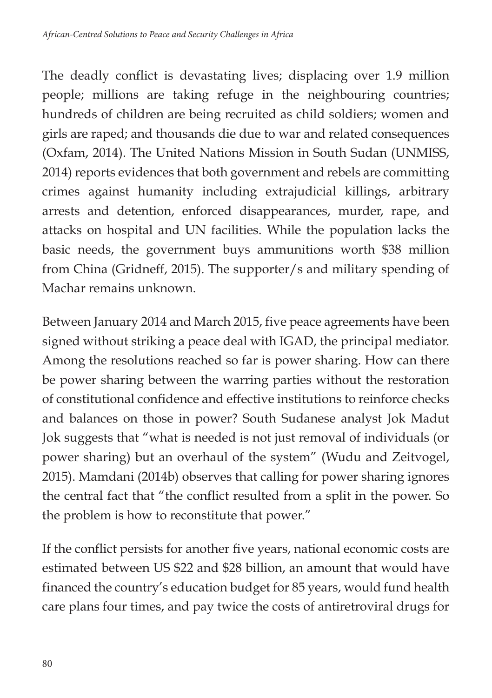The deadly conflict is devastating lives; displacing over 1.9 million people; millions are taking refuge in the neighbouring countries; hundreds of children are being recruited as child soldiers; women and girls are raped; and thousands die due to war and related consequences (Oxfam, 2014). The United Nations Mission in South Sudan (UNMISS, 2014) reports evidences that both government and rebels are committing crimes against humanity including extrajudicial killings, arbitrary arrests and detention, enforced disappearances, murder, rape, and attacks on hospital and UN facilities. While the population lacks the basic needs, the government buys ammunitions worth \$38 million from China (Gridneff, 2015). The supporter/s and military spending of Machar remains unknown.

Between January 2014 and March 2015, five peace agreements have been signed without striking a peace deal with IGAD, the principal mediator. Among the resolutions reached so far is power sharing. How can there be power sharing between the warring parties without the restoration of constitutional confidence and effective institutions to reinforce checks and balances on those in power? South Sudanese analyst Jok Madut Jok suggests that "what is needed is not just removal of individuals (or power sharing) but an overhaul of the system" (Wudu and Zeitvogel, 2015). Mamdani (2014b) observes that calling for power sharing ignores the central fact that "the conflict resulted from a split in the power. So the problem is how to reconstitute that power."

If the conflict persists for another five years, national economic costs are estimated between US \$22 and \$28 billion, an amount that would have financed the country's education budget for 85 years, would fund health care plans four times, and pay twice the costs of antiretroviral drugs for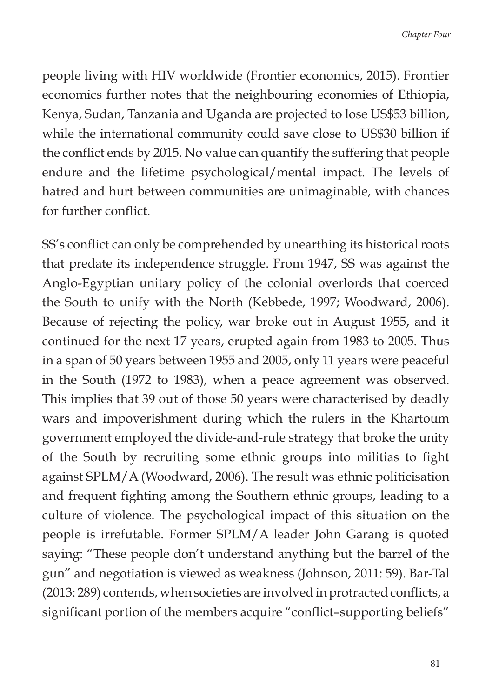people living with HIV worldwide (Frontier economics, 2015). Frontier economics further notes that the neighbouring economies of Ethiopia, Kenya, Sudan, Tanzania and Uganda are projected to lose US\$53 billion, while the international community could save close to US\$30 billion if the conflict ends by 2015. No value can quantify the suffering that people endure and the lifetime psychological/mental impact. The levels of hatred and hurt between communities are unimaginable, with chances for further conflict.

SS's conflict can only be comprehended by unearthing its historical roots that predate its independence struggle. From 1947, SS was against the Anglo-Egyptian unitary policy of the colonial overlords that coerced the South to unify with the North (Kebbede, 1997; Woodward, 2006). Because of rejecting the policy, war broke out in August 1955, and it continued for the next 17 years, erupted again from 1983 to 2005. Thus in a span of 50 years between 1955 and 2005, only 11 years were peaceful in the South (1972 to 1983), when a peace agreement was observed. This implies that 39 out of those 50 years were characterised by deadly wars and impoverishment during which the rulers in the Khartoum government employed the divide-and-rule strategy that broke the unity of the South by recruiting some ethnic groups into militias to fight against SPLM/A (Woodward, 2006). The result was ethnic politicisation and frequent fighting among the Southern ethnic groups, leading to a culture of violence. The psychological impact of this situation on the people is irrefutable. Former SPLM/A leader John Garang is quoted saying: "These people don't understand anything but the barrel of the gun" and negotiation is viewed as weakness (Johnson, 2011: 59). Bar-Tal (2013: 289) contends, when societies are involved in protracted conflicts, a significant portion of the members acquire "conflict–supporting beliefs"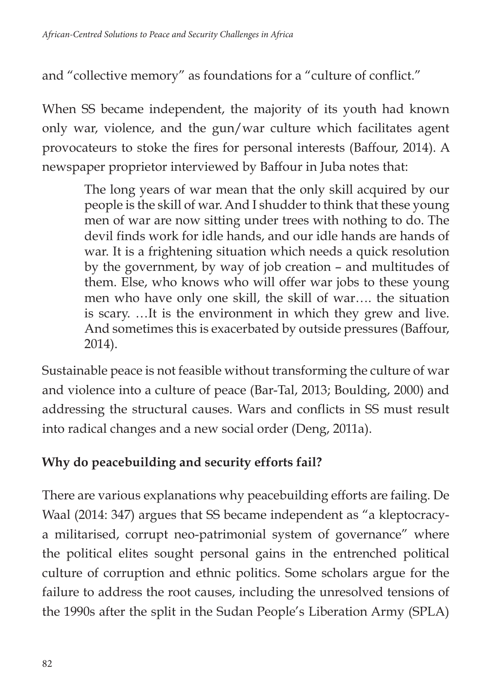and "collective memory" as foundations for a "culture of conflict."

When SS became independent, the majority of its youth had known only war, violence, and the gun/war culture which facilitates agent provocateurs to stoke the fires for personal interests (Baffour, 2014). A newspaper proprietor interviewed by Baffour in Juba notes that:

> The long years of war mean that the only skill acquired by our people is the skill of war. And I shudder to think that these young men of war are now sitting under trees with nothing to do. The devil finds work for idle hands, and our idle hands are hands of war. It is a frightening situation which needs a quick resolution by the government, by way of job creation – and multitudes of them. Else, who knows who will offer war jobs to these young men who have only one skill, the skill of war…. the situation is scary. …It is the environment in which they grew and live. And sometimes this is exacerbated by outside pressures (Baffour, 2014).

Sustainable peace is not feasible without transforming the culture of war and violence into a culture of peace (Bar-Tal, 2013; Boulding, 2000) and addressing the structural causes. Wars and conflicts in SS must result into radical changes and a new social order (Deng, 2011a).

# **Why do peacebuilding and security efforts fail?**

There are various explanations why peacebuilding efforts are failing. De Waal (2014: 347) argues that SS became independent as "a kleptocracya militarised, corrupt neo-patrimonial system of governance" where the political elites sought personal gains in the entrenched political culture of corruption and ethnic politics. Some scholars argue for the failure to address the root causes, including the unresolved tensions of the 1990s after the split in the Sudan People's Liberation Army (SPLA)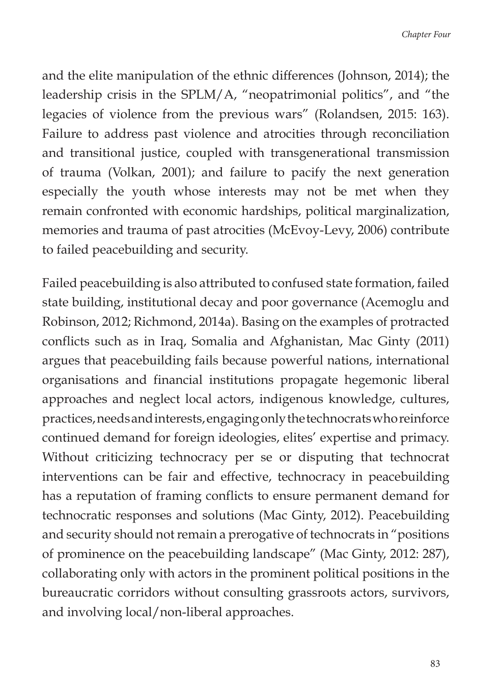and the elite manipulation of the ethnic differences (Johnson, 2014); the leadership crisis in the SPLM/A, "neopatrimonial politics", and "the legacies of violence from the previous wars" (Rolandsen, 2015: 163). Failure to address past violence and atrocities through reconciliation and transitional justice, coupled with transgenerational transmission of trauma (Volkan, 2001); and failure to pacify the next generation especially the youth whose interests may not be met when they remain confronted with economic hardships, political marginalization, memories and trauma of past atrocities (McEvoy-Levy, 2006) contribute to failed peacebuilding and security.

Failed peacebuilding is also attributed to confused state formation, failed state building, institutional decay and poor governance (Acemoglu and Robinson, 2012; Richmond, 2014a). Basing on the examples of protracted conflicts such as in Iraq, Somalia and Afghanistan, Mac Ginty (2011) argues that peacebuilding fails because powerful nations, international organisations and financial institutions propagate hegemonic liberal approaches and neglect local actors, indigenous knowledge, cultures, practices, needs and interests, engaging only the technocrats who reinforce continued demand for foreign ideologies, elites' expertise and primacy. Without criticizing technocracy per se or disputing that technocrat interventions can be fair and effective, technocracy in peacebuilding has a reputation of framing conflicts to ensure permanent demand for technocratic responses and solutions (Mac Ginty, 2012). Peacebuilding and security should not remain a prerogative of technocrats in "positions of prominence on the peacebuilding landscape" (Mac Ginty, 2012: 287), collaborating only with actors in the prominent political positions in the bureaucratic corridors without consulting grassroots actors, survivors, and involving local/non-liberal approaches.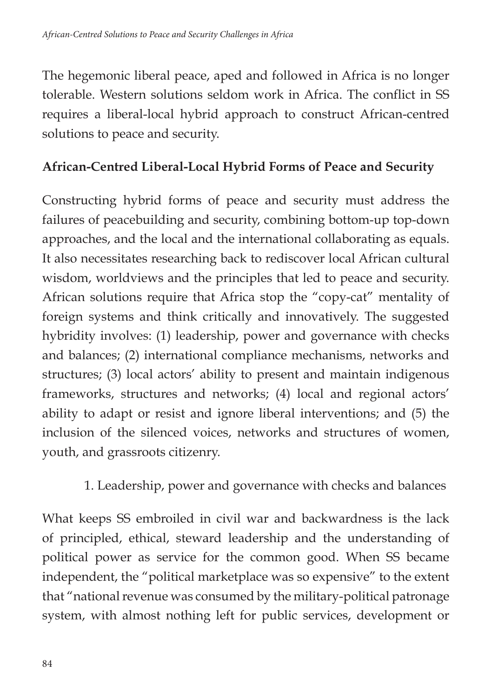The hegemonic liberal peace, aped and followed in Africa is no longer tolerable. Western solutions seldom work in Africa. The conflict in SS requires a liberal-local hybrid approach to construct African-centred solutions to peace and security.

## **African-Centred Liberal-Local Hybrid Forms of Peace and Security**

Constructing hybrid forms of peace and security must address the failures of peacebuilding and security, combining bottom-up top-down approaches, and the local and the international collaborating as equals. It also necessitates researching back to rediscover local African cultural wisdom, worldviews and the principles that led to peace and security. African solutions require that Africa stop the "copy-cat" mentality of foreign systems and think critically and innovatively. The suggested hybridity involves: (1) leadership, power and governance with checks and balances; (2) international compliance mechanisms, networks and structures; (3) local actors' ability to present and maintain indigenous frameworks, structures and networks; (4) local and regional actors' ability to adapt or resist and ignore liberal interventions; and (5) the inclusion of the silenced voices, networks and structures of women, youth, and grassroots citizenry.

1. Leadership, power and governance with checks and balances

What keeps SS embroiled in civil war and backwardness is the lack of principled, ethical, steward leadership and the understanding of political power as service for the common good. When SS became independent, the "political marketplace was so expensive" to the extent that "national revenue was consumed by the military-political patronage system, with almost nothing left for public services, development or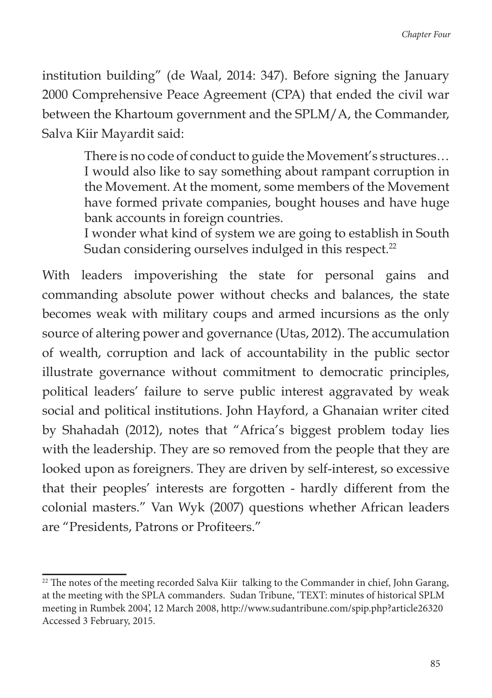institution building" (de Waal, 2014: 347). Before signing the January 2000 Comprehensive Peace Agreement (CPA) that ended the civil war between the Khartoum government and the SPLM/A, the Commander, Salva Kiir Mayardit said:

> There is no code of conduct to guide the Movement's structures… I would also like to say something about rampant corruption in the Movement. At the moment, some members of the Movement have formed private companies, bought houses and have huge bank accounts in foreign countries.

> I wonder what kind of system we are going to establish in South Sudan considering ourselves indulged in this respect.<sup>22</sup>

With leaders impoverishing the state for personal gains and commanding absolute power without checks and balances, the state becomes weak with military coups and armed incursions as the only source of altering power and governance (Utas, 2012). The accumulation of wealth, corruption and lack of accountability in the public sector illustrate governance without commitment to democratic principles, political leaders' failure to serve public interest aggravated by weak social and political institutions. John Hayford, a Ghanaian writer cited by Shahadah (2012), notes that "Africa's biggest problem today lies with the leadership. They are so removed from the people that they are looked upon as foreigners. They are driven by self-interest, so excessive that their peoples' interests are forgotten - hardly different from the colonial masters." Van Wyk (2007) questions whether African leaders are "Presidents, Patrons or Profiteers."

 $^{22}$  The notes of the meeting recorded Salva Kiir talking to the Commander in chief, John Garang, at the meeting with the SPLA commanders. Sudan Tribune, 'TEXT: minutes of historical SPLM meeting in Rumbek 2004', 12 March 2008, http://www.sudantribune.com/spip.php?article26320 Accessed 3 February, 2015.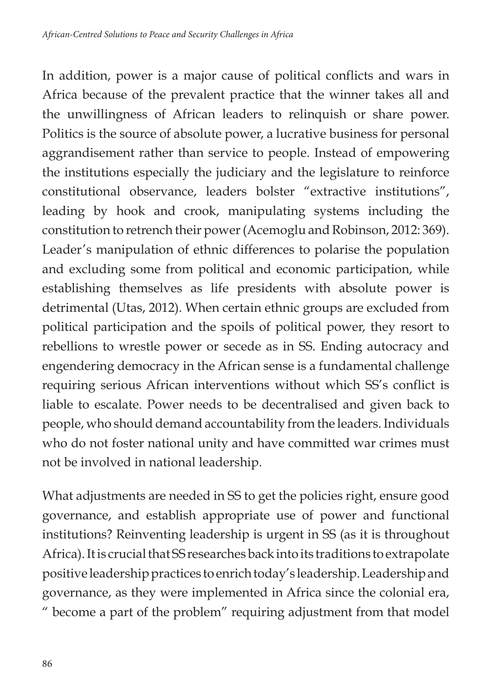In addition, power is a major cause of political conflicts and wars in Africa because of the prevalent practice that the winner takes all and the unwillingness of African leaders to relinquish or share power. Politics is the source of absolute power, a lucrative business for personal aggrandisement rather than service to people. Instead of empowering the institutions especially the judiciary and the legislature to reinforce constitutional observance, leaders bolster "extractive institutions", leading by hook and crook, manipulating systems including the constitution to retrench their power (Acemoglu and Robinson, 2012: 369). Leader's manipulation of ethnic differences to polarise the population and excluding some from political and economic participation, while establishing themselves as life presidents with absolute power is detrimental (Utas, 2012). When certain ethnic groups are excluded from political participation and the spoils of political power, they resort to rebellions to wrestle power or secede as in SS. Ending autocracy and engendering democracy in the African sense is a fundamental challenge requiring serious African interventions without which SS's conflict is liable to escalate. Power needs to be decentralised and given back to people, who should demand accountability from the leaders. Individuals who do not foster national unity and have committed war crimes must not be involved in national leadership.

What adjustments are needed in SS to get the policies right, ensure good governance, and establish appropriate use of power and functional institutions? Reinventing leadership is urgent in SS (as it is throughout Africa). It is crucial that SS researches back into its traditions to extrapolate positive leadership practices to enrich today's leadership. Leadership and governance, as they were implemented in Africa since the colonial era, " become a part of the problem" requiring adjustment from that model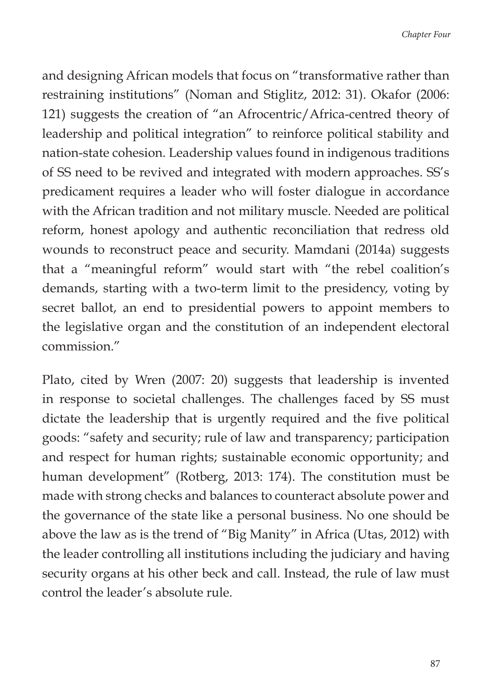and designing African models that focus on "transformative rather than restraining institutions" (Noman and Stiglitz, 2012: 31). Okafor (2006: 121) suggests the creation of "an Afrocentric/Africa-centred theory of leadership and political integration" to reinforce political stability and nation-state cohesion. Leadership values found in indigenous traditions of SS need to be revived and integrated with modern approaches. SS's predicament requires a leader who will foster dialogue in accordance with the African tradition and not military muscle. Needed are political reform, honest apology and authentic reconciliation that redress old wounds to reconstruct peace and security. Mamdani (2014a) suggests that a "meaningful reform" would start with "the rebel coalition's demands, starting with a two-term limit to the presidency, voting by secret ballot, an end to presidential powers to appoint members to the legislative organ and the constitution of an independent electoral commission."

Plato, cited by Wren (2007: 20) suggests that leadership is invented in response to societal challenges. The challenges faced by SS must dictate the leadership that is urgently required and the five political goods: "safety and security; rule of law and transparency; participation and respect for human rights; sustainable economic opportunity; and human development" (Rotberg, 2013: 174). The constitution must be made with strong checks and balances to counteract absolute power and the governance of the state like a personal business. No one should be above the law as is the trend of "Big Manity" in Africa (Utas, 2012) with the leader controlling all institutions including the judiciary and having security organs at his other beck and call. Instead, the rule of law must control the leader's absolute rule.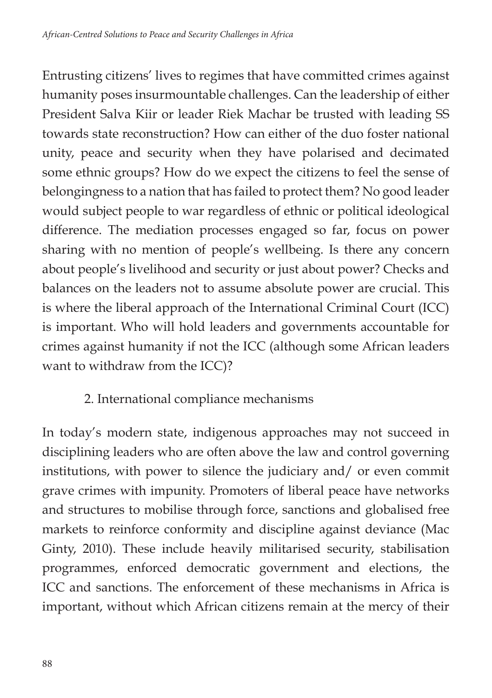Entrusting citizens' lives to regimes that have committed crimes against humanity poses insurmountable challenges. Can the leadership of either President Salva Kiir or leader Riek Machar be trusted with leading SS towards state reconstruction? How can either of the duo foster national unity, peace and security when they have polarised and decimated some ethnic groups? How do we expect the citizens to feel the sense of belongingness to a nation that has failed to protect them? No good leader would subject people to war regardless of ethnic or political ideological difference. The mediation processes engaged so far, focus on power sharing with no mention of people's wellbeing. Is there any concern about people's livelihood and security or just about power? Checks and balances on the leaders not to assume absolute power are crucial. This is where the liberal approach of the International Criminal Court (ICC) is important. Who will hold leaders and governments accountable for crimes against humanity if not the ICC (although some African leaders want to withdraw from the ICC)?

# 2. International compliance mechanisms

In today's modern state, indigenous approaches may not succeed in disciplining leaders who are often above the law and control governing institutions, with power to silence the judiciary and/ or even commit grave crimes with impunity. Promoters of liberal peace have networks and structures to mobilise through force, sanctions and globalised free markets to reinforce conformity and discipline against deviance (Mac Ginty, 2010). These include heavily militarised security, stabilisation programmes, enforced democratic government and elections, the ICC and sanctions. The enforcement of these mechanisms in Africa is important, without which African citizens remain at the mercy of their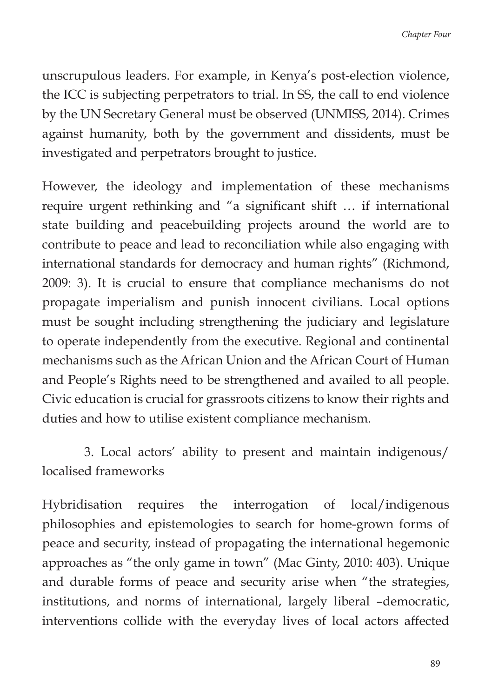unscrupulous leaders. For example, in Kenya's post-election violence, the ICC is subjecting perpetrators to trial. In SS, the call to end violence by the UN Secretary General must be observed (UNMISS, 2014). Crimes against humanity, both by the government and dissidents, must be investigated and perpetrators brought to justice.

However, the ideology and implementation of these mechanisms require urgent rethinking and "a significant shift … if international state building and peacebuilding projects around the world are to contribute to peace and lead to reconciliation while also engaging with international standards for democracy and human rights" (Richmond, 2009: 3). It is crucial to ensure that compliance mechanisms do not propagate imperialism and punish innocent civilians. Local options must be sought including strengthening the judiciary and legislature to operate independently from the executive. Regional and continental mechanisms such as the African Union and the African Court of Human and People's Rights need to be strengthened and availed to all people. Civic education is crucial for grassroots citizens to know their rights and duties and how to utilise existent compliance mechanism.

3. Local actors' ability to present and maintain indigenous/ localised frameworks

Hybridisation requires the interrogation of local/indigenous philosophies and epistemologies to search for home-grown forms of peace and security, instead of propagating the international hegemonic approaches as "the only game in town" (Mac Ginty, 2010: 403). Unique and durable forms of peace and security arise when "the strategies, institutions, and norms of international, largely liberal –democratic, interventions collide with the everyday lives of local actors affected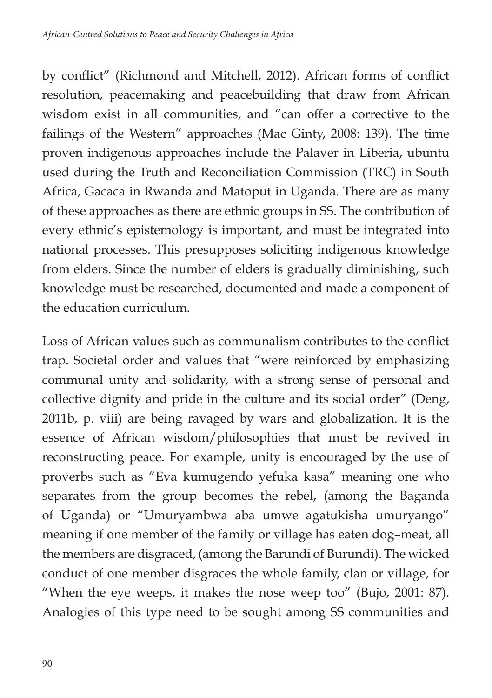by conflict" (Richmond and Mitchell, 2012). African forms of conflict resolution, peacemaking and peacebuilding that draw from African wisdom exist in all communities, and "can offer a corrective to the failings of the Western" approaches (Mac Ginty, 2008: 139). The time proven indigenous approaches include the Palaver in Liberia, ubuntu used during the Truth and Reconciliation Commission (TRC) in South Africa, Gacaca in Rwanda and Matoput in Uganda. There are as many of these approaches as there are ethnic groups in SS. The contribution of every ethnic's epistemology is important, and must be integrated into national processes. This presupposes soliciting indigenous knowledge from elders. Since the number of elders is gradually diminishing, such knowledge must be researched, documented and made a component of the education curriculum.

Loss of African values such as communalism contributes to the conflict trap. Societal order and values that "were reinforced by emphasizing communal unity and solidarity, with a strong sense of personal and collective dignity and pride in the culture and its social order" (Deng, 2011b, p. viii) are being ravaged by wars and globalization. It is the essence of African wisdom/philosophies that must be revived in reconstructing peace. For example, unity is encouraged by the use of proverbs such as "Eva kumugendo yefuka kasa" meaning one who separates from the group becomes the rebel, (among the Baganda of Uganda) or "Umuryambwa aba umwe agatukisha umuryango" meaning if one member of the family or village has eaten dog–meat, all the members are disgraced, (among the Barundi of Burundi). The wicked conduct of one member disgraces the whole family, clan or village, for "When the eye weeps, it makes the nose weep too" (Bujo, 2001: 87). Analogies of this type need to be sought among SS communities and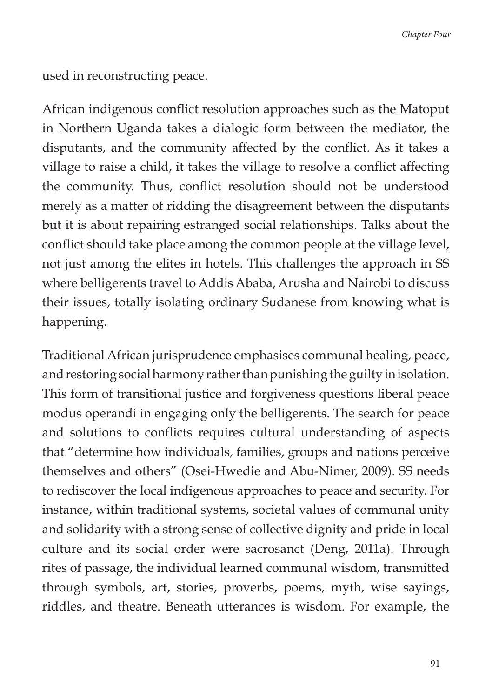used in reconstructing peace.

African indigenous conflict resolution approaches such as the Matoput in Northern Uganda takes a dialogic form between the mediator, the disputants, and the community affected by the conflict. As it takes a village to raise a child, it takes the village to resolve a conflict affecting the community. Thus, conflict resolution should not be understood merely as a matter of ridding the disagreement between the disputants but it is about repairing estranged social relationships. Talks about the conflict should take place among the common people at the village level, not just among the elites in hotels. This challenges the approach in SS where belligerents travel to Addis Ababa, Arusha and Nairobi to discuss their issues, totally isolating ordinary Sudanese from knowing what is happening.

Traditional African jurisprudence emphasises communal healing, peace, and restoring social harmony rather than punishing the guilty in isolation. This form of transitional justice and forgiveness questions liberal peace modus operandi in engaging only the belligerents. The search for peace and solutions to conflicts requires cultural understanding of aspects that "determine how individuals, families, groups and nations perceive themselves and others" (Osei-Hwedie and Abu-Nimer, 2009). SS needs to rediscover the local indigenous approaches to peace and security. For instance, within traditional systems, societal values of communal unity and solidarity with a strong sense of collective dignity and pride in local culture and its social order were sacrosanct (Deng, 2011a). Through rites of passage, the individual learned communal wisdom, transmitted through symbols, art, stories, proverbs, poems, myth, wise sayings, riddles, and theatre. Beneath utterances is wisdom. For example, the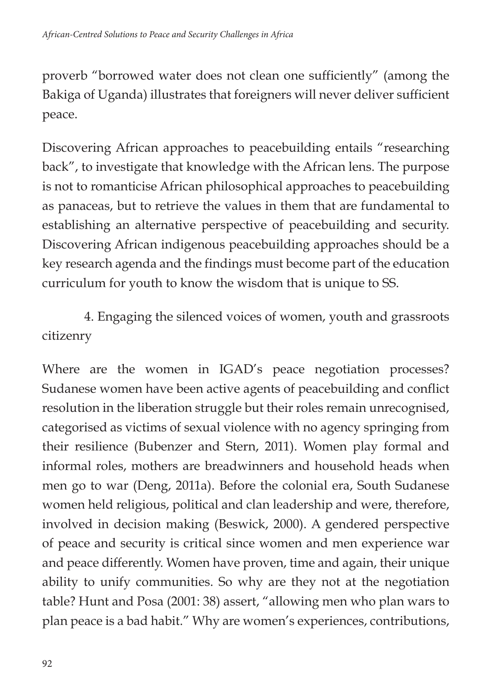proverb "borrowed water does not clean one sufficiently" (among the Bakiga of Uganda) illustrates that foreigners will never deliver sufficient peace.

Discovering African approaches to peacebuilding entails "researching back", to investigate that knowledge with the African lens. The purpose is not to romanticise African philosophical approaches to peacebuilding as panaceas, but to retrieve the values in them that are fundamental to establishing an alternative perspective of peacebuilding and security. Discovering African indigenous peacebuilding approaches should be a key research agenda and the findings must become part of the education curriculum for youth to know the wisdom that is unique to SS.

4. Engaging the silenced voices of women, youth and grassroots citizenry

Where are the women in IGAD's peace negotiation processes? Sudanese women have been active agents of peacebuilding and conflict resolution in the liberation struggle but their roles remain unrecognised, categorised as victims of sexual violence with no agency springing from their resilience (Bubenzer and Stern, 2011). Women play formal and informal roles, mothers are breadwinners and household heads when men go to war (Deng, 2011a). Before the colonial era, South Sudanese women held religious, political and clan leadership and were, therefore, involved in decision making (Beswick, 2000). A gendered perspective of peace and security is critical since women and men experience war and peace differently. Women have proven, time and again, their unique ability to unify communities. So why are they not at the negotiation table? Hunt and Posa (2001: 38) assert, "allowing men who plan wars to plan peace is a bad habit." Why are women's experiences, contributions,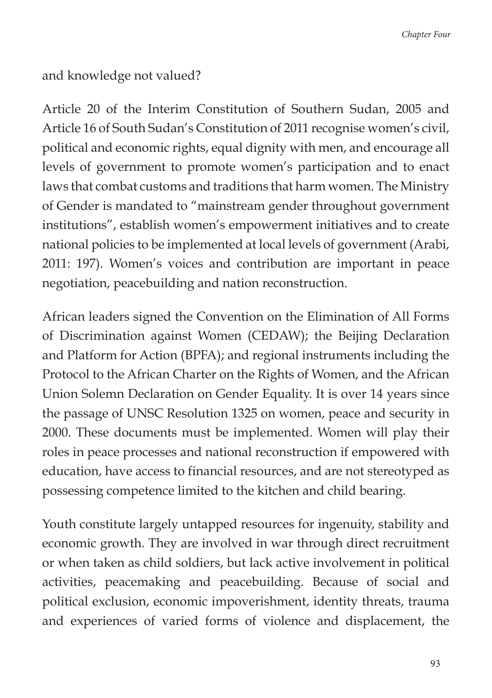### and knowledge not valued?

Article 20 of the Interim Constitution of Southern Sudan, 2005 and Article 16 of South Sudan's Constitution of 2011 recognise women's civil, political and economic rights, equal dignity with men, and encourage all levels of government to promote women's participation and to enact laws that combat customs and traditions that harm women. The Ministry of Gender is mandated to "mainstream gender throughout government institutions", establish women's empowerment initiatives and to create national policies to be implemented at local levels of government (Arabi, 2011: 197). Women's voices and contribution are important in peace negotiation, peacebuilding and nation reconstruction.

African leaders signed the Convention on the Elimination of All Forms of Discrimination against Women (CEDAW); the Beijing Declaration and Platform for Action (BPFA); and regional instruments including the Protocol to the African Charter on the Rights of Women, and the African Union Solemn Declaration on Gender Equality. It is over 14 years since the passage of UNSC Resolution 1325 on women, peace and security in 2000. These documents must be implemented. Women will play their roles in peace processes and national reconstruction if empowered with education, have access to financial resources, and are not stereotyped as possessing competence limited to the kitchen and child bearing.

Youth constitute largely untapped resources for ingenuity, stability and economic growth. They are involved in war through direct recruitment or when taken as child soldiers, but lack active involvement in political activities, peacemaking and peacebuilding. Because of social and political exclusion, economic impoverishment, identity threats, trauma and experiences of varied forms of violence and displacement, the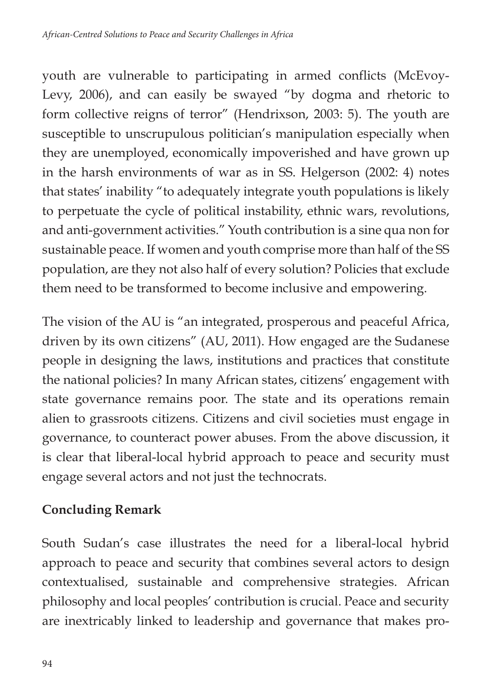youth are vulnerable to participating in armed conflicts (McEvoy-Levy, 2006), and can easily be swayed "by dogma and rhetoric to form collective reigns of terror" (Hendrixson, 2003: 5). The youth are susceptible to unscrupulous politician's manipulation especially when they are unemployed, economically impoverished and have grown up in the harsh environments of war as in SS. Helgerson (2002: 4) notes that states' inability "to adequately integrate youth populations is likely to perpetuate the cycle of political instability, ethnic wars, revolutions, and anti-government activities." Youth contribution is a sine qua non for sustainable peace. If women and youth comprise more than half of the SS population, are they not also half of every solution? Policies that exclude them need to be transformed to become inclusive and empowering.

The vision of the AU is "an integrated, prosperous and peaceful Africa, driven by its own citizens" (AU, 2011). How engaged are the Sudanese people in designing the laws, institutions and practices that constitute the national policies? In many African states, citizens' engagement with state governance remains poor. The state and its operations remain alien to grassroots citizens. Citizens and civil societies must engage in governance, to counteract power abuses. From the above discussion, it is clear that liberal-local hybrid approach to peace and security must engage several actors and not just the technocrats.

# **Concluding Remark**

South Sudan's case illustrates the need for a liberal-local hybrid approach to peace and security that combines several actors to design contextualised, sustainable and comprehensive strategies. African philosophy and local peoples' contribution is crucial. Peace and security are inextricably linked to leadership and governance that makes pro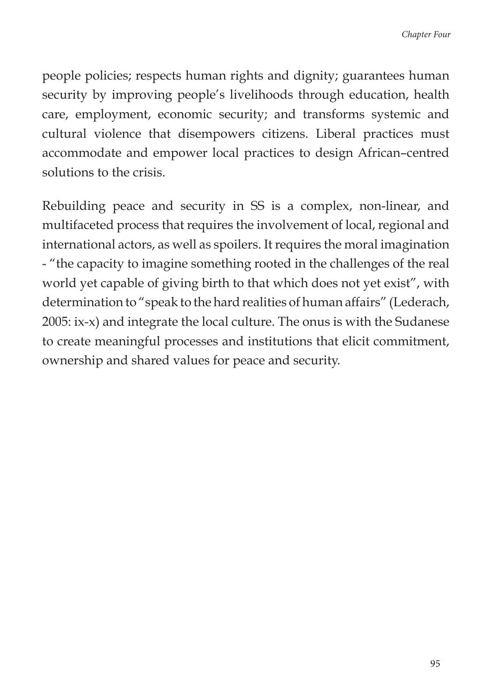people policies; respects human rights and dignity; guarantees human security by improving people's livelihoods through education, health care, employment, economic security; and transforms systemic and cultural violence that disempowers citizens. Liberal practices must accommodate and empower local practices to design African–centred solutions to the crisis.

Rebuilding peace and security in SS is a complex, non-linear, and multifaceted process that requires the involvement of local, regional and international actors, as well as spoilers. It requires the moral imagination - "the capacity to imagine something rooted in the challenges of the real world yet capable of giving birth to that which does not yet exist", with determination to "speak to the hard realities of human affairs" (Lederach, 2005: ix-x) and integrate the local culture. The onus is with the Sudanese to create meaningful processes and institutions that elicit commitment, ownership and shared values for peace and security.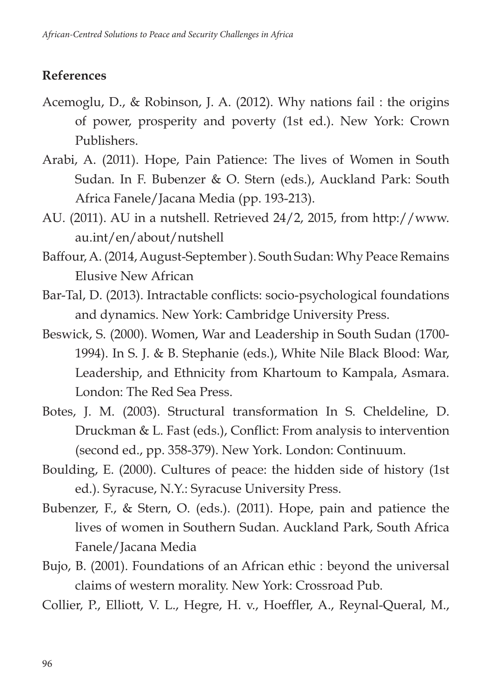#### **References**

- Acemoglu, D., & Robinson, J. A. (2012). Why nations fail : the origins of power, prosperity and poverty (1st ed.). New York: Crown Publishers.
- Arabi, A. (2011). Hope, Pain Patience: The lives of Women in South Sudan. In F. Bubenzer & O. Stern (eds.), Auckland Park: South Africa Fanele/Jacana Media (pp. 193-213).
- AU. (2011). AU in a nutshell. Retrieved 24/2, 2015, from http://www. au.int/en/about/nutshell
- Baffour, A. (2014, August-September ). South Sudan: Why Peace Remains Elusive New African
- Bar-Tal, D. (2013). Intractable conflicts: socio-psychological foundations and dynamics. New York: Cambridge University Press.
- Beswick, S. (2000). Women, War and Leadership in South Sudan (1700- 1994). In S. J. & B. Stephanie (eds.), White Nile Black Blood: War, Leadership, and Ethnicity from Khartoum to Kampala, Asmara. London: The Red Sea Press.
- Botes, J. M. (2003). Structural transformation In S. Cheldeline, D. Druckman & L. Fast (eds.), Conflict: From analysis to intervention (second ed., pp. 358-379). New York. London: Continuum.
- Boulding, E. (2000). Cultures of peace: the hidden side of history (1st ed.). Syracuse, N.Y.: Syracuse University Press.
- Bubenzer, F., & Stern, O. (eds.). (2011). Hope, pain and patience the lives of women in Southern Sudan. Auckland Park, South Africa Fanele/Jacana Media
- Bujo, B. (2001). Foundations of an African ethic : beyond the universal claims of western morality. New York: Crossroad Pub.
- Collier, P., Elliott, V. L., Hegre, H. v., Hoeffler, A., Reynal-Queral, M.,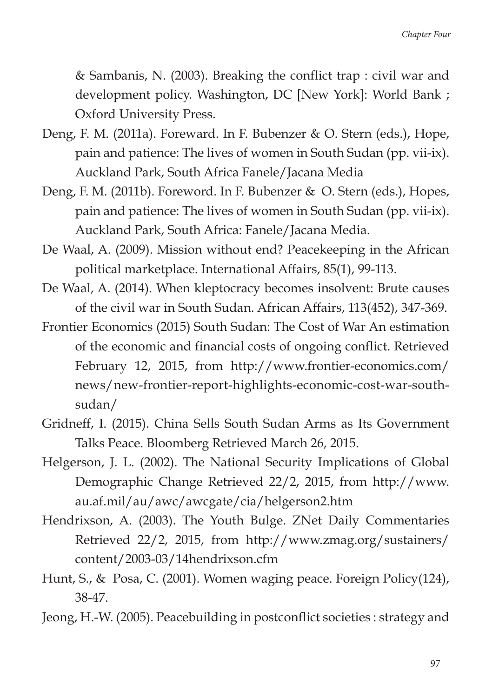& Sambanis, N. (2003). Breaking the conflict trap : civil war and development policy. Washington, DC [New York]: World Bank ; Oxford University Press.

- Deng, F. M. (2011a). Foreward. In F. Bubenzer & O. Stern (eds.), Hope, pain and patience: The lives of women in South Sudan (pp. vii-ix). Auckland Park, South Africa Fanele/Jacana Media
- Deng, F. M. (2011b). Foreword. In F. Bubenzer & O. Stern (eds.), Hopes, pain and patience: The lives of women in South Sudan (pp. vii-ix). Auckland Park, South Africa: Fanele/Jacana Media.
- De Waal, A. (2009). Mission without end? Peacekeeping in the African political marketplace. International Affairs, 85(1), 99-113.
- De Waal, A. (2014). When kleptocracy becomes insolvent: Brute causes of the civil war in South Sudan. African Affairs, 113(452), 347-369.
- Frontier Economics (2015) South Sudan: The Cost of War An estimation of the economic and financial costs of ongoing conflict. Retrieved February 12, 2015, from http://www.frontier-economics.com/ news/new-frontier-report-highlights-economic-cost-war-southsudan/
- Gridneff, I. (2015). China Sells South Sudan Arms as Its Government Talks Peace. Bloomberg Retrieved March 26, 2015.
- Helgerson, J. L. (2002). The National Security Implications of Global Demographic Change Retrieved 22/2, 2015, from http://www. au.af.mil/au/awc/awcgate/cia/helgerson2.htm
- Hendrixson, A. (2003). The Youth Bulge. ZNet Daily Commentaries Retrieved 22/2, 2015, from http://www.zmag.org/sustainers/ content/2003-03/14hendrixson.cfm
- Hunt, S., & Posa, C. (2001). Women waging peace. Foreign Policy(124), 38-47.
- Jeong, H.-W. (2005). Peacebuilding in postconflict societies : strategy and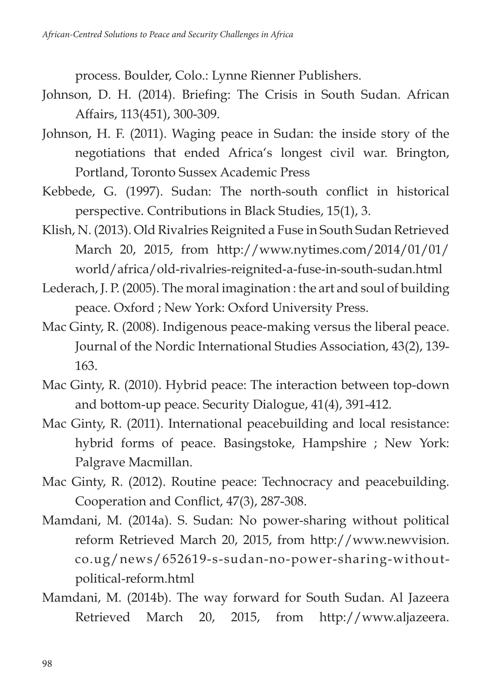process. Boulder, Colo.: Lynne Rienner Publishers.

- Johnson, D. H. (2014). Briefing: The Crisis in South Sudan. African Affairs, 113(451), 300-309.
- Johnson, H. F. (2011). Waging peace in Sudan: the inside story of the negotiations that ended Africa's longest civil war. Brington, Portland, Toronto Sussex Academic Press
- Kebbede, G. (1997). Sudan: The north-south conflict in historical perspective. Contributions in Black Studies, 15(1), 3.
- Klish, N. (2013). Old Rivalries Reignited a Fuse in South Sudan Retrieved March 20, 2015, from http://www.nytimes.com/2014/01/01/ world/africa/old-rivalries-reignited-a-fuse-in-south-sudan.html
- Lederach, J. P. (2005). The moral imagination : the art and soul of building peace. Oxford ; New York: Oxford University Press.
- Mac Ginty, R. (2008). Indigenous peace-making versus the liberal peace. Journal of the Nordic International Studies Association, 43(2), 139- 163.
- Mac Ginty, R. (2010). Hybrid peace: The interaction between top-down and bottom-up peace. Security Dialogue, 41(4), 391-412.
- Mac Ginty, R. (2011). International peacebuilding and local resistance: hybrid forms of peace. Basingstoke, Hampshire ; New York: Palgrave Macmillan.
- Mac Ginty, R. (2012). Routine peace: Technocracy and peacebuilding. Cooperation and Conflict, 47(3), 287-308.
- Mamdani, M. (2014a). S. Sudan: No power-sharing without political reform Retrieved March 20, 2015, from http://www.newvision. co.ug/news/652619-s-sudan-no-power-sharing-withoutpolitical-reform.html
- Mamdani, M. (2014b). The way forward for South Sudan. Al Jazeera Retrieved March 20, 2015, from http://www.aljazeera.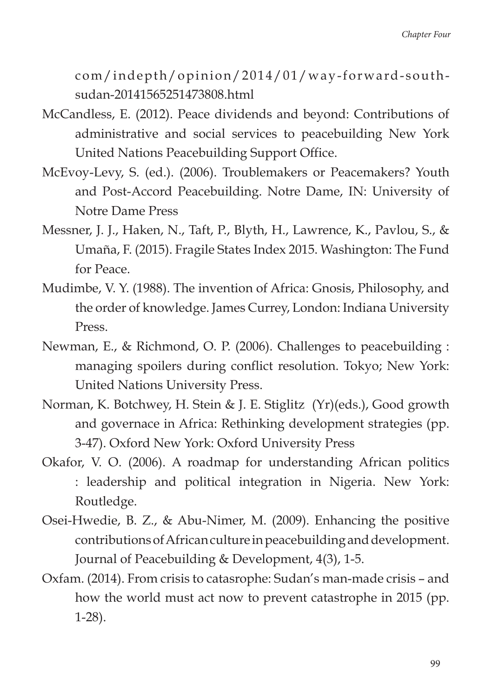com/indepth/opinion/2014/01/way-forward-southsudan-20141565251473808.html

- McCandless, E. (2012). Peace dividends and beyond: Contributions of administrative and social services to peacebuilding New York United Nations Peacebuilding Support Office.
- McEvoy-Levy, S. (ed.). (2006). Troublemakers or Peacemakers? Youth and Post-Accord Peacebuilding. Notre Dame, IN: University of Notre Dame Press
- Messner, J. J., Haken, N., Taft, P., Blyth, H., Lawrence, K., Pavlou, S., & Umaña, F. (2015). Fragile States Index 2015. Washington: The Fund for Peace.
- Mudimbe, V. Y. (1988). The invention of Africa: Gnosis, Philosophy, and the order of knowledge. James Currey, London: Indiana University Press.
- Newman, E., & Richmond, O. P. (2006). Challenges to peacebuilding : managing spoilers during conflict resolution. Tokyo; New York: United Nations University Press.
- Norman, K. Botchwey, H. Stein & J. E. Stiglitz (Yr)(eds.), Good growth and governace in Africa: Rethinking development strategies (pp. 3-47). Oxford New York: Oxford University Press
- Okafor, V. O. (2006). A roadmap for understanding African politics : leadership and political integration in Nigeria. New York: Routledge.
- Osei-Hwedie, B. Z., & Abu-Nimer, M. (2009). Enhancing the positive contributions of African culture in peacebuilding and development. Journal of Peacebuilding & Development, 4(3), 1-5.
- Oxfam. (2014). From crisis to catasrophe: Sudan's man-made crisis and how the world must act now to prevent catastrophe in 2015 (pp. 1-28).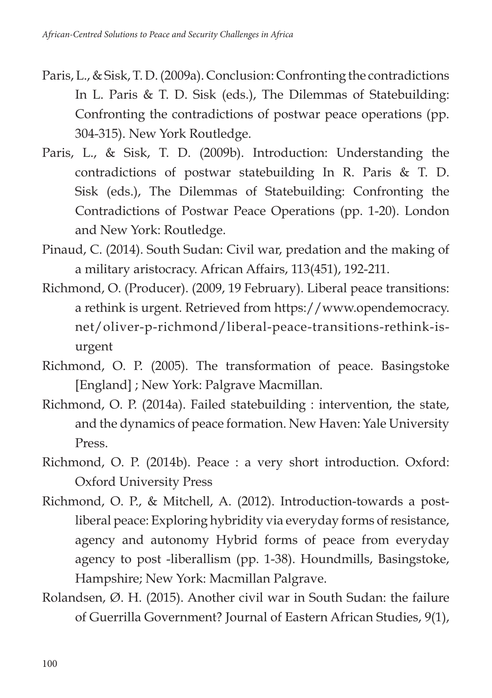- Paris, L., & Sisk, T. D. (2009a). Conclusion: Confronting the contradictions In L. Paris & T. D. Sisk (eds.), The Dilemmas of Statebuilding: Confronting the contradictions of postwar peace operations (pp. 304-315). New York Routledge.
- Paris, L., & Sisk, T. D. (2009b). Introduction: Understanding the contradictions of postwar statebuilding In R. Paris & T. D. Sisk (eds.), The Dilemmas of Statebuilding: Confronting the Contradictions of Postwar Peace Operations (pp. 1-20). London and New York: Routledge.
- Pinaud, C. (2014). South Sudan: Civil war, predation and the making of a military aristocracy. African Affairs, 113(451), 192-211.
- Richmond, O. (Producer). (2009, 19 February). Liberal peace transitions: a rethink is urgent. Retrieved from https://www.opendemocracy. net/oliver-p-richmond/liberal-peace-transitions-rethink-isurgent
- Richmond, O. P. (2005). The transformation of peace. Basingstoke [England] ; New York: Palgrave Macmillan.
- Richmond, O. P. (2014a). Failed statebuilding : intervention, the state, and the dynamics of peace formation. New Haven: Yale University Press.
- Richmond, O. P. (2014b). Peace : a very short introduction. Oxford: Oxford University Press
- Richmond, O. P., & Mitchell, A. (2012). Introduction-towards a postliberal peace: Exploring hybridity via everyday forms of resistance, agency and autonomy Hybrid forms of peace from everyday agency to post -liberallism (pp. 1-38). Houndmills, Basingstoke, Hampshire; New York: Macmillan Palgrave.
- Rolandsen, Ø. H. (2015). Another civil war in South Sudan: the failure of Guerrilla Government? Journal of Eastern African Studies, 9(1),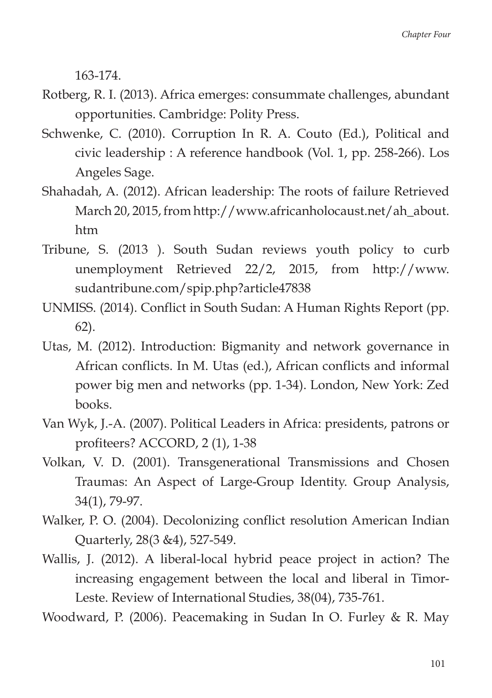163-174.

- Rotberg, R. I. (2013). Africa emerges: consummate challenges, abundant opportunities. Cambridge: Polity Press.
- Schwenke, C. (2010). Corruption In R. A. Couto (Ed.), Political and civic leadership : A reference handbook (Vol. 1, pp. 258-266). Los Angeles Sage.
- Shahadah, A. (2012). African leadership: The roots of failure Retrieved March 20, 2015, from http://www.africanholocaust.net/ah\_about. htm
- Tribune, S. (2013 ). South Sudan reviews youth policy to curb unemployment Retrieved 22/2, 2015, from http://www. sudantribune.com/spip.php?article47838
- UNMISS. (2014). Conflict in South Sudan: A Human Rights Report (pp. 62).
- Utas, M. (2012). Introduction: Bigmanity and network governance in African conflicts. In M. Utas (ed.), African conflicts and informal power big men and networks (pp. 1-34). London, New York: Zed books.
- Van Wyk, J.-A. (2007). Political Leaders in Africa: presidents, patrons or profiteers? ACCORD, 2 (1), 1-38
- Volkan, V. D. (2001). Transgenerational Transmissions and Chosen Traumas: An Aspect of Large-Group Identity. Group Analysis, 34(1), 79-97.
- Walker, P. O. (2004). Decolonizing conflict resolution American Indian Quarterly, 28(3 &4), 527-549.
- Wallis, J. (2012). A liberal-local hybrid peace project in action? The increasing engagement between the local and liberal in Timor-Leste. Review of International Studies, 38(04), 735-761.

Woodward, P. (2006). Peacemaking in Sudan In O. Furley & R. May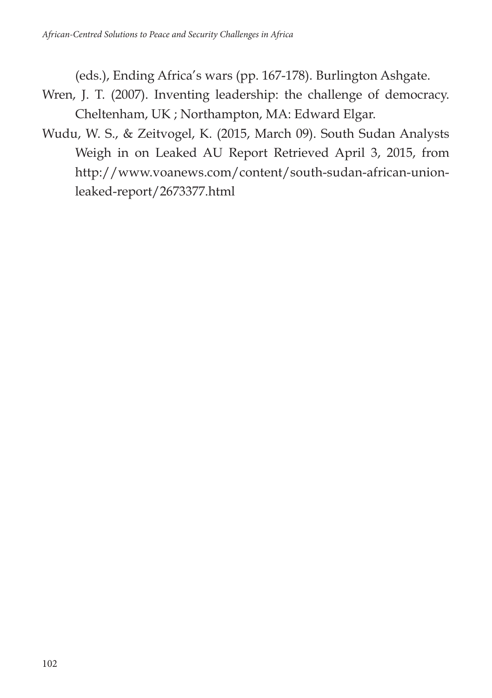(eds.), Ending Africa's wars (pp. 167-178). Burlington Ashgate.

- Wren, J. T. (2007). Inventing leadership: the challenge of democracy. Cheltenham, UK ; Northampton, MA: Edward Elgar.
- Wudu, W. S., & Zeitvogel, K. (2015, March 09). South Sudan Analysts Weigh in on Leaked AU Report Retrieved April 3, 2015, from http://www.voanews.com/content/south-sudan-african-unionleaked-report/2673377.html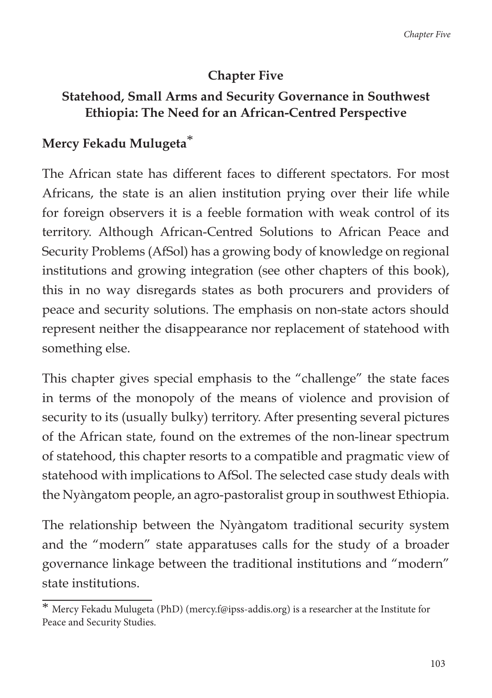# **Chapter Five**

## **Statehood, Small Arms and Security Governance in Southwest Ethiopia: The Need for an African-Centred Perspective**

## **Mercy Fekadu Mulugeta**\*

The African state has different faces to different spectators. For most Africans, the state is an alien institution prying over their life while for foreign observers it is a feeble formation with weak control of its territory. Although African-Centred Solutions to African Peace and Security Problems (AfSol) has a growing body of knowledge on regional institutions and growing integration (see other chapters of this book), this in no way disregards states as both procurers and providers of peace and security solutions. The emphasis on non-state actors should represent neither the disappearance nor replacement of statehood with something else.

This chapter gives special emphasis to the "challenge" the state faces in terms of the monopoly of the means of violence and provision of security to its (usually bulky) territory. After presenting several pictures of the African state, found on the extremes of the non-linear spectrum of statehood, this chapter resorts to a compatible and pragmatic view of statehood with implications to AfSol. The selected case study deals with the Nyàngatom people, an agro-pastoralist group in southwest Ethiopia.

The relationship between the Nyàngatom traditional security system and the "modern" state apparatuses calls for the study of a broader governance linkage between the traditional institutions and "modern" state institutions.

<sup>\*</sup> Mercy Fekadu Mulugeta (PhD) (mercy.f@ipss-addis.org) is a researcher at the Institute for Peace and Security Studies.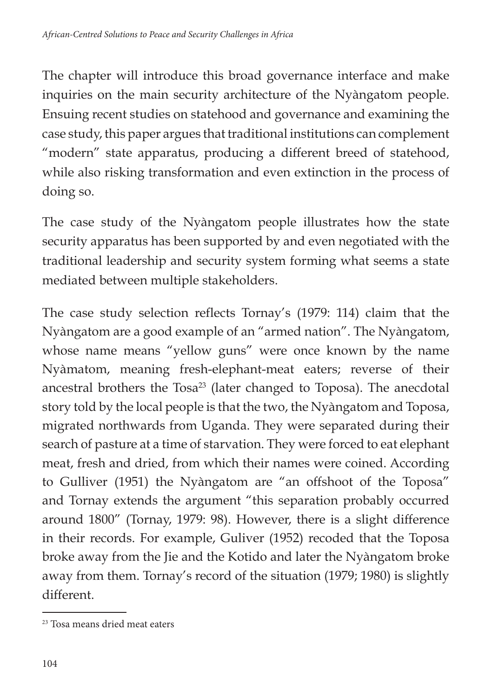The chapter will introduce this broad governance interface and make inquiries on the main security architecture of the Nyàngatom people. Ensuing recent studies on statehood and governance and examining the case study, this paper argues that traditional institutions can complement "modern" state apparatus, producing a different breed of statehood, while also risking transformation and even extinction in the process of doing so.

The case study of the Nyàngatom people illustrates how the state security apparatus has been supported by and even negotiated with the traditional leadership and security system forming what seems a state mediated between multiple stakeholders.

The case study selection reflects Tornay's (1979: 114) claim that the Nyàngatom are a good example of an "armed nation". The Nyàngatom, whose name means "yellow guns" were once known by the name Nyàmatom, meaning fresh-elephant-meat eaters; reverse of their ancestral brothers the Tosa<sup>23</sup> (later changed to Toposa). The anecdotal story told by the local people is that the two, the Nyàngatom and Toposa, migrated northwards from Uganda. They were separated during their search of pasture at a time of starvation. They were forced to eat elephant meat, fresh and dried, from which their names were coined. According to Gulliver (1951) the Nyàngatom are "an offshoot of the Toposa" and Tornay extends the argument "this separation probably occurred around 1800" (Tornay, 1979: 98). However, there is a slight difference in their records. For example, Guliver (1952) recoded that the Toposa broke away from the Jie and the Kotido and later the Nyàngatom broke away from them. Tornay's record of the situation (1979; 1980) is slightly different.

<sup>23</sup> Tosa means dried meat eaters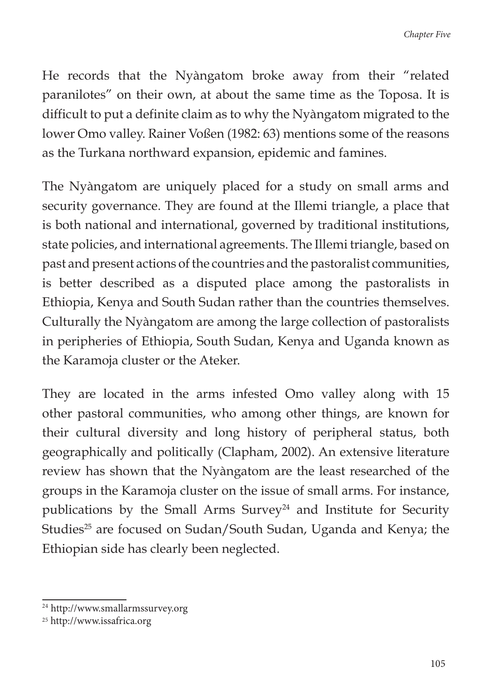He records that the Nyàngatom broke away from their "related paranilotes" on their own, at about the same time as the Toposa. It is difficult to put a definite claim as to why the Nyàngatom migrated to the lower Omo valley. Rainer Voßen (1982: 63) mentions some of the reasons as the Turkana northward expansion, epidemic and famines.

The Nyàngatom are uniquely placed for a study on small arms and security governance. They are found at the Illemi triangle, a place that is both national and international, governed by traditional institutions, state policies, and international agreements. The Illemi triangle, based on past and present actions of the countries and the pastoralist communities, is better described as a disputed place among the pastoralists in Ethiopia, Kenya and South Sudan rather than the countries themselves. Culturally the Nyàngatom are among the large collection of pastoralists in peripheries of Ethiopia, South Sudan, Kenya and Uganda known as the Karamoja cluster or the Ateker.

They are located in the arms infested Omo valley along with 15 other pastoral communities, who among other things, are known for their cultural diversity and long history of peripheral status, both geographically and politically (Clapham, 2002). An extensive literature review has shown that the Nyàngatom are the least researched of the groups in the Karamoja cluster on the issue of small arms. For instance, publications by the Small Arms  $Surve^{24}$  and Institute for Security Studies<sup>25</sup> are focused on Sudan/South Sudan, Uganda and Kenya; the Ethiopian side has clearly been neglected.

<sup>24</sup> http://www.smallarmssurvey.org

<sup>25</sup> http://www.issafrica.org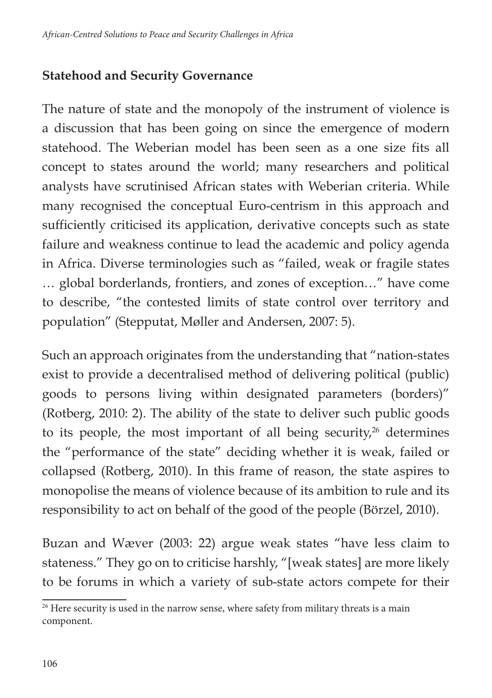## **Statehood and Security Governance**

The nature of state and the monopoly of the instrument of violence is a discussion that has been going on since the emergence of modern statehood. The Weberian model has been seen as a one size fits all concept to states around the world; many researchers and political analysts have scrutinised African states with Weberian criteria. While many recognised the conceptual Euro-centrism in this approach and sufficiently criticised its application, derivative concepts such as state failure and weakness continue to lead the academic and policy agenda in Africa. Diverse terminologies such as "failed, weak or fragile states … global borderlands, frontiers, and zones of exception…" have come to describe, "the contested limits of state control over territory and population" (Stepputat, Møller and Andersen, 2007: 5).

Such an approach originates from the understanding that "nation-states exist to provide a decentralised method of delivering political (public) goods to persons living within designated parameters (borders)" (Rotberg, 2010: 2). The ability of the state to deliver such public goods to its people, the most important of all being security, $26$  determines the "performance of the state" deciding whether it is weak, failed or collapsed (Rotberg, 2010). In this frame of reason, the state aspires to monopolise the means of violence because of its ambition to rule and its responsibility to act on behalf of the good of the people (Börzel, 2010).

Buzan and Wæver (2003: 22) argue weak states "have less claim to stateness." They go on to criticise harshly, "[weak states] are more likely to be forums in which a variety of sub-state actors compete for their

 $26$  Here security is used in the narrow sense, where safety from military threats is a main component.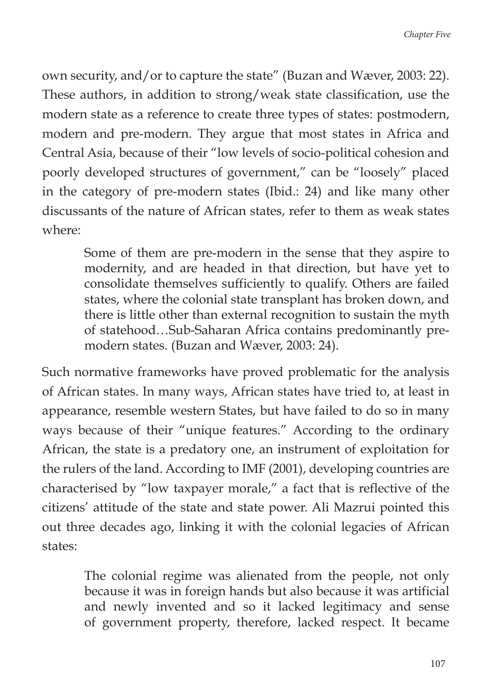own security, and/or to capture the state" (Buzan and Wæver, 2003: 22). These authors, in addition to strong/weak state classification, use the modern state as a reference to create three types of states: postmodern, modern and pre-modern. They argue that most states in Africa and Central Asia, because of their "low levels of socio-political cohesion and poorly developed structures of government," can be "loosely" placed in the category of pre-modern states (Ibid.: 24) and like many other discussants of the nature of African states, refer to them as weak states where:

> Some of them are pre-modern in the sense that they aspire to modernity, and are headed in that direction, but have yet to consolidate themselves sufficiently to qualify. Others are failed states, where the colonial state transplant has broken down, and there is little other than external recognition to sustain the myth of statehood…Sub-Saharan Africa contains predominantly premodern states. (Buzan and Wæver, 2003: 24).

Such normative frameworks have proved problematic for the analysis of African states. In many ways, African states have tried to, at least in appearance, resemble western States, but have failed to do so in many ways because of their "unique features." According to the ordinary African, the state is a predatory one, an instrument of exploitation for the rulers of the land. According to IMF (2001), developing countries are characterised by "low taxpayer morale," a fact that is reflective of the citizens' attitude of the state and state power. Ali Mazrui pointed this out three decades ago, linking it with the colonial legacies of African states:

> The colonial regime was alienated from the people, not only because it was in foreign hands but also because it was artificial and newly invented and so it lacked legitimacy and sense of government property, therefore, lacked respect. It became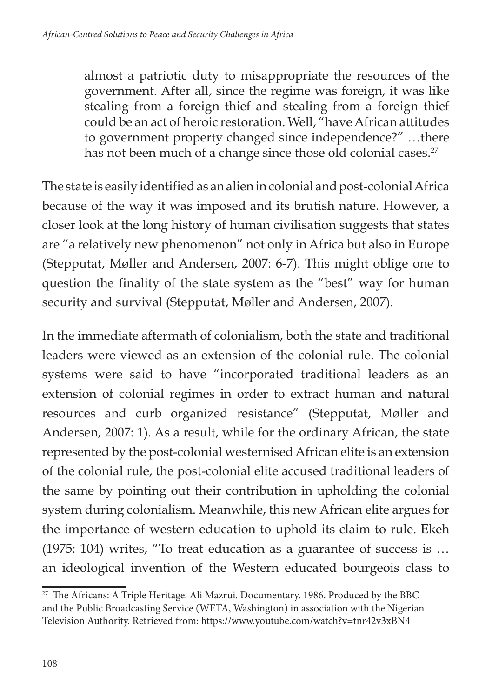almost a patriotic duty to misappropriate the resources of the government. After all, since the regime was foreign, it was like stealing from a foreign thief and stealing from a foreign thief could be an act of heroic restoration. Well, "have African attitudes to government property changed since independence?" …there has not been much of a change since those old colonial cases.<sup>27</sup>

The state is easily identified as an alien in colonial and post-colonial Africa because of the way it was imposed and its brutish nature. However, a closer look at the long history of human civilisation suggests that states are "a relatively new phenomenon" not only in Africa but also in Europe (Stepputat, Møller and Andersen, 2007: 6-7). This might oblige one to question the finality of the state system as the "best" way for human security and survival (Stepputat, Møller and Andersen, 2007).

In the immediate aftermath of colonialism, both the state and traditional leaders were viewed as an extension of the colonial rule. The colonial systems were said to have "incorporated traditional leaders as an extension of colonial regimes in order to extract human and natural resources and curb organized resistance" (Stepputat, Møller and Andersen, 2007: 1). As a result, while for the ordinary African, the state represented by the post-colonial westernised African elite is an extension of the colonial rule, the post-colonial elite accused traditional leaders of the same by pointing out their contribution in upholding the colonial system during colonialism. Meanwhile, this new African elite argues for the importance of western education to uphold its claim to rule. Ekeh (1975: 104) writes, "To treat education as a guarantee of success is … an ideological invention of the Western educated bourgeois class to

<sup>&</sup>lt;sup>27</sup> The Africans: A Triple Heritage. Ali Mazrui. Documentary. 1986. Produced by the BBC and the Public Broadcasting Service (WETA, Washington) in association with the Nigerian Television Authority. Retrieved from: https://www.youtube.com/watch?v=tnr42v3xBN4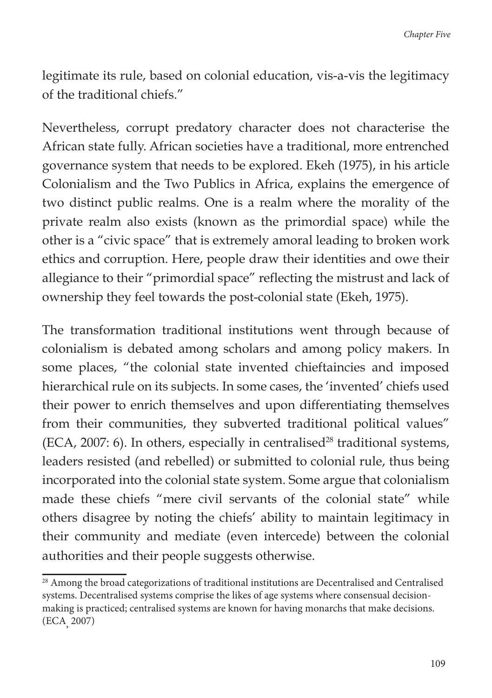legitimate its rule, based on colonial education, vis-a-vis the legitimacy of the traditional chiefs."

Nevertheless, corrupt predatory character does not characterise the African state fully. African societies have a traditional, more entrenched governance system that needs to be explored. Ekeh (1975), in his article Colonialism and the Two Publics in Africa, explains the emergence of two distinct public realms. One is a realm where the morality of the private realm also exists (known as the primordial space) while the other is a "civic space" that is extremely amoral leading to broken work ethics and corruption. Here, people draw their identities and owe their allegiance to their "primordial space" reflecting the mistrust and lack of ownership they feel towards the post-colonial state (Ekeh, 1975).

The transformation traditional institutions went through because of colonialism is debated among scholars and among policy makers. In some places, "the colonial state invented chieftaincies and imposed hierarchical rule on its subjects. In some cases, the 'invented' chiefs used their power to enrich themselves and upon differentiating themselves from their communities, they subverted traditional political values"  $(ECA, 2007: 6)$ . In others, especially in centralised<sup>28</sup> traditional systems, leaders resisted (and rebelled) or submitted to colonial rule, thus being incorporated into the colonial state system. Some argue that colonialism made these chiefs "mere civil servants of the colonial state" while others disagree by noting the chiefs' ability to maintain legitimacy in their community and mediate (even intercede) between the colonial authorities and their people suggests otherwise.

<sup>28</sup> Among the broad categorizations of traditional institutions are Decentralised and Centralised systems. Decentralised systems comprise the likes of age systems where consensual decisionmaking is practiced; centralised systems are known for having monarchs that make decisions. (ECA, 2007)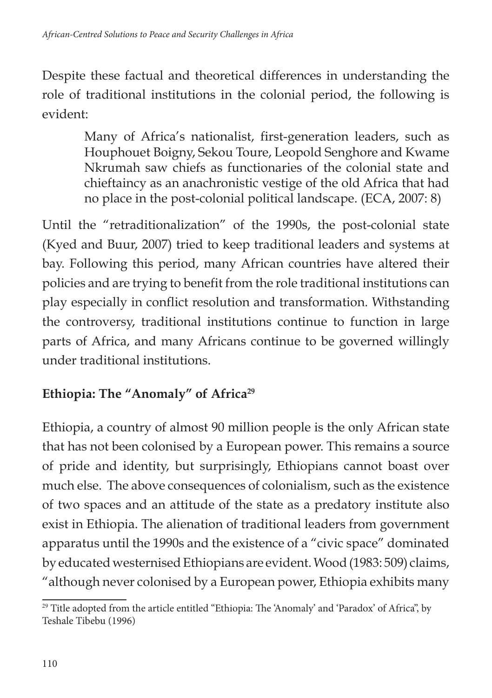Despite these factual and theoretical differences in understanding the role of traditional institutions in the colonial period, the following is evident:

> Many of Africa's nationalist, first-generation leaders, such as Houphouet Boigny, Sekou Toure, Leopold Senghore and Kwame Nkrumah saw chiefs as functionaries of the colonial state and chieftaincy as an anachronistic vestige of the old Africa that had no place in the post-colonial political landscape. (ECA, 2007: 8)

Until the "retraditionalization" of the 1990s, the post-colonial state (Kyed and Buur, 2007) tried to keep traditional leaders and systems at bay. Following this period, many African countries have altered their policies and are trying to benefit from the role traditional institutions can play especially in conflict resolution and transformation. Withstanding the controversy, traditional institutions continue to function in large parts of Africa, and many Africans continue to be governed willingly under traditional institutions.

# Ethiopia: The "Anomaly" of Africa<sup>29</sup>

Ethiopia, a country of almost 90 million people is the only African state that has not been colonised by a European power. This remains a source of pride and identity, but surprisingly, Ethiopians cannot boast over much else. The above consequences of colonialism, such as the existence of two spaces and an attitude of the state as a predatory institute also exist in Ethiopia. The alienation of traditional leaders from government apparatus until the 1990s and the existence of a "civic space" dominated by educated westernised Ethiopians are evident. Wood (1983: 509) claims, "although never colonised by a European power, Ethiopia exhibits many

<sup>&</sup>lt;sup>29</sup> Title adopted from the article entitled "Ethiopia: The 'Anomaly' and 'Paradox' of Africa", by Teshale Tibebu (1996)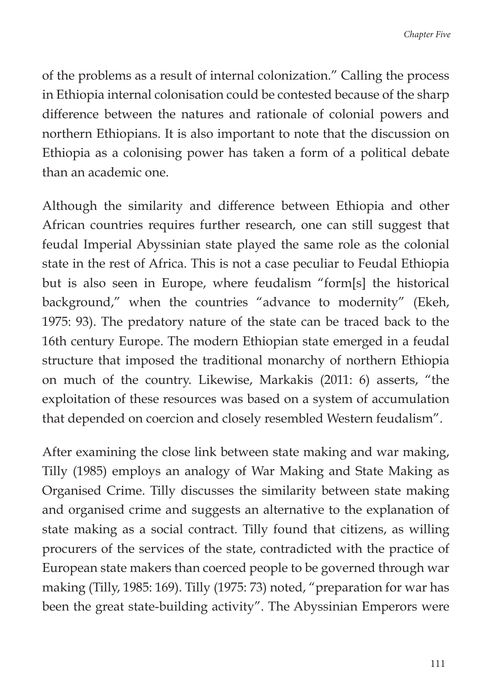of the problems as a result of internal colonization." Calling the process in Ethiopia internal colonisation could be contested because of the sharp difference between the natures and rationale of colonial powers and northern Ethiopians. It is also important to note that the discussion on Ethiopia as a colonising power has taken a form of a political debate than an academic one.

Although the similarity and difference between Ethiopia and other African countries requires further research, one can still suggest that feudal Imperial Abyssinian state played the same role as the colonial state in the rest of Africa. This is not a case peculiar to Feudal Ethiopia but is also seen in Europe, where feudalism "form[s] the historical background," when the countries "advance to modernity" (Ekeh, 1975: 93). The predatory nature of the state can be traced back to the 16th century Europe. The modern Ethiopian state emerged in a feudal structure that imposed the traditional monarchy of northern Ethiopia on much of the country. Likewise, Markakis (2011: 6) asserts, "the exploitation of these resources was based on a system of accumulation that depended on coercion and closely resembled Western feudalism".

After examining the close link between state making and war making, Tilly (1985) employs an analogy of War Making and State Making as Organised Crime. Tilly discusses the similarity between state making and organised crime and suggests an alternative to the explanation of state making as a social contract. Tilly found that citizens, as willing procurers of the services of the state, contradicted with the practice of European state makers than coerced people to be governed through war making (Tilly, 1985: 169). Tilly (1975: 73) noted, "preparation for war has been the great state-building activity". The Abyssinian Emperors were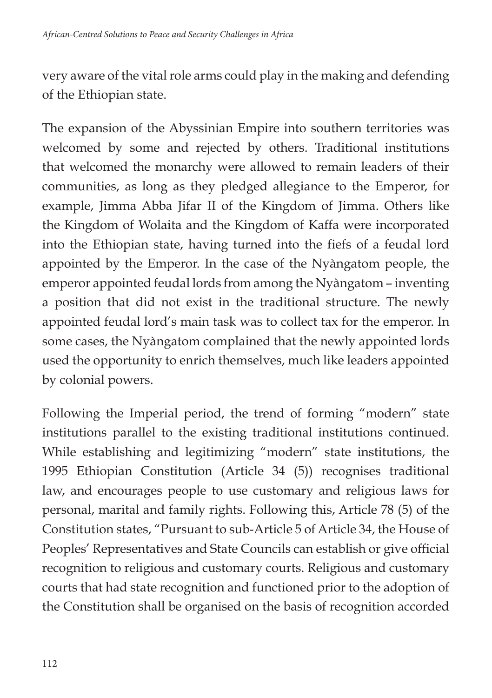very aware of the vital role arms could play in the making and defending of the Ethiopian state.

The expansion of the Abyssinian Empire into southern territories was welcomed by some and rejected by others. Traditional institutions that welcomed the monarchy were allowed to remain leaders of their communities, as long as they pledged allegiance to the Emperor, for example, Jimma Abba Jifar II of the Kingdom of Jimma. Others like the Kingdom of Wolaita and the Kingdom of Kaffa were incorporated into the Ethiopian state, having turned into the fiefs of a feudal lord appointed by the Emperor. In the case of the Nyàngatom people, the emperor appointed feudal lords from among the Nyàngatom – inventing a position that did not exist in the traditional structure. The newly appointed feudal lord's main task was to collect tax for the emperor. In some cases, the Nyàngatom complained that the newly appointed lords used the opportunity to enrich themselves, much like leaders appointed by colonial powers.

Following the Imperial period, the trend of forming "modern" state institutions parallel to the existing traditional institutions continued. While establishing and legitimizing "modern" state institutions, the 1995 Ethiopian Constitution (Article 34 (5)) recognises traditional law, and encourages people to use customary and religious laws for personal, marital and family rights. Following this, Article 78 (5) of the Constitution states, "Pursuant to sub-Article 5 of Article 34, the House of Peoples' Representatives and State Councils can establish or give official recognition to religious and customary courts. Religious and customary courts that had state recognition and functioned prior to the adoption of the Constitution shall be organised on the basis of recognition accorded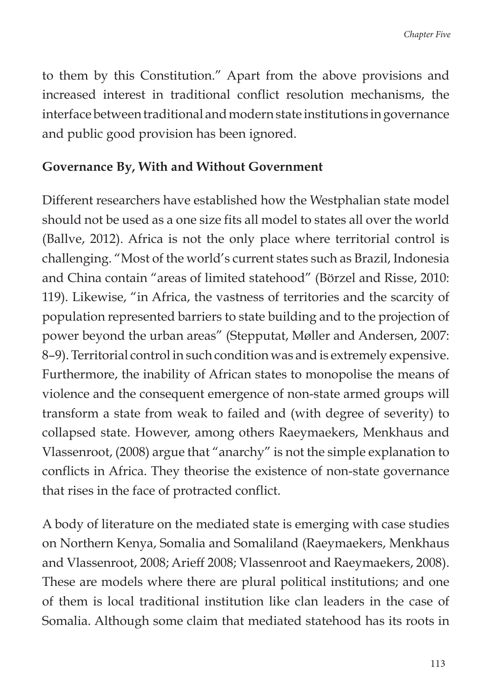to them by this Constitution." Apart from the above provisions and increased interest in traditional conflict resolution mechanisms, the interface between traditional and modern state institutions in governance and public good provision has been ignored.

#### **Governance By, With and Without Government**

Different researchers have established how the Westphalian state model should not be used as a one size fits all model to states all over the world (Ballve, 2012). Africa is not the only place where territorial control is challenging. "Most of the world's current states such as Brazil, Indonesia and China contain "areas of limited statehood" (Börzel and Risse, 2010: 119). Likewise, "in Africa, the vastness of territories and the scarcity of population represented barriers to state building and to the projection of power beyond the urban areas" (Stepputat, Møller and Andersen, 2007: 8–9). Territorial control in such condition was and is extremely expensive. Furthermore, the inability of African states to monopolise the means of violence and the consequent emergence of non-state armed groups will transform a state from weak to failed and (with degree of severity) to collapsed state. However, among others Raeymaekers, Menkhaus and Vlassenroot, (2008) argue that "anarchy" is not the simple explanation to conflicts in Africa. They theorise the existence of non-state governance that rises in the face of protracted conflict.

A body of literature on the mediated state is emerging with case studies on Northern Kenya, Somalia and Somaliland (Raeymaekers, Menkhaus and Vlassenroot, 2008; Arieff 2008; Vlassenroot and Raeymaekers, 2008). These are models where there are plural political institutions; and one of them is local traditional institution like clan leaders in the case of Somalia. Although some claim that mediated statehood has its roots in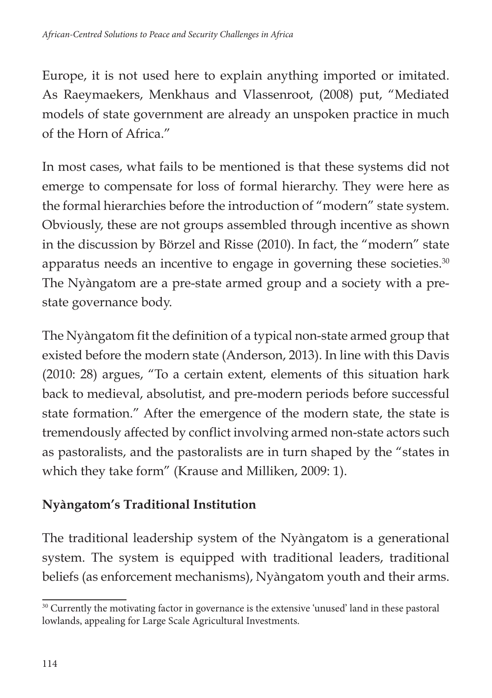Europe, it is not used here to explain anything imported or imitated. As Raeymaekers, Menkhaus and Vlassenroot, (2008) put, "Mediated models of state government are already an unspoken practice in much of the Horn of Africa."

In most cases, what fails to be mentioned is that these systems did not emerge to compensate for loss of formal hierarchy. They were here as the formal hierarchies before the introduction of "modern" state system. Obviously, these are not groups assembled through incentive as shown in the discussion by Börzel and Risse (2010). In fact, the "modern" state apparatus needs an incentive to engage in governing these societies.<sup>30</sup> The Nyàngatom are a pre-state armed group and a society with a prestate governance body.

The Nyàngatom fit the definition of a typical non-state armed group that existed before the modern state (Anderson, 2013). In line with this Davis (2010: 28) argues, "To a certain extent, elements of this situation hark back to medieval, absolutist, and pre-modern periods before successful state formation." After the emergence of the modern state, the state is tremendously affected by conflict involving armed non-state actors such as pastoralists, and the pastoralists are in turn shaped by the "states in which they take form" (Krause and Milliken, 2009: 1).

# **Nyàngatom's Traditional Institution**

The traditional leadership system of the Nyàngatom is a generational system. The system is equipped with traditional leaders, traditional beliefs (as enforcement mechanisms), Nyàngatom youth and their arms.

<sup>&</sup>lt;sup>30</sup> Currently the motivating factor in governance is the extensive 'unused' land in these pastoral lowlands, appealing for Large Scale Agricultural Investments.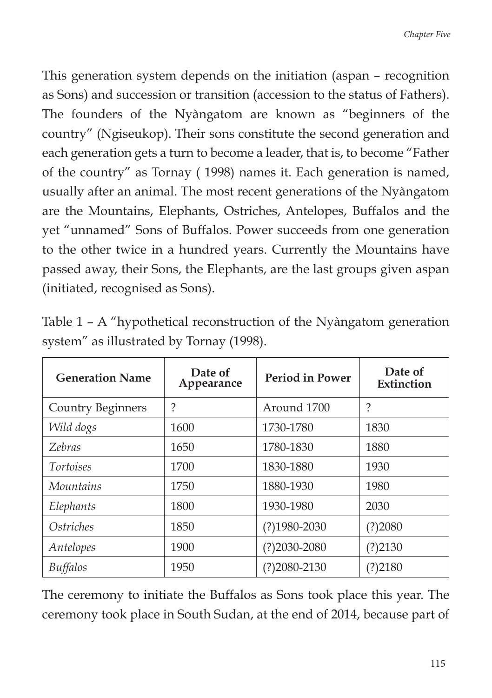This generation system depends on the initiation (aspan – recognition as Sons) and succession or transition (accession to the status of Fathers). The founders of the Nyàngatom are known as "beginners of the country" (Ngiseukop). Their sons constitute the second generation and each generation gets a turn to become a leader, that is, to become "Father of the country" as Tornay ( 1998) names it. Each generation is named, usually after an animal. The most recent generations of the Nyàngatom are the Mountains, Elephants, Ostriches, Antelopes, Buffalos and the yet "unnamed" Sons of Buffalos. Power succeeds from one generation to the other twice in a hundred years. Currently the Mountains have passed away, their Sons, the Elephants, are the last groups given aspan (initiated, recognised as Sons).

| <b>Generation Name</b> | Date of<br>Appearance | <b>Period in Power</b> | Date of<br>Extinction |
|------------------------|-----------------------|------------------------|-----------------------|
| Country Beginners      | ?                     | Around 1700            | ?                     |
| Wild dogs              | 1600                  | 1730-1780              | 1830                  |
| <b>Zebras</b>          | 1650                  | 1780-1830              | 1880                  |
| <b>Tortoises</b>       | 1700                  | 1830-1880              | 1930                  |
| <b>Mountains</b>       | 1750                  | 1880-1930              | 1980                  |
| Elephants              | 1800                  | 1930-1980              | 2030                  |
| Ostriches              | 1850                  | $(?)1980 - 2030$       | (?)2080               |
| Antelopes              | 1900                  | $(?)2030 - 2080$       | (?)2130               |
| <b>Buffalos</b>        | 1950                  | $(?)2080 - 2130$       | (?)2180               |

Table 1 – A "hypothetical reconstruction of the Nyàngatom generation system" as illustrated by Tornay (1998).

The ceremony to initiate the Buffalos as Sons took place this year. The ceremony took place in South Sudan, at the end of 2014, because part of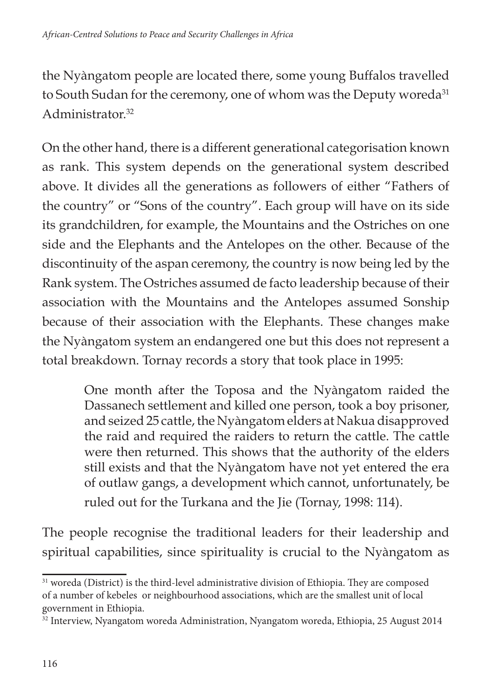the Nyàngatom people are located there, some young Buffalos travelled to South Sudan for the ceremony, one of whom was the Deputy woreda<sup>31</sup> Administrator.<sup>32</sup>

On the other hand, there is a different generational categorisation known as rank. This system depends on the generational system described above. It divides all the generations as followers of either "Fathers of the country" or "Sons of the country". Each group will have on its side its grandchildren, for example, the Mountains and the Ostriches on one side and the Elephants and the Antelopes on the other. Because of the discontinuity of the aspan ceremony, the country is now being led by the Rank system. The Ostriches assumed de facto leadership because of their association with the Mountains and the Antelopes assumed Sonship because of their association with the Elephants. These changes make the Nyàngatom system an endangered one but this does not represent a total breakdown. Tornay records a story that took place in 1995:

> One month after the Toposa and the Nyàngatom raided the Dassanech settlement and killed one person, took a boy prisoner, and seized 25 cattle, the Nyàngatom elders at Nakua disapproved the raid and required the raiders to return the cattle. The cattle were then returned. This shows that the authority of the elders still exists and that the Nyàngatom have not yet entered the era of outlaw gangs, a development which cannot, unfortunately, be ruled out for the Turkana and the Jie (Tornay, 1998: 114).

The people recognise the traditional leaders for their leadership and spiritual capabilities, since spirituality is crucial to the Nyàngatom as

<sup>&</sup>lt;sup>31</sup> woreda (District) is the third-level administrative division of Ethiopia. They are composed of a number of kebeles or neighbourhood associations, which are the smallest unit of local government in Ethiopia.

<sup>32</sup> Interview, Nyangatom woreda Administration, Nyangatom woreda, Ethiopia, 25 August 2014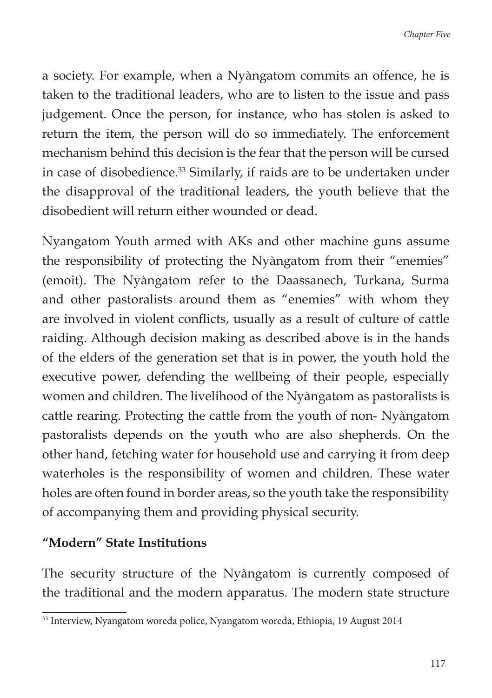a society. For example, when a Nyàngatom commits an offence, he is taken to the traditional leaders, who are to listen to the issue and pass judgement. Once the person, for instance, who has stolen is asked to return the item, the person will do so immediately. The enforcement mechanism behind this decision is the fear that the person will be cursed in case of disobedience.<sup>33</sup> Similarly, if raids are to be undertaken under the disapproval of the traditional leaders, the youth believe that the disobedient will return either wounded or dead.

Nyangatom Youth armed with AKs and other machine guns assume the responsibility of protecting the Nyàngatom from their "enemies" (emoit). The Nyàngatom refer to the Daassanech, Turkana, Surma and other pastoralists around them as "enemies" with whom they are involved in violent conflicts, usually as a result of culture of cattle raiding. Although decision making as described above is in the hands of the elders of the generation set that is in power, the youth hold the executive power, defending the wellbeing of their people, especially women and children. The livelihood of the Nyàngatom as pastoralists is cattle rearing. Protecting the cattle from the youth of non- Nyàngatom pastoralists depends on the youth who are also shepherds. On the other hand, fetching water for household use and carrying it from deep waterholes is the responsibility of women and children. These water holes are often found in border areas, so the youth take the responsibility of accompanying them and providing physical security.

## **"Modern" State Institutions**

The security structure of the Nyàngatom is currently composed of the traditional and the modern apparatus. The modern state structure

<sup>33</sup> Interview, Nyangatom woreda police, Nyangatom woreda, Ethiopia, 19 August 2014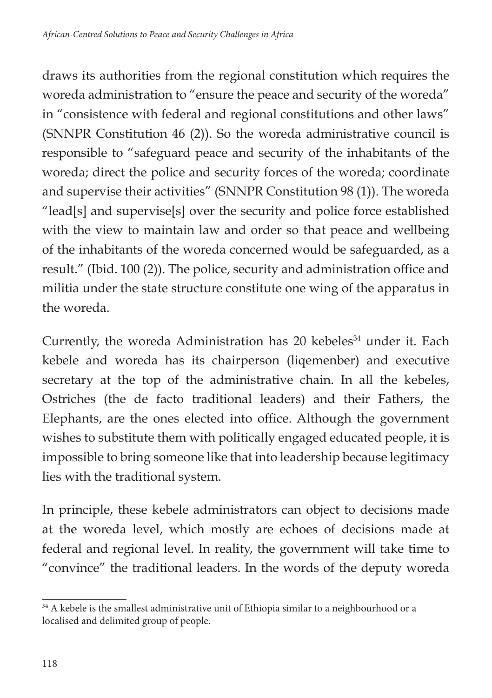draws its authorities from the regional constitution which requires the woreda administration to "ensure the peace and security of the woreda" in "consistence with federal and regional constitutions and other laws" (SNNPR Constitution 46 (2)). So the woreda administrative council is responsible to "safeguard peace and security of the inhabitants of the woreda; direct the police and security forces of the woreda; coordinate and supervise their activities" (SNNPR Constitution 98 (1)). The woreda "lead[s] and supervise[s] over the security and police force established with the view to maintain law and order so that peace and wellbeing of the inhabitants of the woreda concerned would be safeguarded, as a result." (Ibid. 100 (2)). The police, security and administration office and militia under the state structure constitute one wing of the apparatus in the woreda.

Currently, the woreda Administration has  $20$  kebeles<sup>34</sup> under it. Each kebele and woreda has its chairperson (liqemenber) and executive secretary at the top of the administrative chain. In all the kebeles, Ostriches (the de facto traditional leaders) and their Fathers, the Elephants, are the ones elected into office. Although the government wishes to substitute them with politically engaged educated people, it is impossible to bring someone like that into leadership because legitimacy lies with the traditional system.

In principle, these kebele administrators can object to decisions made at the woreda level, which mostly are echoes of decisions made at federal and regional level. In reality, the government will take time to "convince" the traditional leaders. In the words of the deputy woreda

<sup>&</sup>lt;sup>34</sup> A kebele is the smallest administrative unit of Ethiopia similar to a neighbourhood or a localised and delimited group of people.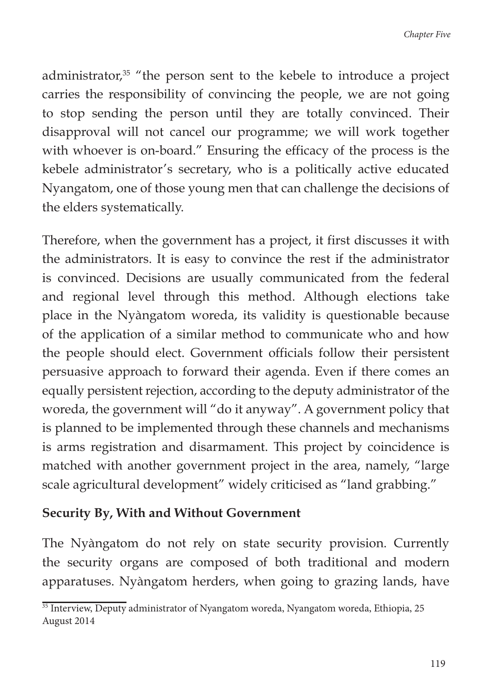administrator,<sup>35</sup> "the person sent to the kebele to introduce a project carries the responsibility of convincing the people, we are not going to stop sending the person until they are totally convinced. Their disapproval will not cancel our programme; we will work together with whoever is on-board." Ensuring the efficacy of the process is the kebele administrator's secretary, who is a politically active educated Nyangatom, one of those young men that can challenge the decisions of the elders systematically.

Therefore, when the government has a project, it first discusses it with the administrators. It is easy to convince the rest if the administrator is convinced. Decisions are usually communicated from the federal and regional level through this method. Although elections take place in the Nyàngatom woreda, its validity is questionable because of the application of a similar method to communicate who and how the people should elect. Government officials follow their persistent persuasive approach to forward their agenda. Even if there comes an equally persistent rejection, according to the deputy administrator of the woreda, the government will "do it anyway". A government policy that is planned to be implemented through these channels and mechanisms is arms registration and disarmament. This project by coincidence is matched with another government project in the area, namely, "large scale agricultural development" widely criticised as "land grabbing."

## **Security By, With and Without Government**

The Nyàngatom do not rely on state security provision. Currently the security organs are composed of both traditional and modern apparatuses. Nyàngatom herders, when going to grazing lands, have

<sup>&</sup>lt;sup>35</sup> Interview, Deputy administrator of Nyangatom woreda, Nyangatom woreda, Ethiopia, 25 August 2014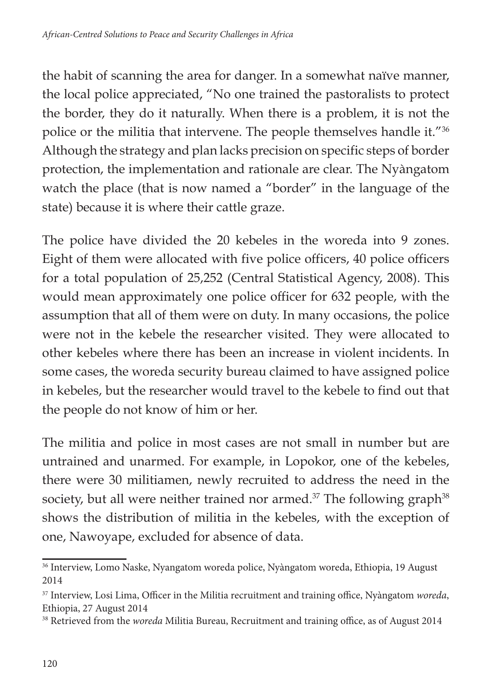the habit of scanning the area for danger. In a somewhat naïve manner, the local police appreciated, "No one trained the pastoralists to protect the border, they do it naturally. When there is a problem, it is not the police or the militia that intervene. The people themselves handle it."36 Although the strategy and plan lacks precision on specific steps of border protection, the implementation and rationale are clear. The Nyàngatom watch the place (that is now named a "border" in the language of the state) because it is where their cattle graze.

The police have divided the 20 kebeles in the woreda into 9 zones. Eight of them were allocated with five police officers, 40 police officers for a total population of 25,252 (Central Statistical Agency, 2008). This would mean approximately one police officer for 632 people, with the assumption that all of them were on duty. In many occasions, the police were not in the kebele the researcher visited. They were allocated to other kebeles where there has been an increase in violent incidents. In some cases, the woreda security bureau claimed to have assigned police in kebeles, but the researcher would travel to the kebele to find out that the people do not know of him or her.

The militia and police in most cases are not small in number but are untrained and unarmed. For example, in Lopokor, one of the kebeles, there were 30 militiamen, newly recruited to address the need in the society, but all were neither trained nor armed. $37$  The following graph $38$ shows the distribution of militia in the kebeles, with the exception of one, Nawoyape, excluded for absence of data.

<sup>&</sup>lt;sup>36</sup> Interview, Lomo Naske, Nyangatom woreda police, Nyàngatom woreda, Ethiopia, 19 August 2014

<sup>37</sup> Interview, Losi Lima, Officer in the Militia recruitment and training office, Nyàngatom *woreda*, Ethiopia, 27 August 2014

<sup>38</sup> Retrieved from the *woreda* Militia Bureau, Recruitment and training office, as of August 2014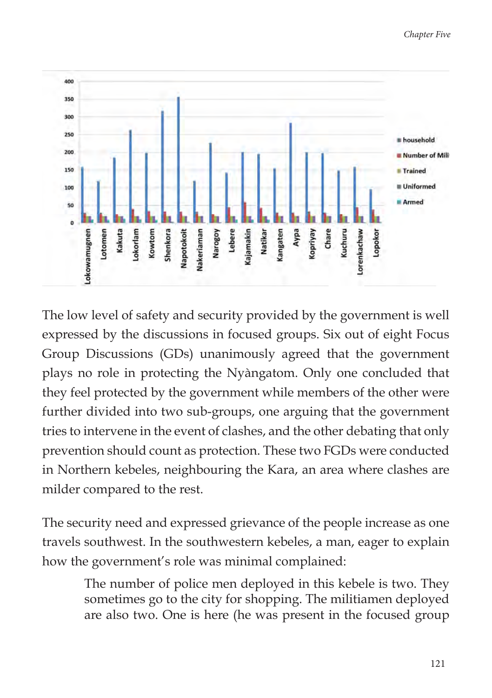

The low level of safety and security provided by the government is well expressed by the discussions in focused groups. Six out of eight Focus Group Discussions (GDs) unanimously agreed that the government plays no role in protecting the Nyàngatom. Only one concluded that they feel protected by the government while members of the other were further divided into two sub-groups, one arguing that the government tries to intervene in the event of clashes, and the other debating that only prevention should count as protection. These two FGDs were conducted in Northern kebeles, neighbouring the Kara, an area where clashes are milder compared to the rest.

The security need and expressed grievance of the people increase as one travels southwest. In the southwestern kebeles, a man, eager to explain how the government's role was minimal complained:

> The number of police men deployed in this kebele is two. They sometimes go to the city for shopping. The militiamen deployed are also two. One is here (he was present in the focused group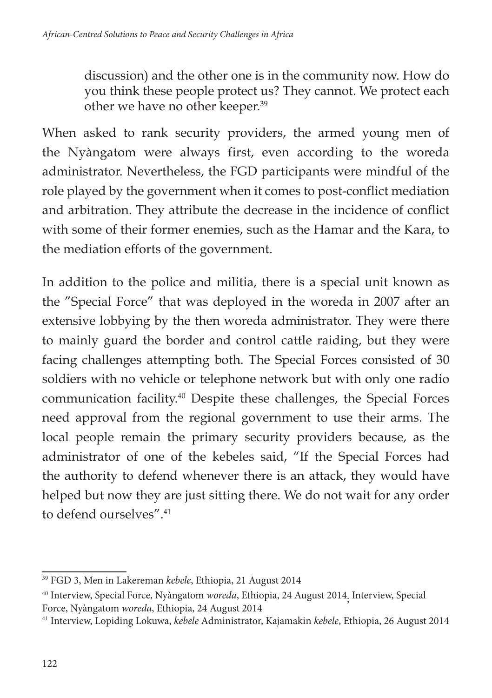discussion) and the other one is in the community now. How do you think these people protect us? They cannot. We protect each other we have no other keeper.39

When asked to rank security providers, the armed young men of the Nyàngatom were always first, even according to the woreda administrator. Nevertheless, the FGD participants were mindful of the role played by the government when it comes to post-conflict mediation and arbitration. They attribute the decrease in the incidence of conflict with some of their former enemies, such as the Hamar and the Kara, to the mediation efforts of the government.

In addition to the police and militia, there is a special unit known as the "Special Force" that was deployed in the woreda in 2007 after an extensive lobbying by the then woreda administrator. They were there to mainly guard the border and control cattle raiding, but they were facing challenges attempting both. The Special Forces consisted of 30 soldiers with no vehicle or telephone network but with only one radio communication facility.40 Despite these challenges, the Special Forces need approval from the regional government to use their arms. The local people remain the primary security providers because, as the administrator of one of the kebeles said, "If the Special Forces had the authority to defend whenever there is an attack, they would have helped but now they are just sitting there. We do not wait for any order to defend ourselves".<sup>41</sup>

<sup>39</sup> FGD 3, Men in Lakereman *kebele*, Ethiopia, 21 August 2014

<sup>40</sup> Interview, Special Force, Nyàngatom *woreda*, Ethiopia, 24 August 2014; Interview, Special Force, Nyàngatom *woreda*, Ethiopia, 24 August 2014

<sup>41</sup> Interview, Lopiding Lokuwa, *kebele* Administrator, Kajamakin *kebele*, Ethiopia, 26 August 2014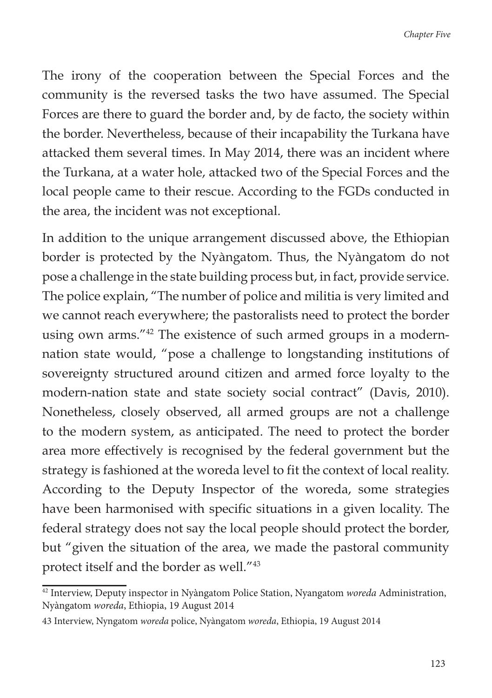The irony of the cooperation between the Special Forces and the community is the reversed tasks the two have assumed. The Special Forces are there to guard the border and, by de facto, the society within the border. Nevertheless, because of their incapability the Turkana have attacked them several times. In May 2014, there was an incident where the Turkana, at a water hole, attacked two of the Special Forces and the local people came to their rescue. According to the FGDs conducted in the area, the incident was not exceptional.

In addition to the unique arrangement discussed above, the Ethiopian border is protected by the Nyàngatom. Thus, the Nyàngatom do not pose a challenge in the state building process but, in fact, provide service. The police explain, "The number of police and militia is very limited and we cannot reach everywhere; the pastoralists need to protect the border using own arms."42 The existence of such armed groups in a modernnation state would, "pose a challenge to longstanding institutions of sovereignty structured around citizen and armed force loyalty to the modern-nation state and state society social contract" (Davis, 2010). Nonetheless, closely observed, all armed groups are not a challenge to the modern system, as anticipated. The need to protect the border area more effectively is recognised by the federal government but the strategy is fashioned at the woreda level to fit the context of local reality. According to the Deputy Inspector of the woreda, some strategies have been harmonised with specific situations in a given locality. The federal strategy does not say the local people should protect the border, but "given the situation of the area, we made the pastoral community protect itself and the border as well."43

<sup>42</sup> Interview, Deputy inspector in Nyàngatom Police Station, Nyangatom *woreda* Administration, Nyàngatom *woreda*, Ethiopia, 19 August 2014

<sup>43</sup> Interview, Nyngatom *woreda* police, Nyàngatom *woreda*, Ethiopia, 19 August 2014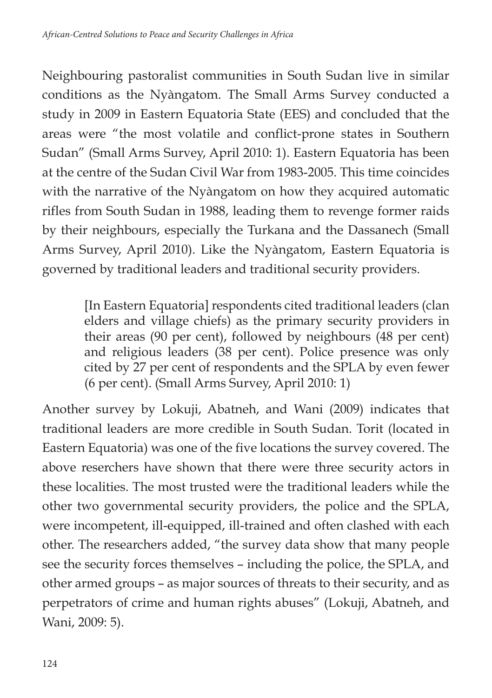Neighbouring pastoralist communities in South Sudan live in similar conditions as the Nyàngatom. The Small Arms Survey conducted a study in 2009 in Eastern Equatoria State (EES) and concluded that the areas were "the most volatile and conflict-prone states in Southern Sudan" (Small Arms Survey, April 2010: 1). Eastern Equatoria has been at the centre of the Sudan Civil War from 1983-2005. This time coincides with the narrative of the Nyàngatom on how they acquired automatic rifles from South Sudan in 1988, leading them to revenge former raids by their neighbours, especially the Turkana and the Dassanech (Small Arms Survey, April 2010). Like the Nyàngatom, Eastern Equatoria is governed by traditional leaders and traditional security providers.

> [In Eastern Equatoria] respondents cited traditional leaders (clan elders and village chiefs) as the primary security providers in their areas (90 per cent), followed by neighbours (48 per cent) and religious leaders (38 per cent). Police presence was only cited by 27 per cent of respondents and the SPLA by even fewer (6 per cent). (Small Arms Survey, April 2010: 1)

Another survey by Lokuji, Abatneh, and Wani (2009) indicates that traditional leaders are more credible in South Sudan. Torit (located in Eastern Equatoria) was one of the five locations the survey covered. The above reserchers have shown that there were three security actors in these localities. The most trusted were the traditional leaders while the other two governmental security providers, the police and the SPLA, were incompetent, ill-equipped, ill-trained and often clashed with each other. The researchers added, "the survey data show that many people see the security forces themselves – including the police, the SPLA, and other armed groups – as major sources of threats to their security, and as perpetrators of crime and human rights abuses" (Lokuji, Abatneh, and Wani, 2009: 5).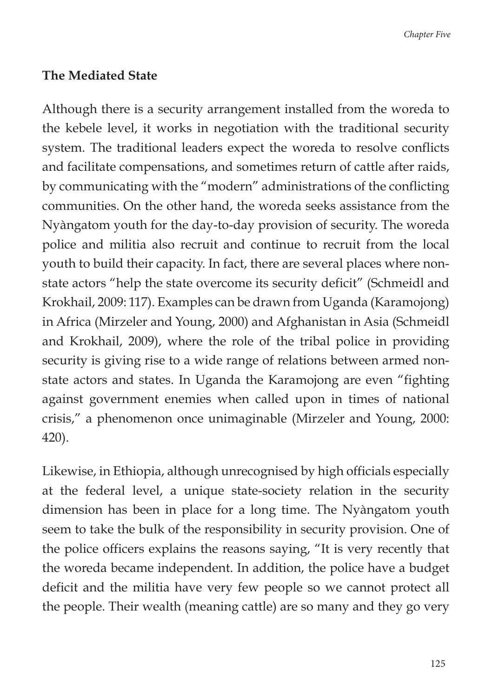#### **The Mediated State**

Although there is a security arrangement installed from the woreda to the kebele level, it works in negotiation with the traditional security system. The traditional leaders expect the woreda to resolve conflicts and facilitate compensations, and sometimes return of cattle after raids, by communicating with the "modern" administrations of the conflicting communities. On the other hand, the woreda seeks assistance from the Nyàngatom youth for the day-to-day provision of security. The woreda police and militia also recruit and continue to recruit from the local youth to build their capacity. In fact, there are several places where nonstate actors "help the state overcome its security deficit" (Schmeidl and Krokhail, 2009: 117). Examples can be drawn from Uganda (Karamojong) in Africa (Mirzeler and Young, 2000) and Afghanistan in Asia (Schmeidl and Krokhail, 2009), where the role of the tribal police in providing security is giving rise to a wide range of relations between armed nonstate actors and states. In Uganda the Karamojong are even "fighting against government enemies when called upon in times of national crisis," a phenomenon once unimaginable (Mirzeler and Young, 2000: 420).

Likewise, in Ethiopia, although unrecognised by high officials especially at the federal level, a unique state-society relation in the security dimension has been in place for a long time. The Nyàngatom youth seem to take the bulk of the responsibility in security provision. One of the police officers explains the reasons saying, "It is very recently that the woreda became independent. In addition, the police have a budget deficit and the militia have very few people so we cannot protect all the people. Their wealth (meaning cattle) are so many and they go very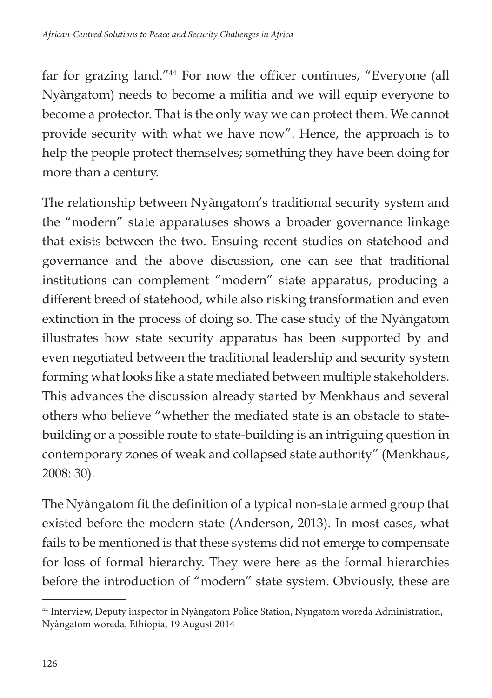far for grazing land."44 For now the officer continues, "Everyone (all Nyàngatom) needs to become a militia and we will equip everyone to become a protector. That is the only way we can protect them. We cannot provide security with what we have now". Hence, the approach is to help the people protect themselves; something they have been doing for more than a century.

The relationship between Nyàngatom's traditional security system and the "modern" state apparatuses shows a broader governance linkage that exists between the two. Ensuing recent studies on statehood and governance and the above discussion, one can see that traditional institutions can complement "modern" state apparatus, producing a different breed of statehood, while also risking transformation and even extinction in the process of doing so. The case study of the Nyàngatom illustrates how state security apparatus has been supported by and even negotiated between the traditional leadership and security system forming what looks like a state mediated between multiple stakeholders. This advances the discussion already started by Menkhaus and several others who believe "whether the mediated state is an obstacle to statebuilding or a possible route to state-building is an intriguing question in contemporary zones of weak and collapsed state authority" (Menkhaus, 2008: 30).

The Nyàngatom fit the definition of a typical non-state armed group that existed before the modern state (Anderson, 2013). In most cases, what fails to be mentioned is that these systems did not emerge to compensate for loss of formal hierarchy. They were here as the formal hierarchies before the introduction of "modern" state system. Obviously, these are

<sup>44</sup> Interview, Deputy inspector in Nyàngatom Police Station, Nyngatom woreda Administration, Nyàngatom woreda, Ethiopia, 19 August 2014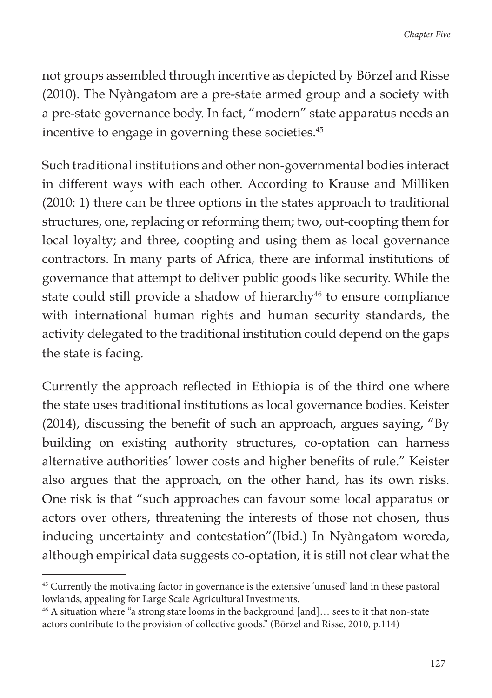not groups assembled through incentive as depicted by Börzel and Risse (2010). The Nyàngatom are a pre-state armed group and a society with a pre-state governance body. In fact, "modern" state apparatus needs an incentive to engage in governing these societies.<sup>45</sup>

Such traditional institutions and other non-governmental bodies interact in different ways with each other. According to Krause and Milliken (2010: 1) there can be three options in the states approach to traditional structures, one, replacing or reforming them; two, out-coopting them for local loyalty; and three, coopting and using them as local governance contractors. In many parts of Africa, there are informal institutions of governance that attempt to deliver public goods like security. While the state could still provide a shadow of hierarchy<sup>46</sup> to ensure compliance with international human rights and human security standards, the activity delegated to the traditional institution could depend on the gaps the state is facing.

Currently the approach reflected in Ethiopia is of the third one where the state uses traditional institutions as local governance bodies. Keister (2014), discussing the benefit of such an approach, argues saying, "By building on existing authority structures, co-optation can harness alternative authorities' lower costs and higher benefits of rule." Keister also argues that the approach, on the other hand, has its own risks. One risk is that "such approaches can favour some local apparatus or actors over others, threatening the interests of those not chosen, thus inducing uncertainty and contestation"(Ibid.) In Nyàngatom woreda, although empirical data suggests co-optation, it is still not clear what the

<sup>45</sup> Currently the motivating factor in governance is the extensive 'unused' land in these pastoral lowlands, appealing for Large Scale Agricultural Investments.

<sup>46</sup> A situation where "a strong state looms in the background [and]… sees to it that non-state actors contribute to the provision of collective goods." (Börzel and Risse, 2010, p.114)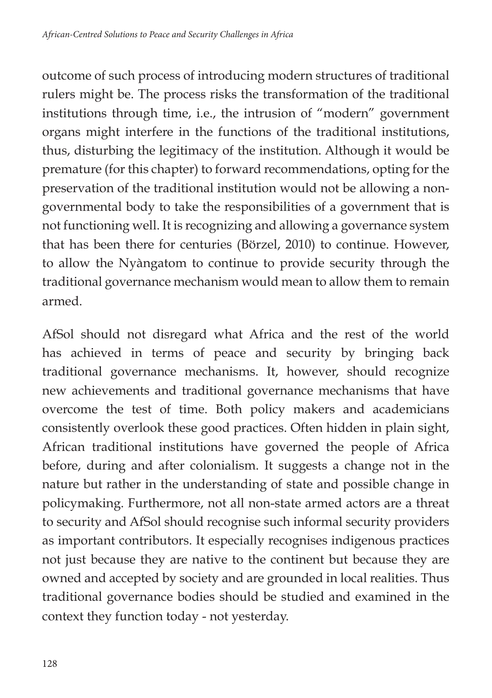outcome of such process of introducing modern structures of traditional rulers might be. The process risks the transformation of the traditional institutions through time, i.e., the intrusion of "modern" government organs might interfere in the functions of the traditional institutions, thus, disturbing the legitimacy of the institution. Although it would be premature (for this chapter) to forward recommendations, opting for the preservation of the traditional institution would not be allowing a nongovernmental body to take the responsibilities of a government that is not functioning well. It is recognizing and allowing a governance system that has been there for centuries (Börzel, 2010) to continue. However, to allow the Nyàngatom to continue to provide security through the traditional governance mechanism would mean to allow them to remain armed.

AfSol should not disregard what Africa and the rest of the world has achieved in terms of peace and security by bringing back traditional governance mechanisms. It, however, should recognize new achievements and traditional governance mechanisms that have overcome the test of time. Both policy makers and academicians consistently overlook these good practices. Often hidden in plain sight, African traditional institutions have governed the people of Africa before, during and after colonialism. It suggests a change not in the nature but rather in the understanding of state and possible change in policymaking. Furthermore, not all non-state armed actors are a threat to security and AfSol should recognise such informal security providers as important contributors. It especially recognises indigenous practices not just because they are native to the continent but because they are owned and accepted by society and are grounded in local realities. Thus traditional governance bodies should be studied and examined in the context they function today - not yesterday.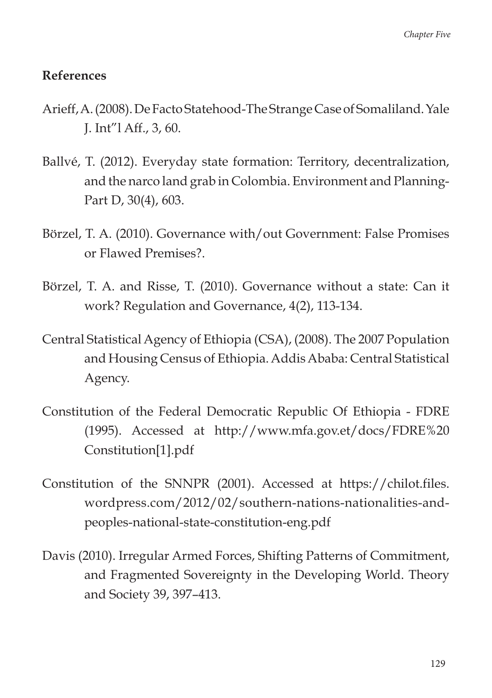#### **References**

- Arieff, A. (2008). De Facto Statehood-The Strange Case of Somaliland. Yale J. Int"l Aff., 3, 60.
- Ballvé, T. (2012). Everyday state formation: Territory, decentralization, and the narco land grab in Colombia. Environment and Planning-Part D, 30(4), 603.
- Börzel, T. A. (2010). Governance with/out Government: False Promises or Flawed Premises?.
- Börzel, T. A. and Risse, T. (2010). Governance without a state: Can it work? Regulation and Governance, 4(2), 113-134.
- Central Statistical Agency of Ethiopia (CSA), (2008). The 2007 Population and Housing Census of Ethiopia. Addis Ababa: Central Statistical Agency.
- Constitution of the Federal Democratic Republic Of Ethiopia FDRE (1995). Accessed at http://www.mfa.gov.et/docs/FDRE%20 Constitution[1].pdf
- Constitution of the SNNPR (2001). Accessed at https://chilot.files. wordpress.com/2012/02/southern-nations-nationalities-andpeoples-national-state-constitution-eng.pdf
- Davis (2010). Irregular Armed Forces, Shifting Patterns of Commitment, and Fragmented Sovereignty in the Developing World. Theory and Society 39, 397–413.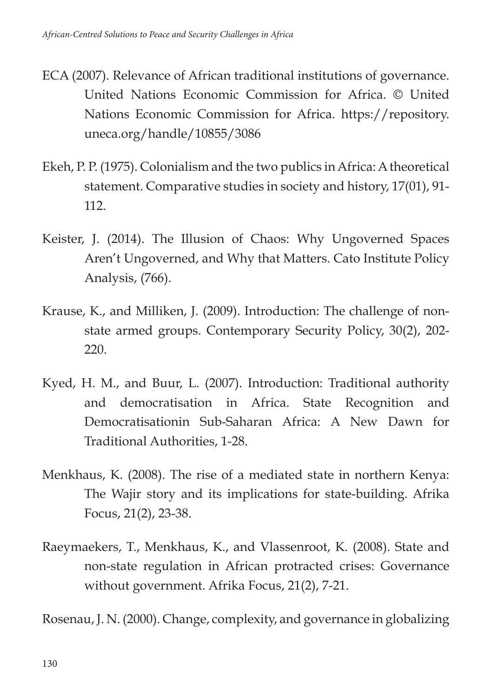- ECA (2007). Relevance of African traditional institutions of governance. United Nations Economic Commission for Africa. © United Nations Economic Commission for Africa. https://repository. uneca.org/handle/10855/3086
- Ekeh, P. P. (1975). Colonialism and the two publics in Africa: A theoretical statement. Comparative studies in society and history, 17(01), 91- 112.
- Keister, J. (2014). The Illusion of Chaos: Why Ungoverned Spaces Aren't Ungoverned, and Why that Matters. Cato Institute Policy Analysis, (766).
- Krause, K., and Milliken, J. (2009). Introduction: The challenge of nonstate armed groups. Contemporary Security Policy, 30(2), 202- 220.
- Kyed, H. M., and Buur, L. (2007). Introduction: Traditional authority and democratisation in Africa. State Recognition and Democratisationin Sub-Saharan Africa: A New Dawn for Traditional Authorities, 1-28.
- Menkhaus, K. (2008). The rise of a mediated state in northern Kenya: The Wajir story and its implications for state-building. Afrika Focus, 21(2), 23-38.
- Raeymaekers, T., Menkhaus, K., and Vlassenroot, K. (2008). State and non-state regulation in African protracted crises: Governance without government. Afrika Focus, 21(2), 7-21.

Rosenau, J. N. (2000). Change, complexity, and governance in globalizing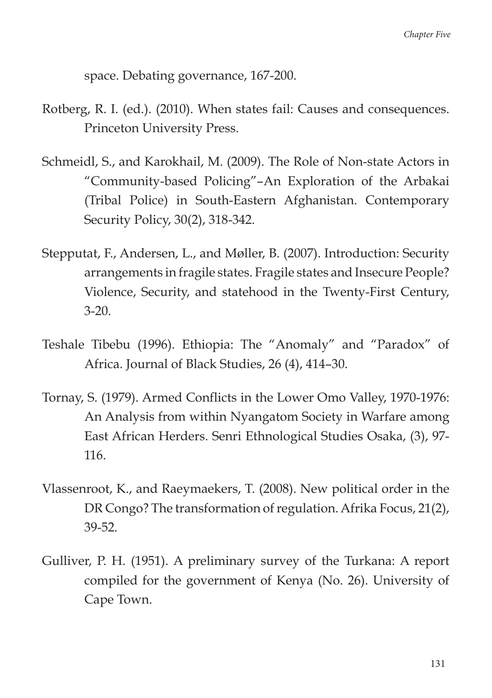space. Debating governance, 167-200.

- Rotberg, R. I. (ed.). (2010). When states fail: Causes and consequences. Princeton University Press.
- Schmeidl, S., and Karokhail, M. (2009). The Role of Non-state Actors in "Community-based Policing"–An Exploration of the Arbakai (Tribal Police) in South-Eastern Afghanistan. Contemporary Security Policy, 30(2), 318-342.
- Stepputat, F., Andersen, L., and Møller, B. (2007). Introduction: Security arrangements in fragile states. Fragile states and Insecure People? Violence, Security, and statehood in the Twenty-First Century, 3-20.
- Teshale Tibebu (1996). Ethiopia: The "Anomaly" and "Paradox" of Africa. Journal of Black Studies, 26 (4), 414–30.
- Tornay, S. (1979). Armed Conflicts in the Lower Omo Valley, 1970-1976: An Analysis from within Nyangatom Society in Warfare among East African Herders. Senri Ethnological Studies Osaka, (3), 97- 116.
- Vlassenroot, K., and Raeymaekers, T. (2008). New political order in the DR Congo? The transformation of regulation. Afrika Focus, 21(2), 39-52.
- Gulliver, P. H. (1951). A preliminary survey of the Turkana: A report compiled for the government of Kenya (No. 26). University of Cape Town.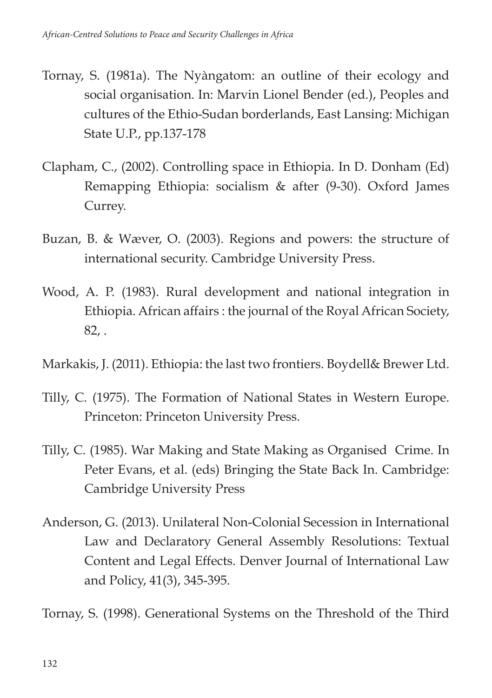- Tornay, S. (1981a). The Nyàngatom: an outline of their ecology and social organisation. In: Marvin Lionel Bender (ed.), Peoples and cultures of the Ethio-Sudan borderlands, East Lansing: Michigan State U.P., pp.137-178
- Clapham, C., (2002). Controlling space in Ethiopia. In D. Donham (Ed) Remapping Ethiopia: socialism & after (9-30). Oxford James Currey.
- Buzan, B. & Wæver, O. (2003). Regions and powers: the structure of international security. Cambridge University Press.
- Wood, A. P. (1983). Rural development and national integration in Ethiopia. African affairs : the journal of the Royal African Society,  $82.$
- Markakis, J. (2011). Ethiopia: the last two frontiers. Boydell& Brewer Ltd.
- Tilly, C. (1975). The Formation of National States in Western Europe. Princeton: Princeton University Press.
- Tilly, C. (1985). War Making and State Making as Organised Crime. In Peter Evans, et al. (eds) Bringing the State Back In. Cambridge: Cambridge University Press
- Anderson, G. (2013). Unilateral Non-Colonial Secession in International Law and Declaratory General Assembly Resolutions: Textual Content and Legal Effects. Denver Journal of International Law and Policy, 41(3), 345-395.
- Tornay, S. (1998). Generational Systems on the Threshold of the Third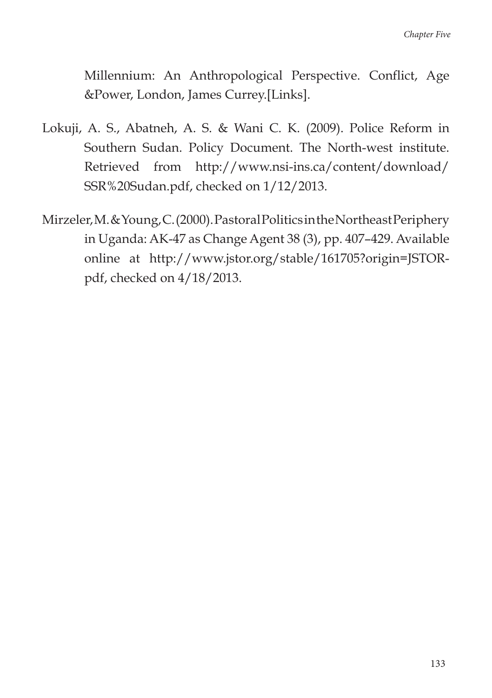Millennium: An Anthropological Perspective. Conflict, Age &Power, London, James Currey.[Links].

- Lokuji, A. S., Abatneh, A. S. & Wani C. K. (2009). Police Reform in Southern Sudan. Policy Document. The North-west institute. Retrieved from http://www.nsi-ins.ca/content/download/ SSR%20Sudan.pdf, checked on 1/12/2013.
- Mirzeler, M. & Young, C. (2000). Pastoral Politics in the Northeast Periphery in Uganda: AK-47 as Change Agent 38 (3), pp. 407–429. Available online at http://www.jstor.org/stable/161705?origin=JSTORpdf, checked on 4/18/2013.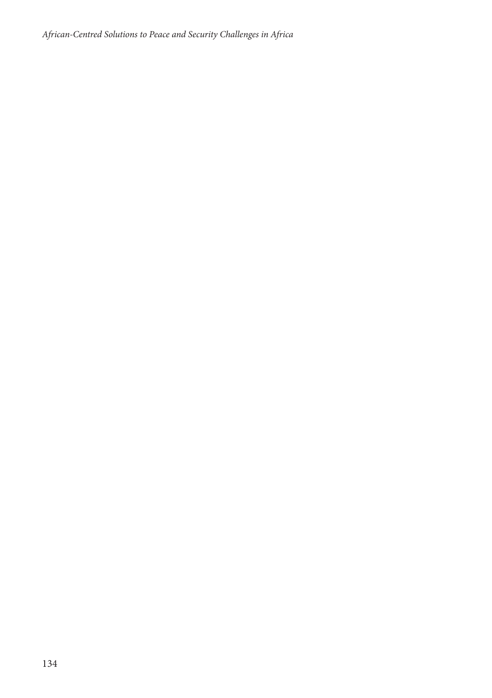*African-Centred Solutions to Peace and Security Challenges in Africa*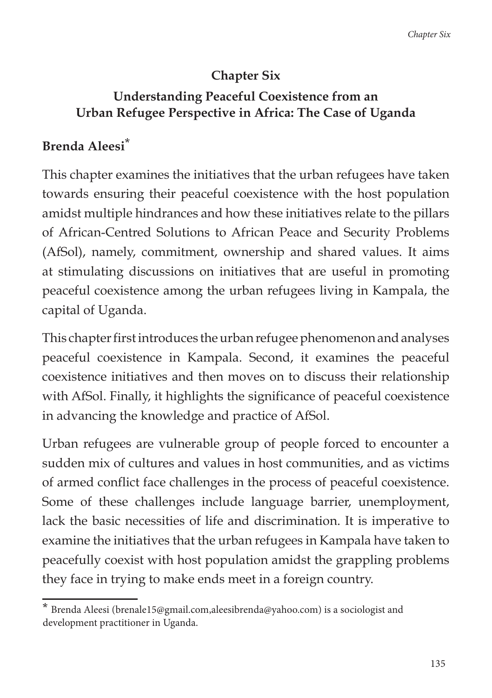# **Chapter Six**

# **Understanding Peaceful Coexistence from an Urban Refugee Perspective in Africa: The Case of Uganda**

# **Brenda Aleesi**\*

This chapter examines the initiatives that the urban refugees have taken towards ensuring their peaceful coexistence with the host population amidst multiple hindrances and how these initiatives relate to the pillars of African-Centred Solutions to African Peace and Security Problems (AfSol), namely, commitment, ownership and shared values. It aims at stimulating discussions on initiatives that are useful in promoting peaceful coexistence among the urban refugees living in Kampala, the capital of Uganda.

This chapter first introduces the urban refugee phenomenon and analyses peaceful coexistence in Kampala. Second, it examines the peaceful coexistence initiatives and then moves on to discuss their relationship with AfSol. Finally, it highlights the significance of peaceful coexistence in advancing the knowledge and practice of AfSol.

Urban refugees are vulnerable group of people forced to encounter a sudden mix of cultures and values in host communities, and as victims of armed conflict face challenges in the process of peaceful coexistence. Some of these challenges include language barrier, unemployment, lack the basic necessities of life and discrimination. It is imperative to examine the initiatives that the urban refugees in Kampala have taken to peacefully coexist with host population amidst the grappling problems they face in trying to make ends meet in a foreign country.

<sup>\*</sup> Brenda Aleesi (brenale15@gmail.com,aleesibrenda@yahoo.com) is a sociologist and development practitioner in Uganda.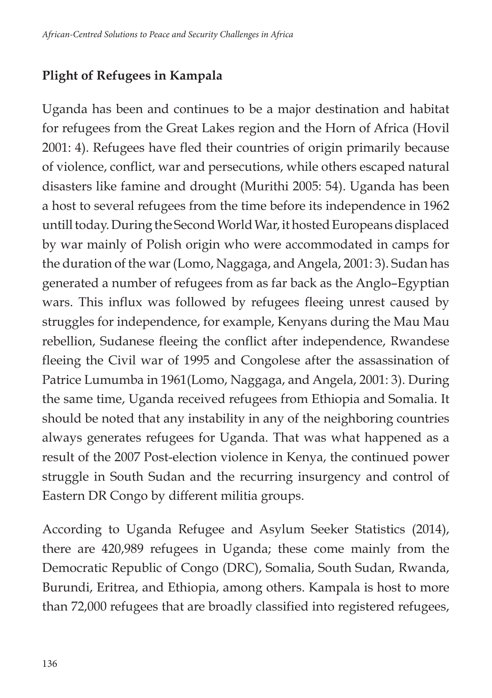# **Plight of Refugees in Kampala**

Uganda has been and continues to be a major destination and habitat for refugees from the Great Lakes region and the Horn of Africa (Hovil 2001: 4). Refugees have fled their countries of origin primarily because of violence, conflict, war and persecutions, while others escaped natural disasters like famine and drought (Murithi 2005: 54). Uganda has been a host to several refugees from the time before its independence in 1962 untill today. During the Second World War, it hosted Europeans displaced by war mainly of Polish origin who were accommodated in camps for the duration of the war (Lomo, Naggaga, and Angela, 2001: 3). Sudan has generated a number of refugees from as far back as the Anglo–Egyptian wars. This influx was followed by refugees fleeing unrest caused by struggles for independence, for example, Kenyans during the Mau Mau rebellion, Sudanese fleeing the conflict after independence, Rwandese fleeing the Civil war of 1995 and Congolese after the assassination of Patrice Lumumba in 1961(Lomo, Naggaga, and Angela, 2001: 3). During the same time, Uganda received refugees from Ethiopia and Somalia. It should be noted that any instability in any of the neighboring countries always generates refugees for Uganda. That was what happened as a result of the 2007 Post-election violence in Kenya, the continued power struggle in South Sudan and the recurring insurgency and control of Eastern DR Congo by different militia groups.

According to Uganda Refugee and Asylum Seeker Statistics (2014), there are 420,989 refugees in Uganda; these come mainly from the Democratic Republic of Congo (DRC), Somalia, South Sudan, Rwanda, Burundi, Eritrea, and Ethiopia, among others. Kampala is host to more than 72,000 refugees that are broadly classified into registered refugees,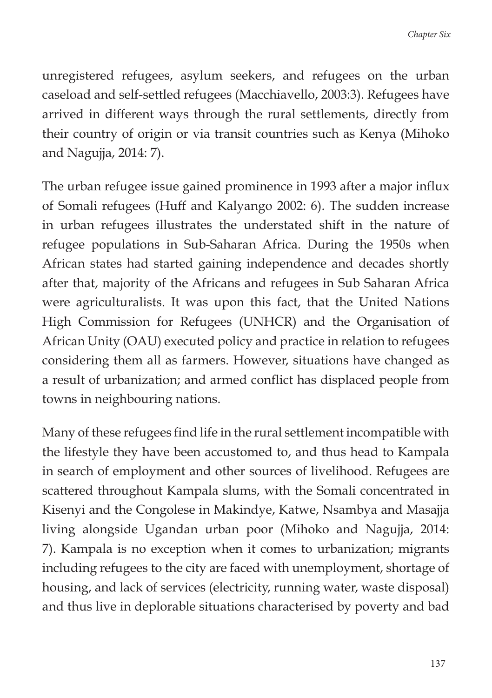unregistered refugees, asylum seekers, and refugees on the urban caseload and self-settled refugees (Macchiavello, 2003:3). Refugees have arrived in different ways through the rural settlements, directly from their country of origin or via transit countries such as Kenya (Mihoko and Nagujja, 2014: 7).

The urban refugee issue gained prominence in 1993 after a major influx of Somali refugees (Huff and Kalyango 2002: 6). The sudden increase in urban refugees illustrates the understated shift in the nature of refugee populations in Sub-Saharan Africa. During the 1950s when African states had started gaining independence and decades shortly after that, majority of the Africans and refugees in Sub Saharan Africa were agriculturalists. It was upon this fact, that the United Nations High Commission for Refugees (UNHCR) and the Organisation of African Unity (OAU) executed policy and practice in relation to refugees considering them all as farmers. However, situations have changed as a result of urbanization; and armed conflict has displaced people from towns in neighbouring nations.

Many of these refugees find life in the rural settlement incompatible with the lifestyle they have been accustomed to, and thus head to Kampala in search of employment and other sources of livelihood. Refugees are scattered throughout Kampala slums, with the Somali concentrated in Kisenyi and the Congolese in Makindye, Katwe, Nsambya and Masajja living alongside Ugandan urban poor (Mihoko and Nagujja, 2014: 7). Kampala is no exception when it comes to urbanization; migrants including refugees to the city are faced with unemployment, shortage of housing, and lack of services (electricity, running water, waste disposal) and thus live in deplorable situations characterised by poverty and bad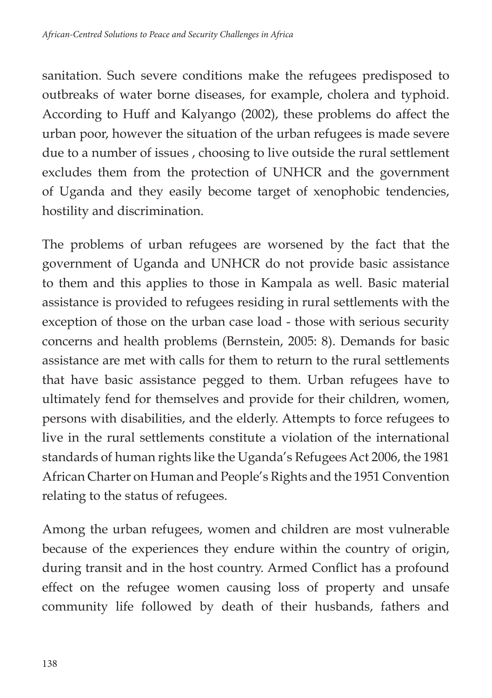sanitation. Such severe conditions make the refugees predisposed to outbreaks of water borne diseases, for example, cholera and typhoid. According to Huff and Kalyango (2002), these problems do affect the urban poor, however the situation of the urban refugees is made severe due to a number of issues , choosing to live outside the rural settlement excludes them from the protection of UNHCR and the government of Uganda and they easily become target of xenophobic tendencies, hostility and discrimination.

The problems of urban refugees are worsened by the fact that the government of Uganda and UNHCR do not provide basic assistance to them and this applies to those in Kampala as well. Basic material assistance is provided to refugees residing in rural settlements with the exception of those on the urban case load - those with serious security concerns and health problems (Bernstein, 2005: 8). Demands for basic assistance are met with calls for them to return to the rural settlements that have basic assistance pegged to them. Urban refugees have to ultimately fend for themselves and provide for their children, women, persons with disabilities, and the elderly. Attempts to force refugees to live in the rural settlements constitute a violation of the international standards of human rights like the Uganda's Refugees Act 2006, the 1981 African Charter on Human and People's Rights and the 1951 Convention relating to the status of refugees.

Among the urban refugees, women and children are most vulnerable because of the experiences they endure within the country of origin, during transit and in the host country. Armed Conflict has a profound effect on the refugee women causing loss of property and unsafe community life followed by death of their husbands, fathers and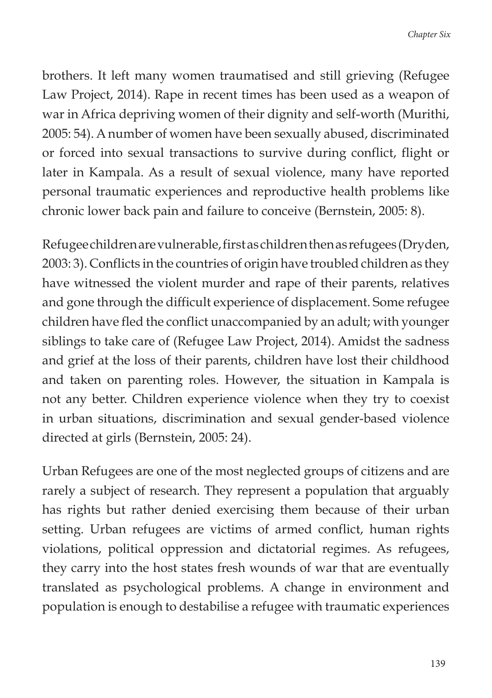brothers. It left many women traumatised and still grieving (Refugee Law Project, 2014). Rape in recent times has been used as a weapon of war in Africa depriving women of their dignity and self-worth (Murithi, 2005: 54). A number of women have been sexually abused, discriminated or forced into sexual transactions to survive during conflict, flight or later in Kampala. As a result of sexual violence, many have reported personal traumatic experiences and reproductive health problems like chronic lower back pain and failure to conceive (Bernstein, 2005: 8).

Refugee children are vulnerable, first as children then as refugees (Dryden, 2003: 3). Conflicts in the countries of origin have troubled children as they have witnessed the violent murder and rape of their parents, relatives and gone through the difficult experience of displacement. Some refugee children have fled the conflict unaccompanied by an adult; with younger siblings to take care of (Refugee Law Project, 2014). Amidst the sadness and grief at the loss of their parents, children have lost their childhood and taken on parenting roles. However, the situation in Kampala is not any better. Children experience violence when they try to coexist in urban situations, discrimination and sexual gender-based violence directed at girls (Bernstein, 2005: 24).

Urban Refugees are one of the most neglected groups of citizens and are rarely a subject of research. They represent a population that arguably has rights but rather denied exercising them because of their urban setting. Urban refugees are victims of armed conflict, human rights violations, political oppression and dictatorial regimes. As refugees, they carry into the host states fresh wounds of war that are eventually translated as psychological problems. A change in environment and population is enough to destabilise a refugee with traumatic experiences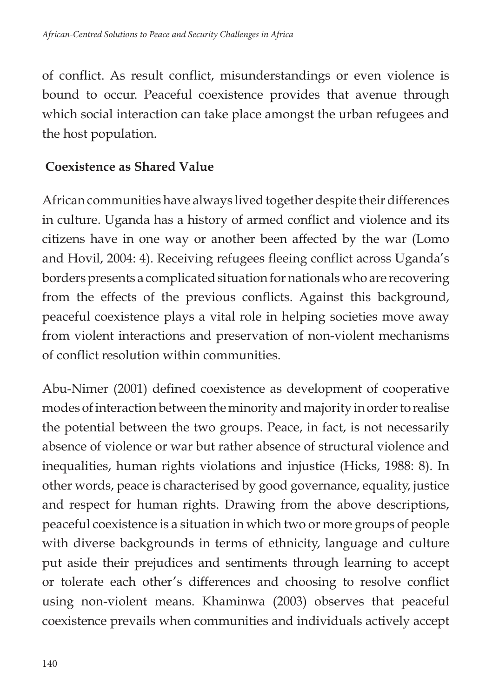of conflict. As result conflict, misunderstandings or even violence is bound to occur. Peaceful coexistence provides that avenue through which social interaction can take place amongst the urban refugees and the host population.

## **Coexistence as Shared Value**

African communities have always lived together despite their differences in culture. Uganda has a history of armed conflict and violence and its citizens have in one way or another been affected by the war (Lomo and Hovil, 2004: 4). Receiving refugees fleeing conflict across Uganda's borders presents a complicated situation for nationals who are recovering from the effects of the previous conflicts. Against this background, peaceful coexistence plays a vital role in helping societies move away from violent interactions and preservation of non-violent mechanisms of conflict resolution within communities.

Abu-Nimer (2001) defined coexistence as development of cooperative modes of interaction between the minority and majority in order to realise the potential between the two groups. Peace, in fact, is not necessarily absence of violence or war but rather absence of structural violence and inequalities, human rights violations and injustice (Hicks, 1988: 8). In other words, peace is characterised by good governance, equality, justice and respect for human rights. Drawing from the above descriptions, peaceful coexistence is a situation in which two or more groups of people with diverse backgrounds in terms of ethnicity, language and culture put aside their prejudices and sentiments through learning to accept or tolerate each other's differences and choosing to resolve conflict using non-violent means. Khaminwa (2003) observes that peaceful coexistence prevails when communities and individuals actively accept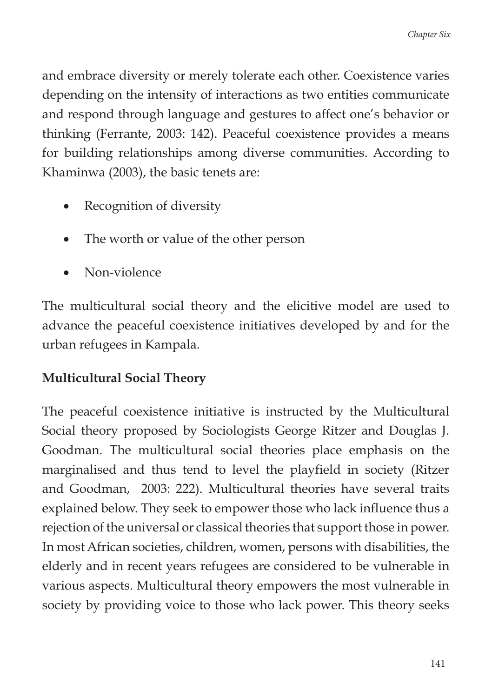and embrace diversity or merely tolerate each other. Coexistence varies depending on the intensity of interactions as two entities communicate and respond through language and gestures to affect one's behavior or thinking (Ferrante, 2003: 142). Peaceful coexistence provides a means for building relationships among diverse communities. According to Khaminwa (2003), the basic tenets are:

- Recognition of diversity
- The worth or value of the other person
- Non-violence

The multicultural social theory and the elicitive model are used to advance the peaceful coexistence initiatives developed by and for the urban refugees in Kampala.

# **Multicultural Social Theory**

The peaceful coexistence initiative is instructed by the Multicultural Social theory proposed by Sociologists George Ritzer and Douglas J. Goodman. The multicultural social theories place emphasis on the marginalised and thus tend to level the playfield in society (Ritzer and Goodman, 2003: 222). Multicultural theories have several traits explained below. They seek to empower those who lack influence thus a rejection of the universal or classical theories that support those in power. In most African societies, children, women, persons with disabilities, the elderly and in recent years refugees are considered to be vulnerable in various aspects. Multicultural theory empowers the most vulnerable in society by providing voice to those who lack power. This theory seeks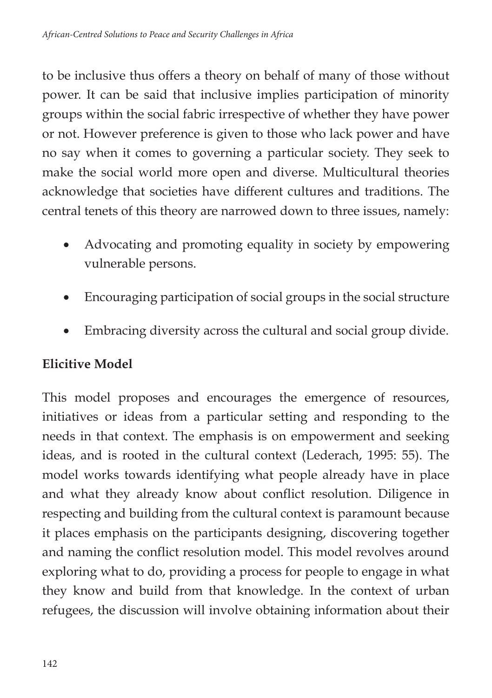to be inclusive thus offers a theory on behalf of many of those without power. It can be said that inclusive implies participation of minority groups within the social fabric irrespective of whether they have power or not. However preference is given to those who lack power and have no say when it comes to governing a particular society. They seek to make the social world more open and diverse. Multicultural theories acknowledge that societies have different cultures and traditions. The central tenets of this theory are narrowed down to three issues, namely:

- Advocating and promoting equality in society by empowering vulnerable persons.
- Encouraging participation of social groups in the social structure
- Embracing diversity across the cultural and social group divide.

## **Elicitive Model**

This model proposes and encourages the emergence of resources, initiatives or ideas from a particular setting and responding to the needs in that context. The emphasis is on empowerment and seeking ideas, and is rooted in the cultural context (Lederach, 1995: 55). The model works towards identifying what people already have in place and what they already know about conflict resolution. Diligence in respecting and building from the cultural context is paramount because it places emphasis on the participants designing, discovering together and naming the conflict resolution model. This model revolves around exploring what to do, providing a process for people to engage in what they know and build from that knowledge. In the context of urban refugees, the discussion will involve obtaining information about their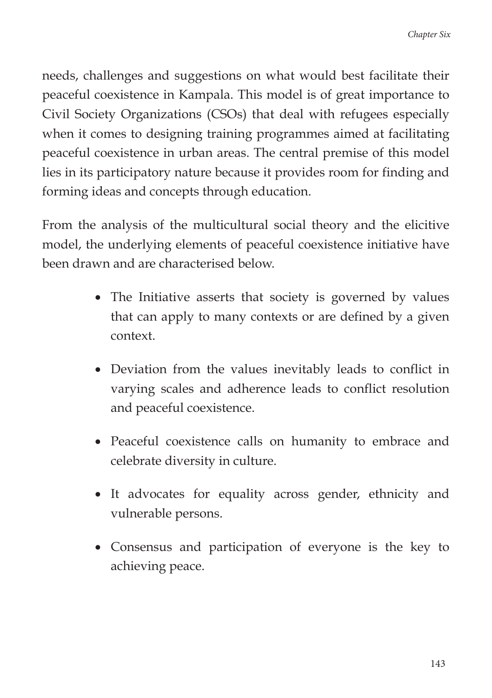needs, challenges and suggestions on what would best facilitate their peaceful coexistence in Kampala. This model is of great importance to Civil Society Organizations (CSOs) that deal with refugees especially when it comes to designing training programmes aimed at facilitating peaceful coexistence in urban areas. The central premise of this model lies in its participatory nature because it provides room for finding and forming ideas and concepts through education.

From the analysis of the multicultural social theory and the elicitive model, the underlying elements of peaceful coexistence initiative have been drawn and are characterised below.

- The Initiative asserts that society is governed by values that can apply to many contexts or are defined by a given context.
- Deviation from the values inevitably leads to conflict in varying scales and adherence leads to conflict resolution and peaceful coexistence.
- Peaceful coexistence calls on humanity to embrace and celebrate diversity in culture.
- It advocates for equality across gender, ethnicity and vulnerable persons.
- • Consensus and participation of everyone is the key to achieving peace.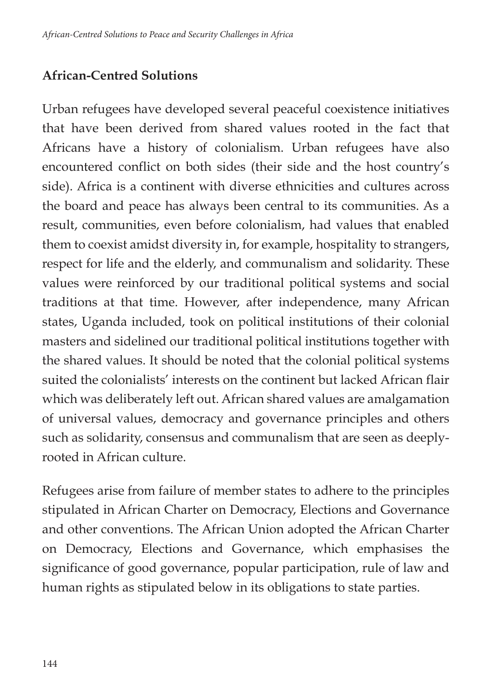## **African-Centred Solutions**

Urban refugees have developed several peaceful coexistence initiatives that have been derived from shared values rooted in the fact that Africans have a history of colonialism. Urban refugees have also encountered conflict on both sides (their side and the host country's side). Africa is a continent with diverse ethnicities and cultures across the board and peace has always been central to its communities. As a result, communities, even before colonialism, had values that enabled them to coexist amidst diversity in, for example, hospitality to strangers, respect for life and the elderly, and communalism and solidarity. These values were reinforced by our traditional political systems and social traditions at that time. However, after independence, many African states, Uganda included, took on political institutions of their colonial masters and sidelined our traditional political institutions together with the shared values. It should be noted that the colonial political systems suited the colonialists' interests on the continent but lacked African flair which was deliberately left out. African shared values are amalgamation of universal values, democracy and governance principles and others such as solidarity, consensus and communalism that are seen as deeplyrooted in African culture.

Refugees arise from failure of member states to adhere to the principles stipulated in African Charter on Democracy, Elections and Governance and other conventions. The African Union adopted the African Charter on Democracy, Elections and Governance, which emphasises the significance of good governance, popular participation, rule of law and human rights as stipulated below in its obligations to state parties.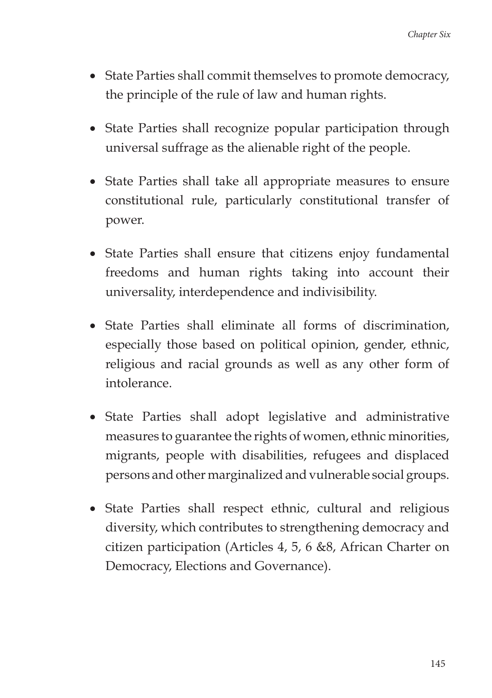- State Parties shall commit themselves to promote democracy, the principle of the rule of law and human rights.
- State Parties shall recognize popular participation through universal suffrage as the alienable right of the people.
- State Parties shall take all appropriate measures to ensure constitutional rule, particularly constitutional transfer of power.
- State Parties shall ensure that citizens enjoy fundamental freedoms and human rights taking into account their universality, interdependence and indivisibility.
- State Parties shall eliminate all forms of discrimination. especially those based on political opinion, gender, ethnic, religious and racial grounds as well as any other form of intolerance.
- State Parties shall adopt legislative and administrative measures to guarantee the rights of women, ethnic minorities, migrants, people with disabilities, refugees and displaced persons and other marginalized and vulnerable social groups.
- State Parties shall respect ethnic, cultural and religious diversity, which contributes to strengthening democracy and citizen participation (Articles 4, 5, 6 &8, African Charter on Democracy, Elections and Governance).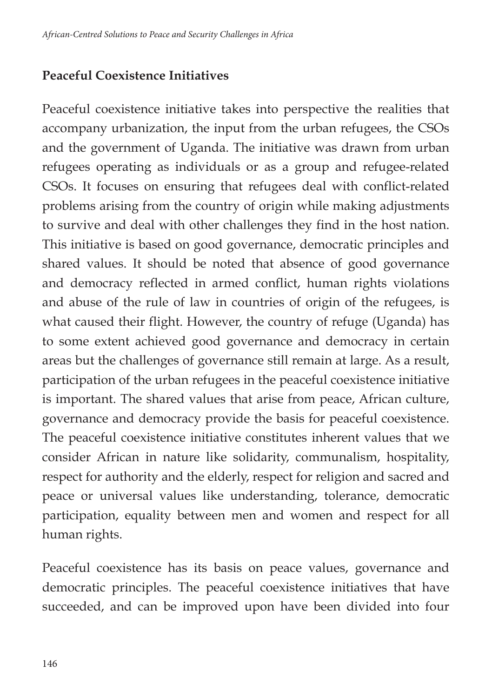### **Peaceful Coexistence Initiatives**

Peaceful coexistence initiative takes into perspective the realities that accompany urbanization, the input from the urban refugees, the CSOs and the government of Uganda. The initiative was drawn from urban refugees operating as individuals or as a group and refugee-related CSOs. It focuses on ensuring that refugees deal with conflict-related problems arising from the country of origin while making adjustments to survive and deal with other challenges they find in the host nation. This initiative is based on good governance, democratic principles and shared values. It should be noted that absence of good governance and democracy reflected in armed conflict, human rights violations and abuse of the rule of law in countries of origin of the refugees, is what caused their flight. However, the country of refuge (Uganda) has to some extent achieved good governance and democracy in certain areas but the challenges of governance still remain at large. As a result, participation of the urban refugees in the peaceful coexistence initiative is important. The shared values that arise from peace, African culture, governance and democracy provide the basis for peaceful coexistence. The peaceful coexistence initiative constitutes inherent values that we consider African in nature like solidarity, communalism, hospitality, respect for authority and the elderly, respect for religion and sacred and peace or universal values like understanding, tolerance, democratic participation, equality between men and women and respect for all human rights.

Peaceful coexistence has its basis on peace values, governance and democratic principles. The peaceful coexistence initiatives that have succeeded, and can be improved upon have been divided into four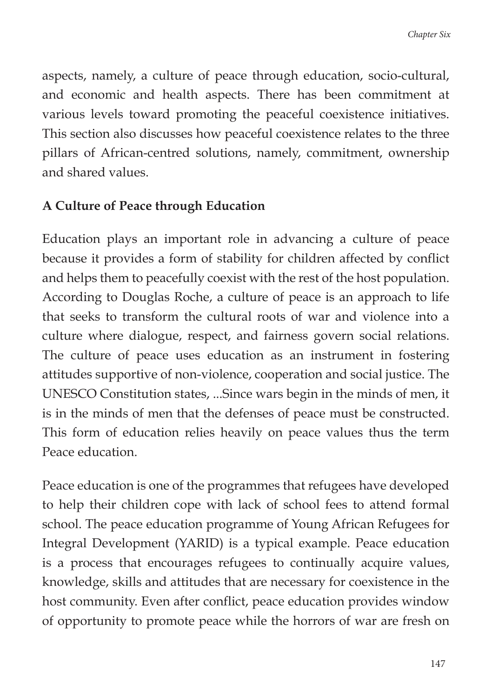aspects, namely, a culture of peace through education, socio-cultural, and economic and health aspects. There has been commitment at various levels toward promoting the peaceful coexistence initiatives. This section also discusses how peaceful coexistence relates to the three pillars of African-centred solutions, namely, commitment, ownership and shared values.

### **A Culture of Peace through Education**

Education plays an important role in advancing a culture of peace because it provides a form of stability for children affected by conflict and helps them to peacefully coexist with the rest of the host population. According to Douglas Roche, a culture of peace is an approach to life that seeks to transform the cultural roots of war and violence into a culture where dialogue, respect, and fairness govern social relations. The culture of peace uses education as an instrument in fostering attitudes supportive of non-violence, cooperation and social justice. The UNESCO Constitution states, ...Since wars begin in the minds of men, it is in the minds of men that the defenses of peace must be constructed. This form of education relies heavily on peace values thus the term Peace education.

Peace education is one of the programmes that refugees have developed to help their children cope with lack of school fees to attend formal school. The peace education programme of Young African Refugees for Integral Development (YARID) is a typical example. Peace education is a process that encourages refugees to continually acquire values, knowledge, skills and attitudes that are necessary for coexistence in the host community. Even after conflict, peace education provides window of opportunity to promote peace while the horrors of war are fresh on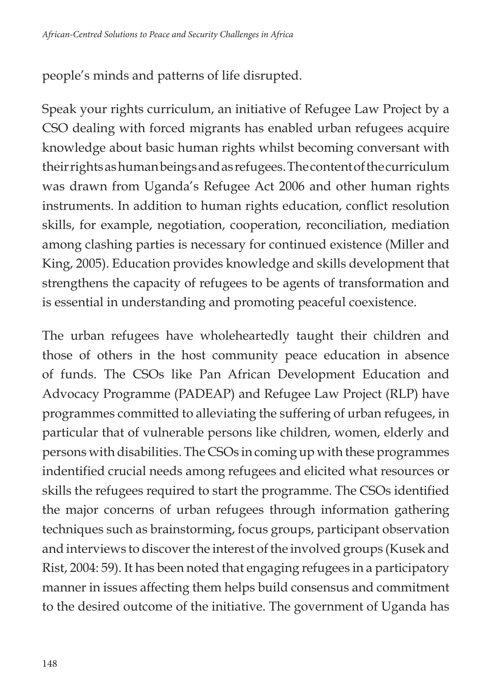people's minds and patterns of life disrupted.

Speak your rights curriculum, an initiative of Refugee Law Project by a CSO dealing with forced migrants has enabled urban refugees acquire knowledge about basic human rights whilst becoming conversant with their rights as human beings and as refugees. The content of the curriculum was drawn from Uganda's Refugee Act 2006 and other human rights instruments. In addition to human rights education, conflict resolution skills, for example, negotiation, cooperation, reconciliation, mediation among clashing parties is necessary for continued existence (Miller and King, 2005). Education provides knowledge and skills development that strengthens the capacity of refugees to be agents of transformation and is essential in understanding and promoting peaceful coexistence.

The urban refugees have wholeheartedly taught their children and those of others in the host community peace education in absence of funds. The CSOs like Pan African Development Education and Advocacy Programme (PADEAP) and Refugee Law Project (RLP) have programmes committed to alleviating the suffering of urban refugees, in particular that of vulnerable persons like children, women, elderly and persons with disabilities. The CSOs in coming up with these programmes indentified crucial needs among refugees and elicited what resources or skills the refugees required to start the programme. The CSOs identified the major concerns of urban refugees through information gathering techniques such as brainstorming, focus groups, participant observation and interviews to discover the interest of the involved groups (Kusek and Rist, 2004: 59). It has been noted that engaging refugees in a participatory manner in issues affecting them helps build consensus and commitment to the desired outcome of the initiative. The government of Uganda has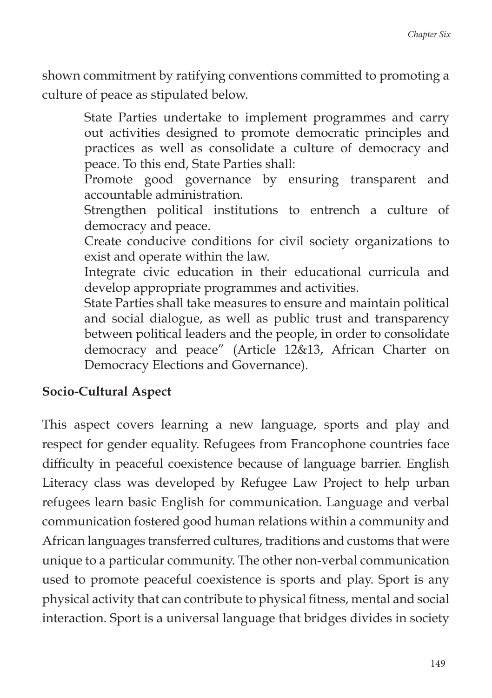shown commitment by ratifying conventions committed to promoting a culture of peace as stipulated below.

> State Parties undertake to implement programmes and carry out activities designed to promote democratic principles and practices as well as consolidate a culture of democracy and peace. To this end, State Parties shall:

> Promote good governance by ensuring transparent and accountable administration.

> Strengthen political institutions to entrench a culture of democracy and peace.

> Create conducive conditions for civil society organizations to exist and operate within the law.

> Integrate civic education in their educational curricula and develop appropriate programmes and activities.

> State Parties shall take measures to ensure and maintain political and social dialogue, as well as public trust and transparency between political leaders and the people, in order to consolidate democracy and peace" (Article 12&13, African Charter on Democracy Elections and Governance).

## **Socio-Cultural Aspect**

This aspect covers learning a new language, sports and play and respect for gender equality. Refugees from Francophone countries face difficulty in peaceful coexistence because of language barrier. English Literacy class was developed by Refugee Law Project to help urban refugees learn basic English for communication. Language and verbal communication fostered good human relations within a community and African languages transferred cultures, traditions and customs that were unique to a particular community. The other non-verbal communication used to promote peaceful coexistence is sports and play. Sport is any physical activity that can contribute to physical fitness, mental and social interaction. Sport is a universal language that bridges divides in society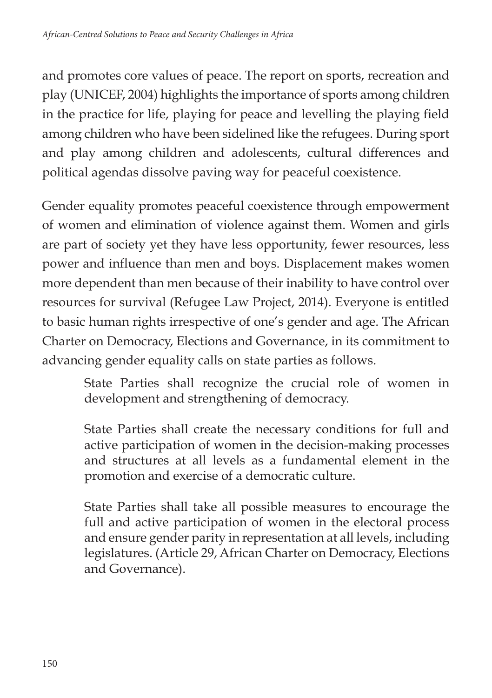and promotes core values of peace. The report on sports, recreation and play (UNICEF, 2004) highlights the importance of sports among children in the practice for life, playing for peace and levelling the playing field among children who have been sidelined like the refugees. During sport and play among children and adolescents, cultural differences and political agendas dissolve paving way for peaceful coexistence.

Gender equality promotes peaceful coexistence through empowerment of women and elimination of violence against them. Women and girls are part of society yet they have less opportunity, fewer resources, less power and influence than men and boys. Displacement makes women more dependent than men because of their inability to have control over resources for survival (Refugee Law Project, 2014). Everyone is entitled to basic human rights irrespective of one's gender and age. The African Charter on Democracy, Elections and Governance, in its commitment to advancing gender equality calls on state parties as follows.

> State Parties shall recognize the crucial role of women in development and strengthening of democracy.

> State Parties shall create the necessary conditions for full and active participation of women in the decision-making processes and structures at all levels as a fundamental element in the promotion and exercise of a democratic culture.

> State Parties shall take all possible measures to encourage the full and active participation of women in the electoral process and ensure gender parity in representation at all levels, including legislatures. (Article 29, African Charter on Democracy, Elections and Governance).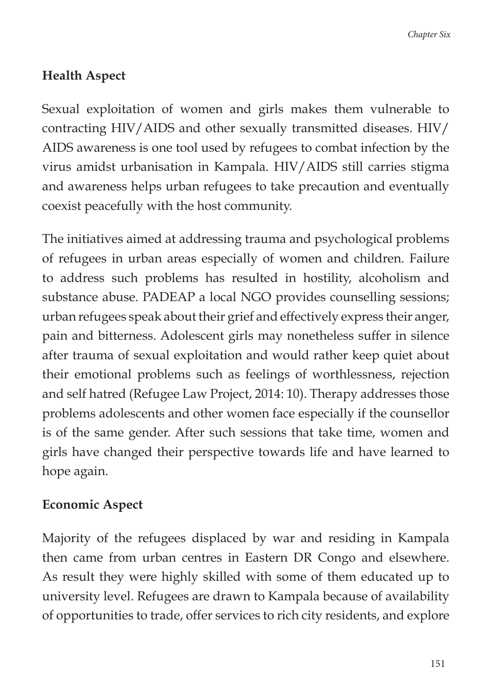## **Health Aspect**

Sexual exploitation of women and girls makes them vulnerable to contracting HIV/AIDS and other sexually transmitted diseases. HIV/ AIDS awareness is one tool used by refugees to combat infection by the virus amidst urbanisation in Kampala. HIV/AIDS still carries stigma and awareness helps urban refugees to take precaution and eventually coexist peacefully with the host community.

The initiatives aimed at addressing trauma and psychological problems of refugees in urban areas especially of women and children. Failure to address such problems has resulted in hostility, alcoholism and substance abuse. PADEAP a local NGO provides counselling sessions; urban refugees speak about their grief and effectively express their anger, pain and bitterness. Adolescent girls may nonetheless suffer in silence after trauma of sexual exploitation and would rather keep quiet about their emotional problems such as feelings of worthlessness, rejection and self hatred (Refugee Law Project, 2014: 10). Therapy addresses those problems adolescents and other women face especially if the counsellor is of the same gender. After such sessions that take time, women and girls have changed their perspective towards life and have learned to hope again.

### **Economic Aspect**

Majority of the refugees displaced by war and residing in Kampala then came from urban centres in Eastern DR Congo and elsewhere. As result they were highly skilled with some of them educated up to university level. Refugees are drawn to Kampala because of availability of opportunities to trade, offer services to rich city residents, and explore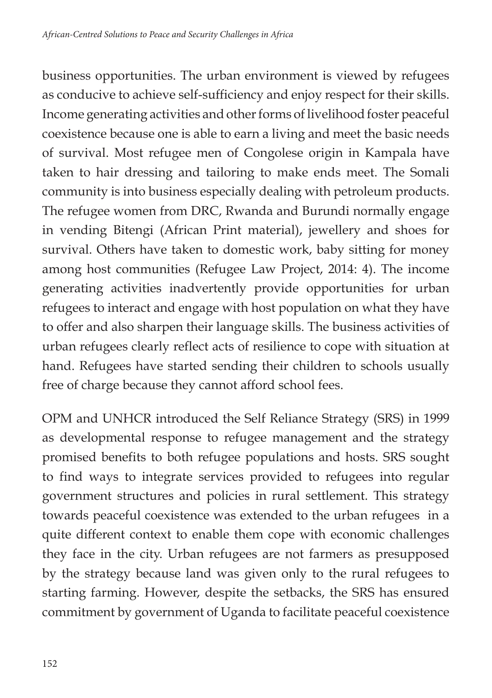business opportunities. The urban environment is viewed by refugees as conducive to achieve self-sufficiency and enjoy respect for their skills. Income generating activities and other forms of livelihood foster peaceful coexistence because one is able to earn a living and meet the basic needs of survival. Most refugee men of Congolese origin in Kampala have taken to hair dressing and tailoring to make ends meet. The Somali community is into business especially dealing with petroleum products. The refugee women from DRC, Rwanda and Burundi normally engage in vending Bitengi (African Print material), jewellery and shoes for survival. Others have taken to domestic work, baby sitting for money among host communities (Refugee Law Project, 2014: 4). The income generating activities inadvertently provide opportunities for urban refugees to interact and engage with host population on what they have to offer and also sharpen their language skills. The business activities of urban refugees clearly reflect acts of resilience to cope with situation at hand. Refugees have started sending their children to schools usually free of charge because they cannot afford school fees.

OPM and UNHCR introduced the Self Reliance Strategy (SRS) in 1999 as developmental response to refugee management and the strategy promised benefits to both refugee populations and hosts. SRS sought to find ways to integrate services provided to refugees into regular government structures and policies in rural settlement. This strategy towards peaceful coexistence was extended to the urban refugees in a quite different context to enable them cope with economic challenges they face in the city. Urban refugees are not farmers as presupposed by the strategy because land was given only to the rural refugees to starting farming. However, despite the setbacks, the SRS has ensured commitment by government of Uganda to facilitate peaceful coexistence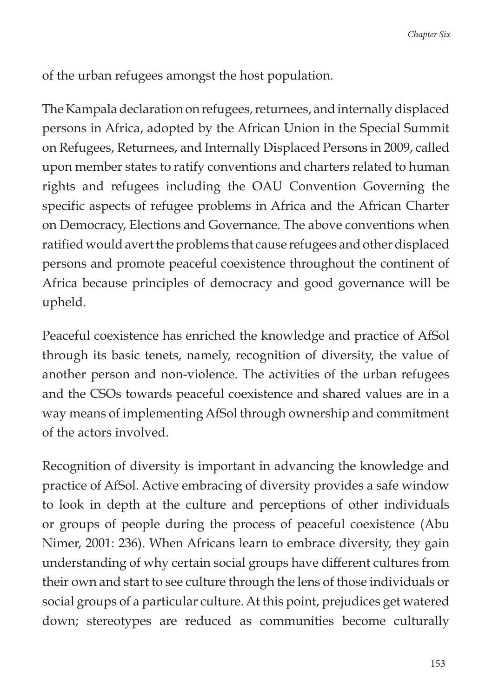of the urban refugees amongst the host population.

The Kampala declaration on refugees, returnees, and internally displaced persons in Africa, adopted by the African Union in the Special Summit on Refugees, Returnees, and Internally Displaced Persons in 2009, called upon member states to ratify conventions and charters related to human rights and refugees including the OAU Convention Governing the specific aspects of refugee problems in Africa and the African Charter on Democracy, Elections and Governance. The above conventions when ratified would avert the problems that cause refugees and other displaced persons and promote peaceful coexistence throughout the continent of Africa because principles of democracy and good governance will be upheld.

Peaceful coexistence has enriched the knowledge and practice of AfSol through its basic tenets, namely, recognition of diversity, the value of another person and non-violence. The activities of the urban refugees and the CSOs towards peaceful coexistence and shared values are in a way means of implementing AfSol through ownership and commitment of the actors involved.

Recognition of diversity is important in advancing the knowledge and practice of AfSol. Active embracing of diversity provides a safe window to look in depth at the culture and perceptions of other individuals or groups of people during the process of peaceful coexistence (Abu Nimer, 2001: 236). When Africans learn to embrace diversity, they gain understanding of why certain social groups have different cultures from their own and start to see culture through the lens of those individuals or social groups of a particular culture. At this point, prejudices get watered down; stereotypes are reduced as communities become culturally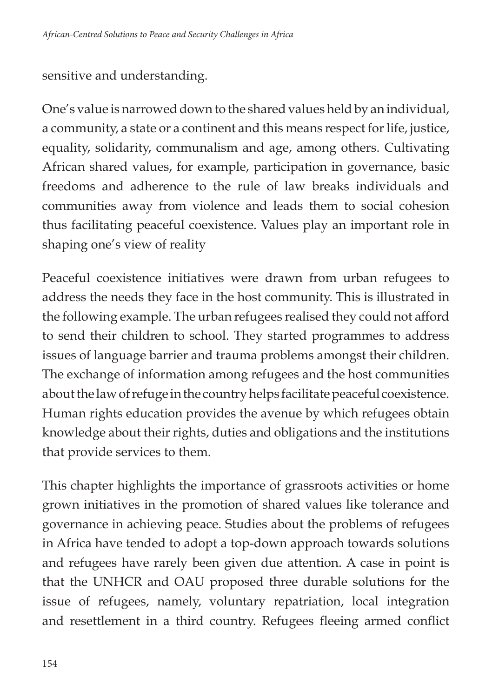sensitive and understanding.

One's value is narrowed down to the shared values held by an individual, a community, a state or a continent and this means respect for life, justice, equality, solidarity, communalism and age, among others. Cultivating African shared values, for example, participation in governance, basic freedoms and adherence to the rule of law breaks individuals and communities away from violence and leads them to social cohesion thus facilitating peaceful coexistence. Values play an important role in shaping one's view of reality

Peaceful coexistence initiatives were drawn from urban refugees to address the needs they face in the host community. This is illustrated in the following example. The urban refugees realised they could not afford to send their children to school. They started programmes to address issues of language barrier and trauma problems amongst their children. The exchange of information among refugees and the host communities about the law of refuge in the country helps facilitate peaceful coexistence. Human rights education provides the avenue by which refugees obtain knowledge about their rights, duties and obligations and the institutions that provide services to them.

This chapter highlights the importance of grassroots activities or home grown initiatives in the promotion of shared values like tolerance and governance in achieving peace. Studies about the problems of refugees in Africa have tended to adopt a top-down approach towards solutions and refugees have rarely been given due attention. A case in point is that the UNHCR and OAU proposed three durable solutions for the issue of refugees, namely, voluntary repatriation, local integration and resettlement in a third country. Refugees fleeing armed conflict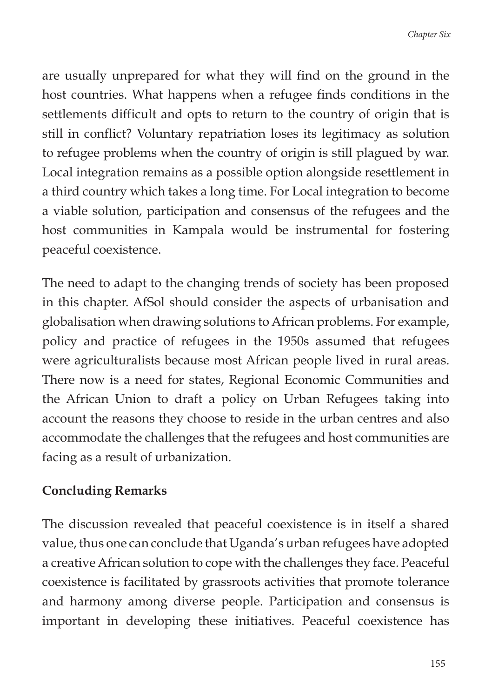are usually unprepared for what they will find on the ground in the host countries. What happens when a refugee finds conditions in the settlements difficult and opts to return to the country of origin that is still in conflict? Voluntary repatriation loses its legitimacy as solution to refugee problems when the country of origin is still plagued by war. Local integration remains as a possible option alongside resettlement in a third country which takes a long time. For Local integration to become a viable solution, participation and consensus of the refugees and the host communities in Kampala would be instrumental for fostering peaceful coexistence.

The need to adapt to the changing trends of society has been proposed in this chapter. AfSol should consider the aspects of urbanisation and globalisation when drawing solutions to African problems. For example, policy and practice of refugees in the 1950s assumed that refugees were agriculturalists because most African people lived in rural areas. There now is a need for states, Regional Economic Communities and the African Union to draft a policy on Urban Refugees taking into account the reasons they choose to reside in the urban centres and also accommodate the challenges that the refugees and host communities are facing as a result of urbanization.

# **Concluding Remarks**

The discussion revealed that peaceful coexistence is in itself a shared value, thus one can conclude that Uganda's urban refugees have adopted a creative African solution to cope with the challenges they face. Peaceful coexistence is facilitated by grassroots activities that promote tolerance and harmony among diverse people. Participation and consensus is important in developing these initiatives. Peaceful coexistence has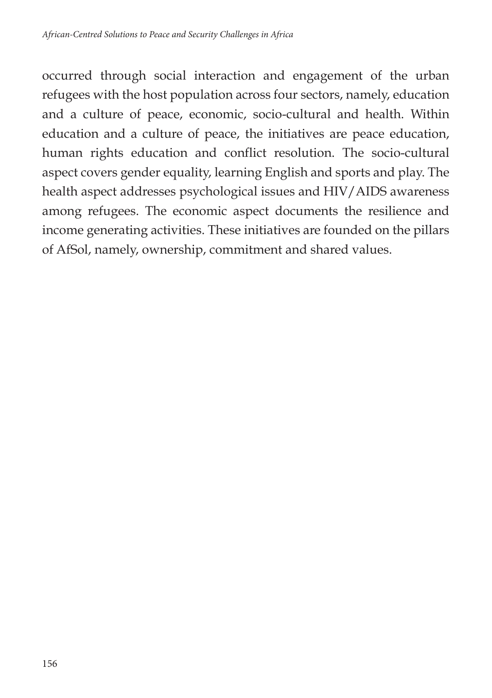occurred through social interaction and engagement of the urban refugees with the host population across four sectors, namely, education and a culture of peace, economic, socio-cultural and health. Within education and a culture of peace, the initiatives are peace education, human rights education and conflict resolution. The socio-cultural aspect covers gender equality, learning English and sports and play. The health aspect addresses psychological issues and HIV/AIDS awareness among refugees. The economic aspect documents the resilience and income generating activities. These initiatives are founded on the pillars of AfSol, namely, ownership, commitment and shared values.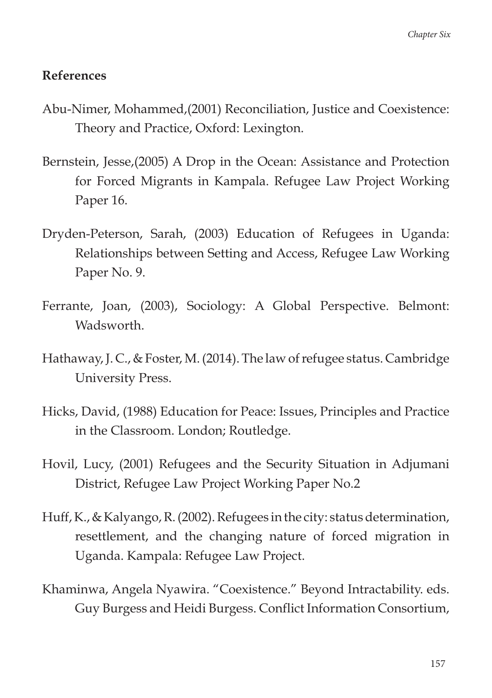#### **References**

- Abu-Nimer, Mohammed,(2001) Reconciliation, Justice and Coexistence: Theory and Practice, Oxford: Lexington.
- Bernstein, Jesse,(2005) A Drop in the Ocean: Assistance and Protection for Forced Migrants in Kampala. Refugee Law Project Working Paper 16.
- Dryden-Peterson, Sarah, (2003) Education of Refugees in Uganda: Relationships between Setting and Access, Refugee Law Working Paper No. 9.
- Ferrante, Joan, (2003), Sociology: A Global Perspective. Belmont: **Wadsworth**
- Hathaway, J. C., & Foster, M. (2014). The law of refugee status. Cambridge University Press.
- Hicks, David, (1988) Education for Peace: Issues, Principles and Practice in the Classroom. London; Routledge.
- Hovil, Lucy, (2001) Refugees and the Security Situation in Adjumani District, Refugee Law Project Working Paper No.2
- Huff, K., & Kalyango, R. (2002). Refugees in the city: status determination, resettlement, and the changing nature of forced migration in Uganda. Kampala: Refugee Law Project.
- Khaminwa, Angela Nyawira. "Coexistence." Beyond Intractability. eds. Guy Burgess and Heidi Burgess. Conflict Information Consortium,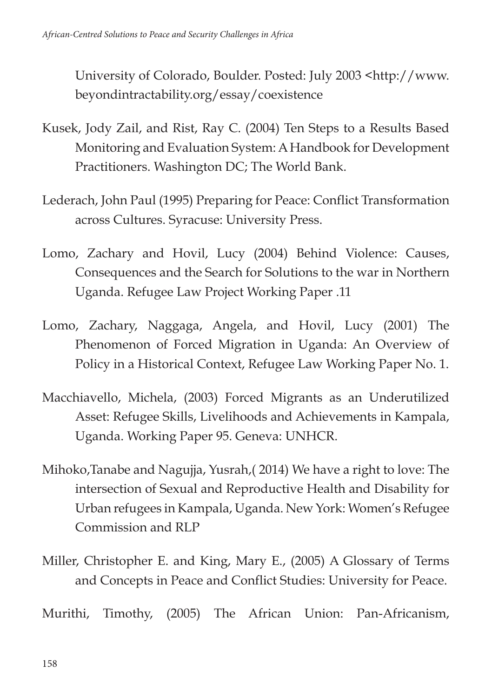University of Colorado, Boulder. Posted: July 2003 <http://www. beyondintractability.org/essay/coexistence

- Kusek, Jody Zail, and Rist, Ray C. (2004) Ten Steps to a Results Based Monitoring and Evaluation System: A Handbook for Development Practitioners. Washington DC; The World Bank.
- Lederach, John Paul (1995) Preparing for Peace: Conflict Transformation across Cultures. Syracuse: University Press.
- Lomo, Zachary and Hovil, Lucy (2004) Behind Violence: Causes, Consequences and the Search for Solutions to the war in Northern Uganda. Refugee Law Project Working Paper .11
- Lomo, Zachary, Naggaga, Angela, and Hovil, Lucy (2001) The Phenomenon of Forced Migration in Uganda: An Overview of Policy in a Historical Context, Refugee Law Working Paper No. 1.
- Macchiavello, Michela, (2003) Forced Migrants as an Underutilized Asset: Refugee Skills, Livelihoods and Achievements in Kampala, Uganda. Working Paper 95. Geneva: UNHCR.
- Mihoko,Tanabe and Nagujja, Yusrah,( 2014) We have a right to love: The intersection of Sexual and Reproductive Health and Disability for Urban refugees in Kampala, Uganda. New York: Women's Refugee Commission and RLP
- Miller, Christopher E. and King, Mary E., (2005) A Glossary of Terms and Concepts in Peace and Conflict Studies: University for Peace.
- Murithi, Timothy, (2005) The African Union: Pan-Africanism,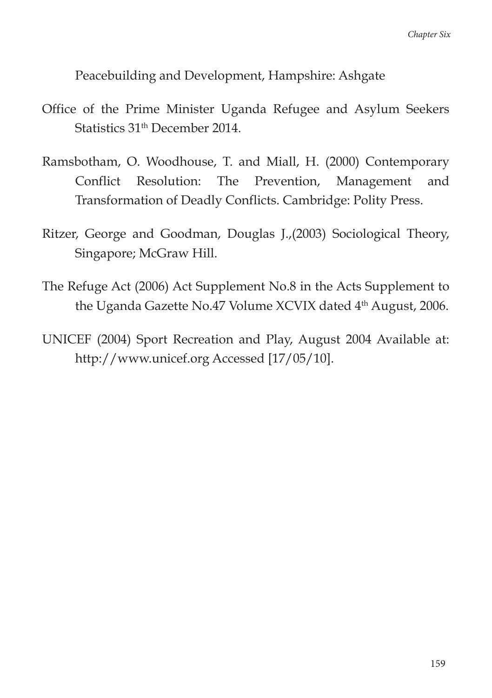Peacebuilding and Development, Hampshire: Ashgate

- Office of the Prime Minister Uganda Refugee and Asylum Seekers Statistics 31<sup>th</sup> December 2014.
- Ramsbotham, O. Woodhouse, T. and Miall, H. (2000) Contemporary Conflict Resolution: The Prevention, Management and Transformation of Deadly Conflicts. Cambridge: Polity Press.
- Ritzer, George and Goodman, Douglas J.,(2003) Sociological Theory, Singapore; McGraw Hill.
- The Refuge Act (2006) Act Supplement No.8 in the Acts Supplement to the Uganda Gazette No.47 Volume XCVIX dated 4<sup>th</sup> August, 2006.
- UNICEF (2004) Sport Recreation and Play, August 2004 Available at: http://www.unicef.org Accessed [17/05/10].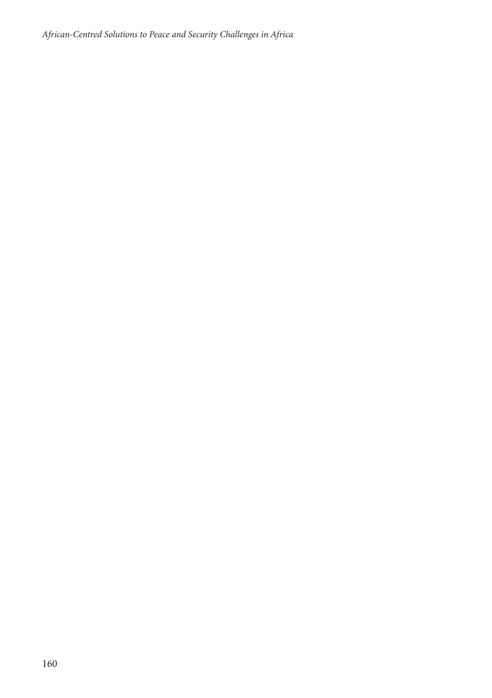*African-Centred Solutions to Peace and Security Challenges in Africa*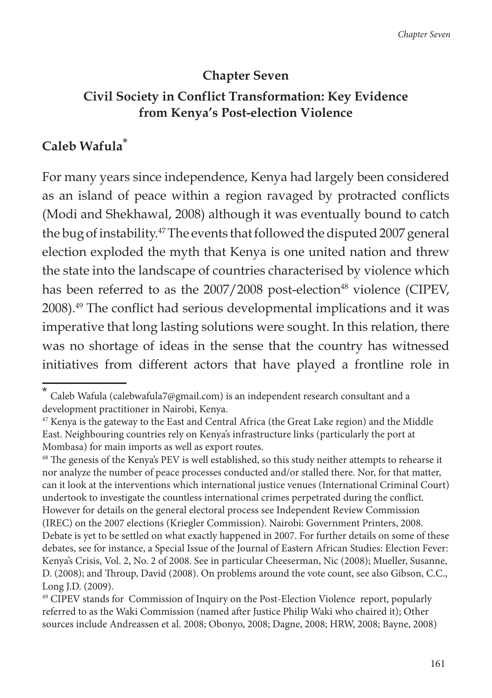## **Chapter Seven**

## **Civil Society in Conflict Transformation: Key Evidence from Kenya's Post-election Violence**

# **Caleb Wafula**\*

For many years since independence, Kenya had largely been considered as an island of peace within a region ravaged by protracted conflicts (Modi and Shekhawal, 2008) although it was eventually bound to catch the bug of instability.<sup>47</sup> The events that followed the disputed 2007 general election exploded the myth that Kenya is one united nation and threw the state into the landscape of countries characterised by violence which has been referred to as the  $2007/2008$  post-election<sup>48</sup> violence (CIPEV, 2008).49 The conflict had serious developmental implications and it was imperative that long lasting solutions were sought. In this relation, there was no shortage of ideas in the sense that the country has witnessed initiatives from different actors that have played a frontline role in

Caleb Wafula (calebwafula7@gmail.com) is an independent research consultant and a development practitioner in Nairobi, Kenya.

 $47$  Kenya is the gateway to the East and Central Africa (the Great Lake region) and the Middle East. Neighbouring countries rely on Kenya's infrastructure links (particularly the port at Mombasa) for main imports as well as export routes.

<sup>48</sup> The genesis of the Kenya's PEV is well established, so this study neither attempts to rehearse it nor analyze the number of peace processes conducted and/or stalled there. Nor, for that matter, can it look at the interventions which international justice venues (International Criminal Court) undertook to investigate the countless international crimes perpetrated during the conflict. However for details on the general electoral process see Independent Review Commission (IREC) on the 2007 elections (Kriegler Commission). Nairobi: Government Printers, 2008. Debate is yet to be settled on what exactly happened in 2007. For further details on some of these debates, see for instance, a Special Issue of the Journal of Eastern African Studies: Election Fever: Kenya's Crisis, Vol. 2, No. 2 of 2008. See in particular Cheeserman, Nic (2008); Mueller, Susanne, D. (2008); and Throup, David (2008). On problems around the vote count, see also Gibson, C.C., Long J.D. (2009).

<sup>49</sup> CIPEV stands for Commission of Inquiry on the Post-Election Violence report, popularly referred to as the Waki Commission (named after Justice Philip Waki who chaired it); Other sources include Andreassen et al. 2008; Obonyo, 2008; Dagne, 2008; HRW, 2008; Bayne, 2008)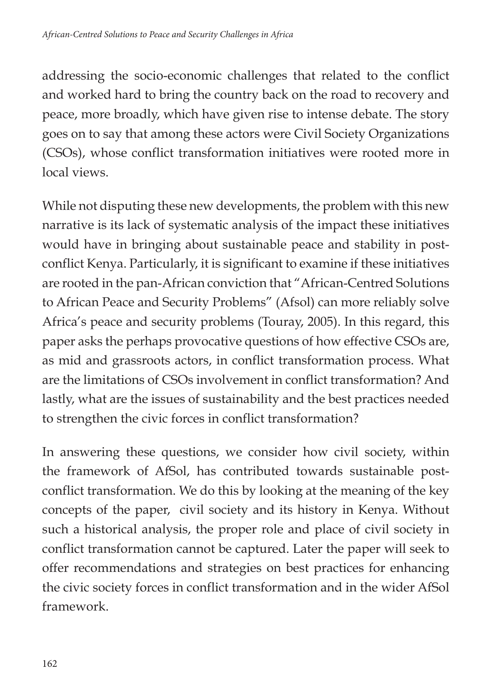addressing the socio-economic challenges that related to the conflict and worked hard to bring the country back on the road to recovery and peace, more broadly, which have given rise to intense debate. The story goes on to say that among these actors were Civil Society Organizations (CSOs), whose conflict transformation initiatives were rooted more in local views.

While not disputing these new developments, the problem with this new narrative is its lack of systematic analysis of the impact these initiatives would have in bringing about sustainable peace and stability in postconflict Kenya. Particularly, it is significant to examine if these initiatives are rooted in the pan-African conviction that "African-Centred Solutions to African Peace and Security Problems" (Afsol) can more reliably solve Africa's peace and security problems (Touray, 2005). In this regard, this paper asks the perhaps provocative questions of how effective CSOs are, as mid and grassroots actors, in conflict transformation process. What are the limitations of CSOs involvement in conflict transformation? And lastly, what are the issues of sustainability and the best practices needed to strengthen the civic forces in conflict transformation?

In answering these questions, we consider how civil society, within the framework of AfSol, has contributed towards sustainable postconflict transformation. We do this by looking at the meaning of the key concepts of the paper, civil society and its history in Kenya. Without such a historical analysis, the proper role and place of civil society in conflict transformation cannot be captured. Later the paper will seek to offer recommendations and strategies on best practices for enhancing the civic society forces in conflict transformation and in the wider AfSol framework.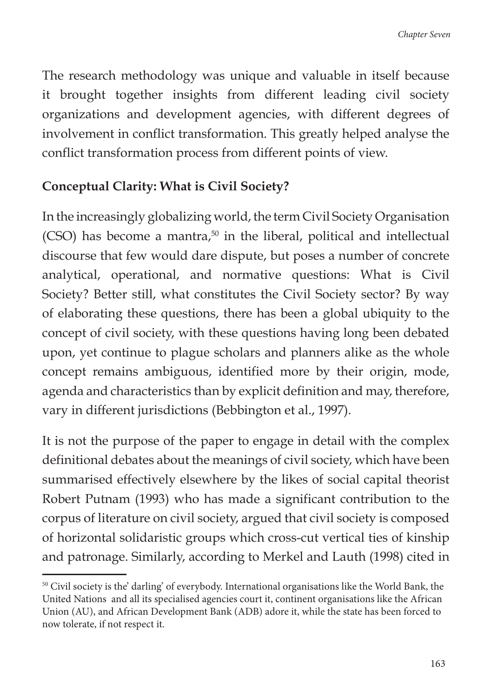The research methodology was unique and valuable in itself because it brought together insights from different leading civil society organizations and development agencies, with different degrees of involvement in conflict transformation. This greatly helped analyse the conflict transformation process from different points of view.

## **Conceptual Clarity: What is Civil Society?**

In the increasingly globalizing world, the term Civil Society Organisation  $(CSO)$  has become a mantra,<sup>50</sup> in the liberal, political and intellectual discourse that few would dare dispute, but poses a number of concrete analytical, operational, and normative questions: What is Civil Society? Better still, what constitutes the Civil Society sector? By way of elaborating these questions, there has been a global ubiquity to the concept of civil society, with these questions having long been debated upon, yet continue to plague scholars and planners alike as the whole concept remains ambiguous, identified more by their origin, mode, agenda and characteristics than by explicit definition and may, therefore, vary in different jurisdictions (Bebbington et al., 1997).

It is not the purpose of the paper to engage in detail with the complex definitional debates about the meanings of civil society, which have been summarised effectively elsewhere by the likes of social capital theorist Robert Putnam (1993) who has made a significant contribution to the corpus of literature on civil society, argued that civil society is composed of horizontal solidaristic groups which cross-cut vertical ties of kinship and patronage. Similarly, according to Merkel and Lauth (1998) cited in

<sup>50</sup> Civil society is the' darling' of everybody. International organisations like the World Bank, the United Nations and all its specialised agencies court it, continent organisations like the African Union (AU), and African Development Bank (ADB) adore it, while the state has been forced to now tolerate, if not respect it.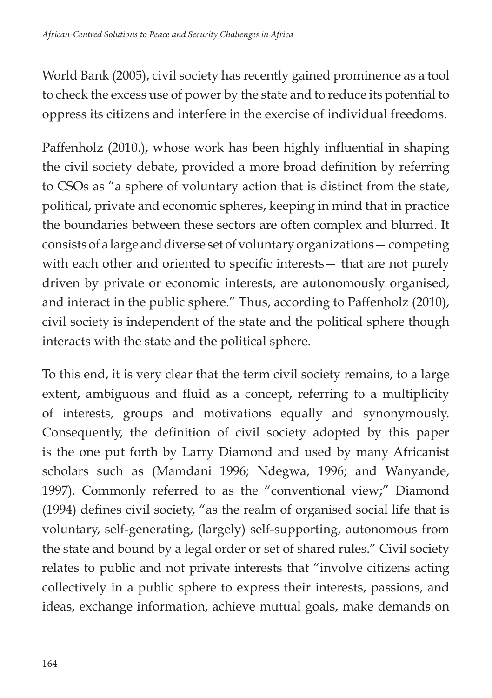World Bank (2005), civil society has recently gained prominence as a tool to check the excess use of power by the state and to reduce its potential to oppress its citizens and interfere in the exercise of individual freedoms.

Paffenholz (2010.), whose work has been highly influential in shaping the civil society debate, provided a more broad definition by referring to CSOs as "a sphere of voluntary action that is distinct from the state, political, private and economic spheres, keeping in mind that in practice the boundaries between these sectors are often complex and blurred. It consists of a large and diverse set of voluntary organizations— competing with each other and oriented to specific interests— that are not purely driven by private or economic interests, are autonomously organised, and interact in the public sphere." Thus, according to Paffenholz (2010), civil society is independent of the state and the political sphere though interacts with the state and the political sphere.

To this end, it is very clear that the term civil society remains, to a large extent, ambiguous and fluid as a concept, referring to a multiplicity of interests, groups and motivations equally and synonymously. Consequently, the definition of civil society adopted by this paper is the one put forth by Larry Diamond and used by many Africanist scholars such as (Mamdani 1996; Ndegwa, 1996; and Wanyande, 1997). Commonly referred to as the "conventional view;" Diamond (1994) defines civil society, "as the realm of organised social life that is voluntary, self-generating, (largely) self-supporting, autonomous from the state and bound by a legal order or set of shared rules." Civil society relates to public and not private interests that "involve citizens acting collectively in a public sphere to express their interests, passions, and ideas, exchange information, achieve mutual goals, make demands on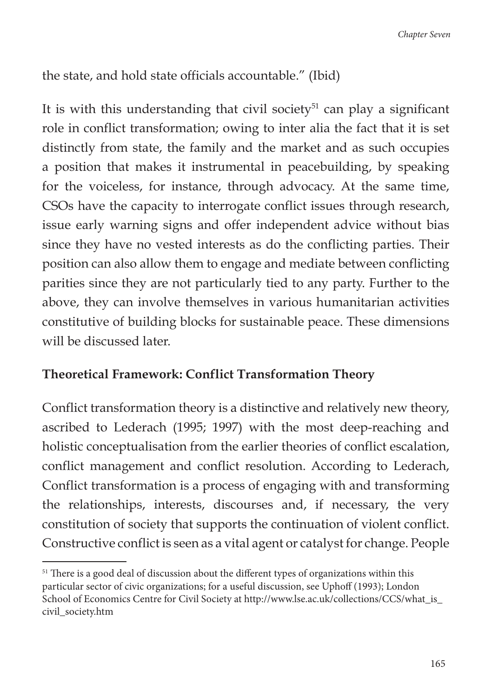the state, and hold state officials accountable." (Ibid)

It is with this understanding that civil society $51$  can play a significant role in conflict transformation; owing to inter alia the fact that it is set distinctly from state, the family and the market and as such occupies a position that makes it instrumental in peacebuilding, by speaking for the voiceless, for instance, through advocacy. At the same time, CSOs have the capacity to interrogate conflict issues through research, issue early warning signs and offer independent advice without bias since they have no vested interests as do the conflicting parties. Their position can also allow them to engage and mediate between conflicting parities since they are not particularly tied to any party. Further to the above, they can involve themselves in various humanitarian activities constitutive of building blocks for sustainable peace. These dimensions will be discussed later.

#### **Theoretical Framework: Conflict Transformation Theory**

Conflict transformation theory is a distinctive and relatively new theory, ascribed to Lederach (1995; 1997) with the most deep-reaching and holistic conceptualisation from the earlier theories of conflict escalation, conflict management and conflict resolution. According to Lederach, Conflict transformation is a process of engaging with and transforming the relationships, interests, discourses and, if necessary, the very constitution of society that supports the continuation of violent conflict. Constructive conflict is seen as a vital agent or catalyst for change. People

<sup>&</sup>lt;sup>51</sup> There is a good deal of discussion about the different types of organizations within this particular sector of civic organizations; for a useful discussion, see Uphoff (1993); London School of Economics Centre for Civil Society at http://www.lse.ac.uk/collections/CCS/what\_is\_ civil\_society.htm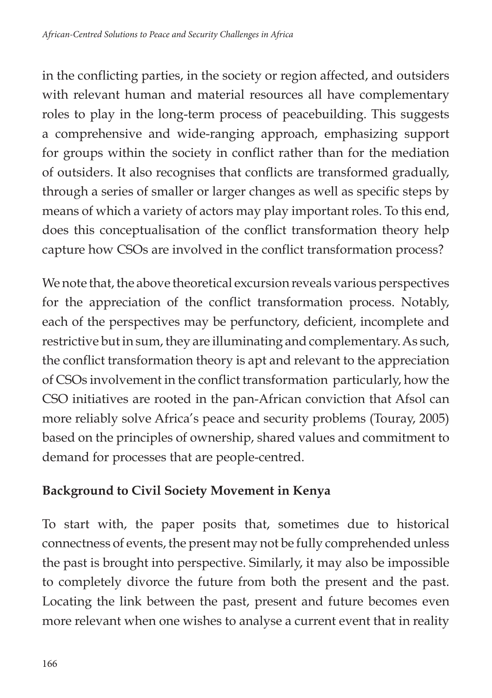in the conflicting parties, in the society or region affected, and outsiders with relevant human and material resources all have complementary roles to play in the long-term process of peacebuilding. This suggests a comprehensive and wide-ranging approach, emphasizing support for groups within the society in conflict rather than for the mediation of outsiders. It also recognises that conflicts are transformed gradually, through a series of smaller or larger changes as well as specific steps by means of which a variety of actors may play important roles. To this end, does this conceptualisation of the conflict transformation theory help capture how CSOs are involved in the conflict transformation process?

We note that, the above theoretical excursion reveals various perspectives for the appreciation of the conflict transformation process. Notably, each of the perspectives may be perfunctory, deficient, incomplete and restrictive but in sum, they are illuminating and complementary. As such, the conflict transformation theory is apt and relevant to the appreciation of CSOs involvement in the conflict transformation particularly, how the CSO initiatives are rooted in the pan-African conviction that Afsol can more reliably solve Africa's peace and security problems (Touray, 2005) based on the principles of ownership, shared values and commitment to demand for processes that are people-centred.

# **Background to Civil Society Movement in Kenya**

To start with, the paper posits that, sometimes due to historical connectness of events, the present may not be fully comprehended unless the past is brought into perspective. Similarly, it may also be impossible to completely divorce the future from both the present and the past. Locating the link between the past, present and future becomes even more relevant when one wishes to analyse a current event that in reality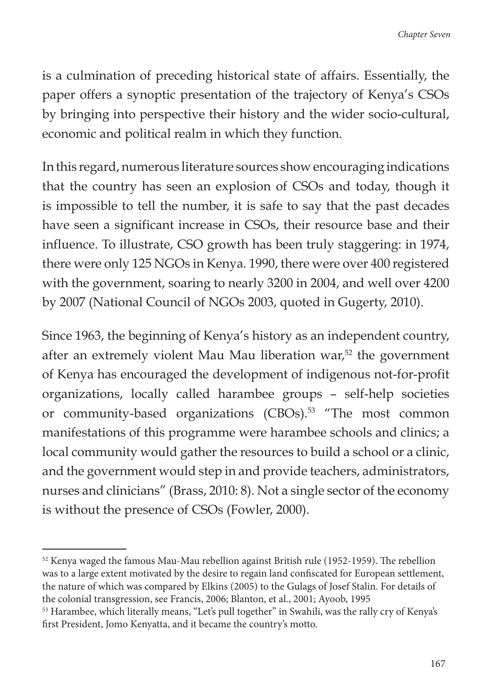is a culmination of preceding historical state of affairs. Essentially, the paper offers a synoptic presentation of the trajectory of Kenya's CSOs by bringing into perspective their history and the wider socio-cultural, economic and political realm in which they function.

In this regard, numerous literature sources show encouraging indications that the country has seen an explosion of CSOs and today, though it is impossible to tell the number, it is safe to say that the past decades have seen a significant increase in CSOs, their resource base and their influence. To illustrate, CSO growth has been truly staggering: in 1974, there were only 125 NGOs in Kenya. 1990, there were over 400 registered with the government, soaring to nearly 3200 in 2004, and well over 4200 by 2007 (National Council of NGOs 2003, quoted in Gugerty, 2010).

Since 1963, the beginning of Kenya's history as an independent country, after an extremely violent Mau Mau liberation war,<sup>52</sup> the government of Kenya has encouraged the development of indigenous not-for-profit organizations, locally called harambee groups – self-help societies or community-based organizations (CBOs).<sup>53</sup> "The most common manifestations of this programme were harambee schools and clinics; a local community would gather the resources to build a school or a clinic, and the government would step in and provide teachers, administrators, nurses and clinicians" (Brass, 2010: 8). Not a single sector of the economy is without the presence of CSOs (Fowler, 2000).

<sup>52</sup> Kenya waged the famous Mau-Mau rebellion against British rule (1952-1959). The rebellion was to a large extent motivated by the desire to regain land confiscated for European settlement, the nature of which was compared by Elkins (2005) to the Gulags of Josef Stalin. For details of the colonial transgression, see Francis, 2006; Blanton, et al., 2001; Ayoob, 1995

<sup>&</sup>lt;sup>53</sup> Harambee, which literally means, "Let's pull together" in Swahili, was the rally cry of Kenya's first President, Jomo Kenyatta, and it became the country's motto.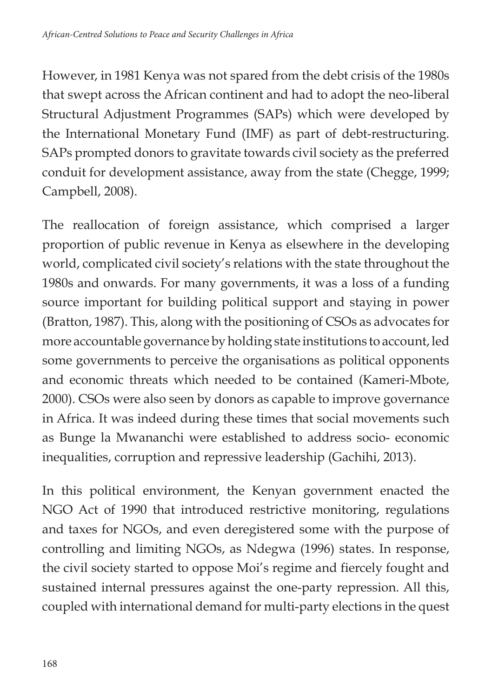However, in 1981 Kenya was not spared from the debt crisis of the 1980s that swept across the African continent and had to adopt the neo-liberal Structural Adjustment Programmes (SAPs) which were developed by the International Monetary Fund (IMF) as part of debt-restructuring. SAPs prompted donors to gravitate towards civil society as the preferred conduit for development assistance, away from the state (Chegge, 1999; Campbell, 2008).

The reallocation of foreign assistance, which comprised a larger proportion of public revenue in Kenya as elsewhere in the developing world, complicated civil society's relations with the state throughout the 1980s and onwards. For many governments, it was a loss of a funding source important for building political support and staying in power (Bratton, 1987). This, along with the positioning of CSOs as advocates for more accountable governance by holding state institutions to account, led some governments to perceive the organisations as political opponents and economic threats which needed to be contained (Kameri-Mbote, 2000). CSOs were also seen by donors as capable to improve governance in Africa. It was indeed during these times that social movements such as Bunge la Mwananchi were established to address socio- economic inequalities, corruption and repressive leadership (Gachihi, 2013).

In this political environment, the Kenyan government enacted the NGO Act of 1990 that introduced restrictive monitoring, regulations and taxes for NGOs, and even deregistered some with the purpose of controlling and limiting NGOs, as Ndegwa (1996) states. In response, the civil society started to oppose Moi's regime and fiercely fought and sustained internal pressures against the one-party repression. All this, coupled with international demand for multi-party elections in the quest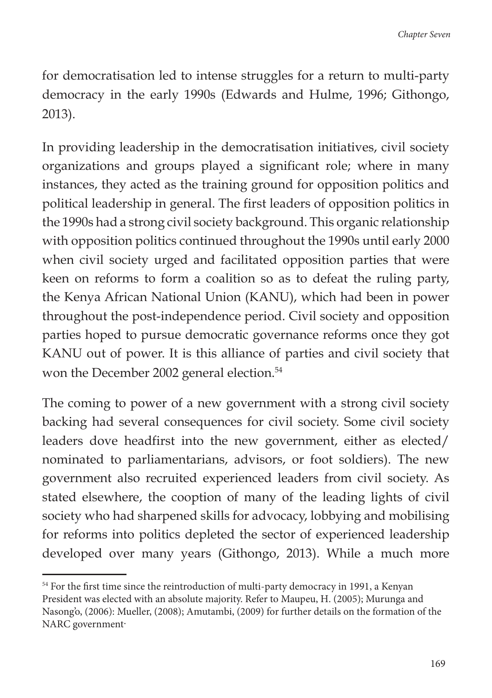for democratisation led to intense struggles for a return to multi-party democracy in the early 1990s (Edwards and Hulme, 1996; Githongo, 2013).

In providing leadership in the democratisation initiatives, civil society organizations and groups played a significant role; where in many instances, they acted as the training ground for opposition politics and political leadership in general. The first leaders of opposition politics in the 1990s had a strong civil society background. This organic relationship with opposition politics continued throughout the 1990s until early 2000 when civil society urged and facilitated opposition parties that were keen on reforms to form a coalition so as to defeat the ruling party, the Kenya African National Union (KANU), which had been in power throughout the post-independence period. Civil society and opposition parties hoped to pursue democratic governance reforms once they got KANU out of power. It is this alliance of parties and civil society that won the December 2002 general election.<sup>54</sup>

The coming to power of a new government with a strong civil society backing had several consequences for civil society. Some civil society leaders dove headfirst into the new government, either as elected/ nominated to parliamentarians, advisors, or foot soldiers). The new government also recruited experienced leaders from civil society. As stated elsewhere, the cooption of many of the leading lights of civil society who had sharpened skills for advocacy, lobbying and mobilising for reforms into politics depleted the sector of experienced leadership developed over many years (Githongo, 2013). While a much more

<sup>&</sup>lt;sup>54</sup> For the first time since the reintroduction of multi-party democracy in 1991, a Kenyan President was elected with an absolute majority. Refer to Maupeu, H. (2005); Murunga and Nasong'o, (2006): Mueller, (2008); Amutambi, (2009) for further details on the formation of the NARC government.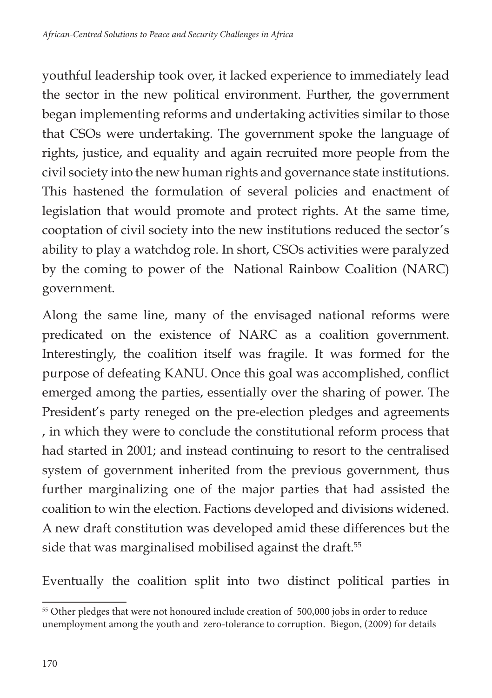youthful leadership took over, it lacked experience to immediately lead the sector in the new political environment. Further, the government began implementing reforms and undertaking activities similar to those that CSOs were undertaking. The government spoke the language of rights, justice, and equality and again recruited more people from the civil society into the new human rights and governance state institutions. This hastened the formulation of several policies and enactment of legislation that would promote and protect rights. At the same time, cooptation of civil society into the new institutions reduced the sector's ability to play a watchdog role. In short, CSOs activities were paralyzed by the coming to power of the National Rainbow Coalition (NARC) government.

Along the same line, many of the envisaged national reforms were predicated on the existence of NARC as a coalition government. Interestingly, the coalition itself was fragile. It was formed for the purpose of defeating KANU. Once this goal was accomplished, conflict emerged among the parties, essentially over the sharing of power. The President's party reneged on the pre-election pledges and agreements , in which they were to conclude the constitutional reform process that had started in 2001; and instead continuing to resort to the centralised system of government inherited from the previous government, thus further marginalizing one of the major parties that had assisted the coalition to win the election. Factions developed and divisions widened. A new draft constitution was developed amid these differences but the side that was marginalised mobilised against the draft.<sup>55</sup>

Eventually the coalition split into two distinct political parties in

<sup>55</sup> Other pledges that were not honoured include creation of 500,000 jobs in order to reduce unemployment among the youth and zero-tolerance to corruption. Biegon, (2009) for details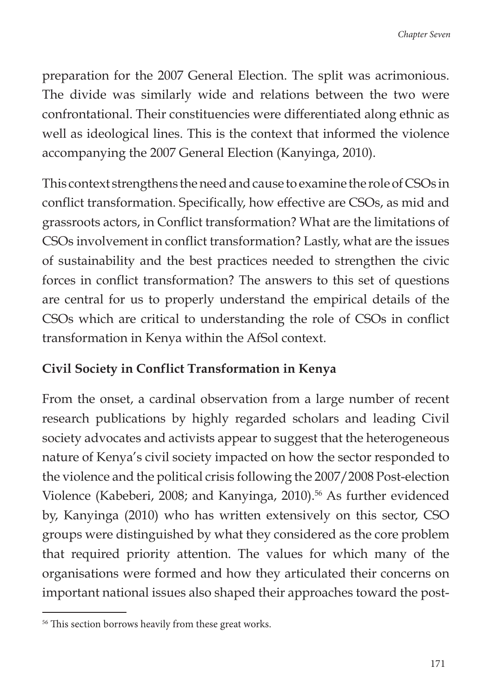preparation for the 2007 General Election. The split was acrimonious. The divide was similarly wide and relations between the two were confrontational. Their constituencies were differentiated along ethnic as well as ideological lines. This is the context that informed the violence accompanying the 2007 General Election (Kanyinga, 2010).

This context strengthens the need and cause to examine the role of CSOs in conflict transformation. Specifically, how effective are CSOs, as mid and grassroots actors, in Conflict transformation? What are the limitations of CSOs involvement in conflict transformation? Lastly, what are the issues of sustainability and the best practices needed to strengthen the civic forces in conflict transformation? The answers to this set of questions are central for us to properly understand the empirical details of the CSOs which are critical to understanding the role of CSOs in conflict transformation in Kenya within the AfSol context.

### **Civil Society in Conflict Transformation in Kenya**

From the onset, a cardinal observation from a large number of recent research publications by highly regarded scholars and leading Civil society advocates and activists appear to suggest that the heterogeneous nature of Kenya's civil society impacted on how the sector responded to the violence and the political crisis following the 2007/2008 Post-election Violence (Kabeberi, 2008; and Kanyinga, 2010).<sup>56</sup> As further evidenced by, Kanyinga (2010) who has written extensively on this sector, CSO groups were distinguished by what they considered as the core problem that required priority attention. The values for which many of the organisations were formed and how they articulated their concerns on important national issues also shaped their approaches toward the post-

<sup>&</sup>lt;sup>56</sup> This section borrows heavily from these great works.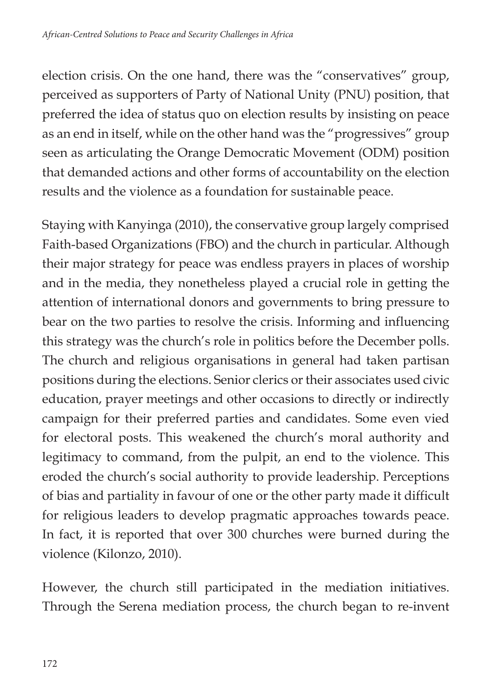election crisis. On the one hand, there was the "conservatives" group, perceived as supporters of Party of National Unity (PNU) position, that preferred the idea of status quo on election results by insisting on peace as an end in itself, while on the other hand was the "progressives" group seen as articulating the Orange Democratic Movement (ODM) position that demanded actions and other forms of accountability on the election results and the violence as a foundation for sustainable peace.

Staying with Kanyinga (2010), the conservative group largely comprised Faith-based Organizations (FBO) and the church in particular. Although their major strategy for peace was endless prayers in places of worship and in the media, they nonetheless played a crucial role in getting the attention of international donors and governments to bring pressure to bear on the two parties to resolve the crisis. Informing and influencing this strategy was the church's role in politics before the December polls. The church and religious organisations in general had taken partisan positions during the elections. Senior clerics or their associates used civic education, prayer meetings and other occasions to directly or indirectly campaign for their preferred parties and candidates. Some even vied for electoral posts. This weakened the church's moral authority and legitimacy to command, from the pulpit, an end to the violence. This eroded the church's social authority to provide leadership. Perceptions of bias and partiality in favour of one or the other party made it difficult for religious leaders to develop pragmatic approaches towards peace. In fact, it is reported that over 300 churches were burned during the violence (Kilonzo, 2010).

However, the church still participated in the mediation initiatives. Through the Serena mediation process, the church began to re-invent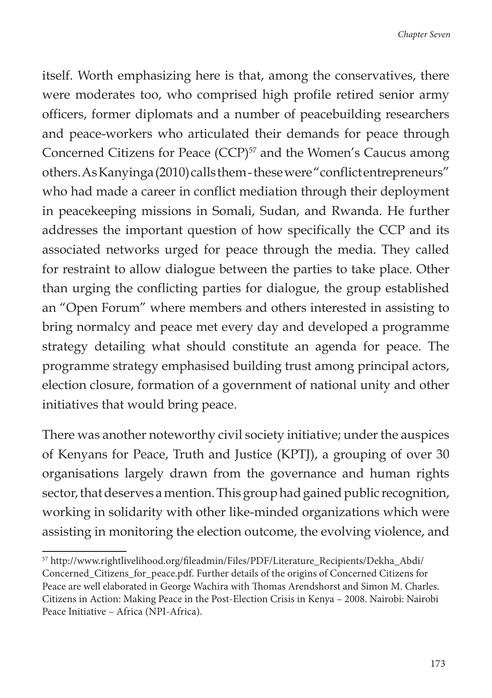itself. Worth emphasizing here is that, among the conservatives, there were moderates too, who comprised high profile retired senior army officers, former diplomats and a number of peacebuilding researchers and peace-workers who articulated their demands for peace through Concerned Citizens for Peace (CCP)<sup>57</sup> and the Women's Caucus among others. As Kanyinga (2010) calls them - these were "conflict entrepreneurs" who had made a career in conflict mediation through their deployment in peacekeeping missions in Somali, Sudan, and Rwanda. He further addresses the important question of how specifically the CCP and its associated networks urged for peace through the media. They called for restraint to allow dialogue between the parties to take place. Other than urging the conflicting parties for dialogue, the group established an "Open Forum" where members and others interested in assisting to bring normalcy and peace met every day and developed a programme strategy detailing what should constitute an agenda for peace. The programme strategy emphasised building trust among principal actors, election closure, formation of a government of national unity and other initiatives that would bring peace.

There was another noteworthy civil society initiative; under the auspices of Kenyans for Peace, Truth and Justice (KPTJ), a grouping of over 30 organisations largely drawn from the governance and human rights sector, that deserves a mention. This group had gained public recognition, working in solidarity with other like-minded organizations which were assisting in monitoring the election outcome, the evolving violence, and

<sup>57</sup> http://www.rightlivelihood.org/fileadmin/Files/PDF/Literature\_Recipients/Dekha\_Abdi/ Concerned\_Citizens\_for\_peace.pdf. Further details of the origins of Concerned Citizens for Peace are well elaborated in George Wachira with Thomas Arendshorst and Simon M. Charles. Citizens in Action: Making Peace in the Post-Election Crisis in Kenya – 2008. Nairobi: Nairobi Peace Initiative – Africa (NPI-Africa).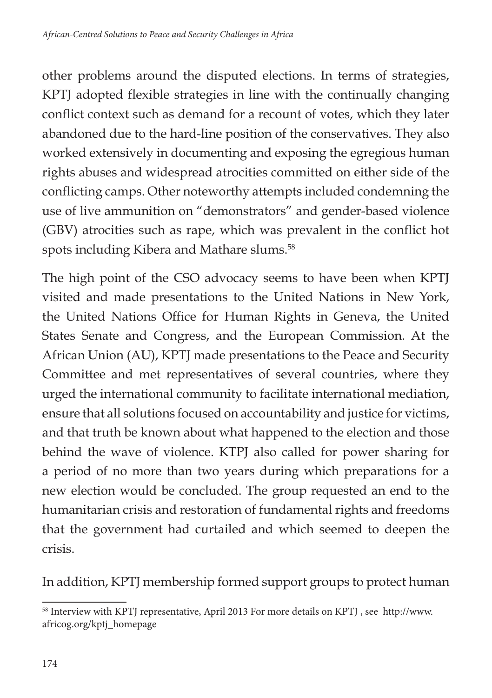other problems around the disputed elections. In terms of strategies, KPTJ adopted flexible strategies in line with the continually changing conflict context such as demand for a recount of votes, which they later abandoned due to the hard-line position of the conservatives. They also worked extensively in documenting and exposing the egregious human rights abuses and widespread atrocities committed on either side of the conflicting camps. Other noteworthy attempts included condemning the use of live ammunition on "demonstrators" and gender-based violence (GBV) atrocities such as rape, which was prevalent in the conflict hot spots including Kibera and Mathare slums.<sup>58</sup>

The high point of the CSO advocacy seems to have been when KPTJ visited and made presentations to the United Nations in New York, the United Nations Office for Human Rights in Geneva, the United States Senate and Congress, and the European Commission. At the African Union (AU), KPTJ made presentations to the Peace and Security Committee and met representatives of several countries, where they urged the international community to facilitate international mediation, ensure that all solutions focused on accountability and justice for victims, and that truth be known about what happened to the election and those behind the wave of violence. KTPJ also called for power sharing for a period of no more than two years during which preparations for a new election would be concluded. The group requested an end to the humanitarian crisis and restoration of fundamental rights and freedoms that the government had curtailed and which seemed to deepen the crisis.

In addition, KPTJ membership formed support groups to protect human

<sup>58</sup> Interview with KPTJ representative, April 2013 For more details on KPTJ , see http://www. africog.org/kptj\_homepage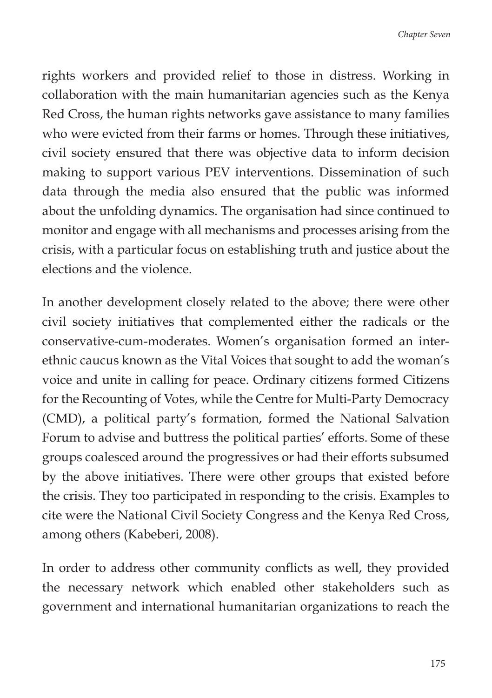rights workers and provided relief to those in distress. Working in collaboration with the main humanitarian agencies such as the Kenya Red Cross, the human rights networks gave assistance to many families who were evicted from their farms or homes. Through these initiatives, civil society ensured that there was objective data to inform decision making to support various PEV interventions. Dissemination of such data through the media also ensured that the public was informed about the unfolding dynamics. The organisation had since continued to monitor and engage with all mechanisms and processes arising from the crisis, with a particular focus on establishing truth and justice about the elections and the violence.

In another development closely related to the above; there were other civil society initiatives that complemented either the radicals or the conservative-cum-moderates. Women's organisation formed an interethnic caucus known as the Vital Voices that sought to add the woman's voice and unite in calling for peace. Ordinary citizens formed Citizens for the Recounting of Votes, while the Centre for Multi-Party Democracy (CMD), a political party's formation, formed the National Salvation Forum to advise and buttress the political parties' efforts. Some of these groups coalesced around the progressives or had their efforts subsumed by the above initiatives. There were other groups that existed before the crisis. They too participated in responding to the crisis. Examples to cite were the National Civil Society Congress and the Kenya Red Cross, among others (Kabeberi, 2008).

In order to address other community conflicts as well, they provided the necessary network which enabled other stakeholders such as government and international humanitarian organizations to reach the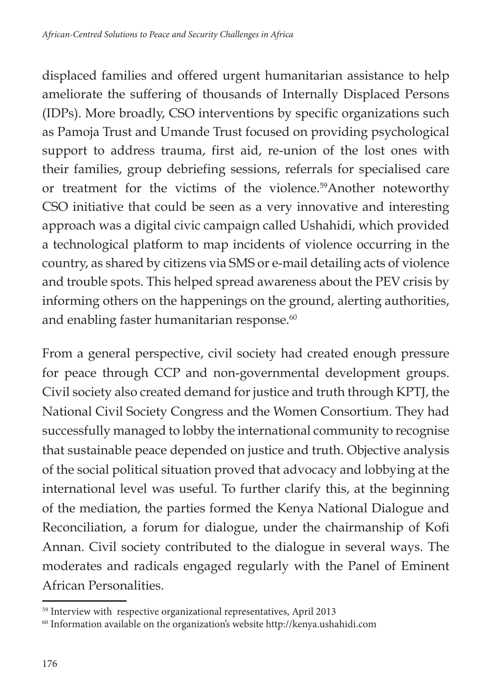displaced families and offered urgent humanitarian assistance to help ameliorate the suffering of thousands of Internally Displaced Persons (IDPs). More broadly, CSO interventions by specific organizations such as Pamoja Trust and Umande Trust focused on providing psychological support to address trauma, first aid, re-union of the lost ones with their families, group debriefing sessions, referrals for specialised care or treatment for the victims of the violence.59Another noteworthy CSO initiative that could be seen as a very innovative and interesting approach was a digital civic campaign called Ushahidi, which provided a technological platform to map incidents of violence occurring in the country, as shared by citizens via SMS or e-mail detailing acts of violence and trouble spots. This helped spread awareness about the PEV crisis by informing others on the happenings on the ground, alerting authorities, and enabling faster humanitarian response.<sup>60</sup>

From a general perspective, civil society had created enough pressure for peace through CCP and non-governmental development groups. Civil society also created demand for justice and truth through KPTJ, the National Civil Society Congress and the Women Consortium. They had successfully managed to lobby the international community to recognise that sustainable peace depended on justice and truth. Objective analysis of the social political situation proved that advocacy and lobbying at the international level was useful. To further clarify this, at the beginning of the mediation, the parties formed the Kenya National Dialogue and Reconciliation, a forum for dialogue, under the chairmanship of Kofi Annan. Civil society contributed to the dialogue in several ways. The moderates and radicals engaged regularly with the Panel of Eminent African Personalities.

<sup>59</sup> Interview with respective organizational representatives, April 2013

<sup>60</sup> Information available on the organization's website http://kenya.ushahidi.com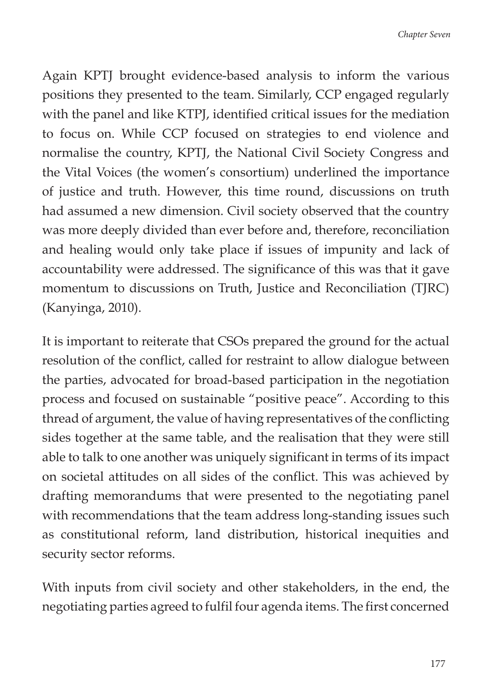Again KPTJ brought evidence-based analysis to inform the various positions they presented to the team. Similarly, CCP engaged regularly with the panel and like KTPJ, identified critical issues for the mediation to focus on. While CCP focused on strategies to end violence and normalise the country, KPTJ, the National Civil Society Congress and the Vital Voices (the women's consortium) underlined the importance of justice and truth. However, this time round, discussions on truth had assumed a new dimension. Civil society observed that the country was more deeply divided than ever before and, therefore, reconciliation and healing would only take place if issues of impunity and lack of accountability were addressed. The significance of this was that it gave momentum to discussions on Truth, Justice and Reconciliation (TJRC) (Kanyinga, 2010).

It is important to reiterate that CSOs prepared the ground for the actual resolution of the conflict, called for restraint to allow dialogue between the parties, advocated for broad-based participation in the negotiation process and focused on sustainable "positive peace". According to this thread of argument, the value of having representatives of the conflicting sides together at the same table, and the realisation that they were still able to talk to one another was uniquely significant in terms of its impact on societal attitudes on all sides of the conflict. This was achieved by drafting memorandums that were presented to the negotiating panel with recommendations that the team address long-standing issues such as constitutional reform, land distribution, historical inequities and security sector reforms.

With inputs from civil society and other stakeholders, in the end, the negotiating parties agreed to fulfil four agenda items. The first concerned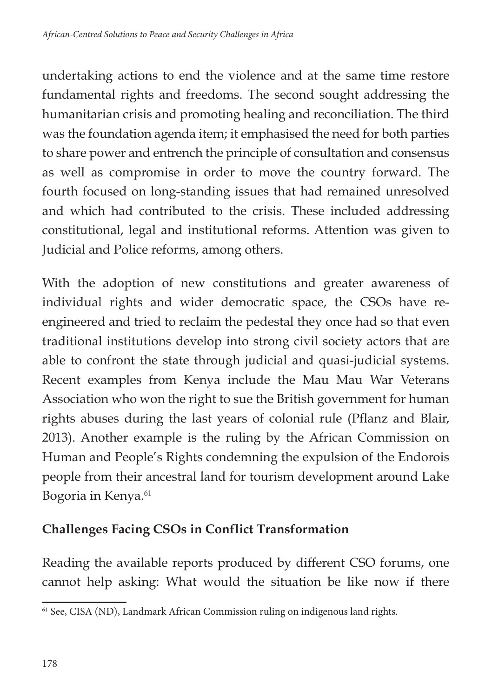undertaking actions to end the violence and at the same time restore fundamental rights and freedoms. The second sought addressing the humanitarian crisis and promoting healing and reconciliation. The third was the foundation agenda item; it emphasised the need for both parties to share power and entrench the principle of consultation and consensus as well as compromise in order to move the country forward. The fourth focused on long-standing issues that had remained unresolved and which had contributed to the crisis. These included addressing constitutional, legal and institutional reforms. Attention was given to Judicial and Police reforms, among others.

With the adoption of new constitutions and greater awareness of individual rights and wider democratic space, the CSOs have reengineered and tried to reclaim the pedestal they once had so that even traditional institutions develop into strong civil society actors that are able to confront the state through judicial and quasi-judicial systems. Recent examples from Kenya include the Mau Mau War Veterans Association who won the right to sue the British government for human rights abuses during the last years of colonial rule (Pflanz and Blair, 2013). Another example is the ruling by the African Commission on Human and People's Rights condemning the expulsion of the Endorois people from their ancestral land for tourism development around Lake Bogoria in Kenya.<sup>61</sup>

# **Challenges Facing CSOs in Conflict Transformation**

Reading the available reports produced by different CSO forums, one cannot help asking: What would the situation be like now if there

<sup>&</sup>lt;sup>61</sup> See, CISA (ND), Landmark African Commission ruling on indigenous land rights.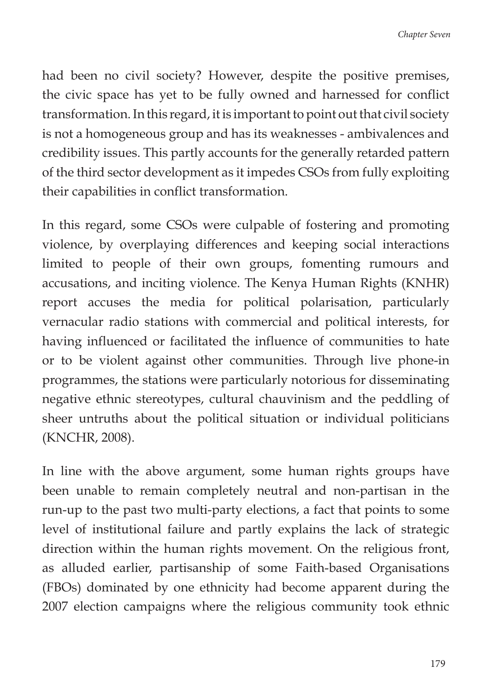had been no civil society? However, despite the positive premises, the civic space has yet to be fully owned and harnessed for conflict transformation. In this regard, it is important to point out that civil society is not a homogeneous group and has its weaknesses - ambivalences and credibility issues. This partly accounts for the generally retarded pattern of the third sector development as it impedes CSOs from fully exploiting their capabilities in conflict transformation.

In this regard, some CSOs were culpable of fostering and promoting violence, by overplaying differences and keeping social interactions limited to people of their own groups, fomenting rumours and accusations, and inciting violence. The Kenya Human Rights (KNHR) report accuses the media for political polarisation, particularly vernacular radio stations with commercial and political interests, for having influenced or facilitated the influence of communities to hate or to be violent against other communities. Through live phone-in programmes, the stations were particularly notorious for disseminating negative ethnic stereotypes, cultural chauvinism and the peddling of sheer untruths about the political situation or individual politicians (KNCHR, 2008).

In line with the above argument, some human rights groups have been unable to remain completely neutral and non-partisan in the run-up to the past two multi-party elections, a fact that points to some level of institutional failure and partly explains the lack of strategic direction within the human rights movement. On the religious front, as alluded earlier, partisanship of some Faith-based Organisations (FBOs) dominated by one ethnicity had become apparent during the 2007 election campaigns where the religious community took ethnic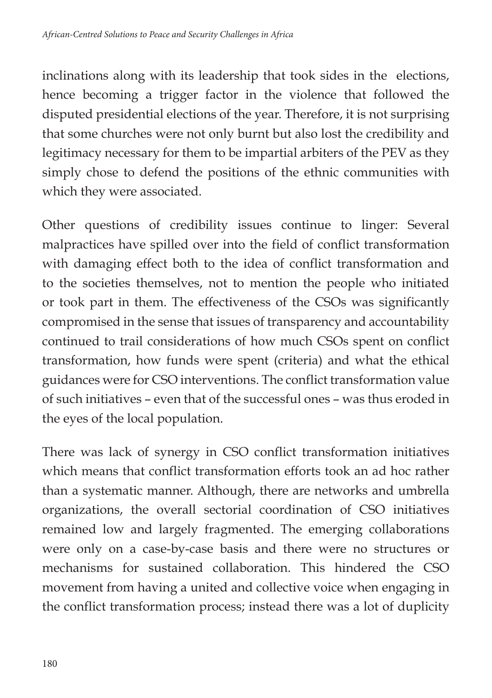inclinations along with its leadership that took sides in the elections, hence becoming a trigger factor in the violence that followed the disputed presidential elections of the year. Therefore, it is not surprising that some churches were not only burnt but also lost the credibility and legitimacy necessary for them to be impartial arbiters of the PEV as they simply chose to defend the positions of the ethnic communities with which they were associated.

Other questions of credibility issues continue to linger: Several malpractices have spilled over into the field of conflict transformation with damaging effect both to the idea of conflict transformation and to the societies themselves, not to mention the people who initiated or took part in them. The effectiveness of the CSOs was significantly compromised in the sense that issues of transparency and accountability continued to trail considerations of how much CSOs spent on conflict transformation, how funds were spent (criteria) and what the ethical guidances were for CSO interventions. The conflict transformation value of such initiatives – even that of the successful ones – was thus eroded in the eyes of the local population.

There was lack of synergy in CSO conflict transformation initiatives which means that conflict transformation efforts took an ad hoc rather than a systematic manner. Although, there are networks and umbrella organizations, the overall sectorial coordination of CSO initiatives remained low and largely fragmented. The emerging collaborations were only on a case-by-case basis and there were no structures or mechanisms for sustained collaboration. This hindered the CSO movement from having a united and collective voice when engaging in the conflict transformation process; instead there was a lot of duplicity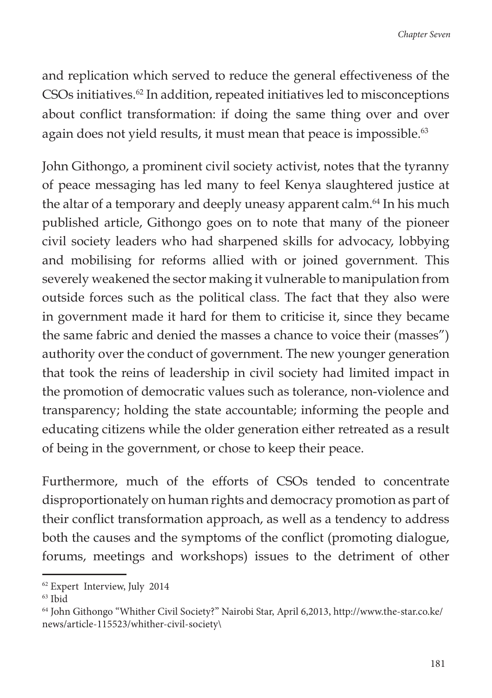and replication which served to reduce the general effectiveness of the CSOs initiatives.<sup>62</sup> In addition, repeated initiatives led to misconceptions about conflict transformation: if doing the same thing over and over again does not yield results, it must mean that peace is impossible.<sup>63</sup>

John Githongo, a prominent civil society activist, notes that the tyranny of peace messaging has led many to feel Kenya slaughtered justice at the altar of a temporary and deeply uneasy apparent calm.<sup>64</sup> In his much published article, Githongo goes on to note that many of the pioneer civil society leaders who had sharpened skills for advocacy, lobbying and mobilising for reforms allied with or joined government. This severely weakened the sector making it vulnerable to manipulation from outside forces such as the political class. The fact that they also were in government made it hard for them to criticise it, since they became the same fabric and denied the masses a chance to voice their (masses") authority over the conduct of government. The new younger generation that took the reins of leadership in civil society had limited impact in the promotion of democratic values such as tolerance, non-violence and transparency; holding the state accountable; informing the people and educating citizens while the older generation either retreated as a result of being in the government, or chose to keep their peace.

Furthermore, much of the efforts of CSOs tended to concentrate disproportionately on human rights and democracy promotion as part of their conflict transformation approach, as well as a tendency to address both the causes and the symptoms of the conflict (promoting dialogue, forums, meetings and workshops) issues to the detriment of other

<sup>62</sup> Expert Interview, July 2014

 $63$  Ibid

<sup>64</sup> John Githongo "Whither Civil Society?" Nairobi Star, April 6,2013, http://www.the-star.co.ke/ news/article-115523/whither-civil-society\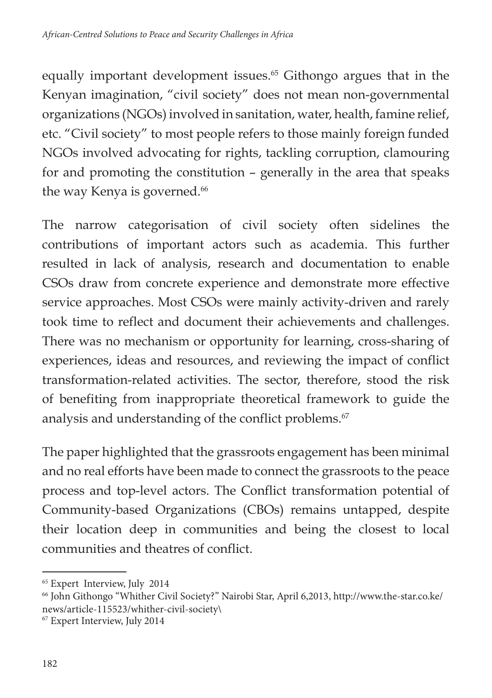equally important development issues.<sup>65</sup> Githongo argues that in the Kenyan imagination, "civil society" does not mean non-governmental organizations (NGOs) involved in sanitation, water, health, famine relief, etc. "Civil society" to most people refers to those mainly foreign funded NGOs involved advocating for rights, tackling corruption, clamouring for and promoting the constitution – generally in the area that speaks the way Kenya is governed.<sup>66</sup>

The narrow categorisation of civil society often sidelines the contributions of important actors such as academia. This further resulted in lack of analysis, research and documentation to enable CSOs draw from concrete experience and demonstrate more effective service approaches. Most CSOs were mainly activity-driven and rarely took time to reflect and document their achievements and challenges. There was no mechanism or opportunity for learning, cross-sharing of experiences, ideas and resources, and reviewing the impact of conflict transformation-related activities. The sector, therefore, stood the risk of benefiting from inappropriate theoretical framework to guide the analysis and understanding of the conflict problems.<sup>67</sup>

The paper highlighted that the grassroots engagement has been minimal and no real efforts have been made to connect the grassroots to the peace process and top-level actors. The Conflict transformation potential of Community-based Organizations (CBOs) remains untapped, despite their location deep in communities and being the closest to local communities and theatres of conflict.

<sup>65</sup> Expert Interview, July 2014

<sup>66</sup> John Githongo "Whither Civil Society?" Nairobi Star, April 6,2013, http://www.the-star.co.ke/ news/article-115523/whither-civil-society\

<sup>67</sup> Expert Interview, July 2014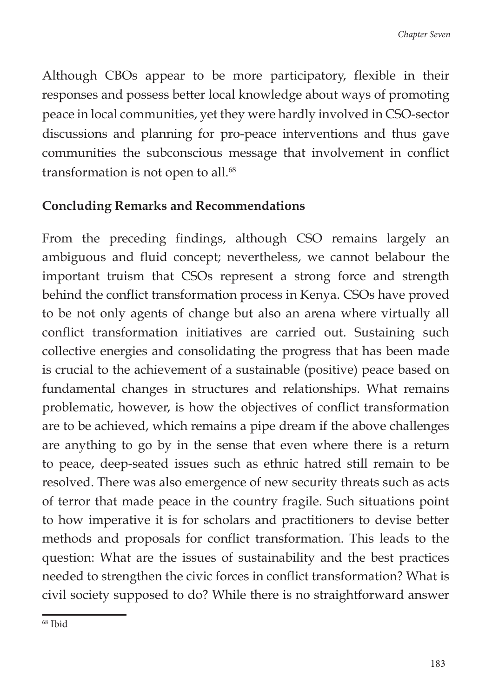Although CBOs appear to be more participatory, flexible in their responses and possess better local knowledge about ways of promoting peace in local communities, yet they were hardly involved in CSO-sector discussions and planning for pro-peace interventions and thus gave communities the subconscious message that involvement in conflict transformation is not open to all.<sup>68</sup>

#### **Concluding Remarks and Recommendations**

From the preceding findings, although CSO remains largely an ambiguous and fluid concept; nevertheless, we cannot belabour the important truism that CSOs represent a strong force and strength behind the conflict transformation process in Kenya. CSOs have proved to be not only agents of change but also an arena where virtually all conflict transformation initiatives are carried out. Sustaining such collective energies and consolidating the progress that has been made is crucial to the achievement of a sustainable (positive) peace based on fundamental changes in structures and relationships. What remains problematic, however, is how the objectives of conflict transformation are to be achieved, which remains a pipe dream if the above challenges are anything to go by in the sense that even where there is a return to peace, deep-seated issues such as ethnic hatred still remain to be resolved. There was also emergence of new security threats such as acts of terror that made peace in the country fragile. Such situations point to how imperative it is for scholars and practitioners to devise better methods and proposals for conflict transformation. This leads to the question: What are the issues of sustainability and the best practices needed to strengthen the civic forces in conflict transformation? What is civil society supposed to do? While there is no straightforward answer

<sup>68</sup> Ibid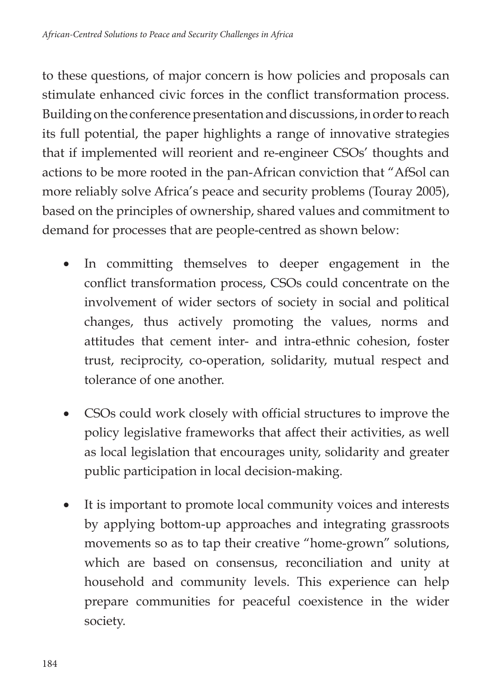to these questions, of major concern is how policies and proposals can stimulate enhanced civic forces in the conflict transformation process. Building on the conference presentation and discussions, in order to reach its full potential, the paper highlights a range of innovative strategies that if implemented will reorient and re-engineer CSOs' thoughts and actions to be more rooted in the pan-African conviction that "AfSol can more reliably solve Africa's peace and security problems (Touray 2005), based on the principles of ownership, shared values and commitment to demand for processes that are people-centred as shown below:

- In committing themselves to deeper engagement in the conflict transformation process, CSOs could concentrate on the involvement of wider sectors of society in social and political changes, thus actively promoting the values, norms and attitudes that cement inter- and intra-ethnic cohesion, foster trust, reciprocity, co-operation, solidarity, mutual respect and tolerance of one another.
- CSOs could work closely with official structures to improve the policy legislative frameworks that affect their activities, as well as local legislation that encourages unity, solidarity and greater public participation in local decision-making.
- It is important to promote local community voices and interests by applying bottom-up approaches and integrating grassroots movements so as to tap their creative "home-grown" solutions, which are based on consensus, reconciliation and unity at household and community levels. This experience can help prepare communities for peaceful coexistence in the wider society.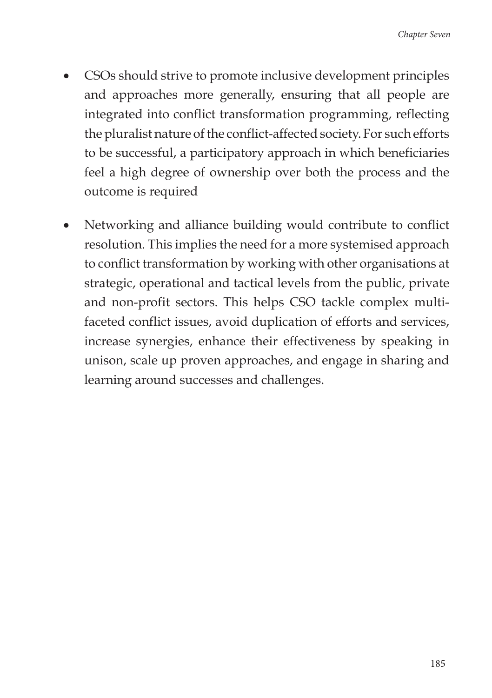- CSOs should strive to promote inclusive development principles and approaches more generally, ensuring that all people are integrated into conflict transformation programming, reflecting the pluralist nature of the conflict-affected society. For such efforts to be successful, a participatory approach in which beneficiaries feel a high degree of ownership over both the process and the outcome is required
- Networking and alliance building would contribute to conflict resolution. This implies the need for a more systemised approach to conflict transformation by working with other organisations at strategic, operational and tactical levels from the public, private and non-profit sectors. This helps CSO tackle complex multifaceted conflict issues, avoid duplication of efforts and services, increase synergies, enhance their effectiveness by speaking in unison, scale up proven approaches, and engage in sharing and learning around successes and challenges.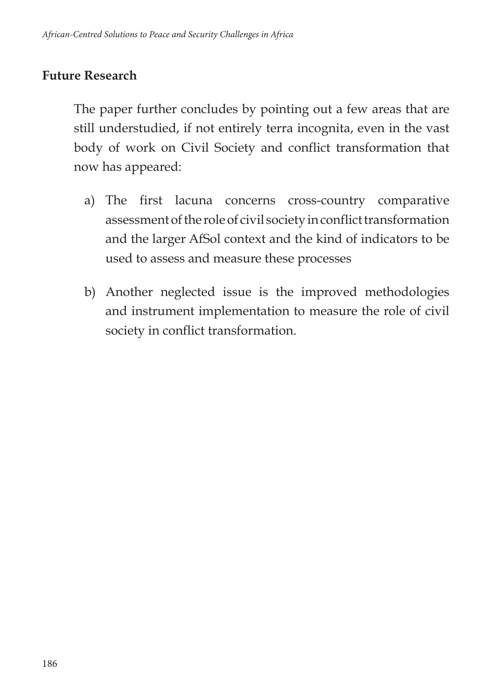#### **Future Research**

The paper further concludes by pointing out a few areas that are still understudied, if not entirely terra incognita, even in the vast body of work on Civil Society and conflict transformation that now has appeared:

- a) The first lacuna concerns cross-country comparative assessment of the role of civil society in conflict transformation and the larger AfSol context and the kind of indicators to be used to assess and measure these processes
- b) Another neglected issue is the improved methodologies and instrument implementation to measure the role of civil society in conflict transformation.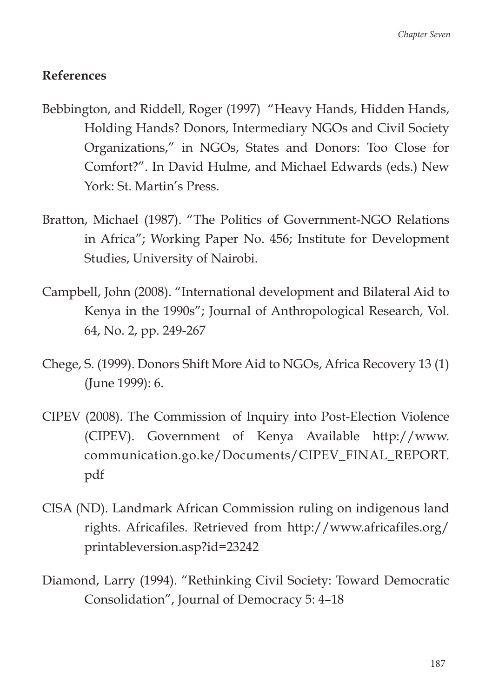#### **References**

- Bebbington, and Riddell, Roger (1997) "Heavy Hands, Hidden Hands, Holding Hands? Donors, Intermediary NGOs and Civil Society Organizations," in NGOs, States and Donors: Too Close for Comfort?". In David Hulme, and Michael Edwards (eds.) New York: St. Martin's Press.
- Bratton, Michael (1987). "The Politics of Government-NGO Relations in Africa"; Working Paper No. 456; Institute for Development Studies, University of Nairobi.
- Campbell, John (2008). "International development and Bilateral Aid to Kenya in the 1990s"; Journal of Anthropological Research, Vol. 64, No. 2, pp. 249-267
- Chege, S. (1999). Donors Shift More Aid to NGOs, Africa Recovery 13 (1) (June 1999): 6.
- CIPEV (2008). The Commission of Inquiry into Post-Election Violence (CIPEV). Government of Kenya Available http://www. communication.go.ke/Documents/CIPEV\_FINAL\_REPORT. pdf
- CISA (ND). Landmark African Commission ruling on indigenous land rights. Africafiles. Retrieved from http://www.africafiles.org/ printableversion.asp?id=23242
- Diamond, Larry (1994). "Rethinking Civil Society: Toward Democratic Consolidation", Journal of Democracy 5: 4–18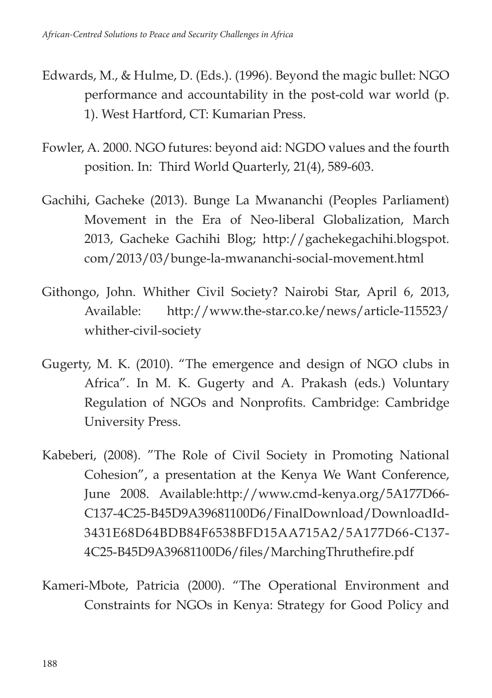- Edwards, M., & Hulme, D. (Eds.). (1996). Beyond the magic bullet: NGO performance and accountability in the post-cold war world (p. 1). West Hartford, CT: Kumarian Press.
- Fowler, A. 2000. NGO futures: beyond aid: NGDO values and the fourth position. In: Third World Quarterly, 21(4), 589-603.
- Gachihi, Gacheke (2013). Bunge La Mwananchi (Peoples Parliament) Movement in the Era of Neo-liberal Globalization, March 2013, Gacheke Gachihi Blog; http://gachekegachihi.blogspot. com/2013/03/bunge-la-mwananchi-social-movement.html
- Githongo, John. Whither Civil Society? Nairobi Star, April 6, 2013, Available: http://www.the-star.co.ke/news/article-115523/ whither-civil-society
- Gugerty, M. K. (2010). "The emergence and design of NGO clubs in Africa". In M. K. Gugerty and A. Prakash (eds.) Voluntary Regulation of NGOs and Nonprofits. Cambridge: Cambridge University Press.
- Kabeberi, (2008). "The Role of Civil Society in Promoting National Cohesion", a presentation at the Kenya We Want Conference, June 2008. Available:http://www.cmd-kenya.org/5A177D66- C137-4C25-B45D9A39681100D6/FinalDownload/DownloadId-3431E68D64BDB84F6538BFD15AA715A2/5A177D66-C137- 4C25-B45D9A39681100D6/files/MarchingThruthefire.pdf
- Kameri-Mbote, Patricia (2000). "The Operational Environment and Constraints for NGOs in Kenya: Strategy for Good Policy and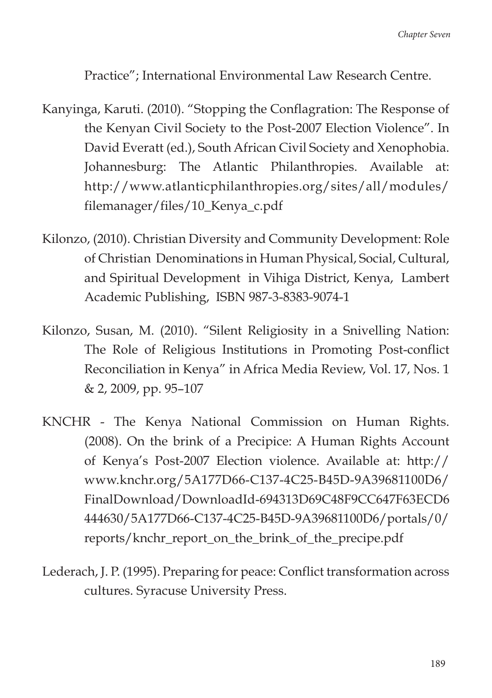Practice"; International Environmental Law Research Centre.

- Kanyinga, Karuti. (2010). "Stopping the Conflagration: The Response of the Kenyan Civil Society to the Post-2007 Election Violence". In David Everatt (ed.), South African Civil Society and Xenophobia. Johannesburg: The Atlantic Philanthropies. Available at: http://www.atlanticphilanthropies.org/sites/all/modules/ filemanager/files/10\_Kenya\_c.pdf
- Kilonzo, (2010). Christian Diversity and Community Development: Role of Christian Denominations in Human Physical, Social, Cultural, and Spiritual Development in Vihiga District, Kenya, Lambert Academic Publishing, ISBN 987-3-8383-9074-1
- Kilonzo, Susan, M. (2010). "Silent Religiosity in a Snivelling Nation: The Role of Religious Institutions in Promoting Post-conflict Reconciliation in Kenya" in Africa Media Review, Vol. 17, Nos. 1 & 2, 2009, pp. 95–107
- KNCHR The Kenya National Commission on Human Rights. (2008). On the brink of a Precipice: A Human Rights Account of Kenya's Post-2007 Election violence. Available at: http:// www.knchr.org/5A177D66-C137-4C25-B45D-9A39681100D6/ FinalDownload/DownloadId-694313D69C48F9CC647F63ECD6 444630/5A177D66-C137-4C25-B45D-9A39681100D6/portals/0/ reports/knchr\_report\_on\_the\_brink\_of\_the\_precipe.pdf
- Lederach, J. P. (1995). Preparing for peace: Conflict transformation across cultures. Syracuse University Press.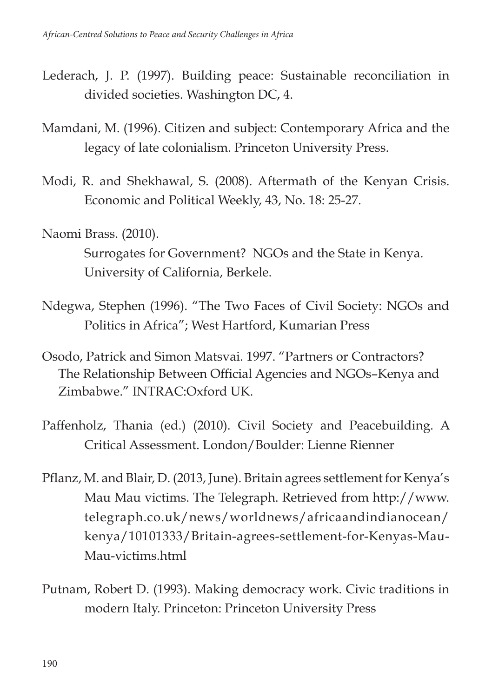- Lederach, J. P. (1997). Building peace: Sustainable reconciliation in divided societies. Washington DC, 4.
- Mamdani, M. (1996). Citizen and subject: Contemporary Africa and the legacy of late colonialism. Princeton University Press.
- Modi, R. and Shekhawal, S. (2008). Aftermath of the Kenyan Crisis. Economic and Political Weekly, 43, No. 18: 25-27.
- Naomi Brass. (2010). Surrogates for Government? NGOs and the State in Kenya. University of California, Berkele.
- Ndegwa, Stephen (1996). "The Two Faces of Civil Society: NGOs and Politics in Africa"; West Hartford, Kumarian Press
- Osodo, Patrick and Simon Matsvai. 1997. "Partners or Contractors? The Relationship Between Official Agencies and NGOs–Kenya and Zimbabwe." INTRAC:Oxford UK.
- Paffenholz, Thania (ed.) (2010). Civil Society and Peacebuilding. A Critical Assessment. London/Boulder: Lienne Rienner
- Pflanz, M. and Blair, D. (2013, June). Britain agrees settlement for Kenya's Mau Mau victims. The Telegraph. Retrieved from http://www. telegraph.co.uk/news/worldnews/africaandindianocean/ kenya/10101333/Britain-agrees-settlement-for-Kenyas-Mau-Mau-victims.html
- Putnam, Robert D. (1993). Making democracy work. Civic traditions in modern Italy. Princeton: Princeton University Press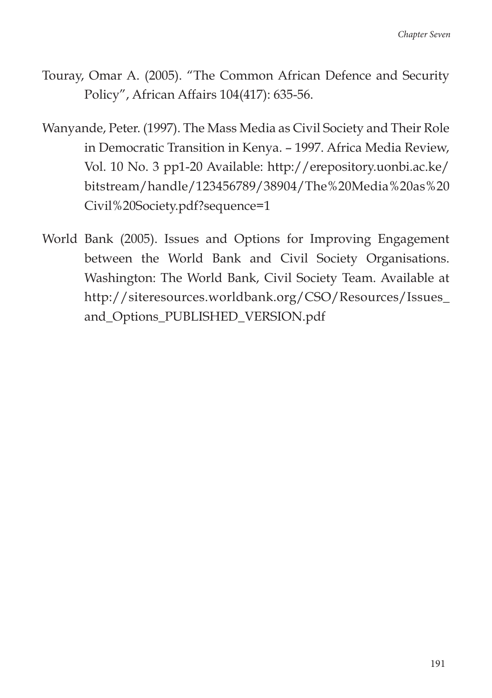- Touray, Omar A. (2005). "The Common African Defence and Security Policy", African Affairs 104(417): 635-56.
- Wanyande, Peter. (1997). The Mass Media as Civil Society and Their Role in Democratic Transition in Kenya. – 1997. Africa Media Review, Vol. 10 No. 3 pp1-20 Available: http://erepository.uonbi.ac.ke/ bitstream/handle/123456789/38904/The%20Media%20as%20 Civil%20Society.pdf?sequence=1
- World Bank (2005). Issues and Options for Improving Engagement between the World Bank and Civil Society Organisations. Washington: The World Bank, Civil Society Team. Available at http://siteresources.worldbank.org/CSO/Resources/Issues\_ and\_Options\_PUBLISHED\_VERSION.pdf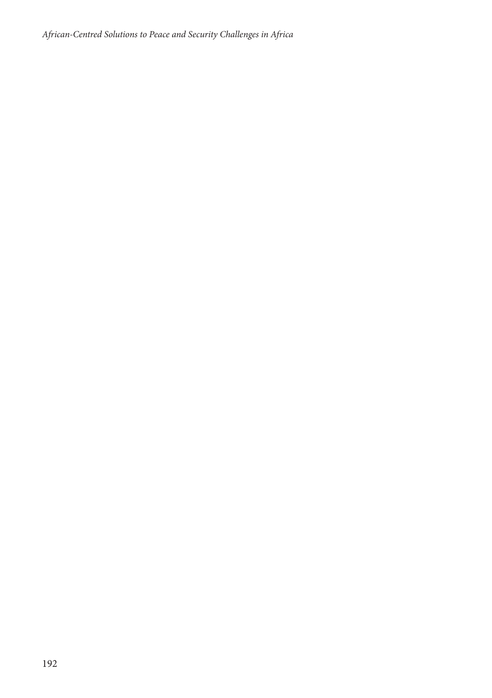*African-Centred Solutions to Peace and Security Challenges in Africa*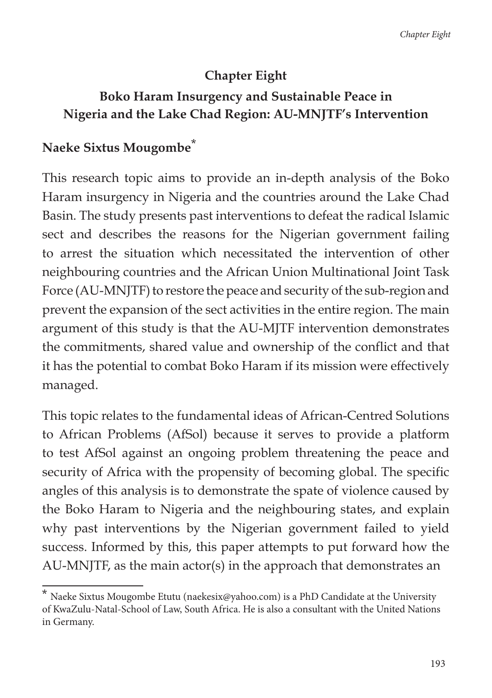# **Chapter Eight**

# **Boko Haram Insurgency and Sustainable Peace in Nigeria and the Lake Chad Region: AU-MNJTF's Intervention**

### **Naeke Sixtus Mougombe**\*

This research topic aims to provide an in-depth analysis of the Boko Haram insurgency in Nigeria and the countries around the Lake Chad Basin. The study presents past interventions to defeat the radical Islamic sect and describes the reasons for the Nigerian government failing to arrest the situation which necessitated the intervention of other neighbouring countries and the African Union Multinational Joint Task Force (AU-MNJTF) to restore the peace and security of the sub-region and prevent the expansion of the sect activities in the entire region. The main argument of this study is that the AU-MJTF intervention demonstrates the commitments, shared value and ownership of the conflict and that it has the potential to combat Boko Haram if its mission were effectively managed.

This topic relates to the fundamental ideas of African-Centred Solutions to African Problems (AfSol) because it serves to provide a platform to test AfSol against an ongoing problem threatening the peace and security of Africa with the propensity of becoming global. The specific angles of this analysis is to demonstrate the spate of violence caused by the Boko Haram to Nigeria and the neighbouring states, and explain why past interventions by the Nigerian government failed to yield success. Informed by this, this paper attempts to put forward how the AU-MNJTF, as the main actor(s) in the approach that demonstrates an

<sup>\*</sup> Naeke Sixtus Mougombe Etutu (naekesix@yahoo.com) is a PhD Candidate at the University of KwaZulu-Natal-School of Law, South Africa. He is also a consultant with the United Nations in Germany.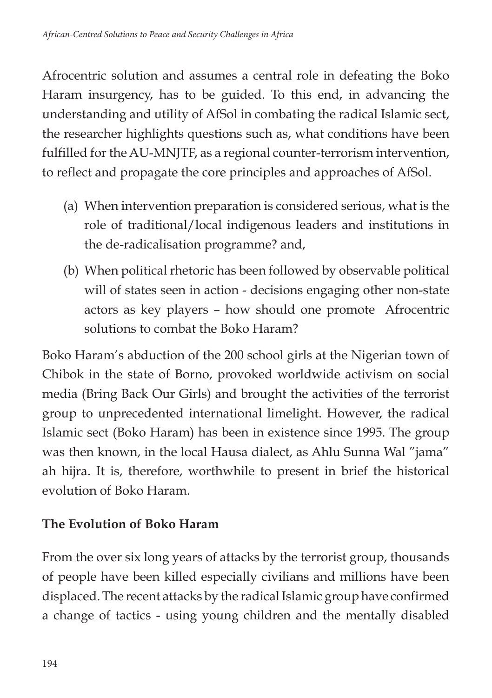Afrocentric solution and assumes a central role in defeating the Boko Haram insurgency, has to be guided. To this end, in advancing the understanding and utility of AfSol in combating the radical Islamic sect, the researcher highlights questions such as, what conditions have been fulfilled for the AU-MNJTF, as a regional counter-terrorism intervention, to reflect and propagate the core principles and approaches of AfSol.

- (a) When intervention preparation is considered serious, what is the role of traditional/local indigenous leaders and institutions in the de-radicalisation programme? and,
- (b) When political rhetoric has been followed by observable political will of states seen in action - decisions engaging other non-state actors as key players – how should one promote Afrocentric solutions to combat the Boko Haram?

Boko Haram's abduction of the 200 school girls at the Nigerian town of Chibok in the state of Borno, provoked worldwide activism on social media (Bring Back Our Girls) and brought the activities of the terrorist group to unprecedented international limelight. However, the radical Islamic sect (Boko Haram) has been in existence since 1995. The group was then known, in the local Hausa dialect, as Ahlu Sunna Wal "jama" ah hijra. It is, therefore, worthwhile to present in brief the historical evolution of Boko Haram.

# **The Evolution of Boko Haram**

From the over six long years of attacks by the terrorist group, thousands of people have been killed especially civilians and millions have been displaced. The recent attacks by the radical Islamic group have confirmed a change of tactics - using young children and the mentally disabled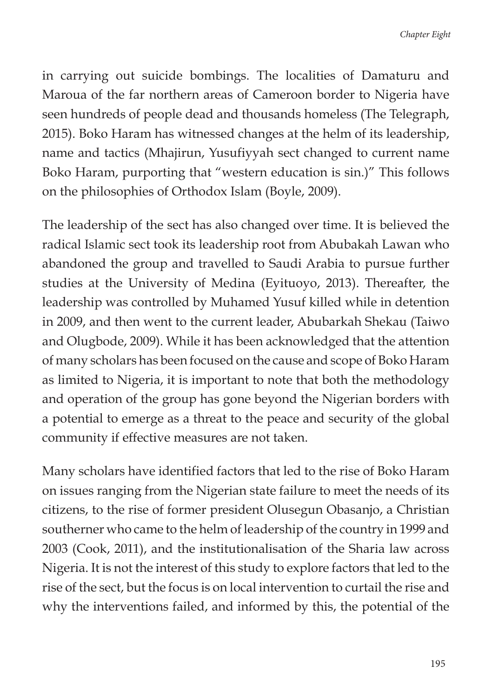in carrying out suicide bombings. The localities of Damaturu and Maroua of the far northern areas of Cameroon border to Nigeria have seen hundreds of people dead and thousands homeless (The Telegraph, 2015). Boko Haram has witnessed changes at the helm of its leadership, name and tactics (Mhajirun, Yusufiyyah sect changed to current name Boko Haram, purporting that "western education is sin.)" This follows on the philosophies of Orthodox Islam (Boyle, 2009).

The leadership of the sect has also changed over time. It is believed the radical Islamic sect took its leadership root from Abubakah Lawan who abandoned the group and travelled to Saudi Arabia to pursue further studies at the University of Medina (Eyituoyo, 2013). Thereafter, the leadership was controlled by Muhamed Yusuf killed while in detention in 2009, and then went to the current leader, Abubarkah Shekau (Taiwo and Olugbode, 2009). While it has been acknowledged that the attention of many scholars has been focused on the cause and scope of Boko Haram as limited to Nigeria, it is important to note that both the methodology and operation of the group has gone beyond the Nigerian borders with a potential to emerge as a threat to the peace and security of the global community if effective measures are not taken.

Many scholars have identified factors that led to the rise of Boko Haram on issues ranging from the Nigerian state failure to meet the needs of its citizens, to the rise of former president Olusegun Obasanjo, a Christian southerner who came to the helm of leadership of the country in 1999 and 2003 (Cook, 2011), and the institutionalisation of the Sharia law across Nigeria. It is not the interest of this study to explore factors that led to the rise of the sect, but the focus is on local intervention to curtail the rise and why the interventions failed, and informed by this, the potential of the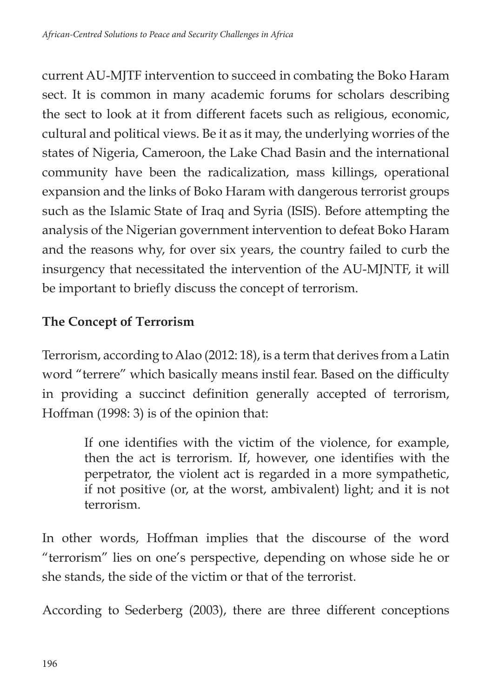current AU-MJTF intervention to succeed in combating the Boko Haram sect. It is common in many academic forums for scholars describing the sect to look at it from different facets such as religious, economic, cultural and political views. Be it as it may, the underlying worries of the states of Nigeria, Cameroon, the Lake Chad Basin and the international community have been the radicalization, mass killings, operational expansion and the links of Boko Haram with dangerous terrorist groups such as the Islamic State of Iraq and Syria (ISIS). Before attempting the analysis of the Nigerian government intervention to defeat Boko Haram and the reasons why, for over six years, the country failed to curb the insurgency that necessitated the intervention of the AU-MJNTF, it will be important to briefly discuss the concept of terrorism.

## **The Concept of Terrorism**

Terrorism, according to Alao (2012: 18), is a term that derives from a Latin word "terrere" which basically means instil fear. Based on the difficulty in providing a succinct definition generally accepted of terrorism, Hoffman (1998: 3) is of the opinion that:

> If one identifies with the victim of the violence, for example, then the act is terrorism. If, however, one identifies with the perpetrator, the violent act is regarded in a more sympathetic, if not positive (or, at the worst, ambivalent) light; and it is not terrorism.

In other words, Hoffman implies that the discourse of the word "terrorism" lies on one's perspective, depending on whose side he or she stands, the side of the victim or that of the terrorist.

According to Sederberg (2003), there are three different conceptions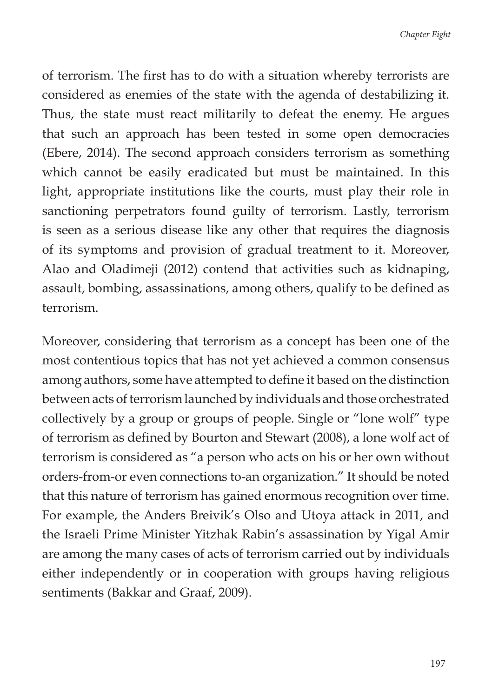of terrorism. The first has to do with a situation whereby terrorists are considered as enemies of the state with the agenda of destabilizing it. Thus, the state must react militarily to defeat the enemy. He argues that such an approach has been tested in some open democracies (Ebere, 2014). The second approach considers terrorism as something which cannot be easily eradicated but must be maintained. In this light, appropriate institutions like the courts, must play their role in sanctioning perpetrators found guilty of terrorism. Lastly, terrorism is seen as a serious disease like any other that requires the diagnosis of its symptoms and provision of gradual treatment to it. Moreover, Alao and Oladimeji (2012) contend that activities such as kidnaping, assault, bombing, assassinations, among others, qualify to be defined as terrorism.

Moreover, considering that terrorism as a concept has been one of the most contentious topics that has not yet achieved a common consensus among authors, some have attempted to define it based on the distinction between acts of terrorism launched by individuals and those orchestrated collectively by a group or groups of people. Single or "lone wolf" type of terrorism as defined by Bourton and Stewart (2008), a lone wolf act of terrorism is considered as "a person who acts on his or her own without orders-from-or even connections to-an organization." It should be noted that this nature of terrorism has gained enormous recognition over time. For example, the Anders Breivik's Olso and Utoya attack in 2011, and the Israeli Prime Minister Yitzhak Rabin's assassination by Yigal Amir are among the many cases of acts of terrorism carried out by individuals either independently or in cooperation with groups having religious sentiments (Bakkar and Graaf, 2009).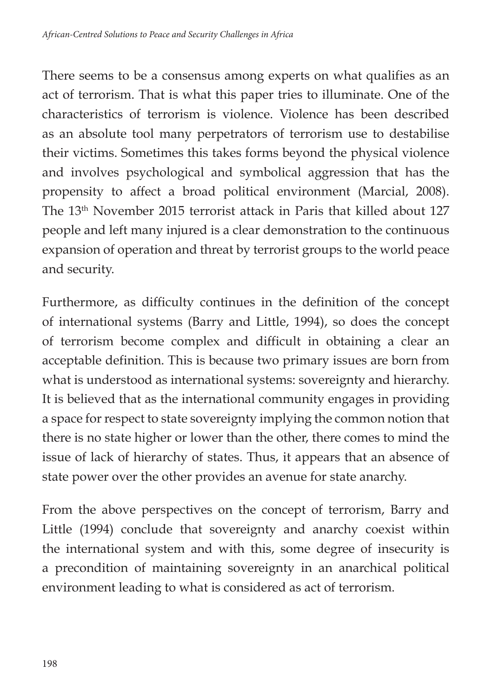There seems to be a consensus among experts on what qualifies as an act of terrorism. That is what this paper tries to illuminate. One of the characteristics of terrorism is violence. Violence has been described as an absolute tool many perpetrators of terrorism use to destabilise their victims. Sometimes this takes forms beyond the physical violence and involves psychological and symbolical aggression that has the propensity to affect a broad political environment (Marcial, 2008). The 13th November 2015 terrorist attack in Paris that killed about 127 people and left many injured is a clear demonstration to the continuous expansion of operation and threat by terrorist groups to the world peace and security.

Furthermore, as difficulty continues in the definition of the concept of international systems (Barry and Little, 1994), so does the concept of terrorism become complex and difficult in obtaining a clear an acceptable definition. This is because two primary issues are born from what is understood as international systems: sovereignty and hierarchy. It is believed that as the international community engages in providing a space for respect to state sovereignty implying the common notion that there is no state higher or lower than the other, there comes to mind the issue of lack of hierarchy of states. Thus, it appears that an absence of state power over the other provides an avenue for state anarchy.

From the above perspectives on the concept of terrorism, Barry and Little (1994) conclude that sovereignty and anarchy coexist within the international system and with this, some degree of insecurity is a precondition of maintaining sovereignty in an anarchical political environment leading to what is considered as act of terrorism.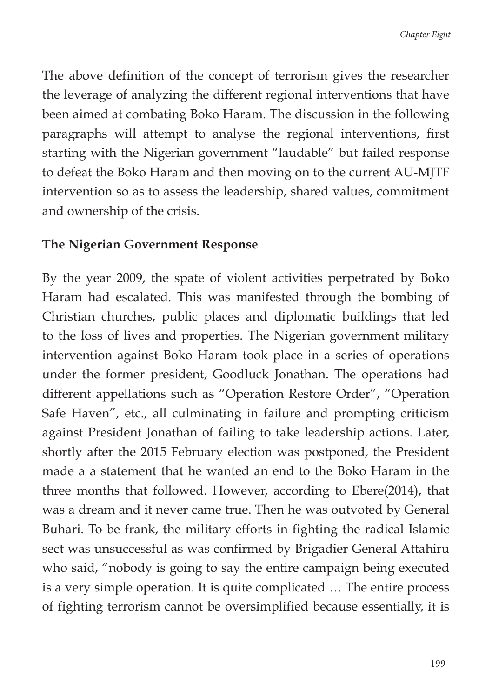The above definition of the concept of terrorism gives the researcher the leverage of analyzing the different regional interventions that have been aimed at combating Boko Haram. The discussion in the following paragraphs will attempt to analyse the regional interventions, first starting with the Nigerian government "laudable" but failed response to defeat the Boko Haram and then moving on to the current AU-MJTF intervention so as to assess the leadership, shared values, commitment and ownership of the crisis.

#### **The Nigerian Government Response**

By the year 2009, the spate of violent activities perpetrated by Boko Haram had escalated. This was manifested through the bombing of Christian churches, public places and diplomatic buildings that led to the loss of lives and properties. The Nigerian government military intervention against Boko Haram took place in a series of operations under the former president, Goodluck Jonathan. The operations had different appellations such as "Operation Restore Order", "Operation Safe Haven", etc., all culminating in failure and prompting criticism against President Jonathan of failing to take leadership actions. Later, shortly after the 2015 February election was postponed, the President made a a statement that he wanted an end to the Boko Haram in the three months that followed. However, according to Ebere(2014), that was a dream and it never came true. Then he was outvoted by General Buhari. To be frank, the military efforts in fighting the radical Islamic sect was unsuccessful as was confirmed by Brigadier General Attahiru who said, "nobody is going to say the entire campaign being executed is a very simple operation. It is quite complicated … The entire process of fighting terrorism cannot be oversimplified because essentially, it is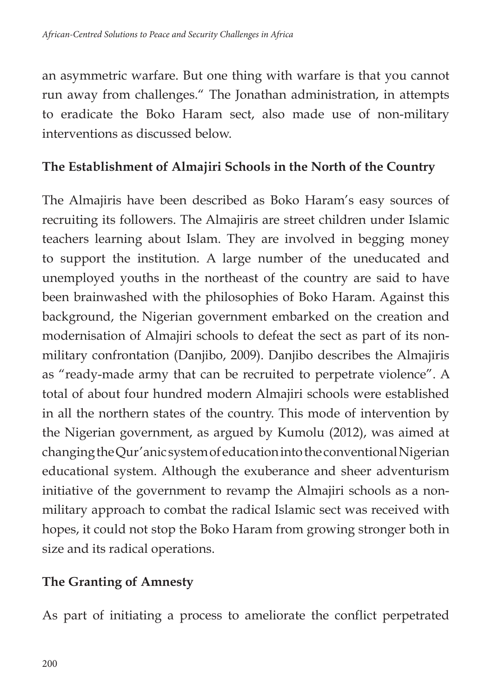an asymmetric warfare. But one thing with warfare is that you cannot run away from challenges." The Jonathan administration, in attempts to eradicate the Boko Haram sect, also made use of non-military interventions as discussed below.

#### **The Establishment of Almajiri Schools in the North of the Country**

The Almajiris have been described as Boko Haram's easy sources of recruiting its followers. The Almajiris are street children under Islamic teachers learning about Islam. They are involved in begging money to support the institution. A large number of the uneducated and unemployed youths in the northeast of the country are said to have been brainwashed with the philosophies of Boko Haram. Against this background, the Nigerian government embarked on the creation and modernisation of Almajiri schools to defeat the sect as part of its nonmilitary confrontation (Danjibo, 2009). Danjibo describes the Almajiris as "ready-made army that can be recruited to perpetrate violence". A total of about four hundred modern Almajiri schools were established in all the northern states of the country. This mode of intervention by the Nigerian government, as argued by Kumolu (2012), was aimed at changing the Qur'anic system of education into the conventional Nigerian educational system. Although the exuberance and sheer adventurism initiative of the government to revamp the Almajiri schools as a nonmilitary approach to combat the radical Islamic sect was received with hopes, it could not stop the Boko Haram from growing stronger both in size and its radical operations.

#### **The Granting of Amnesty**

As part of initiating a process to ameliorate the conflict perpetrated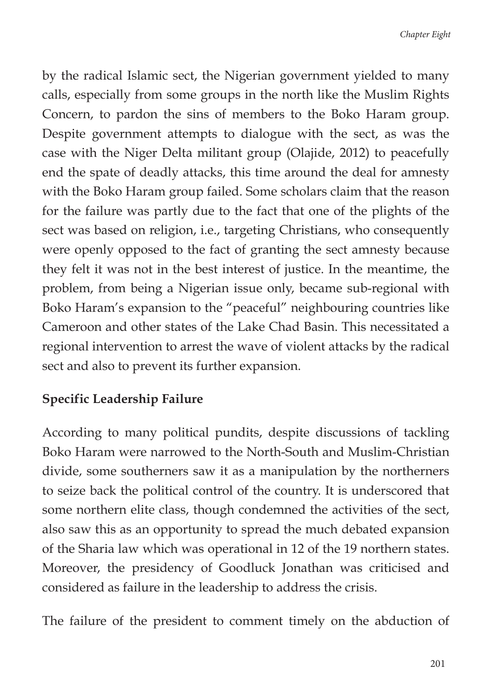by the radical Islamic sect, the Nigerian government yielded to many calls, especially from some groups in the north like the Muslim Rights Concern, to pardon the sins of members to the Boko Haram group. Despite government attempts to dialogue with the sect, as was the case with the Niger Delta militant group (Olajide, 2012) to peacefully end the spate of deadly attacks, this time around the deal for amnesty with the Boko Haram group failed. Some scholars claim that the reason for the failure was partly due to the fact that one of the plights of the sect was based on religion, i.e., targeting Christians, who consequently were openly opposed to the fact of granting the sect amnesty because they felt it was not in the best interest of justice. In the meantime, the problem, from being a Nigerian issue only, became sub-regional with Boko Haram's expansion to the "peaceful" neighbouring countries like Cameroon and other states of the Lake Chad Basin. This necessitated a regional intervention to arrest the wave of violent attacks by the radical sect and also to prevent its further expansion.

#### **Specific Leadership Failure**

According to many political pundits, despite discussions of tackling Boko Haram were narrowed to the North-South and Muslim-Christian divide, some southerners saw it as a manipulation by the northerners to seize back the political control of the country. It is underscored that some northern elite class, though condemned the activities of the sect, also saw this as an opportunity to spread the much debated expansion of the Sharia law which was operational in 12 of the 19 northern states. Moreover, the presidency of Goodluck Jonathan was criticised and considered as failure in the leadership to address the crisis.

The failure of the president to comment timely on the abduction of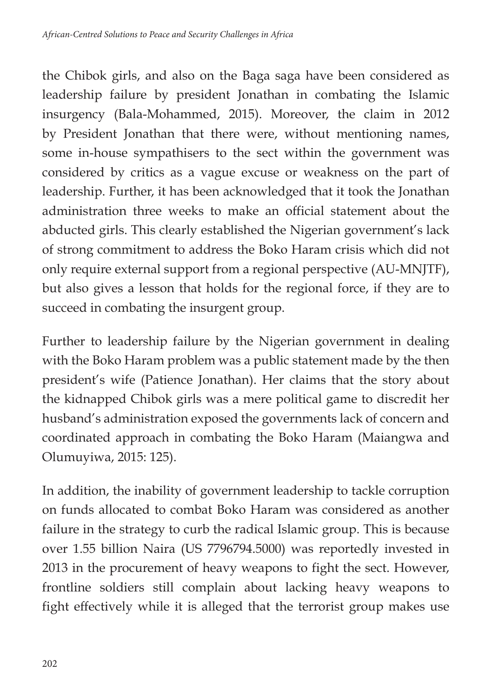the Chibok girls, and also on the Baga saga have been considered as leadership failure by president Jonathan in combating the Islamic insurgency (Bala-Mohammed, 2015). Moreover, the claim in 2012 by President Jonathan that there were, without mentioning names, some in-house sympathisers to the sect within the government was considered by critics as a vague excuse or weakness on the part of leadership. Further, it has been acknowledged that it took the Jonathan administration three weeks to make an official statement about the abducted girls. This clearly established the Nigerian government's lack of strong commitment to address the Boko Haram crisis which did not only require external support from a regional perspective (AU-MNJTF), but also gives a lesson that holds for the regional force, if they are to succeed in combating the insurgent group.

Further to leadership failure by the Nigerian government in dealing with the Boko Haram problem was a public statement made by the then president's wife (Patience Jonathan). Her claims that the story about the kidnapped Chibok girls was a mere political game to discredit her husband's administration exposed the governments lack of concern and coordinated approach in combating the Boko Haram (Maiangwa and Olumuyiwa, 2015: 125).

In addition, the inability of government leadership to tackle corruption on funds allocated to combat Boko Haram was considered as another failure in the strategy to curb the radical Islamic group. This is because over 1.55 billion Naira (US 7796794.5000) was reportedly invested in 2013 in the procurement of heavy weapons to fight the sect. However, frontline soldiers still complain about lacking heavy weapons to fight effectively while it is alleged that the terrorist group makes use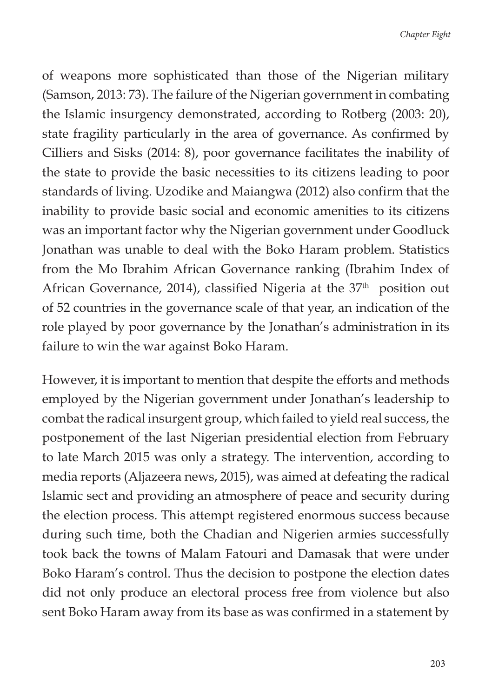of weapons more sophisticated than those of the Nigerian military (Samson, 2013: 73). The failure of the Nigerian government in combating the Islamic insurgency demonstrated, according to Rotberg (2003: 20), state fragility particularly in the area of governance. As confirmed by Cilliers and Sisks (2014: 8), poor governance facilitates the inability of the state to provide the basic necessities to its citizens leading to poor standards of living. Uzodike and Maiangwa (2012) also confirm that the inability to provide basic social and economic amenities to its citizens was an important factor why the Nigerian government under Goodluck Jonathan was unable to deal with the Boko Haram problem. Statistics from the Mo Ibrahim African Governance ranking (Ibrahim Index of African Governance, 2014), classified Nigeria at the 37<sup>th</sup> position out of 52 countries in the governance scale of that year, an indication of the role played by poor governance by the Jonathan's administration in its failure to win the war against Boko Haram.

However, it is important to mention that despite the efforts and methods employed by the Nigerian government under Jonathan's leadership to combat the radical insurgent group, which failed to yield real success, the postponement of the last Nigerian presidential election from February to late March 2015 was only a strategy. The intervention, according to media reports (Aljazeera news, 2015), was aimed at defeating the radical Islamic sect and providing an atmosphere of peace and security during the election process. This attempt registered enormous success because during such time, both the Chadian and Nigerien armies successfully took back the towns of Malam Fatouri and Damasak that were under Boko Haram's control. Thus the decision to postpone the election dates did not only produce an electoral process free from violence but also sent Boko Haram away from its base as was confirmed in a statement by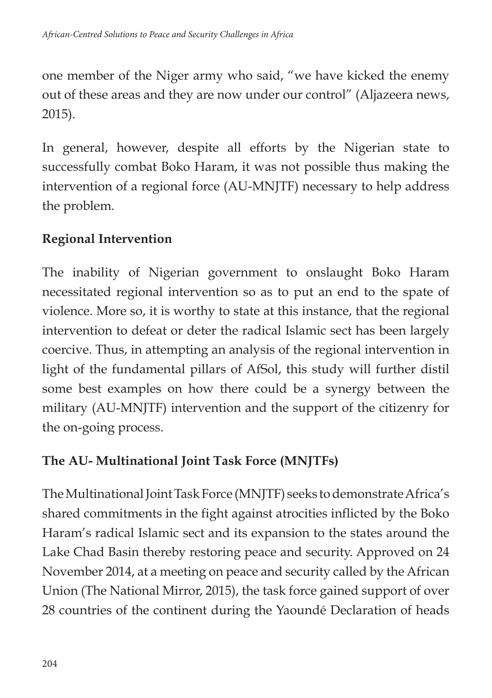one member of the Niger army who said, "we have kicked the enemy out of these areas and they are now under our control" (Aljazeera news, 2015).

In general, however, despite all efforts by the Nigerian state to successfully combat Boko Haram, it was not possible thus making the intervention of a regional force (AU-MNJTF) necessary to help address the problem.

## **Regional Intervention**

The inability of Nigerian government to onslaught Boko Haram necessitated regional intervention so as to put an end to the spate of violence. More so, it is worthy to state at this instance, that the regional intervention to defeat or deter the radical Islamic sect has been largely coercive. Thus, in attempting an analysis of the regional intervention in light of the fundamental pillars of AfSol, this study will further distil some best examples on how there could be a synergy between the military (AU-MNJTF) intervention and the support of the citizenry for the on-going process.

# **The AU- Multinational Joint Task Force (MNJTFs)**

The Multinational Joint Task Force (MNJTF) seeks to demonstrate Africa's shared commitments in the fight against atrocities inflicted by the Boko Haram's radical Islamic sect and its expansion to the states around the Lake Chad Basin thereby restoring peace and security. Approved on 24 November 2014, at a meeting on peace and security called by the African Union (The National Mirror, 2015), the task force gained support of over 28 countries of the continent during the Yaoundé Declaration of heads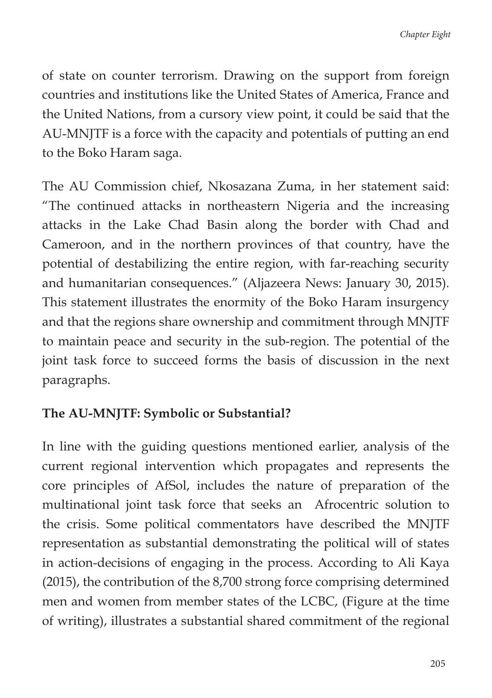of state on counter terrorism. Drawing on the support from foreign countries and institutions like the United States of America, France and the United Nations, from a cursory view point, it could be said that the AU-MNJTF is a force with the capacity and potentials of putting an end to the Boko Haram saga.

The AU Commission chief, Nkosazana Zuma, in her statement said: "The continued attacks in northeastern Nigeria and the increasing attacks in the Lake Chad Basin along the border with Chad and Cameroon, and in the northern provinces of that country, have the potential of destabilizing the entire region, with far-reaching security and humanitarian consequences." (Aljazeera News: January 30, 2015). This statement illustrates the enormity of the Boko Haram insurgency and that the regions share ownership and commitment through MNJTF to maintain peace and security in the sub-region. The potential of the joint task force to succeed forms the basis of discussion in the next paragraphs.

### **The AU-MNJTF: Symbolic or Substantial?**

In line with the guiding questions mentioned earlier, analysis of the current regional intervention which propagates and represents the core principles of AfSol, includes the nature of preparation of the multinational joint task force that seeks an Afrocentric solution to the crisis. Some political commentators have described the MNJTF representation as substantial demonstrating the political will of states in action-decisions of engaging in the process. According to Ali Kaya (2015), the contribution of the 8,700 strong force comprising determined men and women from member states of the LCBC, (Figure at the time of writing), illustrates a substantial shared commitment of the regional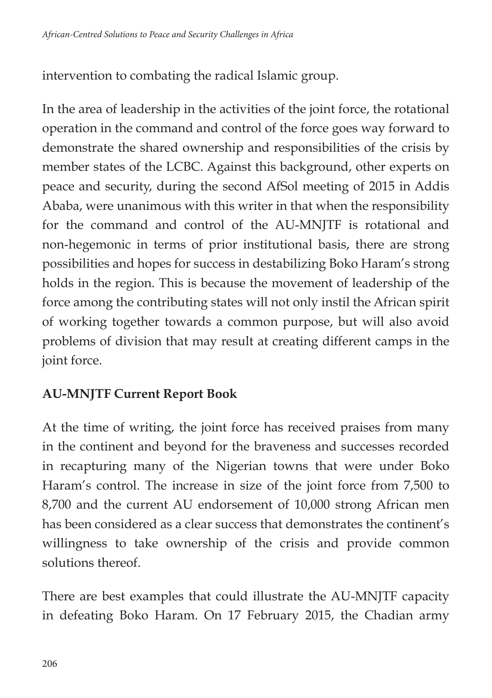intervention to combating the radical Islamic group.

In the area of leadership in the activities of the joint force, the rotational operation in the command and control of the force goes way forward to demonstrate the shared ownership and responsibilities of the crisis by member states of the LCBC. Against this background, other experts on peace and security, during the second AfSol meeting of 2015 in Addis Ababa, were unanimous with this writer in that when the responsibility for the command and control of the AU-MNJTF is rotational and non-hegemonic in terms of prior institutional basis, there are strong possibilities and hopes for success in destabilizing Boko Haram's strong holds in the region. This is because the movement of leadership of the force among the contributing states will not only instil the African spirit of working together towards a common purpose, but will also avoid problems of division that may result at creating different camps in the joint force.

#### **AU-MNJTF Current Report Book**

At the time of writing, the joint force has received praises from many in the continent and beyond for the braveness and successes recorded in recapturing many of the Nigerian towns that were under Boko Haram's control. The increase in size of the joint force from 7,500 to 8,700 and the current AU endorsement of 10,000 strong African men has been considered as a clear success that demonstrates the continent's willingness to take ownership of the crisis and provide common solutions thereof.

There are best examples that could illustrate the AU-MNJTF capacity in defeating Boko Haram. On 17 February 2015, the Chadian army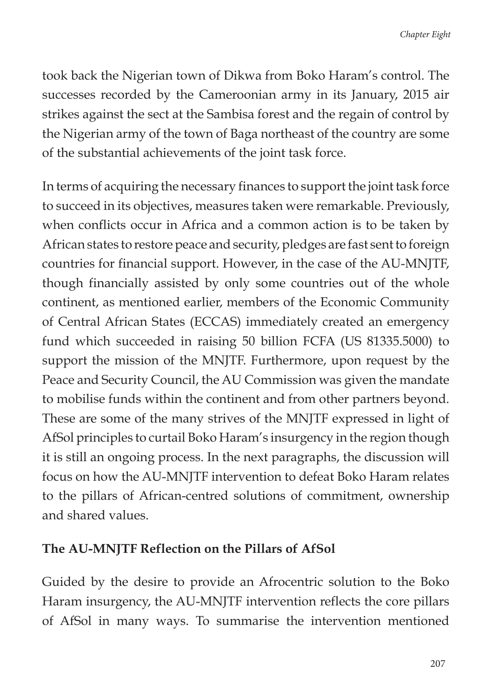took back the Nigerian town of Dikwa from Boko Haram's control. The successes recorded by the Cameroonian army in its January, 2015 air strikes against the sect at the Sambisa forest and the regain of control by the Nigerian army of the town of Baga northeast of the country are some of the substantial achievements of the joint task force.

In terms of acquiring the necessary finances to support the joint task force to succeed in its objectives, measures taken were remarkable. Previously, when conflicts occur in Africa and a common action is to be taken by African states to restore peace and security, pledges are fast sent to foreign countries for financial support. However, in the case of the AU-MNJTF, though financially assisted by only some countries out of the whole continent, as mentioned earlier, members of the Economic Community of Central African States (ECCAS) immediately created an emergency fund which succeeded in raising 50 billion FCFA (US 81335.5000) to support the mission of the MNJTF. Furthermore, upon request by the Peace and Security Council, the AU Commission was given the mandate to mobilise funds within the continent and from other partners beyond. These are some of the many strives of the MNJTF expressed in light of AfSol principles to curtail Boko Haram's insurgency in the region though it is still an ongoing process. In the next paragraphs, the discussion will focus on how the AU-MNJTF intervention to defeat Boko Haram relates to the pillars of African-centred solutions of commitment, ownership and shared values.

#### **The AU-MNJTF Reflection on the Pillars of AfSol**

Guided by the desire to provide an Afrocentric solution to the Boko Haram insurgency, the AU-MNJTF intervention reflects the core pillars of AfSol in many ways. To summarise the intervention mentioned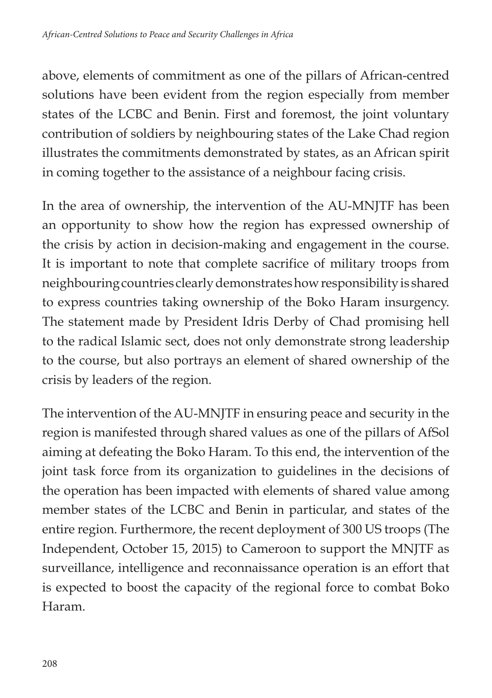above, elements of commitment as one of the pillars of African-centred solutions have been evident from the region especially from member states of the LCBC and Benin. First and foremost, the joint voluntary contribution of soldiers by neighbouring states of the Lake Chad region illustrates the commitments demonstrated by states, as an African spirit in coming together to the assistance of a neighbour facing crisis.

In the area of ownership, the intervention of the AU-MNJTF has been an opportunity to show how the region has expressed ownership of the crisis by action in decision-making and engagement in the course. It is important to note that complete sacrifice of military troops from neighbouring countries clearly demonstrates how responsibility is shared to express countries taking ownership of the Boko Haram insurgency. The statement made by President Idris Derby of Chad promising hell to the radical Islamic sect, does not only demonstrate strong leadership to the course, but also portrays an element of shared ownership of the crisis by leaders of the region.

The intervention of the AU-MNJTF in ensuring peace and security in the region is manifested through shared values as one of the pillars of AfSol aiming at defeating the Boko Haram. To this end, the intervention of the joint task force from its organization to guidelines in the decisions of the operation has been impacted with elements of shared value among member states of the LCBC and Benin in particular, and states of the entire region. Furthermore, the recent deployment of 300 US troops (The Independent, October 15, 2015) to Cameroon to support the MNJTF as surveillance, intelligence and reconnaissance operation is an effort that is expected to boost the capacity of the regional force to combat Boko Haram.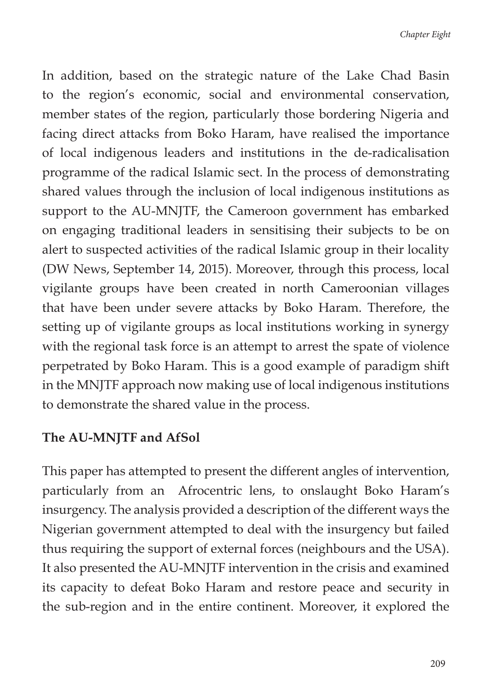In addition, based on the strategic nature of the Lake Chad Basin to the region's economic, social and environmental conservation, member states of the region, particularly those bordering Nigeria and facing direct attacks from Boko Haram, have realised the importance of local indigenous leaders and institutions in the de-radicalisation programme of the radical Islamic sect. In the process of demonstrating shared values through the inclusion of local indigenous institutions as support to the AU-MNJTF, the Cameroon government has embarked on engaging traditional leaders in sensitising their subjects to be on alert to suspected activities of the radical Islamic group in their locality (DW News, September 14, 2015). Moreover, through this process, local vigilante groups have been created in north Cameroonian villages that have been under severe attacks by Boko Haram. Therefore, the setting up of vigilante groups as local institutions working in synergy with the regional task force is an attempt to arrest the spate of violence perpetrated by Boko Haram. This is a good example of paradigm shift in the MNJTF approach now making use of local indigenous institutions to demonstrate the shared value in the process.

#### **The AU-MNJTF and AfSol**

This paper has attempted to present the different angles of intervention, particularly from an Afrocentric lens, to onslaught Boko Haram's insurgency. The analysis provided a description of the different ways the Nigerian government attempted to deal with the insurgency but failed thus requiring the support of external forces (neighbours and the USA). It also presented the AU-MNJTF intervention in the crisis and examined its capacity to defeat Boko Haram and restore peace and security in the sub-region and in the entire continent. Moreover, it explored the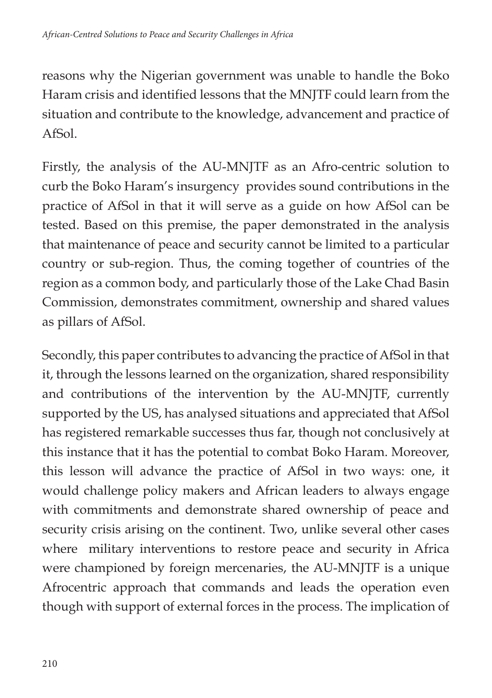reasons why the Nigerian government was unable to handle the Boko Haram crisis and identified lessons that the MNJTF could learn from the situation and contribute to the knowledge, advancement and practice of AfSol.

Firstly, the analysis of the AU-MNJTF as an Afro-centric solution to curb the Boko Haram's insurgency provides sound contributions in the practice of AfSol in that it will serve as a guide on how AfSol can be tested. Based on this premise, the paper demonstrated in the analysis that maintenance of peace and security cannot be limited to a particular country or sub-region. Thus, the coming together of countries of the region as a common body, and particularly those of the Lake Chad Basin Commission, demonstrates commitment, ownership and shared values as pillars of AfSol.

Secondly, this paper contributes to advancing the practice of AfSol in that it, through the lessons learned on the organization, shared responsibility and contributions of the intervention by the AU-MNJTF, currently supported by the US, has analysed situations and appreciated that AfSol has registered remarkable successes thus far, though not conclusively at this instance that it has the potential to combat Boko Haram. Moreover, this lesson will advance the practice of AfSol in two ways: one, it would challenge policy makers and African leaders to always engage with commitments and demonstrate shared ownership of peace and security crisis arising on the continent. Two, unlike several other cases where military interventions to restore peace and security in Africa were championed by foreign mercenaries, the AU-MNJTF is a unique Afrocentric approach that commands and leads the operation even though with support of external forces in the process. The implication of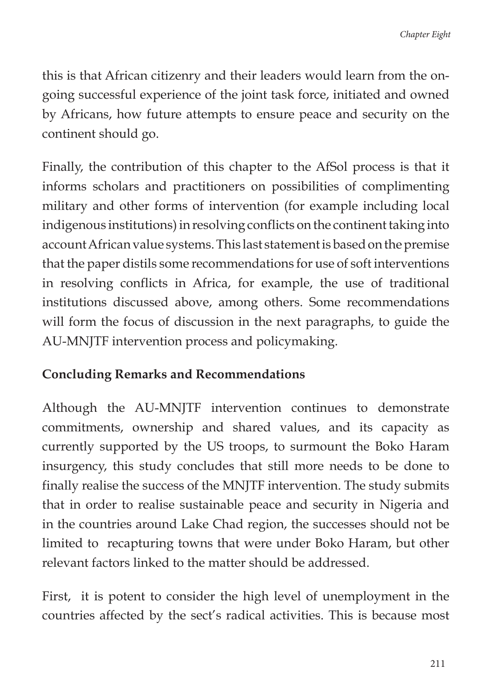this is that African citizenry and their leaders would learn from the ongoing successful experience of the joint task force, initiated and owned by Africans, how future attempts to ensure peace and security on the continent should go.

Finally, the contribution of this chapter to the AfSol process is that it informs scholars and practitioners on possibilities of complimenting military and other forms of intervention (for example including local indigenous institutions) in resolving conflicts on the continent taking into account African value systems. This last statement is based on the premise that the paper distils some recommendations for use of soft interventions in resolving conflicts in Africa, for example, the use of traditional institutions discussed above, among others. Some recommendations will form the focus of discussion in the next paragraphs, to guide the AU-MNJTF intervention process and policymaking.

#### **Concluding Remarks and Recommendations**

Although the AU-MNJTF intervention continues to demonstrate commitments, ownership and shared values, and its capacity as currently supported by the US troops, to surmount the Boko Haram insurgency, this study concludes that still more needs to be done to finally realise the success of the MNJTF intervention. The study submits that in order to realise sustainable peace and security in Nigeria and in the countries around Lake Chad region, the successes should not be limited to recapturing towns that were under Boko Haram, but other relevant factors linked to the matter should be addressed.

First, it is potent to consider the high level of unemployment in the countries affected by the sect's radical activities. This is because most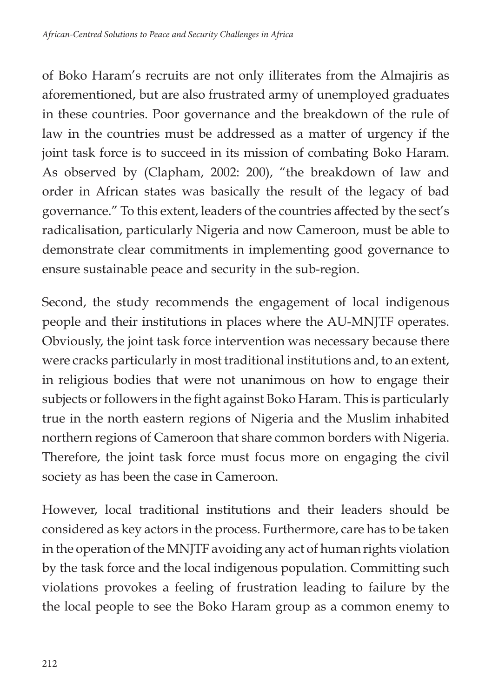of Boko Haram's recruits are not only illiterates from the Almajiris as aforementioned, but are also frustrated army of unemployed graduates in these countries. Poor governance and the breakdown of the rule of law in the countries must be addressed as a matter of urgency if the joint task force is to succeed in its mission of combating Boko Haram. As observed by (Clapham, 2002: 200), "the breakdown of law and order in African states was basically the result of the legacy of bad governance." To this extent, leaders of the countries affected by the sect's radicalisation, particularly Nigeria and now Cameroon, must be able to demonstrate clear commitments in implementing good governance to ensure sustainable peace and security in the sub-region.

Second, the study recommends the engagement of local indigenous people and their institutions in places where the AU-MNJTF operates. Obviously, the joint task force intervention was necessary because there were cracks particularly in most traditional institutions and, to an extent, in religious bodies that were not unanimous on how to engage their subjects or followers in the fight against Boko Haram. This is particularly true in the north eastern regions of Nigeria and the Muslim inhabited northern regions of Cameroon that share common borders with Nigeria. Therefore, the joint task force must focus more on engaging the civil society as has been the case in Cameroon.

However, local traditional institutions and their leaders should be considered as key actors in the process. Furthermore, care has to be taken in the operation of the MNJTF avoiding any act of human rights violation by the task force and the local indigenous population. Committing such violations provokes a feeling of frustration leading to failure by the the local people to see the Boko Haram group as a common enemy to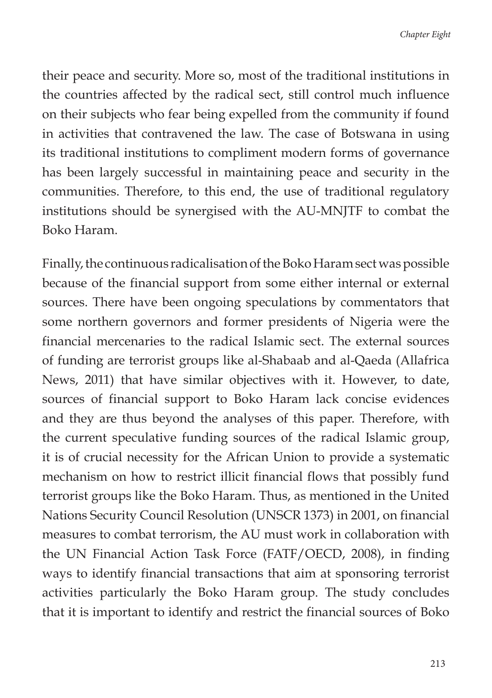their peace and security. More so, most of the traditional institutions in the countries affected by the radical sect, still control much influence on their subjects who fear being expelled from the community if found in activities that contravened the law. The case of Botswana in using its traditional institutions to compliment modern forms of governance has been largely successful in maintaining peace and security in the communities. Therefore, to this end, the use of traditional regulatory institutions should be synergised with the AU-MNJTF to combat the Boko Haram.

Finally, the continuous radicalisation of the Boko Haram sect was possible because of the financial support from some either internal or external sources. There have been ongoing speculations by commentators that some northern governors and former presidents of Nigeria were the financial mercenaries to the radical Islamic sect. The external sources of funding are terrorist groups like al-Shabaab and al-Qaeda (Allafrica News, 2011) that have similar objectives with it. However, to date, sources of financial support to Boko Haram lack concise evidences and they are thus beyond the analyses of this paper. Therefore, with the current speculative funding sources of the radical Islamic group, it is of crucial necessity for the African Union to provide a systematic mechanism on how to restrict illicit financial flows that possibly fund terrorist groups like the Boko Haram. Thus, as mentioned in the United Nations Security Council Resolution (UNSCR 1373) in 2001, on financial measures to combat terrorism, the AU must work in collaboration with the UN Financial Action Task Force (FATF/OECD, 2008), in finding ways to identify financial transactions that aim at sponsoring terrorist activities particularly the Boko Haram group. The study concludes that it is important to identify and restrict the financial sources of Boko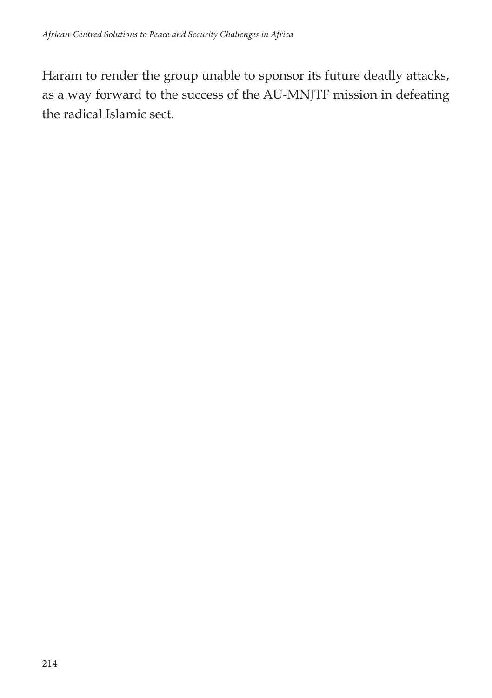Haram to render the group unable to sponsor its future deadly attacks, as a way forward to the success of the AU-MNJTF mission in defeating the radical Islamic sect.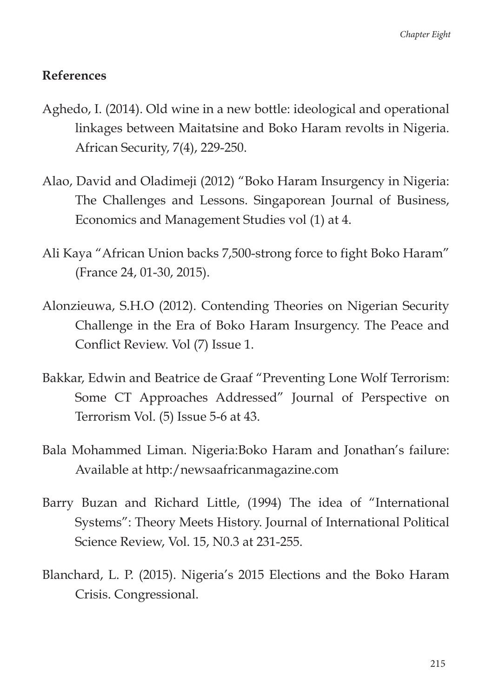#### **References**

- Aghedo, I. (2014). Old wine in a new bottle: ideological and operational linkages between Maitatsine and Boko Haram revolts in Nigeria. African Security, 7(4), 229-250.
- Alao, David and Oladimeji (2012) "Boko Haram Insurgency in Nigeria: The Challenges and Lessons. Singaporean Journal of Business, Economics and Management Studies vol (1) at 4.
- Ali Kaya "African Union backs 7,500-strong force to fight Boko Haram" (France 24, 01-30, 2015).
- Alonzieuwa, S.H.O (2012). Contending Theories on Nigerian Security Challenge in the Era of Boko Haram Insurgency. The Peace and Conflict Review. Vol (7) Issue 1.
- Bakkar, Edwin and Beatrice de Graaf "Preventing Lone Wolf Terrorism: Some CT Approaches Addressed" Journal of Perspective on Terrorism Vol. (5) Issue 5-6 at 43.
- Bala Mohammed Liman. Nigeria:Boko Haram and Jonathan's failure: Available at http:/newsaafricanmagazine.com
- Barry Buzan and Richard Little, (1994) The idea of "International Systems": Theory Meets History. Journal of International Political Science Review, Vol. 15, N0.3 at 231-255.
- Blanchard, L. P. (2015). Nigeria's 2015 Elections and the Boko Haram Crisis. Congressional.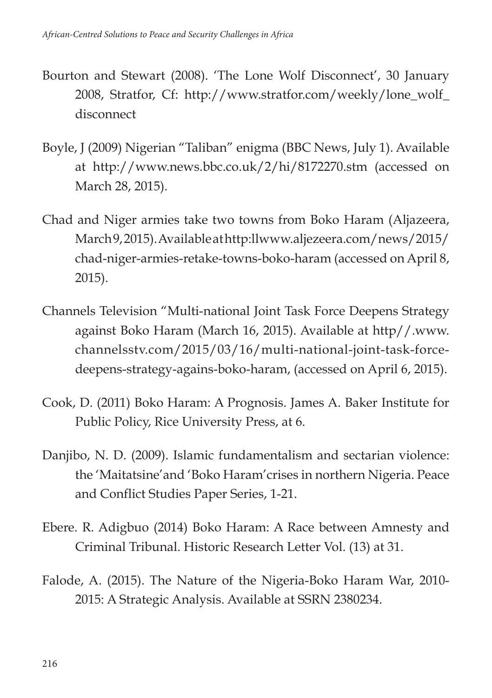- Bourton and Stewart (2008). 'The Lone Wolf Disconnect', 30 January 2008, Stratfor, Cf: http://www.stratfor.com/weekly/lone\_wolf\_ disconnect
- Boyle, J (2009) Nigerian "Taliban" enigma (BBC News, July 1). Available at http://www.news.bbc.co.uk/2/hi/8172270.stm (accessed on March 28, 2015).
- Chad and Niger armies take two towns from Boko Haram (Aljazeera, March 9, 2015). Available at http:llwww.aljezeera.com/news/2015/ chad-niger-armies-retake-towns-boko-haram (accessed on April 8, 2015).
- Channels Television "Multi-national Joint Task Force Deepens Strategy against Boko Haram (March 16, 2015). Available at http//.www. channelsstv.com/2015/03/16/multi-national-joint-task-forcedeepens-strategy-agains-boko-haram, (accessed on April 6, 2015).
- Cook, D. (2011) Boko Haram: A Prognosis. James A. Baker Institute for Public Policy, Rice University Press, at 6.
- Danjibo, N. D. (2009). Islamic fundamentalism and sectarian violence: the 'Maitatsine'and 'Boko Haram'crises in northern Nigeria. Peace and Conflict Studies Paper Series, 1-21.
- Ebere. R. Adigbuo (2014) Boko Haram: A Race between Amnesty and Criminal Tribunal. Historic Research Letter Vol. (13) at 31.
- Falode, A. (2015). The Nature of the Nigeria-Boko Haram War, 2010- 2015: A Strategic Analysis. Available at SSRN 2380234.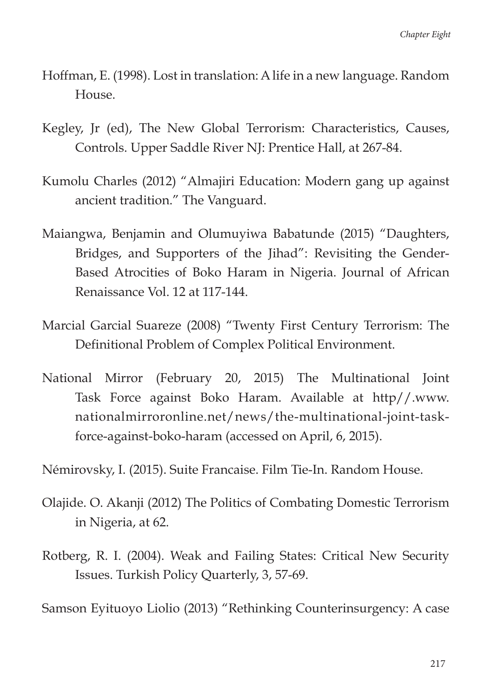- Hoffman, E. (1998). Lost in translation: A life in a new language. Random House.
- Kegley, Jr (ed), The New Global Terrorism: Characteristics, Causes, Controls. Upper Saddle River NJ: Prentice Hall, at 267-84.
- Kumolu Charles (2012) "Almajiri Education: Modern gang up against ancient tradition." The Vanguard.
- Maiangwa, Benjamin and Olumuyiwa Babatunde (2015) "Daughters, Bridges, and Supporters of the Jihad": Revisiting the Gender-Based Atrocities of Boko Haram in Nigeria. Journal of African Renaissance Vol. 12 at 117-144.
- Marcial Garcial Suareze (2008) "Twenty First Century Terrorism: The Definitional Problem of Complex Political Environment.
- National Mirror (February 20, 2015) The Multinational Joint Task Force against Boko Haram. Available at http//.www. nationalmirroronline.net/news/the-multinational-joint-taskforce-against-boko-haram (accessed on April, 6, 2015).
- Némirovsky, I. (2015). Suite Francaise. Film Tie-In. Random House.
- Olajide. O. Akanji (2012) The Politics of Combating Domestic Terrorism in Nigeria, at 62.
- Rotberg, R. I. (2004). Weak and Failing States: Critical New Security Issues. Turkish Policy Quarterly, 3, 57-69.
- Samson Eyituoyo Liolio (2013) "Rethinking Counterinsurgency: A case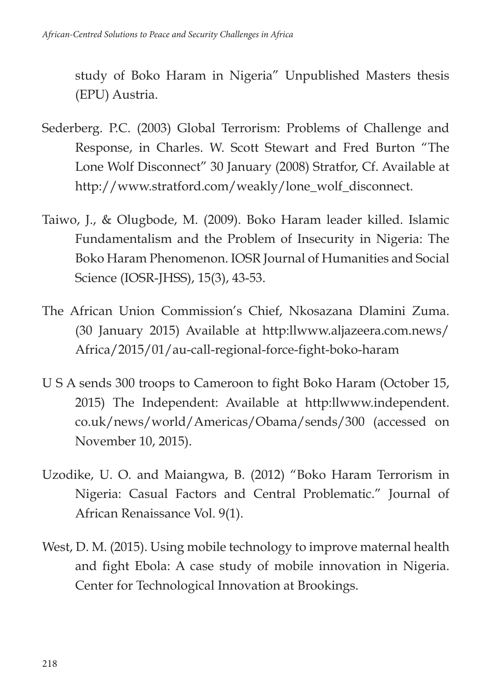study of Boko Haram in Nigeria" Unpublished Masters thesis (EPU) Austria.

- Sederberg. P.C. (2003) Global Terrorism: Problems of Challenge and Response, in Charles. W. Scott Stewart and Fred Burton "The Lone Wolf Disconnect" 30 January (2008) Stratfor, Cf. Available at http://www.stratford.com/weakly/lone\_wolf\_disconnect.
- Taiwo, J., & Olugbode, M. (2009). Boko Haram leader killed. Islamic Fundamentalism and the Problem of Insecurity in Nigeria: The Boko Haram Phenomenon. IOSR Journal of Humanities and Social Science (IOSR-JHSS), 15(3), 43-53.
- The African Union Commission's Chief, Nkosazana Dlamini Zuma. (30 January 2015) Available at http:llwww.aljazeera.com.news/ Africa/2015/01/au-call-regional-force-fight-boko-haram
- U S A sends 300 troops to Cameroon to fight Boko Haram (October 15, 2015) The Independent: Available at http:llwww.independent. co.uk/news/world/Americas/Obama/sends/300 (accessed on November 10, 2015).
- Uzodike, U. O. and Maiangwa, B. (2012) "Boko Haram Terrorism in Nigeria: Casual Factors and Central Problematic." Journal of African Renaissance Vol. 9(1).
- West, D. M. (2015). Using mobile technology to improve maternal health and fight Ebola: A case study of mobile innovation in Nigeria. Center for Technological Innovation at Brookings.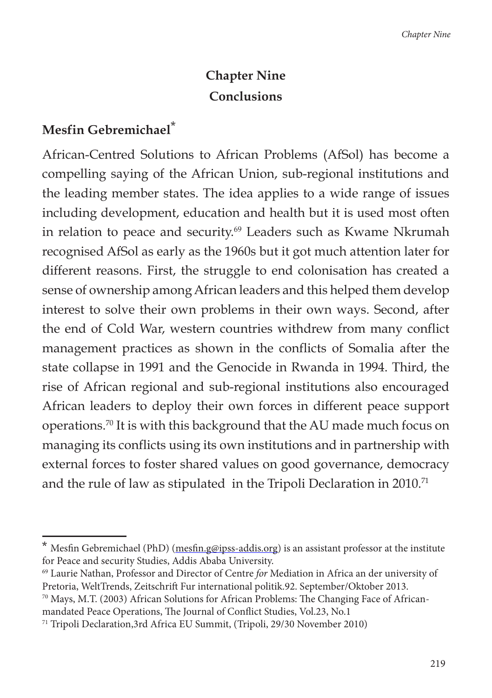## **Chapter Nine Conclusions**

## **Mesfin Gebremichael**\*

African-Centred Solutions to African Problems (AfSol) has become a compelling saying of the African Union, sub-regional institutions and the leading member states. The idea applies to a wide range of issues including development, education and health but it is used most often in relation to peace and security.<sup>69</sup> Leaders such as Kwame Nkrumah recognised AfSol as early as the 1960s but it got much attention later for different reasons. First, the struggle to end colonisation has created a sense of ownership among African leaders and this helped them develop interest to solve their own problems in their own ways. Second, after the end of Cold War, western countries withdrew from many conflict management practices as shown in the conflicts of Somalia after the state collapse in 1991 and the Genocide in Rwanda in 1994. Third, the rise of African regional and sub-regional institutions also encouraged African leaders to deploy their own forces in different peace support operations.70 It is with this background that the AU made much focus on managing its conflicts using its own institutions and in partnership with external forces to foster shared values on good governance, democracy and the rule of law as stipulated in the Tripoli Declaration in 2010.<sup>71</sup>

Mesfin Gebremichael (PhD) (mesfin.g@ipss-addis.org) is an assistant professor at the institute for Peace and security Studies, Addis Ababa University.

<sup>69</sup> Laurie Nathan, Professor and Director of Centre *for* Mediation in Africa an der university of Pretoria, WeltTrends, Zeitschrift Fur international politik.92. September/Oktober 2013.

 $70$  Mays, M.T. (2003) African Solutions for African Problems: The Changing Face of Africanmandated Peace Operations, The Journal of Conflict Studies, Vol.23, No.1

<sup>71</sup> Tripoli Declaration,3rd Africa EU Summit, (Tripoli, 29/30 November 2010)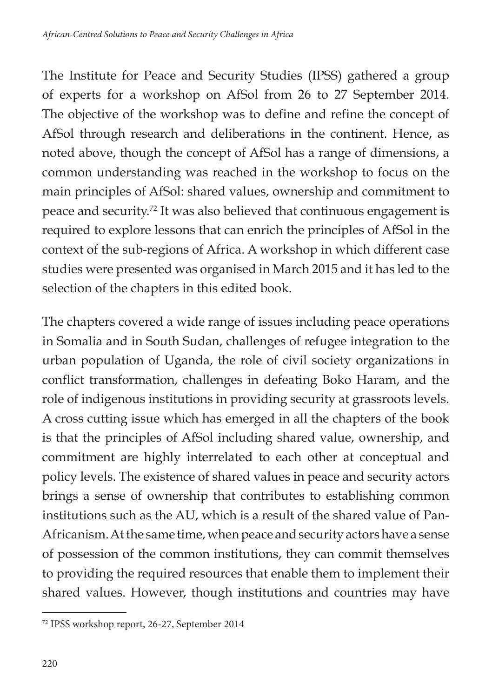The Institute for Peace and Security Studies (IPSS) gathered a group of experts for a workshop on AfSol from 26 to 27 September 2014. The objective of the workshop was to define and refine the concept of AfSol through research and deliberations in the continent. Hence, as noted above, though the concept of AfSol has a range of dimensions, a common understanding was reached in the workshop to focus on the main principles of AfSol: shared values, ownership and commitment to peace and security.72 It was also believed that continuous engagement is required to explore lessons that can enrich the principles of AfSol in the context of the sub-regions of Africa. A workshop in which different case studies were presented was organised in March 2015 and it has led to the selection of the chapters in this edited book.

The chapters covered a wide range of issues including peace operations in Somalia and in South Sudan, challenges of refugee integration to the urban population of Uganda, the role of civil society organizations in conflict transformation, challenges in defeating Boko Haram, and the role of indigenous institutions in providing security at grassroots levels. A cross cutting issue which has emerged in all the chapters of the book is that the principles of AfSol including shared value, ownership, and commitment are highly interrelated to each other at conceptual and policy levels. The existence of shared values in peace and security actors brings a sense of ownership that contributes to establishing common institutions such as the AU, which is a result of the shared value of Pan-Africanism. At the same time, when peace and security actors have a sense of possession of the common institutions, they can commit themselves to providing the required resources that enable them to implement their shared values. However, though institutions and countries may have

<sup>72</sup> IPSS workshop report, 26-27, September 2014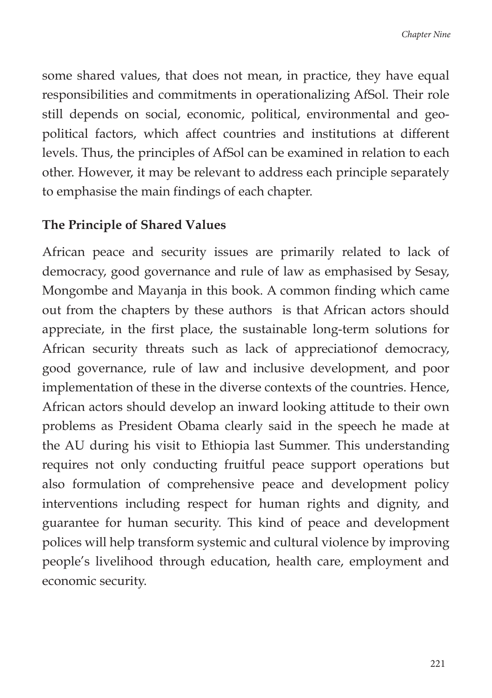some shared values, that does not mean, in practice, they have equal responsibilities and commitments in operationalizing AfSol. Their role still depends on social, economic, political, environmental and geopolitical factors, which affect countries and institutions at different levels. Thus, the principles of AfSol can be examined in relation to each other. However, it may be relevant to address each principle separately to emphasise the main findings of each chapter.

#### **The Principle of Shared Values**

African peace and security issues are primarily related to lack of democracy, good governance and rule of law as emphasised by Sesay, Mongombe and Mayanja in this book. A common finding which came out from the chapters by these authors is that African actors should appreciate, in the first place, the sustainable long-term solutions for African security threats such as lack of appreciationof democracy, good governance, rule of law and inclusive development, and poor implementation of these in the diverse contexts of the countries. Hence, African actors should develop an inward looking attitude to their own problems as President Obama clearly said in the speech he made at the AU during his visit to Ethiopia last Summer. This understanding requires not only conducting fruitful peace support operations but also formulation of comprehensive peace and development policy interventions including respect for human rights and dignity, and guarantee for human security. This kind of peace and development polices will help transform systemic and cultural violence by improving people's livelihood through education, health care, employment and economic security.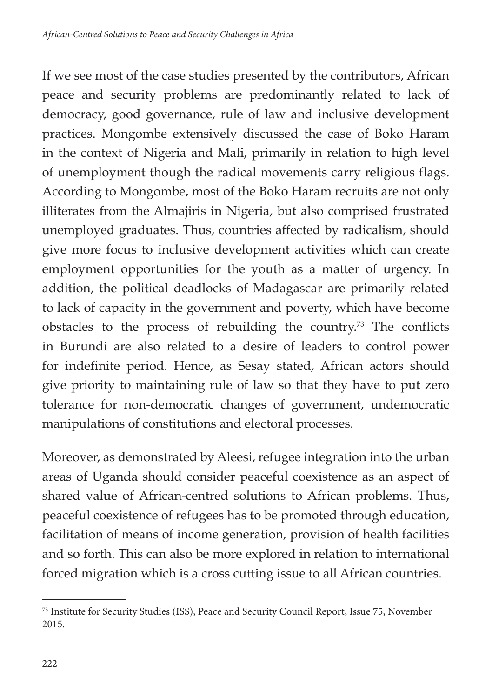If we see most of the case studies presented by the contributors, African peace and security problems are predominantly related to lack of democracy, good governance, rule of law and inclusive development practices. Mongombe extensively discussed the case of Boko Haram in the context of Nigeria and Mali, primarily in relation to high level of unemployment though the radical movements carry religious flags. According to Mongombe, most of the Boko Haram recruits are not only illiterates from the Almajiris in Nigeria, but also comprised frustrated unemployed graduates. Thus, countries affected by radicalism, should give more focus to inclusive development activities which can create employment opportunities for the youth as a matter of urgency. In addition, the political deadlocks of Madagascar are primarily related to lack of capacity in the government and poverty, which have become obstacles to the process of rebuilding the country.<sup>73</sup> The conflicts in Burundi are also related to a desire of leaders to control power for indefinite period. Hence, as Sesay stated, African actors should give priority to maintaining rule of law so that they have to put zero tolerance for non-democratic changes of government, undemocratic manipulations of constitutions and electoral processes.

Moreover, as demonstrated by Aleesi, refugee integration into the urban areas of Uganda should consider peaceful coexistence as an aspect of shared value of African-centred solutions to African problems. Thus, peaceful coexistence of refugees has to be promoted through education, facilitation of means of income generation, provision of health facilities and so forth. This can also be more explored in relation to international forced migration which is a cross cutting issue to all African countries.

<sup>73</sup> Institute for Security Studies (ISS), Peace and Security Council Report, Issue 75, November 2015.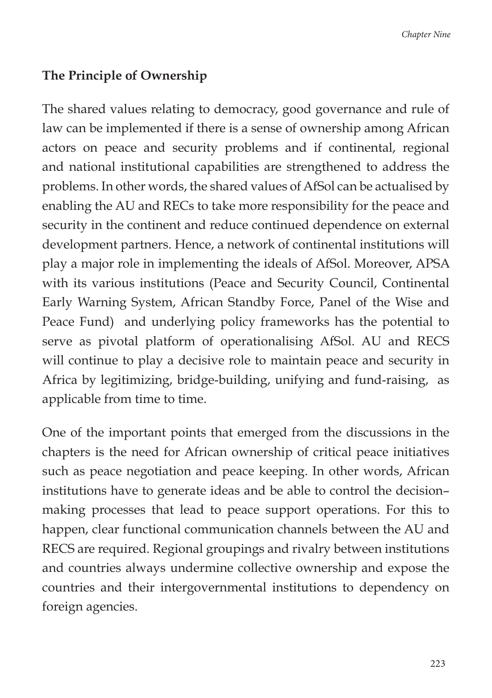#### **The Principle of Ownership**

The shared values relating to democracy, good governance and rule of law can be implemented if there is a sense of ownership among African actors on peace and security problems and if continental, regional and national institutional capabilities are strengthened to address the problems. In other words, the shared values of AfSol can be actualised by enabling the AU and RECs to take more responsibility for the peace and security in the continent and reduce continued dependence on external development partners. Hence, a network of continental institutions will play a major role in implementing the ideals of AfSol. Moreover, APSA with its various institutions (Peace and Security Council, Continental Early Warning System, African Standby Force, Panel of the Wise and Peace Fund) and underlying policy frameworks has the potential to serve as pivotal platform of operationalising AfSol. AU and RECS will continue to play a decisive role to maintain peace and security in Africa by legitimizing, bridge-building, unifying and fund-raising, as applicable from time to time.

One of the important points that emerged from the discussions in the chapters is the need for African ownership of critical peace initiatives such as peace negotiation and peace keeping. In other words, African institutions have to generate ideas and be able to control the decision– making processes that lead to peace support operations. For this to happen, clear functional communication channels between the AU and RECS are required. Regional groupings and rivalry between institutions and countries always undermine collective ownership and expose the countries and their intergovernmental institutions to dependency on foreign agencies.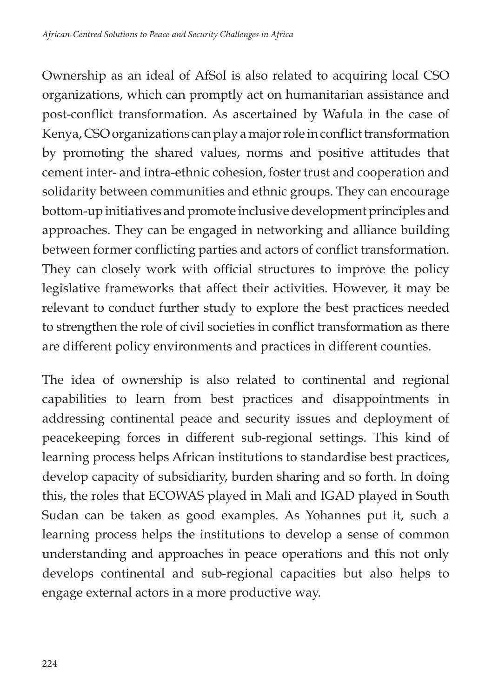Ownership as an ideal of AfSol is also related to acquiring local CSO organizations, which can promptly act on humanitarian assistance and post-conflict transformation. As ascertained by Wafula in the case of Kenya, CSO organizations can play a major role in conflict transformation by promoting the shared values, norms and positive attitudes that cement inter- and intra-ethnic cohesion, foster trust and cooperation and solidarity between communities and ethnic groups. They can encourage bottom-up initiatives and promote inclusive development principles and approaches. They can be engaged in networking and alliance building between former conflicting parties and actors of conflict transformation. They can closely work with official structures to improve the policy legislative frameworks that affect their activities. However, it may be relevant to conduct further study to explore the best practices needed to strengthen the role of civil societies in conflict transformation as there are different policy environments and practices in different counties.

The idea of ownership is also related to continental and regional capabilities to learn from best practices and disappointments in addressing continental peace and security issues and deployment of peacekeeping forces in different sub-regional settings. This kind of learning process helps African institutions to standardise best practices, develop capacity of subsidiarity, burden sharing and so forth. In doing this, the roles that ECOWAS played in Mali and IGAD played in South Sudan can be taken as good examples. As Yohannes put it, such a learning process helps the institutions to develop a sense of common understanding and approaches in peace operations and this not only develops continental and sub-regional capacities but also helps to engage external actors in a more productive way.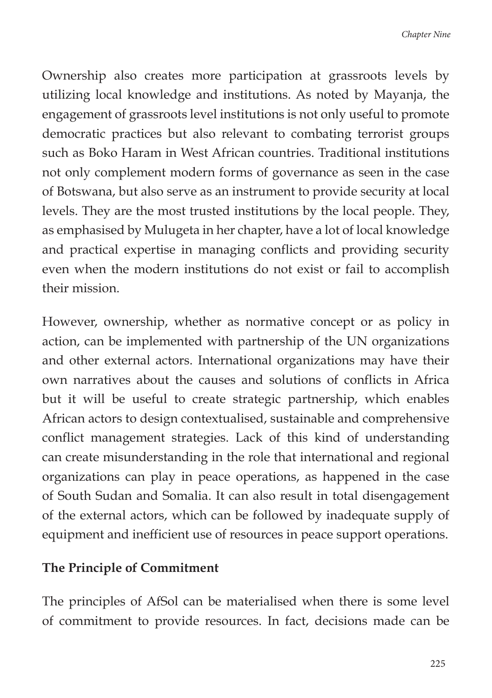Ownership also creates more participation at grassroots levels by utilizing local knowledge and institutions. As noted by Mayanja, the engagement of grassroots level institutions is not only useful to promote democratic practices but also relevant to combating terrorist groups such as Boko Haram in West African countries. Traditional institutions not only complement modern forms of governance as seen in the case of Botswana, but also serve as an instrument to provide security at local levels. They are the most trusted institutions by the local people. They, as emphasised by Mulugeta in her chapter, have a lot of local knowledge and practical expertise in managing conflicts and providing security even when the modern institutions do not exist or fail to accomplish their mission.

However, ownership, whether as normative concept or as policy in action, can be implemented with partnership of the UN organizations and other external actors. International organizations may have their own narratives about the causes and solutions of conflicts in Africa but it will be useful to create strategic partnership, which enables African actors to design contextualised, sustainable and comprehensive conflict management strategies. Lack of this kind of understanding can create misunderstanding in the role that international and regional organizations can play in peace operations, as happened in the case of South Sudan and Somalia. It can also result in total disengagement of the external actors, which can be followed by inadequate supply of equipment and inefficient use of resources in peace support operations.

#### **The Principle of Commitment**

The principles of AfSol can be materialised when there is some level of commitment to provide resources. In fact, decisions made can be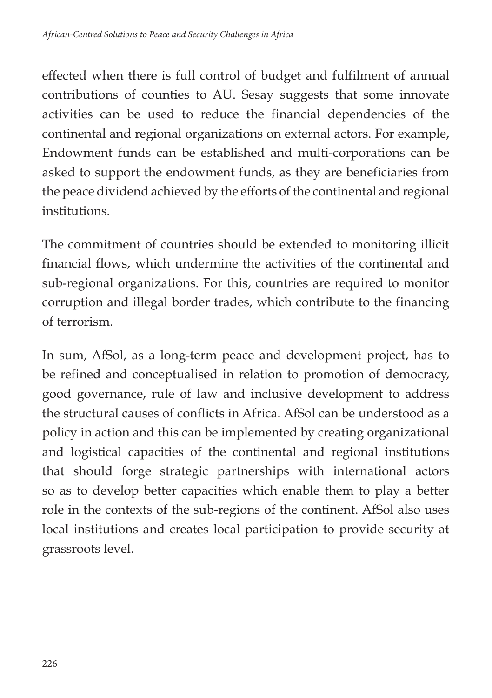effected when there is full control of budget and fulfilment of annual contributions of counties to AU. Sesay suggests that some innovate activities can be used to reduce the financial dependencies of the continental and regional organizations on external actors. For example, Endowment funds can be established and multi-corporations can be asked to support the endowment funds, as they are beneficiaries from the peace dividend achieved by the efforts of the continental and regional institutions.

The commitment of countries should be extended to monitoring illicit financial flows, which undermine the activities of the continental and sub-regional organizations. For this, countries are required to monitor corruption and illegal border trades, which contribute to the financing of terrorism.

In sum, AfSol, as a long-term peace and development project, has to be refined and conceptualised in relation to promotion of democracy, good governance, rule of law and inclusive development to address the structural causes of conflicts in Africa. AfSol can be understood as a policy in action and this can be implemented by creating organizational and logistical capacities of the continental and regional institutions that should forge strategic partnerships with international actors so as to develop better capacities which enable them to play a better role in the contexts of the sub-regions of the continent. AfSol also uses local institutions and creates local participation to provide security at grassroots level.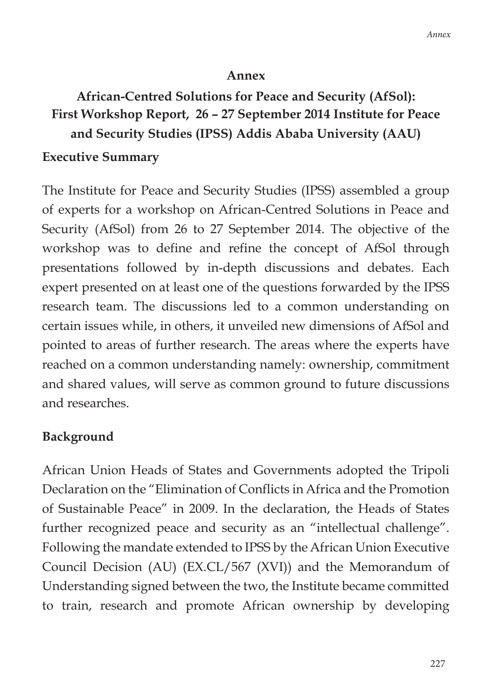#### **Annex**

# **African-Centred Solutions for Peace and Security (AfSol): First Workshop Report, 26 – 27 September 2014 Institute for Peace and Security Studies (IPSS) Addis Ababa University (AAU)**

#### **Executive Summary**

The Institute for Peace and Security Studies (IPSS) assembled a group of experts for a workshop on African-Centred Solutions in Peace and Security (AfSol) from 26 to 27 September 2014. The objective of the workshop was to define and refine the concept of AfSol through presentations followed by in-depth discussions and debates. Each expert presented on at least one of the questions forwarded by the IPSS research team. The discussions led to a common understanding on certain issues while, in others, it unveiled new dimensions of AfSol and pointed to areas of further research. The areas where the experts have reached on a common understanding namely: ownership, commitment and shared values, will serve as common ground to future discussions and researches.

#### **Background**

African Union Heads of States and Governments adopted the Tripoli Declaration on the "Elimination of Conflicts in Africa and the Promotion of Sustainable Peace" in 2009. In the declaration, the Heads of States further recognized peace and security as an "intellectual challenge". Following the mandate extended to IPSS by the African Union Executive Council Decision (AU) (EX.CL/567 (XVI)) and the Memorandum of Understanding signed between the two, the Institute became committed to train, research and promote African ownership by developing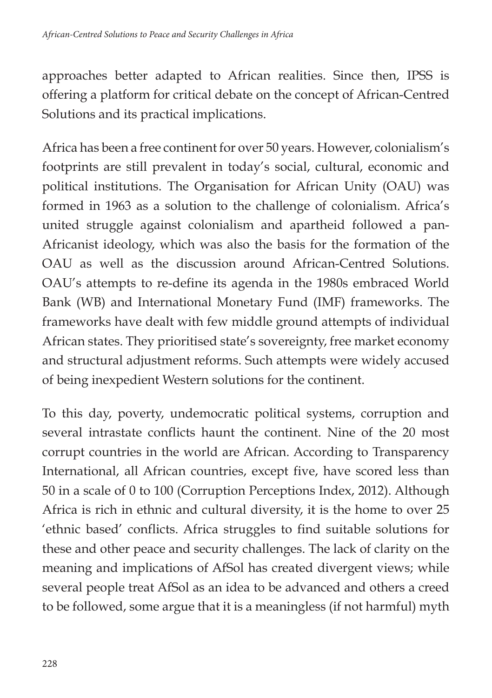approaches better adapted to African realities. Since then, IPSS is offering a platform for critical debate on the concept of African-Centred Solutions and its practical implications.

Africa has been a free continent for over 50 years. However, colonialism's footprints are still prevalent in today's social, cultural, economic and political institutions. The Organisation for African Unity (OAU) was formed in 1963 as a solution to the challenge of colonialism. Africa's united struggle against colonialism and apartheid followed a pan-Africanist ideology, which was also the basis for the formation of the OAU as well as the discussion around African-Centred Solutions. OAU's attempts to re-define its agenda in the 1980s embraced World Bank (WB) and International Monetary Fund (IMF) frameworks. The frameworks have dealt with few middle ground attempts of individual African states. They prioritised state's sovereignty, free market economy and structural adjustment reforms. Such attempts were widely accused of being inexpedient Western solutions for the continent.

To this day, poverty, undemocratic political systems, corruption and several intrastate conflicts haunt the continent. Nine of the 20 most corrupt countries in the world are African. According to Transparency International, all African countries, except five, have scored less than 50 in a scale of 0 to 100 (Corruption Perceptions Index, 2012). Although Africa is rich in ethnic and cultural diversity, it is the home to over 25 'ethnic based' conflicts. Africa struggles to find suitable solutions for these and other peace and security challenges. The lack of clarity on the meaning and implications of AfSol has created divergent views; while several people treat AfSol as an idea to be advanced and others a creed to be followed, some argue that it is a meaningless (if not harmful) myth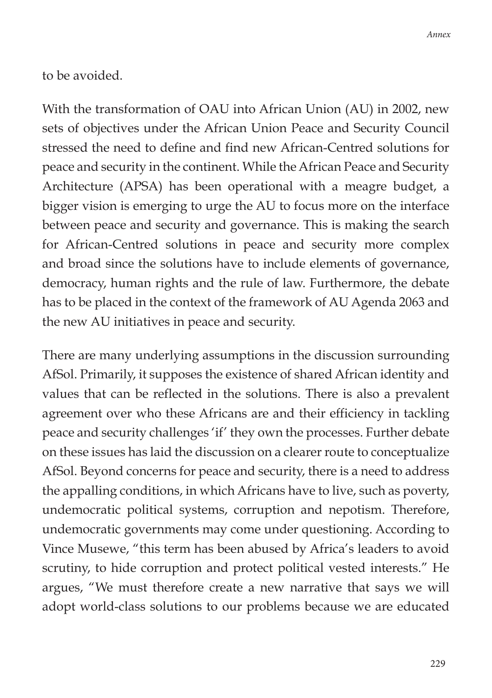to be avoided.

With the transformation of OAU into African Union (AU) in 2002, new sets of objectives under the African Union Peace and Security Council stressed the need to define and find new African-Centred solutions for peace and security in the continent. While the African Peace and Security Architecture (APSA) has been operational with a meagre budget, a bigger vision is emerging to urge the AU to focus more on the interface between peace and security and governance. This is making the search for African-Centred solutions in peace and security more complex and broad since the solutions have to include elements of governance, democracy, human rights and the rule of law. Furthermore, the debate has to be placed in the context of the framework of AU Agenda 2063 and the new AU initiatives in peace and security.

There are many underlying assumptions in the discussion surrounding AfSol. Primarily, it supposes the existence of shared African identity and values that can be reflected in the solutions. There is also a prevalent agreement over who these Africans are and their efficiency in tackling peace and security challenges 'if' they own the processes. Further debate on these issues has laid the discussion on a clearer route to conceptualize AfSol. Beyond concerns for peace and security, there is a need to address the appalling conditions, in which Africans have to live, such as poverty, undemocratic political systems, corruption and nepotism. Therefore, undemocratic governments may come under questioning. According to Vince Musewe, "this term has been abused by Africa's leaders to avoid scrutiny, to hide corruption and protect political vested interests." He argues, "We must therefore create a new narrative that says we will adopt world-class solutions to our problems because we are educated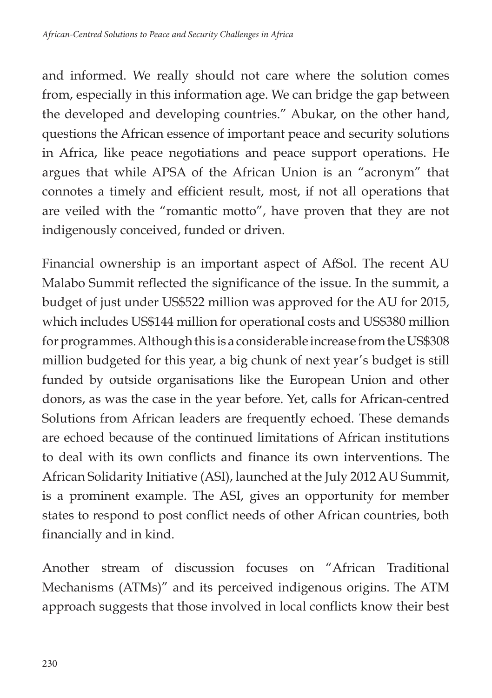and informed. We really should not care where the solution comes from, especially in this information age. We can bridge the gap between the developed and developing countries." Abukar, on the other hand, questions the African essence of important peace and security solutions in Africa, like peace negotiations and peace support operations. He argues that while APSA of the African Union is an "acronym" that connotes a timely and efficient result, most, if not all operations that are veiled with the "romantic motto", have proven that they are not indigenously conceived, funded or driven.

Financial ownership is an important aspect of AfSol. The recent AU Malabo Summit reflected the significance of the issue. In the summit, a budget of just under US\$522 million was approved for the AU for 2015, which includes US\$144 million for operational costs and US\$380 million for programmes. Although this is a considerable increase from the US\$308 million budgeted for this year, a big chunk of next year's budget is still funded by outside organisations like the European Union and other donors, as was the case in the year before. Yet, calls for African-centred Solutions from African leaders are frequently echoed. These demands are echoed because of the continued limitations of African institutions to deal with its own conflicts and finance its own interventions. The African Solidarity Initiative (ASI), launched at the July 2012 AU Summit, is a prominent example. The ASI, gives an opportunity for member states to respond to post conflict needs of other African countries, both financially and in kind.

Another stream of discussion focuses on "African Traditional Mechanisms (ATMs)" and its perceived indigenous origins. The ATM approach suggests that those involved in local conflicts know their best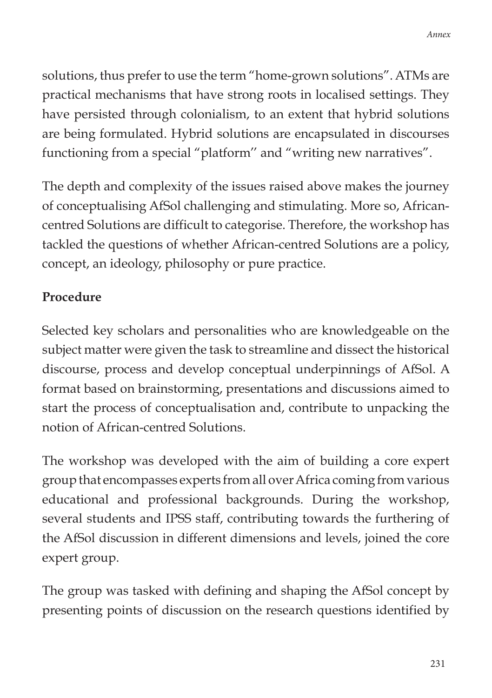solutions, thus prefer to use the term "home-grown solutions". ATMs are practical mechanisms that have strong roots in localised settings. They have persisted through colonialism, to an extent that hybrid solutions are being formulated. Hybrid solutions are encapsulated in discourses functioning from a special "platform'' and "writing new narratives".

The depth and complexity of the issues raised above makes the journey of conceptualising AfSol challenging and stimulating. More so, Africancentred Solutions are difficult to categorise. Therefore, the workshop has tackled the questions of whether African-centred Solutions are a policy, concept, an ideology, philosophy or pure practice.

## **Procedure**

Selected key scholars and personalities who are knowledgeable on the subject matter were given the task to streamline and dissect the historical discourse, process and develop conceptual underpinnings of AfSol. A format based on brainstorming, presentations and discussions aimed to start the process of conceptualisation and, contribute to unpacking the notion of African-centred Solutions.

The workshop was developed with the aim of building a core expert group that encompasses experts from all over Africa coming from various educational and professional backgrounds. During the workshop, several students and IPSS staff, contributing towards the furthering of the AfSol discussion in different dimensions and levels, joined the core expert group.

The group was tasked with defining and shaping the AfSol concept by presenting points of discussion on the research questions identified by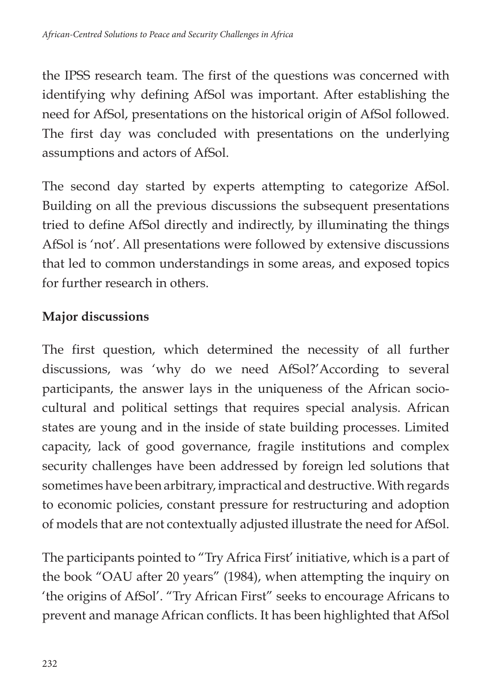the IPSS research team. The first of the questions was concerned with identifying why defining AfSol was important. After establishing the need for AfSol, presentations on the historical origin of AfSol followed. The first day was concluded with presentations on the underlying assumptions and actors of AfSol.

The second day started by experts attempting to categorize AfSol. Building on all the previous discussions the subsequent presentations tried to define AfSol directly and indirectly, by illuminating the things AfSol is 'not'. All presentations were followed by extensive discussions that led to common understandings in some areas, and exposed topics for further research in others.

## **Major discussions**

The first question, which determined the necessity of all further discussions, was 'why do we need AfSol?'According to several participants, the answer lays in the uniqueness of the African sociocultural and political settings that requires special analysis. African states are young and in the inside of state building processes. Limited capacity, lack of good governance, fragile institutions and complex security challenges have been addressed by foreign led solutions that sometimes have been arbitrary, impractical and destructive. With regards to economic policies, constant pressure for restructuring and adoption of models that are not contextually adjusted illustrate the need for AfSol.

The participants pointed to "Try Africa First' initiative, which is a part of the book "OAU after 20 years" (1984), when attempting the inquiry on 'the origins of AfSol'. "Try African First" seeks to encourage Africans to prevent and manage African conflicts. It has been highlighted that AfSol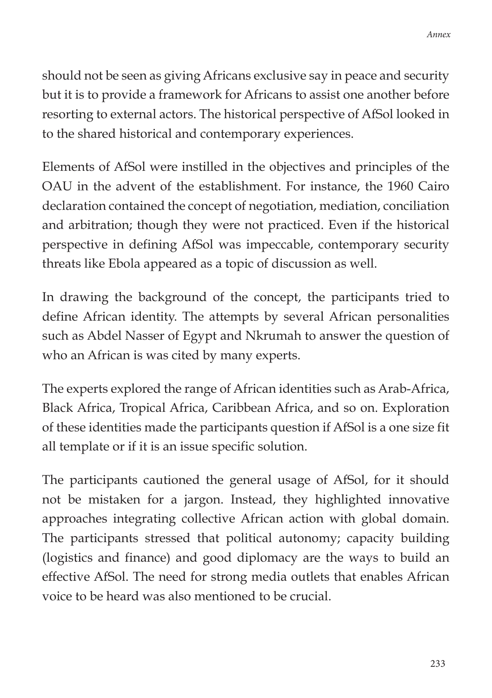should not be seen as giving Africans exclusive say in peace and security but it is to provide a framework for Africans to assist one another before resorting to external actors. The historical perspective of AfSol looked in to the shared historical and contemporary experiences.

Elements of AfSol were instilled in the objectives and principles of the OAU in the advent of the establishment. For instance, the 1960 Cairo declaration contained the concept of negotiation, mediation, conciliation and arbitration; though they were not practiced. Even if the historical perspective in defining AfSol was impeccable, contemporary security threats like Ebola appeared as a topic of discussion as well.

In drawing the background of the concept, the participants tried to define African identity. The attempts by several African personalities such as Abdel Nasser of Egypt and Nkrumah to answer the question of who an African is was cited by many experts.

The experts explored the range of African identities such as Arab-Africa, Black Africa, Tropical Africa, Caribbean Africa, and so on. Exploration of these identities made the participants question if AfSol is a one size fit all template or if it is an issue specific solution.

The participants cautioned the general usage of AfSol, for it should not be mistaken for a jargon. Instead, they highlighted innovative approaches integrating collective African action with global domain. The participants stressed that political autonomy; capacity building (logistics and finance) and good diplomacy are the ways to build an effective AfSol. The need for strong media outlets that enables African voice to be heard was also mentioned to be crucial.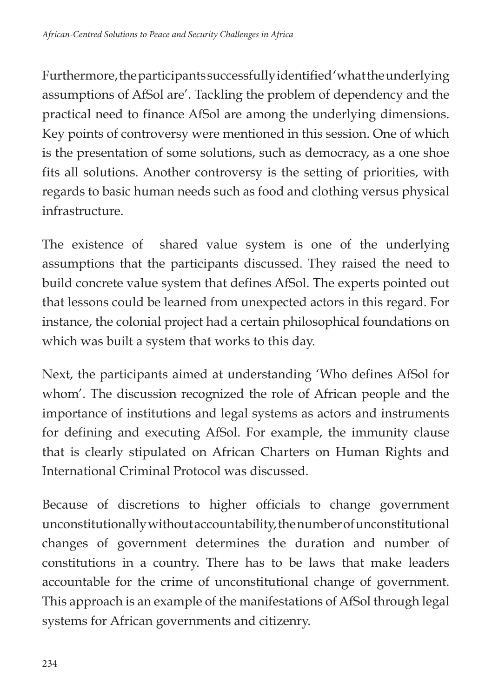Furthermore, the participants successfully identified 'what the underlying assumptions of AfSol are'. Tackling the problem of dependency and the practical need to finance AfSol are among the underlying dimensions. Key points of controversy were mentioned in this session. One of which is the presentation of some solutions, such as democracy, as a one shoe fits all solutions. Another controversy is the setting of priorities, with regards to basic human needs such as food and clothing versus physical infrastructure.

The existence of shared value system is one of the underlying assumptions that the participants discussed. They raised the need to build concrete value system that defines AfSol. The experts pointed out that lessons could be learned from unexpected actors in this regard. For instance, the colonial project had a certain philosophical foundations on which was built a system that works to this day.

Next, the participants aimed at understanding 'Who defines AfSol for whom'. The discussion recognized the role of African people and the importance of institutions and legal systems as actors and instruments for defining and executing AfSol. For example, the immunity clause that is clearly stipulated on African Charters on Human Rights and International Criminal Protocol was discussed.

Because of discretions to higher officials to change government unconstitutionally without accountability, the number of unconstitutional changes of government determines the duration and number of constitutions in a country. There has to be laws that make leaders accountable for the crime of unconstitutional change of government. This approach is an example of the manifestations of AfSol through legal systems for African governments and citizenry.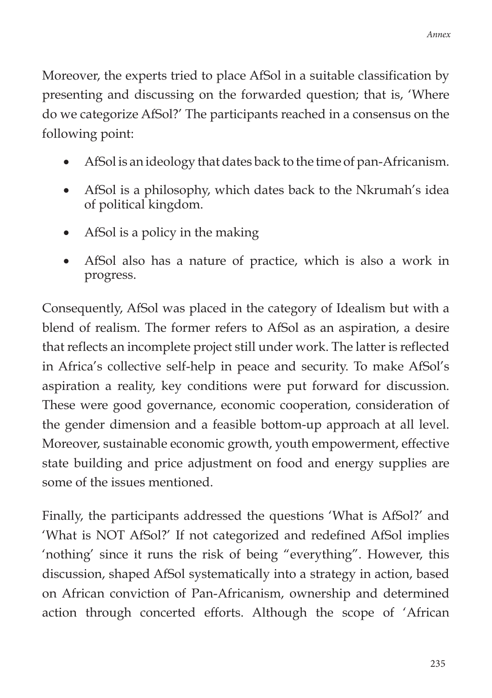Moreover, the experts tried to place AfSol in a suitable classification by presenting and discussing on the forwarded question; that is, 'Where do we categorize AfSol?' The participants reached in a consensus on the following point:

- AfSol is an ideology that dates back to the time of pan-Africanism.
- AfSol is a philosophy, which dates back to the Nkrumah's idea of political kingdom.
- AfSol is a policy in the making
- AfSol also has a nature of practice, which is also a work in progress.

Consequently, AfSol was placed in the category of Idealism but with a blend of realism. The former refers to AfSol as an aspiration, a desire that reflects an incomplete project still under work. The latter is reflected in Africa's collective self-help in peace and security. To make AfSol's aspiration a reality, key conditions were put forward for discussion. These were good governance, economic cooperation, consideration of the gender dimension and a feasible bottom-up approach at all level. Moreover, sustainable economic growth, youth empowerment, effective state building and price adjustment on food and energy supplies are some of the issues mentioned.

Finally, the participants addressed the questions 'What is AfSol?' and 'What is NOT AfSol?' If not categorized and redefined AfSol implies 'nothing' since it runs the risk of being "everything". However, this discussion, shaped AfSol systematically into a strategy in action, based on African conviction of Pan-Africanism, ownership and determined action through concerted efforts. Although the scope of 'African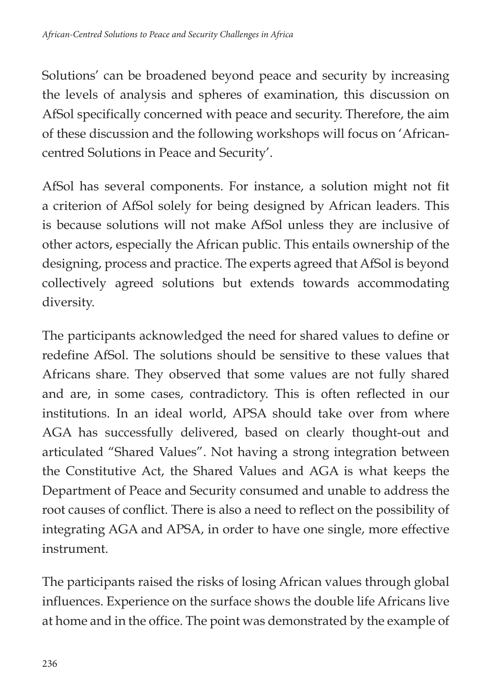Solutions' can be broadened beyond peace and security by increasing the levels of analysis and spheres of examination, this discussion on AfSol specifically concerned with peace and security. Therefore, the aim of these discussion and the following workshops will focus on 'Africancentred Solutions in Peace and Security'.

AfSol has several components. For instance, a solution might not fit a criterion of AfSol solely for being designed by African leaders. This is because solutions will not make AfSol unless they are inclusive of other actors, especially the African public. This entails ownership of the designing, process and practice. The experts agreed that AfSol is beyond collectively agreed solutions but extends towards accommodating diversity.

The participants acknowledged the need for shared values to define or redefine AfSol. The solutions should be sensitive to these values that Africans share. They observed that some values are not fully shared and are, in some cases, contradictory. This is often reflected in our institutions. In an ideal world, APSA should take over from where AGA has successfully delivered, based on clearly thought-out and articulated "Shared Values". Not having a strong integration between the Constitutive Act, the Shared Values and AGA is what keeps the Department of Peace and Security consumed and unable to address the root causes of conflict. There is also a need to reflect on the possibility of integrating AGA and APSA, in order to have one single, more effective instrument.

The participants raised the risks of losing African values through global influences. Experience on the surface shows the double life Africans live at home and in the office. The point was demonstrated by the example of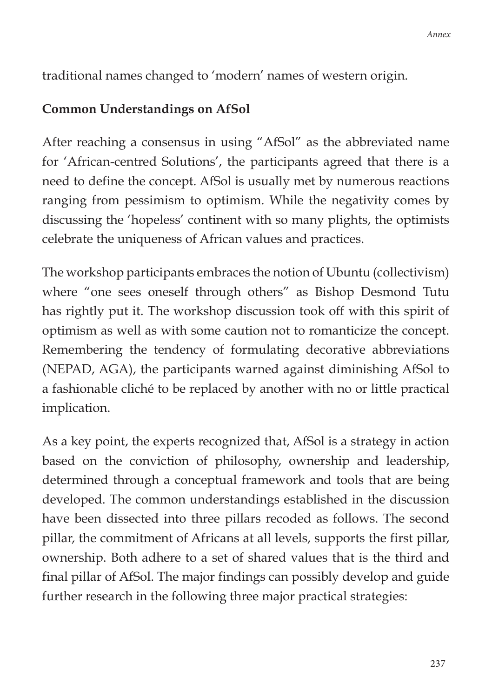traditional names changed to 'modern' names of western origin.

#### **Common Understandings on AfSol**

After reaching a consensus in using "AfSol" as the abbreviated name for 'African-centred Solutions', the participants agreed that there is a need to define the concept. AfSol is usually met by numerous reactions ranging from pessimism to optimism. While the negativity comes by discussing the 'hopeless' continent with so many plights, the optimists celebrate the uniqueness of African values and practices.

The workshop participants embraces the notion of Ubuntu (collectivism) where "one sees oneself through others" as Bishop Desmond Tutu has rightly put it. The workshop discussion took off with this spirit of optimism as well as with some caution not to romanticize the concept. Remembering the tendency of formulating decorative abbreviations (NEPAD, AGA), the participants warned against diminishing AfSol to a fashionable cliché to be replaced by another with no or little practical implication.

As a key point, the experts recognized that, AfSol is a strategy in action based on the conviction of philosophy, ownership and leadership, determined through a conceptual framework and tools that are being developed. The common understandings established in the discussion have been dissected into three pillars recoded as follows. The second pillar, the commitment of Africans at all levels, supports the first pillar, ownership. Both adhere to a set of shared values that is the third and final pillar of AfSol. The major findings can possibly develop and guide further research in the following three major practical strategies: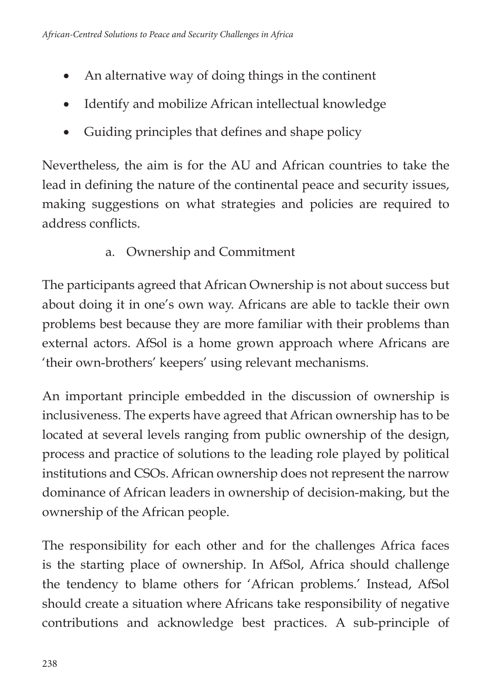- An alternative way of doing things in the continent
- Identify and mobilize African intellectual knowledge
- Guiding principles that defines and shape policy

Nevertheless, the aim is for the AU and African countries to take the lead in defining the nature of the continental peace and security issues, making suggestions on what strategies and policies are required to address conflicts.

a. Ownership and Commitment

The participants agreed that African Ownership is not about success but about doing it in one's own way. Africans are able to tackle their own problems best because they are more familiar with their problems than external actors. AfSol is a home grown approach where Africans are 'their own-brothers' keepers' using relevant mechanisms.

An important principle embedded in the discussion of ownership is inclusiveness. The experts have agreed that African ownership has to be located at several levels ranging from public ownership of the design, process and practice of solutions to the leading role played by political institutions and CSOs. African ownership does not represent the narrow dominance of African leaders in ownership of decision-making, but the ownership of the African people.

The responsibility for each other and for the challenges Africa faces is the starting place of ownership. In AfSol, Africa should challenge the tendency to blame others for 'African problems.' Instead, AfSol should create a situation where Africans take responsibility of negative contributions and acknowledge best practices. A sub-principle of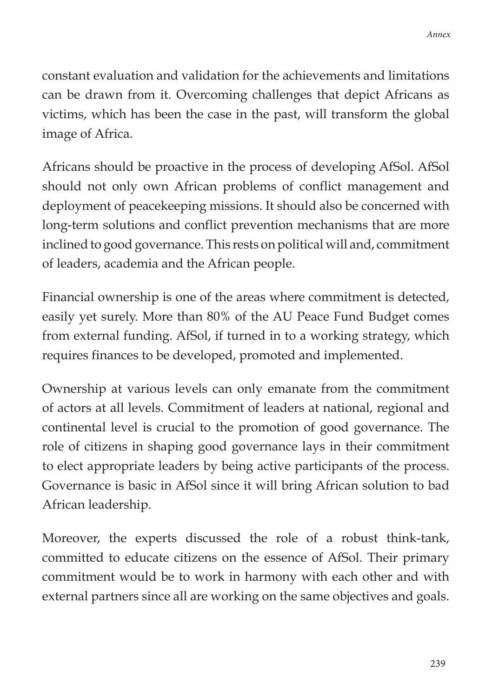constant evaluation and validation for the achievements and limitations can be drawn from it. Overcoming challenges that depict Africans as victims, which has been the case in the past, will transform the global image of Africa.

Africans should be proactive in the process of developing AfSol. AfSol should not only own African problems of conflict management and deployment of peacekeeping missions. It should also be concerned with long-term solutions and conflict prevention mechanisms that are more inclined to good governance. This rests on political will and, commitment of leaders, academia and the African people.

Financial ownership is one of the areas where commitment is detected, easily yet surely. More than 80% of the AU Peace Fund Budget comes from external funding. AfSol, if turned in to a working strategy, which requires finances to be developed, promoted and implemented.

Ownership at various levels can only emanate from the commitment of actors at all levels. Commitment of leaders at national, regional and continental level is crucial to the promotion of good governance. The role of citizens in shaping good governance lays in their commitment to elect appropriate leaders by being active participants of the process. Governance is basic in AfSol since it will bring African solution to bad African leadership.

Moreover, the experts discussed the role of a robust think-tank, committed to educate citizens on the essence of AfSol. Their primary commitment would be to work in harmony with each other and with external partners since all are working on the same objectives and goals.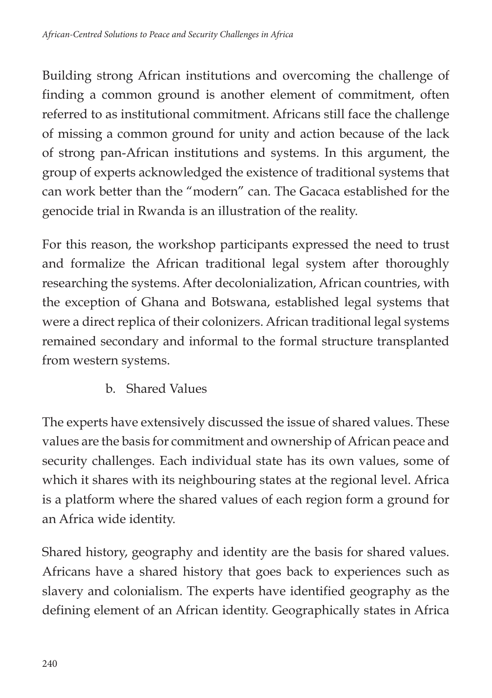Building strong African institutions and overcoming the challenge of finding a common ground is another element of commitment, often referred to as institutional commitment. Africans still face the challenge of missing a common ground for unity and action because of the lack of strong pan-African institutions and systems. In this argument, the group of experts acknowledged the existence of traditional systems that can work better than the "modern" can. The Gacaca established for the genocide trial in Rwanda is an illustration of the reality.

For this reason, the workshop participants expressed the need to trust and formalize the African traditional legal system after thoroughly researching the systems. After decolonialization, African countries, with the exception of Ghana and Botswana, established legal systems that were a direct replica of their colonizers. African traditional legal systems remained secondary and informal to the formal structure transplanted from western systems.

b. Shared Values

The experts have extensively discussed the issue of shared values. These values are the basis for commitment and ownership of African peace and security challenges. Each individual state has its own values, some of which it shares with its neighbouring states at the regional level. Africa is a platform where the shared values of each region form a ground for an Africa wide identity.

Shared history, geography and identity are the basis for shared values. Africans have a shared history that goes back to experiences such as slavery and colonialism. The experts have identified geography as the defining element of an African identity. Geographically states in Africa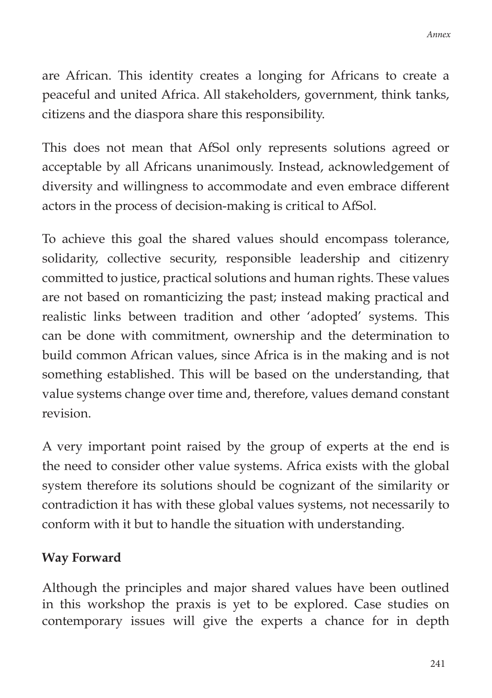are African. This identity creates a longing for Africans to create a peaceful and united Africa. All stakeholders, government, think tanks, citizens and the diaspora share this responsibility.

This does not mean that AfSol only represents solutions agreed or acceptable by all Africans unanimously. Instead, acknowledgement of diversity and willingness to accommodate and even embrace different actors in the process of decision-making is critical to AfSol.

To achieve this goal the shared values should encompass tolerance, solidarity, collective security, responsible leadership and citizenry committed to justice, practical solutions and human rights. These values are not based on romanticizing the past; instead making practical and realistic links between tradition and other 'adopted' systems. This can be done with commitment, ownership and the determination to build common African values, since Africa is in the making and is not something established. This will be based on the understanding, that value systems change over time and, therefore, values demand constant revision.

A very important point raised by the group of experts at the end is the need to consider other value systems. Africa exists with the global system therefore its solutions should be cognizant of the similarity or contradiction it has with these global values systems, not necessarily to conform with it but to handle the situation with understanding.

#### **Way Forward**

Although the principles and major shared values have been outlined in this workshop the praxis is yet to be explored. Case studies on contemporary issues will give the experts a chance for in depth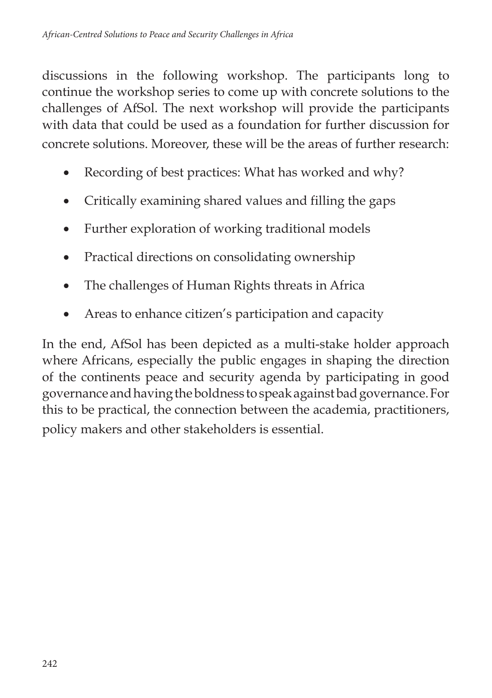discussions in the following workshop. The participants long to continue the workshop series to come up with concrete solutions to the challenges of AfSol. The next workshop will provide the participants with data that could be used as a foundation for further discussion for concrete solutions. Moreover, these will be the areas of further research:

- Recording of best practices: What has worked and why?
- Critically examining shared values and filling the gaps
- Further exploration of working traditional models
- Practical directions on consolidating ownership
- The challenges of Human Rights threats in Africa
- Areas to enhance citizen's participation and capacity

In the end, AfSol has been depicted as a multi-stake holder approach where Africans, especially the public engages in shaping the direction of the continents peace and security agenda by participating in good governance and having the boldness to speak against bad governance. For this to be practical, the connection between the academia, practitioners, policy makers and other stakeholders is essential.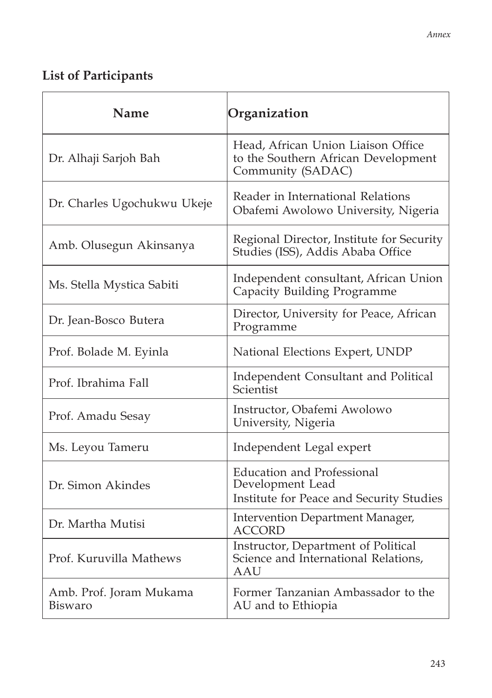## **List of Participants**

| Name                               | Organization                                                                                      |
|------------------------------------|---------------------------------------------------------------------------------------------------|
| Dr. Alhaji Sarjoh Bah              | Head, African Union Liaison Office<br>to the Southern African Development<br>Community (SADAC)    |
| Dr. Charles Ugochukwu Ukeje        | Reader in International Relations<br>Obafemi Awolowo University, Nigeria                          |
| Amb. Olusegun Akinsanya            | Regional Director, Institute for Security<br>Studies (ISS), Addis Ababa Office                    |
| Ms. Stella Mystica Sabiti          | Independent consultant, African Union<br>Capacity Building Programme                              |
| Dr. Jean-Bosco Butera              | Director, University for Peace, African<br>Programme                                              |
| Prof. Bolade M. Eyinla             | National Elections Expert, UNDP                                                                   |
| Prof. Ibrahima Fall                | Independent Consultant and Political<br>Scientist                                                 |
| Prof. Amadu Sesay                  | Instructor, Obafemi Awolowo<br>University, Nigeria                                                |
| Ms. Leyou Tameru                   | Independent Legal expert                                                                          |
| Dr. Simon Akindes                  | <b>Education and Professional</b><br>Development Lead<br>Institute for Peace and Security Studies |
| Dr. Martha Mutisi                  | Intervention Department Manager,<br><b>ACCORD</b>                                                 |
| Prof. Kuruvilla Mathews            | Instructor, Department of Political<br>Science and International Relations,<br>AAU                |
| Amb. Prof. Joram Mukama<br>Biswaro | Former Tanzanian Ambassador to the<br>AU and to Ethiopia                                          |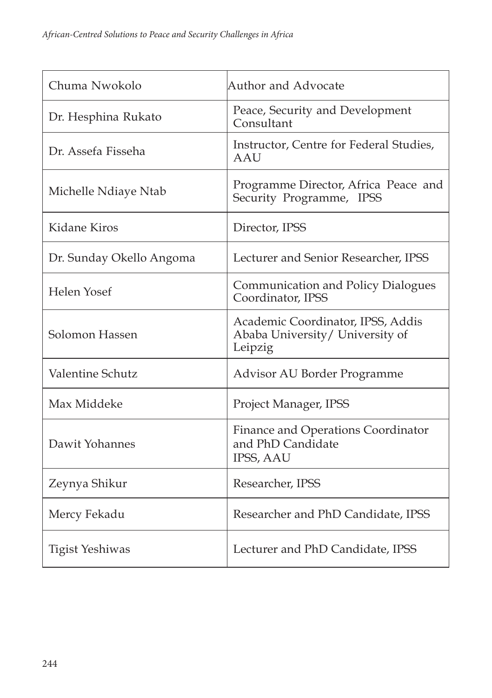| Chuma Nwokolo            | Author and Advocate                                                             |
|--------------------------|---------------------------------------------------------------------------------|
| Dr. Hesphina Rukato      | Peace, Security and Development<br>Consultant                                   |
| Dr. Assefa Fisseha       | Instructor, Centre for Federal Studies,<br>AAU                                  |
| Michelle Ndiaye Ntab     | Programme Director, Africa Peace and<br>Security Programme, IPSS                |
| Kidane Kiros             | Director, IPSS                                                                  |
| Dr. Sunday Okello Angoma | Lecturer and Senior Researcher, IPSS                                            |
| Helen Yosef              | Communication and Policy Dialogues<br>Coordinator, IPSS                         |
| Solomon Hassen           | Academic Coordinator, IPSS, Addis<br>Ababa University/ University of<br>Leipzig |
| Valentine Schutz         | Advisor AU Border Programme                                                     |
| Max Middeke              | Project Manager, IPSS                                                           |
| Dawit Yohannes           | Finance and Operations Coordinator<br>and PhD Candidate<br>IPSS, AAU            |
| Zeynya Shikur            | Researcher, IPSS                                                                |
| Mercy Fekadu             | Researcher and PhD Candidate, IPSS                                              |
| <b>Tigist Yeshiwas</b>   | Lecturer and PhD Candidate, IPSS                                                |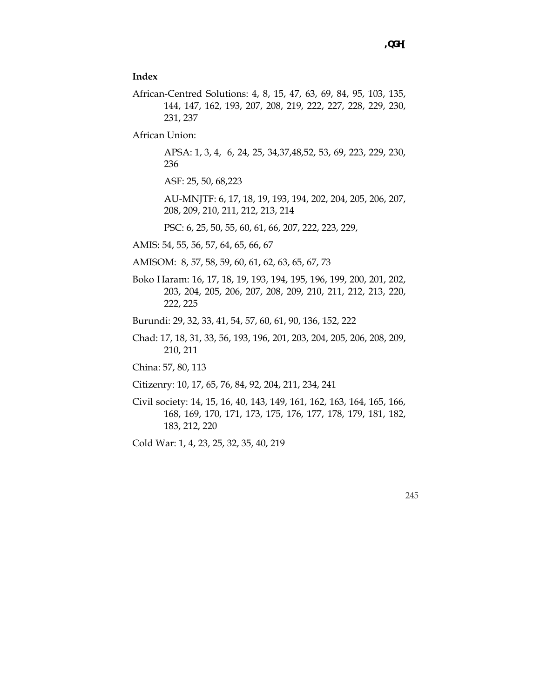African-Centred Solutions: 4, 8, 15, 47, 63, 69, 84, 95, 103, 135, 144, 147, 162, 193, 207, 208, 219, 222, 227, 228, 229, 230, 231, 237

African Union:

APSA: 1, 3, 4, 6, 24, 25, 34,37,48,52, 53, 69, 223, 229, 230, 236

ASF: 25, 50, 68,223

AU-MNJTF: 6, 17, 18, 19, 193, 194, 202, 204, 205, 206, 207, 208, 209, 210, 211, 212, 213, 214

PSC: 6, 25, 50, 55, 60, 61, 66, 207, 222, 223, 229,

AMIS: 54, 55, 56, 57, 64, 65, 66, 67

AMISOM: 8, 57, 58, 59, 60, 61, 62, 63, 65, 67, 73

Boko Haram: 16, 17, 18, 19, 193, 194, 195, 196, 199, 200, 201, 202, 203, 204, 205, 206, 207, 208, 209, 210, 211, 212, 213, 220, 222, 225

Burundi: 29, 32, 33, 41, 54, 57, 60, 61, 90, 136, 152, 222

Chad: 17, 18, 31, 33, 56, 193, 196, 201, 203, 204, 205, 206, 208, 209, 210, 211

China: 57, 80, 113

- Citizenry: 10, 17, 65, 76, 84, 92, 204, 211, 234, 241
- Civil society: 14, 15, 16, 40, 143, 149, 161, 162, 163, 164, 165, 166, 168, 169, 170, 171, 173, 175, 176, 177, 178, 179, 181, 182, 183, 212, 220
- Cold War: 1, 4, 23, 25, 32, 35, 40, 219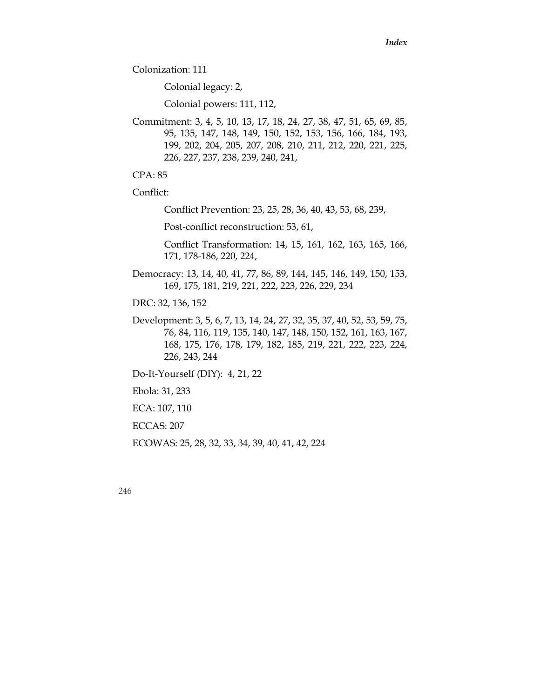Colonization: 111

Colonial legacy: 2,

Colonial powers: 111, 112,

Commitment: 3, 4, 5, 10, 13, 17, 18, 24, 27, 38, 47, 51, 65, 69, 85, 95, 135, 147, 148, 149, 150, 152, 153, 156, 166, 184, 193, 199, 202, 204, 205, 207, 208, 210, 211, 212, 220, 221, 225, 226, 227, 237, 238, 239, 240, 241,

CPA: 85

Conflict:

Conflict Prevention: 23, 25, 28, 36, 40, 43, 53, 68, 239,

Post-conflict reconstruction: 53, 61,

Conflict Transformation: 14, 15, 161, 162, 163, 165, 166, 171, 178-186, 220, 224,

Democracy: 13, 14, 40, 41, 77, 86, 89, 144, 145, 146, 149, 150, 153, 169, 175, 181, 219, 221, 222, 223, 226, 229, 234

DRC: 32, 136, 152

Development: 3, 5, 6, 7, 13, 14, 24, 27, 32, 35, 37, 40, 52, 53, 59, 75, 76, 84, 116, 119, 135, 140, 147, 148, 150, 152, 161, 163, 167, 168, 175, 176, 178, 179, 182, 185, 219, 221, 222, 223, 224, 226, 243, 244

Do-It-Yourself (DIY): 4, 21, 22

Ebola: 31, 233

ECA: 107, 110

ECCAS: 207

ECOWAS: 25, 28, 32, 33, 34, 39, 40, 41, 42, 224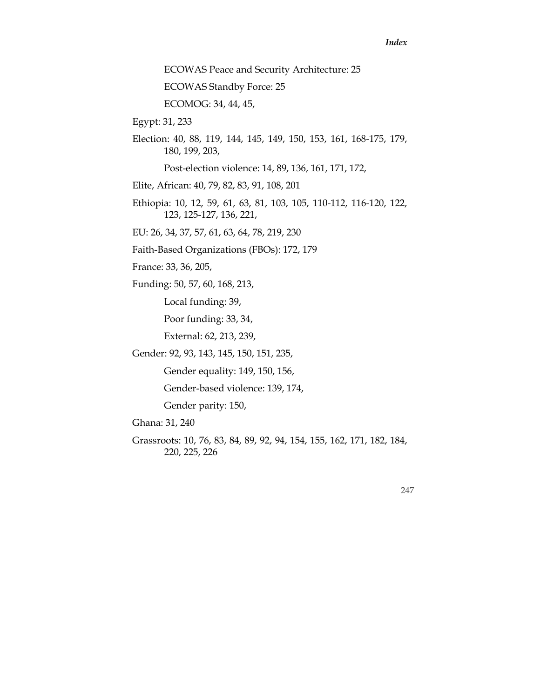ECOWAS Peace and Security Architecture: 25

ECOWAS Standby Force: 25

ECOMOG: 34, 44, 45,

Egypt: 31, 233

Election: 40, 88, 119, 144, 145, 149, 150, 153, 161, 168-175, 179, 180, 199, 203,

Post-election violence: 14, 89, 136, 161, 171, 172,

- Elite, African: 40, 79, 82, 83, 91, 108, 201
- Ethiopia: 10, 12, 59, 61, 63, 81, 103, 105, 110-112, 116-120, 122, 123, 125-127, 136, 221,
- EU: 26, 34, 37, 57, 61, 63, 64, 78, 219, 230
- Faith-Based Organizations (FBOs): 172, 179

France: 33, 36, 205,

Funding: 50, 57, 60, 168, 213,

Local funding: 39,

Poor funding: 33, 34,

External: 62, 213, 239,

Gender: 92, 93, 143, 145, 150, 151, 235,

Gender equality: 149, 150, 156,

Gender-based violence: 139, 174,

Gender parity: 150,

Ghana: 31, 240

Grassroots: 10, 76, 83, 84, 89, 92, 94, 154, 155, 162, 171, 182, 184, 220, 225, 226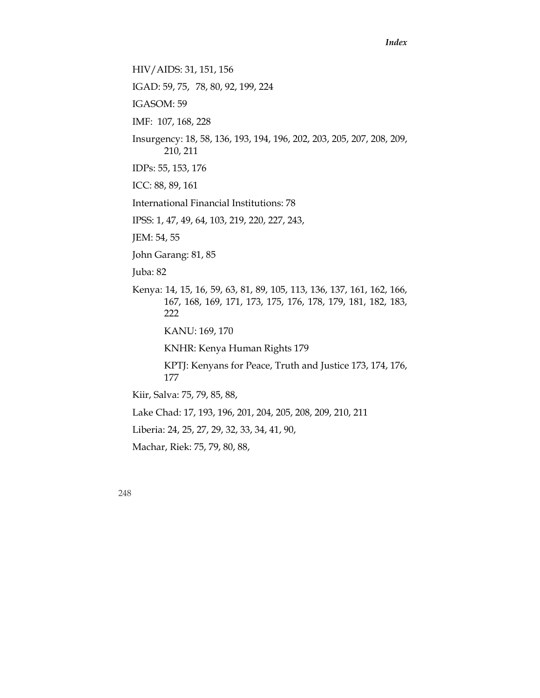- HIV/AIDS: 31, 151, 156
- IGAD: 59, 75, 78, 80, 92, 199, 224

IGASOM: 59

- IMF: 107, 168, 228
- Insurgency: 18, 58, 136, 193, 194, 196, 202, 203, 205, 207, 208, 209, 210, 211
- IDPs: 55, 153, 176
- ICC: 88, 89, 161
- International Financial Institutions: 78
- IPSS: 1, 47, 49, 64, 103, 219, 220, 227, 243,
- JEM: 54, 55
- John Garang: 81, 85
- Juba: 82
- Kenya: 14, 15, 16, 59, 63, 81, 89, 105, 113, 136, 137, 161, 162, 166, 167, 168, 169, 171, 173, 175, 176, 178, 179, 181, 182, 183, 222

KANU: 169, 170

KNHR: Kenya Human Rights 179

KPTJ: Kenyans for Peace, Truth and Justice 173, 174, 176, 177

Kiir, Salva: 75, 79, 85, 88,

Lake Chad: 17, 193, 196, 201, 204, 205, 208, 209, 210, 211

Liberia: 24, 25, 27, 29, 32, 33, 34, 41, 90,

Machar, Riek: 75, 79, 80, 88,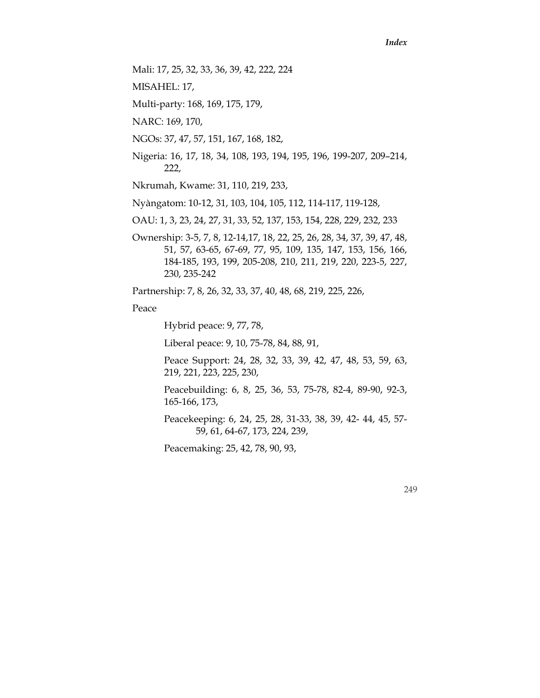Mali: 17, 25, 32, 33, 36, 39, 42, 222, 224

MISAHEL: 17,

Multi-party: 168, 169, 175, 179,

NARC: 169, 170,

NGOs: 37, 47, 57, 151, 167, 168, 182,

Nigeria: 16, 17, 18, 34, 108, 193, 194, 195, 196, 199-207, 209–214, 222,

Nkrumah, Kwame: 31, 110, 219, 233,

Nyàngatom: 10-12, 31, 103, 104, 105, 112, 114-117, 119-128,

OAU: 1, 3, 23, 24, 27, 31, 33, 52, 137, 153, 154, 228, 229, 232, 233

Ownership: 3-5, 7, 8, 12-14,17, 18, 22, 25, 26, 28, 34, 37, 39, 47, 48, 51, 57, 63-65, 67-69, 77, 95, 109, 135, 147, 153, 156, 166, 184-185, 193, 199, 205-208, 210, 211, 219, 220, 223-5, 227, 230, 235-242

Partnership: 7, 8, 26, 32, 33, 37, 40, 48, 68, 219, 225, 226,

Peace

Hybrid peace: 9, 77, 78,

Liberal peace: 9, 10, 75-78, 84, 88, 91,

Peace Support: 24, 28, 32, 33, 39, 42, 47, 48, 53, 59, 63, 219, 221, 223, 225, 230,

Peacebuilding: 6, 8, 25, 36, 53, 75-78, 82-4, 89-90, 92-3, 165-166, 173,

Peacekeeping: 6, 24, 25, 28, 31-33, 38, 39, 42- 44, 45, 57- 59, 61, 64-67, 173, 224, 239,

Peacemaking: 25, 42, 78, 90, 93,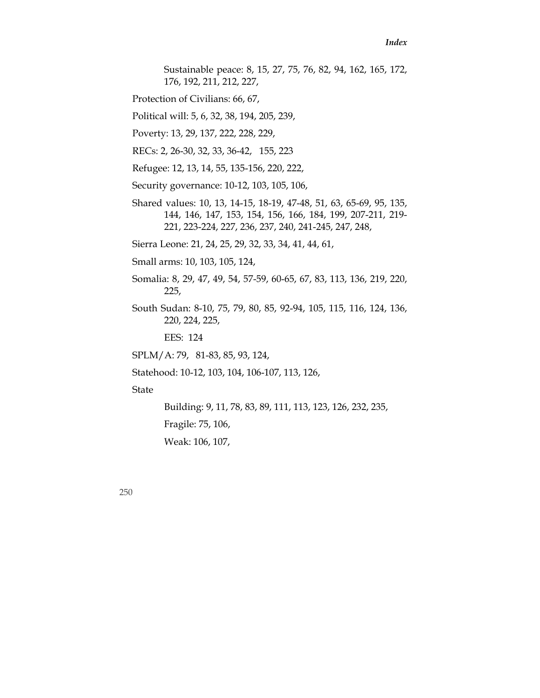Sustainable peace: 8, 15, 27, 75, 76, 82, 94, 162, 165, 172, 176, 192, 211, 212, 227,

- Protection of Civilians: 66, 67,
- Political will: 5, 6, 32, 38, 194, 205, 239,
- Poverty: 13, 29, 137, 222, 228, 229,
- RECs: 2, 26-30, 32, 33, 36-42, 155, 223
- Refugee: 12, 13, 14, 55, 135-156, 220, 222,
- Security governance: 10-12, 103, 105, 106,
- Shared values: 10, 13, 14-15, 18-19, 47-48, 51, 63, 65-69, 95, 135, 144, 146, 147, 153, 154, 156, 166, 184, 199, 207-211, 219- 221, 223-224, 227, 236, 237, 240, 241-245, 247, 248,
- Sierra Leone: 21, 24, 25, 29, 32, 33, 34, 41, 44, 61,
- Small arms: 10, 103, 105, 124,
- Somalia: 8, 29, 47, 49, 54, 57-59, 60-65, 67, 83, 113, 136, 219, 220, 225,
- South Sudan: 8-10, 75, 79, 80, 85, 92-94, 105, 115, 116, 124, 136, 220, 224, 225,
	- EES: 124
- SPLM/A: 79, 81-83, 85, 93, 124,
- Statehood: 10-12, 103, 104, 106-107, 113, 126,

State

Building: 9, 11, 78, 83, 89, 111, 113, 123, 126, 232, 235, Fragile: 75, 106, Weak: 106, 107,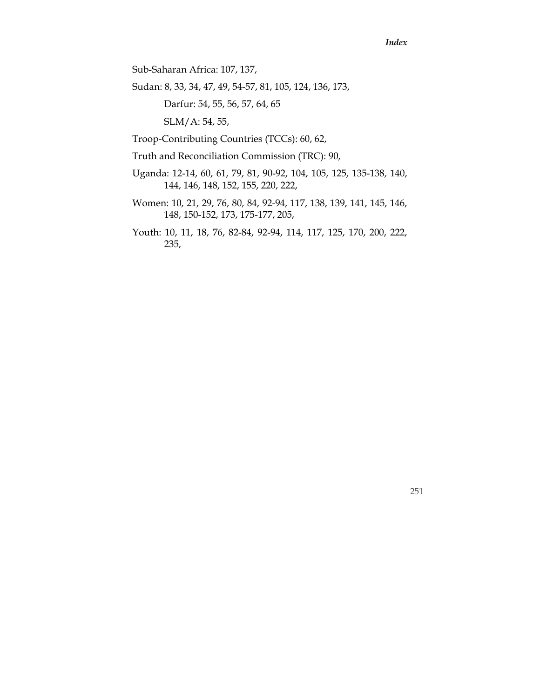Sub-Saharan Africa: 107, 137,

Sudan: 8, 33, 34, 47, 49, 54-57, 81, 105, 124, 136, 173,

Darfur: 54, 55, 56, 57, 64, 65

SLM/A: 54, 55,

Troop-Contributing Countries (TCCs): 60, 62,

Truth and Reconciliation Commission (TRC): 90,

- Uganda: 12-14, 60, 61, 79, 81, 90-92, 104, 105, 125, 135-138, 140, 144, 146, 148, 152, 155, 220, 222,
- Women: 10, 21, 29, 76, 80, 84, 92-94, 117, 138, 139, 141, 145, 146, 148, 150-152, 173, 175-177, 205,
- Youth: 10, 11, 18, 76, 82-84, 92-94, 114, 117, 125, 170, 200, 222, 235,